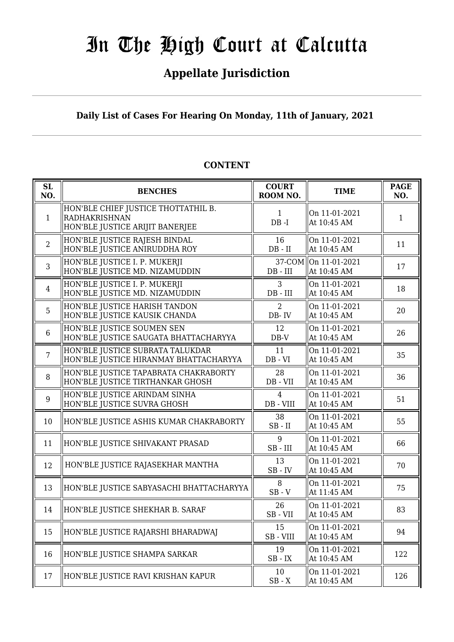# **Appellate Jurisdiction**

# **Daily List of Cases For Hearing On Monday, 11th of January, 2021**

#### **SL SL**<br> **NO. BENCHES COURT**<br> **ROOM** N **ROOM NO. TIME PAGE NO.** 1 HON'BLE CHIEF JUSTICE THOTTATHIL B. RADHAKRISHNAN HON'BLE JUSTICE ARIJIT BANERJEE 1 DB -I On 11-01-2021  $\begin{array}{|c|c|c|c|c|}\n\hline\n\text{At 10:45 AM} & & & 1\n\end{array}$ 2 HON'BLE JUSTICE RAJESH BINDAL HON'BLE JUSTICE ANIRUDDHA ROY 16 DB - II On 11-01-2021  $\begin{array}{|c|c|c|c|c|}\n\hline\n\text{At 10:45 AM} & & 11\n\end{array}$ 3 HON'BLE JUSTICE I. P. MUKERJI HON'BLE JUSTICE MD. NIZAMUDDIN 37-COM DB - III On 11-01-2021  $\begin{array}{|c|c|c|c|c|}\n\hline\n\text{At 10:45 AM} & & & 17\n\end{array}$ 4 HON'BLE JUSTICE I. P. MUKERJI HON'BLE JUSTICE MD. NIZAMUDDIN 3 DB - III On 11-01-2021  $\begin{array}{|c|c|c|c|c|c|}\n\hline\n\text{At 10:45 AM} & & & 18\n\end{array}$ 5 HON'BLE JUSTICE HARISH TANDON HON'BLE JUSTICE KAUSIK CHANDA  $\mathcal{D}$ DB- IV On 11-01-2021 At 10:45 AM  $\begin{array}{|c|c|} \hline 20 \\ \hline \end{array}$ 6 HON'BLE JUSTICE SOUMEN SEN HON'BLE JUSTICE SAUGATA BHATTACHARYYA 12 DB-V On 11-01-2021  $\begin{array}{|c|c|c|c|c|c|}\n\hline\n\text{At 10:45 AM} & & & 26\n\end{array}$ 7 HON'BLE JUSTICE SUBRATA TALUKDAR HON'BLE JUSTICE HIRANMAY BHATTACHARYYA 11 DB - VI On 11-01-2021  $\begin{array}{|c|c|c|c|c|}\n\hline\n\text{At 10:45 AM} & & 35\n\end{array}$ 8 HON'BLE JUSTICE TAPABRATA CHAKRABORTY HON'BLE JUSTICE TIRTHANKAR GHOSH 28 DB - VII On 11-01-2021 At 10:45 AM  $\begin{array}{|l|} \hline 36 \end{array}$ 9 HON'BLE JUSTICE ARINDAM SINHA HON'BLE JUSTICE SUVRA GHOSH 4 DB - VIII On 11-01-2021  $\begin{array}{|c|c|c|c|c|}\n\hline\n\text{At 10:45 AM} & & 51\n\end{array}$ 10 HON'BLE JUSTICE ASHIS KUMAR CHAKRABORTY 38 SB - II On 11-01-2021  $\begin{array}{|c|c|c|c|c|}\n\hline\n\text{At 10:45 AM} & & 55\n\end{array}$ 11 HON'BLE JUSTICE SHIVAKANT PRASAD  $\parallel$  9 SB - III On 11-01-2021 At 10:45 AM  $\begin{array}{|l|} \hline 66 \end{array}$ 12 HON'BLE JUSTICE RAJASEKHAR MANTHA  $\parallel$  13 SB - IV On 11-01-2021  $\begin{array}{|c|c|c|c|c|}\n\hline\n\text{At 10:45 AM} & & & 70\n\end{array}$ 13 HON'BLE JUSTICE SABYASACHI BHATTACHARYYA  $\begin{bmatrix} 8 & 8 \ 0 & 2 & 1 \end{bmatrix}$ SB - V On 11-01-2021  $\begin{array}{|c|c|c|c|c|c|}\n\hline\n\text{At 11:45 AM} & & & 75 \\
\hline\n\end{array}$ 14 HON'BLE JUSTICE SHEKHAR B. SARAF  $\parallel$  26 SB - VII On 11-01-2021  $\begin{array}{|c|c|c|c|c|}\n\hline\n\text{At 10:45 AM} & & 83\n\end{array}$ 15 HON'BLE JUSTICE RAJARSHI BHARADWAJ  $\parallel$  15 SB - VIII On 11-01-2021  $\begin{array}{|c|c|c|c|c|c|}\n\hline\n\text{At 10:45 AM} & & & 94\n\end{array}$ 16 HON'BLE JUSTICE SHAMPA SARKAR  $\begin{array}{|c|c|c|c|c|}\n\hline\n & 19 & & 19 \\
\hline\n & 60 & 19 & & 19\n\end{array}$ SB - IX On 11-01-2021  $\begin{array}{|c|c|c|c|c|c|c|c|} \hline \text{Out 11-01-2021} & & 122 \\ \text{At 10:45 AM} & & 122 \hline \end{array}$ 17 HON'BLE JUSTICE RAVI KRISHAN KAPUR  $\parallel$  10  $SB - X$ On 11-01-2021  $\begin{array}{|c|c|c|c|c|}\n\hline\n\text{At 10:45 AM} & & 126 \\
\hline\n\end{array}$

# **CONTENT**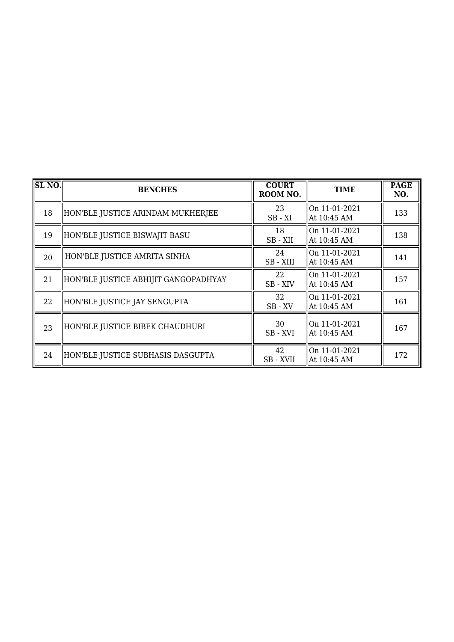| SL <sub>NO</sub> | <b>BENCHES</b>                       | <b>COURT</b><br>ROOM NO. | <b>TIME</b>                     | <b>PAGE</b><br>NO. |
|------------------|--------------------------------------|--------------------------|---------------------------------|--------------------|
| 18               | HON'BLE JUSTICE ARINDAM MUKHERJEE    | 23<br>$SB - XI$          | $ On 11-01-2021$<br>At 10:45 AM | 133                |
| 19               | HON'BLE JUSTICE BISWAJIT BASU        | 18<br>SB-XII             | On 11-01-2021<br>At 10:45 AM    | 138                |
| 20               | HON'BLE JUSTICE AMRITA SINHA         | 24<br>SB - XIII          | On 11-01-2021<br>At 10:45 AM    | 141                |
| 21               | HON'BLE JUSTICE ABHIJIT GANGOPADHYAY | 22<br>SB - XIV           | On 11-01-2021<br>  At 10:45 AM  | 157                |
| 22               | HON'BLE JUSTICE JAY SENGUPTA         | 32<br>$SB$ - $XV$        | On 11-01-2021<br>  At 10:45 AM  | 161                |
| 23               | HON'BLE JUSTICE BIBEK CHAUDHURI      | 30<br>SB-XVI             | On $11-01-2021$<br>At 10:45 AM  | 167                |
| 24               | HON'BLE JUSTICE SUBHASIS DASGUPTA    | 42<br>SB - XVII          | On 11-01-2021<br>At 10:45 AM    | 172                |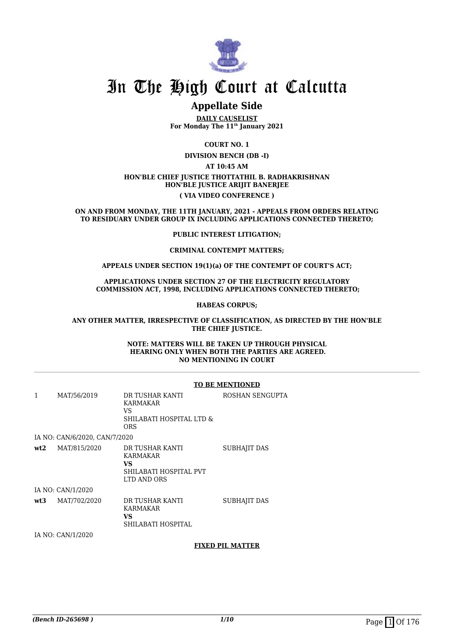

# **Appellate Side**

**DAILY CAUSELIST For Monday The 11th January 2021**

**COURT NO. 1**

**DIVISION BENCH (DB -I)**

**AT 10:45 AM**

### **HON'BLE CHIEF JUSTICE THOTTATHIL B. RADHAKRISHNAN HON'BLE JUSTICE ARIJIT BANERJEE ( VIA VIDEO CONFERENCE )**

**ON AND FROM MONDAY, THE 11TH JANUARY, 2021 - APPEALS FROM ORDERS RELATING TO RESIDUARY UNDER GROUP IX INCLUDING APPLICATIONS CONNECTED THERETO;**

### **PUBLIC INTEREST LITIGATION;**

### **CRIMINAL CONTEMPT MATTERS;**

### **APPEALS UNDER SECTION 19(1)(a) OF THE CONTEMPT OF COURT'S ACT;**

### **APPLICATIONS UNDER SECTION 27 OF THE ELECTRICITY REGULATORY COMMISSION ACT, 1998, INCLUDING APPLICATIONS CONNECTED THERETO;**

### **HABEAS CORPUS;**

### **ANY OTHER MATTER, IRRESPECTIVE OF CLASSIFICATION, AS DIRECTED BY THE HON'BLE THE CHIEF JUSTICE.**

#### **NOTE: MATTERS WILL BE TAKEN UP THROUGH PHYSICAL HEARING ONLY WHEN BOTH THE PARTIES ARE AGREED. NO MENTIONING IN COURT**

#### **TO BE MENTIONED**

| 1   | MAT/56/2019                   | DR TUSHAR KANTI<br>KARMAKAR<br>VS<br>SHILABATI HOSPITAL LTD &<br><b>ORS</b> | ROSHAN SENGUPTA |
|-----|-------------------------------|-----------------------------------------------------------------------------|-----------------|
|     | IA NO: CAN/6/2020, CAN/7/2020 |                                                                             |                 |
| wt2 | MAT/815/2020                  | DR TUSHAR KANTI<br>KARMAKAR<br>VS<br>SHILABATI HOSPITAL PVT<br>LTD AND ORS  | SUBHAJIT DAS    |
|     | IA NO: CAN/1/2020             |                                                                             |                 |
| wt3 | MAT/702/2020                  | DR TUSHAR KANTI<br>KARMAKAR<br>VS<br>SHILABATI HOSPITAL                     | SUBHAJIT DAS    |

IA NO: CAN/1/2020

## **FIXED PIL MATTER**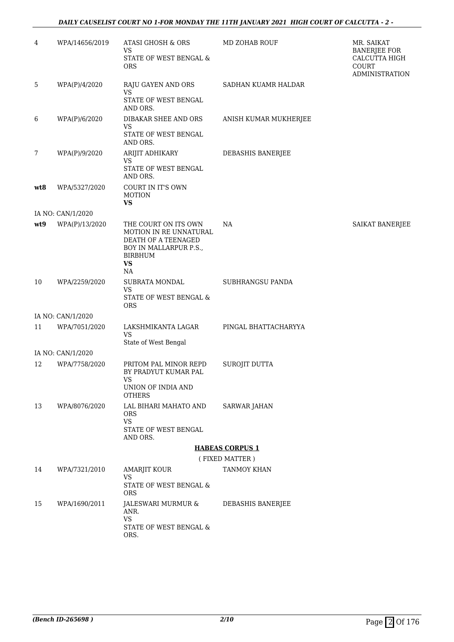# *DAILY CAUSELIST COURT NO 1-FOR MONDAY THE 11TH JANUARY 2021 HIGH COURT OF CALCUTTA - 2 -*

| WPA/14656/2019    | ATASI GHOSH & ORS                                                                                                                    | MD ZOHAB ROUF                                                                                                                                                   | MR. SAIKAT<br><b>BANERJEE FOR</b>                                                                        |
|-------------------|--------------------------------------------------------------------------------------------------------------------------------------|-----------------------------------------------------------------------------------------------------------------------------------------------------------------|----------------------------------------------------------------------------------------------------------|
|                   | STATE OF WEST BENGAL &<br><b>ORS</b>                                                                                                 |                                                                                                                                                                 | CALCUTTA HIGH<br>COURT<br><b>ADMINISTRATION</b>                                                          |
| WPA(P)/4/2020     | RAJU GAYEN AND ORS                                                                                                                   | SADHAN KUAMR HALDAR                                                                                                                                             |                                                                                                          |
|                   | STATE OF WEST BENGAL<br>AND ORS.                                                                                                     |                                                                                                                                                                 |                                                                                                          |
| WPA(P)/6/2020     | DIBAKAR SHEE AND ORS<br>VS<br>STATE OF WEST BENGAL                                                                                   | ANISH KUMAR MUKHERJEE                                                                                                                                           |                                                                                                          |
| WPA(P)/9/2020     |                                                                                                                                      |                                                                                                                                                                 |                                                                                                          |
|                   | VS<br>STATE OF WEST BENGAL<br>AND ORS.                                                                                               |                                                                                                                                                                 |                                                                                                          |
| WPA/5327/2020     | COURT IN IT'S OWN<br><b>MOTION</b>                                                                                                   |                                                                                                                                                                 |                                                                                                          |
| IA NO: CAN/1/2020 |                                                                                                                                      |                                                                                                                                                                 |                                                                                                          |
| WPA(P)/13/2020    | THE COURT ON ITS OWN<br>MOTION IN RE UNNATURAL<br>DEATH OF A TEENAGED<br>BOY IN MALLARPUR P.S.,<br><b>BIRBHUM</b><br><b>VS</b><br>NA | NA                                                                                                                                                              | SAIKAT BANERJEE                                                                                          |
| WPA/2259/2020     | SUBRATA MONDAL<br><b>VS</b><br>STATE OF WEST BENGAL &                                                                                | SUBHRANGSU PANDA                                                                                                                                                |                                                                                                          |
|                   |                                                                                                                                      |                                                                                                                                                                 |                                                                                                          |
| WPA/7051/2020     | LAKSHMIKANTA LAGAR<br><b>VS</b>                                                                                                      | PINGAL BHATTACHARYYA                                                                                                                                            |                                                                                                          |
|                   |                                                                                                                                      |                                                                                                                                                                 |                                                                                                          |
| WPA/7758/2020     | PRITOM PAL MINOR REPD<br>BY PRADYUT KUMAR PAL<br>VS<br>UNION OF INDIA AND                                                            | SUROJIT DUTTA                                                                                                                                                   |                                                                                                          |
| WPA/8076/2020     | LAL BIHARI MAHATO AND<br>ORS<br><b>VS</b><br>STATE OF WEST BENGAL<br>AND ORS.                                                        | <b>SARWAR JAHAN</b>                                                                                                                                             |                                                                                                          |
|                   |                                                                                                                                      |                                                                                                                                                                 |                                                                                                          |
|                   |                                                                                                                                      |                                                                                                                                                                 |                                                                                                          |
|                   | <b>VS</b>                                                                                                                            |                                                                                                                                                                 |                                                                                                          |
|                   | STATE OF WEST BENGAL &<br>ORS.                                                                                                       |                                                                                                                                                                 |                                                                                                          |
|                   | ANR.<br>VS<br>STATE OF WEST BENGAL &<br>ORS.                                                                                         |                                                                                                                                                                 |                                                                                                          |
|                   | IA NO: CAN/1/2020<br>IA NO: CAN/1/2020<br>WPA/7321/2010<br>WPA/1690/2011                                                             | VS<br><b>VS</b><br>AND ORS.<br>ARIJIT ADHIKARY<br><b>VS</b><br><b>ORS</b><br>State of West Bengal<br><b>OTHERS</b><br><b>AMARJIT KOUR</b><br>JALESWARI MURMUR & | DEBASHIS BANERJEE<br><b>HABEAS CORPUS 1</b><br>(FIXED MATTER)<br><b>TANMOY KHAN</b><br>DEBASHIS BANERJEE |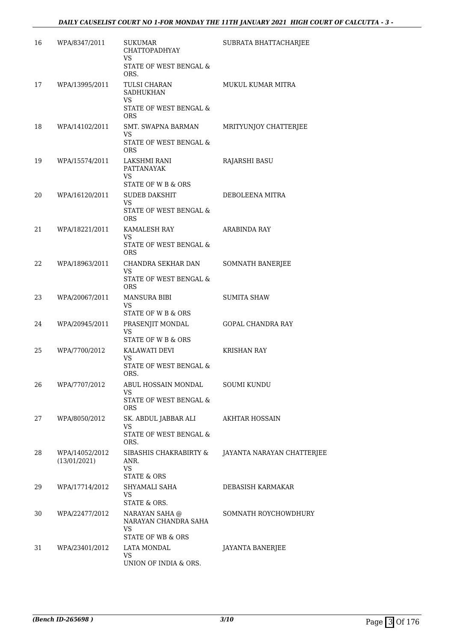| 16 | WPA/8347/2011                  | <b>SUKUMAR</b><br><b>CHATTOPADHYAY</b><br><b>VS</b>                          | SUBRATA BHATTACHARJEE      |
|----|--------------------------------|------------------------------------------------------------------------------|----------------------------|
|    |                                | STATE OF WEST BENGAL &<br>ORS.                                               |                            |
| 17 | WPA/13995/2011                 | TULSI CHARAN<br><b>SADHUKHAN</b><br>VS                                       | MUKUL KUMAR MITRA          |
|    |                                | STATE OF WEST BENGAL &<br><b>ORS</b>                                         |                            |
| 18 | WPA/14102/2011                 | <b>SMT. SWAPNA BARMAN</b><br>VS                                              | MRITYUNJOY CHATTERJEE      |
|    |                                | STATE OF WEST BENGAL &<br>ORS.                                               |                            |
| 19 | WPA/15574/2011                 | LAKSHMI RANI<br><b>PATTANAYAK</b><br>VS                                      | <b>RAJARSHI BASU</b>       |
| 20 | WPA/16120/2011                 | STATE OF W B & ORS<br><b>SUDEB DAKSHIT</b>                                   | DEBOLEENA MITRA            |
|    |                                | VS<br>STATE OF WEST BENGAL &                                                 |                            |
|    |                                | <b>ORS</b>                                                                   |                            |
| 21 | WPA/18221/2011                 | <b>KAMALESH RAY</b><br>VS                                                    | <b>ARABINDA RAY</b>        |
|    |                                | STATE OF WEST BENGAL &<br><b>ORS</b>                                         |                            |
| 22 | WPA/18963/2011                 | CHANDRA SEKHAR DAN<br>VS                                                     | SOMNATH BANERJEE           |
|    |                                | <b>STATE OF WEST BENGAL &amp;</b><br><b>ORS</b>                              |                            |
| 23 | WPA/20067/2011                 | <b>MANSURA BIBI</b><br>VS<br>STATE OF W B & ORS                              | <b>SUMITA SHAW</b>         |
| 24 | WPA/20945/2011                 | PRASENJIT MONDAL<br>VS                                                       | <b>GOPAL CHANDRA RAY</b>   |
|    |                                | STATE OF W B & ORS                                                           |                            |
| 25 | WPA/7700/2012                  | KALAWATI DEVI<br>VS                                                          | <b>KRISHAN RAY</b>         |
|    |                                | <b>STATE OF WEST BENGAL &amp;</b><br>ORS.                                    |                            |
| 26 | WPA/7707/2012                  | ABUL HOSSAIN MONDAL<br>VS                                                    | <b>SOUMI KUNDU</b>         |
|    |                                | STATE OF WEST BENGAL &<br><b>ORS</b>                                         |                            |
| 27 | WPA/8050/2012                  | SK. ABDUL JABBAR ALI                                                         | <b>AKHTAR HOSSAIN</b>      |
|    |                                | VS<br>STATE OF WEST BENGAL &<br>ORS.                                         |                            |
| 28 | WPA/14052/2012<br>(13/01/2021) | SIBASHIS CHAKRABIRTY &<br>ANR.<br><b>VS</b>                                  | JAYANTA NARAYAN CHATTERJEE |
|    |                                | <b>STATE &amp; ORS</b>                                                       |                            |
| 29 | WPA/17714/2012                 | SHYAMALI SAHA<br>VS<br>STATE & ORS.                                          | DEBASISH KARMAKAR          |
| 30 | WPA/22477/2012                 | NARAYAN SAHA @<br>NARAYAN CHANDRA SAHA<br>VS<br><b>STATE OF WB &amp; ORS</b> | SOMNATH ROYCHOWDHURY       |
| 31 | WPA/23401/2012                 | LATA MONDAL                                                                  | <b>JAYANTA BANERJEE</b>    |
|    |                                | <b>VS</b><br>UNION OF INDIA & ORS.                                           |                            |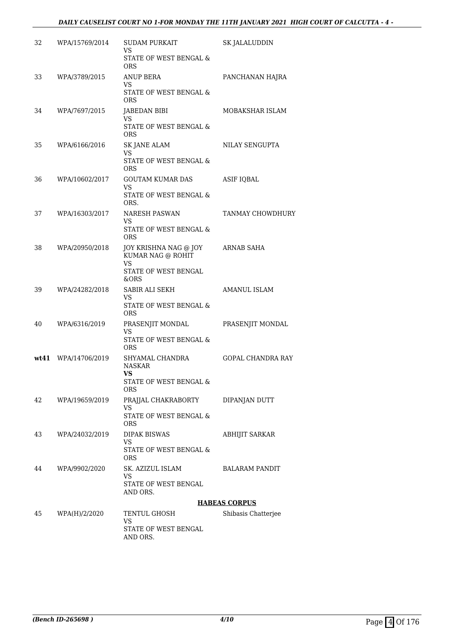| 32   | WPA/15769/2014 | <b>SUDAM PURKAIT</b><br>VS<br>STATE OF WEST BENGAL & | SK JALALUDDIN            |
|------|----------------|------------------------------------------------------|--------------------------|
| 33   | WPA/3789/2015  | <b>ORS</b><br>ANUP BERA<br>VS                        | PANCHANAN HAJRA          |
|      |                | <b>STATE OF WEST BENGAL &amp;</b><br><b>ORS</b>      |                          |
| 34   | WPA/7697/2015  | <b>JABEDAN BIBI</b><br>VS                            | MOBAKSHAR ISLAM          |
|      |                | STATE OF WEST BENGAL &<br><b>ORS</b>                 |                          |
| 35   | WPA/6166/2016  | <b>SK JANE ALAM</b><br><b>VS</b>                     | NILAY SENGUPTA           |
|      |                | STATE OF WEST BENGAL &<br><b>ORS</b>                 |                          |
| 36   | WPA/10602/2017 | <b>GOUTAM KUMAR DAS</b><br>VS                        | <b>ASIF IQBAL</b>        |
|      |                | STATE OF WEST BENGAL &<br>ORS.                       |                          |
| 37   | WPA/16303/2017 | <b>NARESH PASWAN</b><br>VS                           | TANMAY CHOWDHURY         |
|      |                | <b>STATE OF WEST BENGAL &amp;</b><br><b>ORS</b>      |                          |
| 38   | WPA/20950/2018 | JOY KRISHNA NAG @ JOY<br>KUMAR NAG @ ROHIT           | ARNAB SAHA               |
|      |                | VS<br>STATE OF WEST BENGAL                           |                          |
| 39   | WPA/24282/2018 | &ORS<br>SABIR ALI SEKH                               | AMANUL ISLAM             |
|      |                | VS<br>STATE OF WEST BENGAL &                         |                          |
| 40   | WPA/6316/2019  | <b>ORS</b><br>PRASENJIT MONDAL                       | PRASENJIT MONDAL         |
|      |                | VS<br><b>STATE OF WEST BENGAL &amp;</b>              |                          |
|      |                | <b>ORS</b>                                           |                          |
| wt41 | WPA/14706/2019 | SHYAMAL CHANDRA<br><b>NASKAR</b>                     | <b>GOPAL CHANDRA RAY</b> |
|      |                | VS<br>STATE OF WEST BENGAL &<br>ORS                  |                          |
| 42   | WPA/19659/2019 | PRAJJAL CHAKRABORTY                                  | DIPANJAN DUTT            |
|      |                | VS<br>STATE OF WEST BENGAL &<br>ORS                  |                          |
| 43   | WPA/24032/2019 | DIPAK BISWAS<br>VS.                                  | ABHIJIT SARKAR           |
|      |                | <b>STATE OF WEST BENGAL &amp;</b><br>ORS             |                          |
| 44   | WPA/9902/2020  | SK. AZIZUL ISLAM<br>VS.                              | BALARAM PANDIT           |
|      |                | STATE OF WEST BENGAL<br>AND ORS.                     |                          |
|      |                |                                                      | <b>HABEAS CORPUS</b>     |
| 45   | WPA(H)/2/2020  | TENTUL GHOSH<br>VS                                   | Shibasis Chatterjee      |
|      |                | STATE OF WEST BENGAL<br>AND ORS.                     |                          |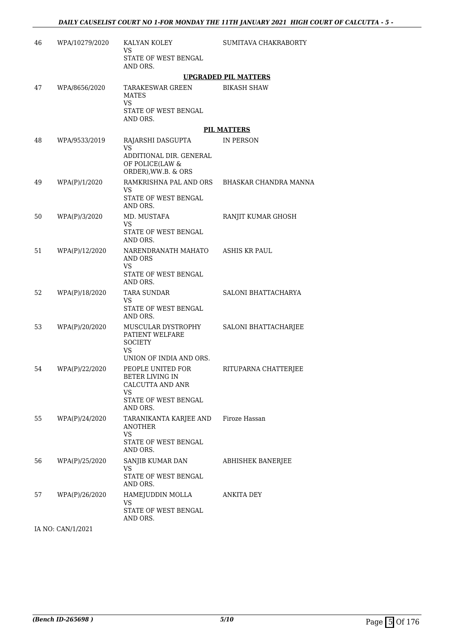| 46 | WPA/10279/2020 | KALYAN KOLEY<br>VS                                                                       | SUMITAVA CHAKRABORTY        |
|----|----------------|------------------------------------------------------------------------------------------|-----------------------------|
|    |                | STATE OF WEST BENGAL<br>AND ORS.                                                         |                             |
|    |                |                                                                                          | <b>UPGRADED PIL MATTERS</b> |
| 47 | WPA/8656/2020  | TARAKESWAR GREEN<br><b>MATES</b><br><b>VS</b><br>STATE OF WEST BENGAL<br>AND ORS.        | <b>BIKASH SHAW</b>          |
|    |                |                                                                                          | <b>PIL MATTERS</b>          |
| 48 | WPA/9533/2019  | RAJARSHI DASGUPTA<br><b>VS</b>                                                           | IN PERSON                   |
|    |                | ADDITIONAL DIR. GENERAL<br>OF POLICE(LAW &<br>ORDER), WW.B. & ORS                        |                             |
| 49 | WPA(P)/1/2020  | RAMKRISHNA PAL AND ORS<br>VS                                                             | BHASKAR CHANDRA MANNA       |
|    |                | STATE OF WEST BENGAL<br>AND ORS.                                                         |                             |
| 50 | WPA(P)/3/2020  | MD. MUSTAFA<br>VS                                                                        | RANJIT KUMAR GHOSH          |
|    |                | <b>STATE OF WEST BENGAL</b><br>AND ORS.                                                  |                             |
| 51 | WPA(P)/12/2020 | NARENDRANATH MAHATO<br>AND ORS<br>VS<br>STATE OF WEST BENGAL                             | ASHIS KR PAUL               |
| 52 | WPA(P)/18/2020 | AND ORS.<br><b>TARA SUNDAR</b>                                                           | SALONI BHATTACHARYA         |
|    |                | <b>VS</b><br>STATE OF WEST BENGAL<br>AND ORS.                                            |                             |
| 53 | WPA(P)/20/2020 | MUSCULAR DYSTROPHY<br>PATIENT WELFARE<br><b>SOCIETY</b><br>VS<br>UNION OF INDIA AND ORS. | SALONI BHATTACHARJEE        |
| 54 | WPA(P)/22/2020 | PEOPLE UNITED FOR                                                                        | RITUPARNA CHATTERJEE        |
|    |                | BETER LIVING IN<br>CALCUTTA AND ANR<br>VS                                                |                             |
|    |                | STATE OF WEST BENGAL<br>AND ORS.                                                         |                             |
| 55 | WPA(P)/24/2020 | TARANIKANTA KARJEE AND<br>ANOTHER<br><b>VS</b>                                           | Firoze Hassan               |
|    |                | STATE OF WEST BENGAL<br>AND ORS.                                                         |                             |
| 56 | WPA(P)/25/2020 | SANJIB KUMAR DAN<br>VS<br>STATE OF WEST BENGAL<br>AND ORS.                               | ABHISHEK BANERJEE           |
| 57 | WPA(P)/26/2020 | HAMEJUDDIN MOLLA<br>VS<br>STATE OF WEST BENGAL<br>AND ORS.                               | ANKITA DEY                  |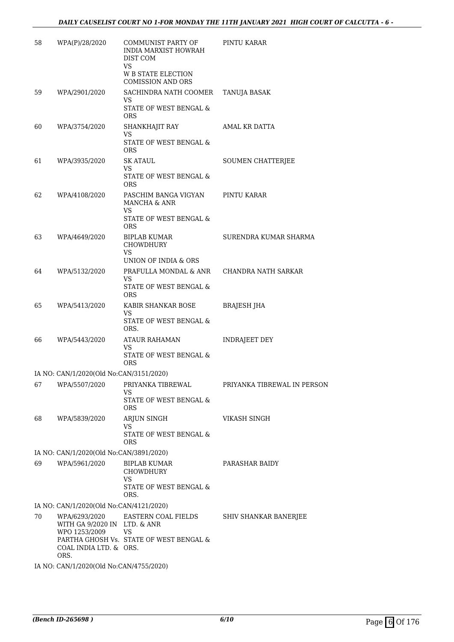| 58                                      | WPA(P)/28/2020                                                                           | COMMUNIST PARTY OF<br><b>INDIA MARXIST HOWRAH</b><br>DIST COM        | PINTU KARAR                 |  |
|-----------------------------------------|------------------------------------------------------------------------------------------|----------------------------------------------------------------------|-----------------------------|--|
|                                         |                                                                                          | <b>VS</b><br><b>W B STATE ELECTION</b><br><b>COMISSION AND ORS</b>   |                             |  |
| 59                                      | WPA/2901/2020                                                                            | SACHINDRA NATH COOMER<br>VS                                          | TANUJA BASAK                |  |
|                                         |                                                                                          | STATE OF WEST BENGAL &<br><b>ORS</b>                                 |                             |  |
| 60                                      | WPA/3754/2020                                                                            | SHANKHAJIT RAY<br><b>VS</b>                                          | AMAL KR DATTA               |  |
|                                         |                                                                                          | STATE OF WEST BENGAL &<br><b>ORS</b>                                 |                             |  |
| 61                                      | WPA/3935/2020                                                                            | SK ATAUL<br>VS.                                                      | <b>SOUMEN CHATTERJEE</b>    |  |
|                                         |                                                                                          | STATE OF WEST BENGAL &<br><b>ORS</b>                                 |                             |  |
| 62                                      | WPA/4108/2020                                                                            | PASCHIM BANGA VIGYAN<br><b>MANCHA &amp; ANR</b><br>VS                | PINTU KARAR                 |  |
|                                         |                                                                                          | STATE OF WEST BENGAL &<br><b>ORS</b>                                 |                             |  |
| 63                                      | WPA/4649/2020                                                                            | BIPLAB KUMAR<br>CHOWDHURY<br>VS                                      | SURENDRA KUMAR SHARMA       |  |
|                                         |                                                                                          | UNION OF INDIA & ORS                                                 |                             |  |
| 64                                      | WPA/5132/2020                                                                            | PRAFULLA MONDAL & ANR<br>VS                                          | CHANDRA NATH SARKAR         |  |
|                                         |                                                                                          | STATE OF WEST BENGAL &<br><b>ORS</b>                                 |                             |  |
| 65                                      | WPA/5413/2020                                                                            | KABIR SHANKAR BOSE<br>VS                                             | <b>BRAJESH JHA</b>          |  |
|                                         |                                                                                          | STATE OF WEST BENGAL &<br>ORS.                                       |                             |  |
| 66                                      | WPA/5443/2020                                                                            | ATAUR RAHAMAN<br>VS                                                  | INDRAJEET DEY               |  |
|                                         |                                                                                          | STATE OF WEST BENGAL &<br><b>ORS</b>                                 |                             |  |
|                                         | IA NO: CAN/1/2020(Old No:CAN/3151/2020)                                                  |                                                                      |                             |  |
| 67                                      | WPA/5507/2020                                                                            | PRIYANKA TIBREWAL<br>VS                                              | PRIYANKA TIBREWAL IN PERSON |  |
|                                         |                                                                                          | STATE OF WEST BENGAL &<br><b>ORS</b>                                 |                             |  |
| 68                                      | WPA/5839/2020                                                                            | ARJUN SINGH<br>VS                                                    | VIKASH SINGH                |  |
|                                         |                                                                                          | STATE OF WEST BENGAL &<br><b>ORS</b>                                 |                             |  |
|                                         | IA NO: CAN/1/2020(Old No:CAN/3891/2020)                                                  |                                                                      |                             |  |
| 69                                      | WPA/5961/2020                                                                            | <b>BIPLAB KUMAR</b><br>CHOWDHURY<br>VS                               | PARASHAR BAIDY              |  |
|                                         |                                                                                          | STATE OF WEST BENGAL &<br>ORS.                                       |                             |  |
|                                         | IA NO: CAN/1/2020(Old No:CAN/4121/2020)                                                  |                                                                      |                             |  |
| 70                                      | WPA/6293/2020<br>WITH GA 9/2020 IN LTD. & ANR<br>WPO 1253/2009<br>COAL INDIA LTD. & ORS. | EASTERN COAL FIELDS<br>VS<br>PARTHA GHOSH Vs. STATE OF WEST BENGAL & | SHIV SHANKAR BANERJEE       |  |
|                                         | ORS.                                                                                     |                                                                      |                             |  |
| IA NO: CAN/1/2020(Old No:CAN/4755/2020) |                                                                                          |                                                                      |                             |  |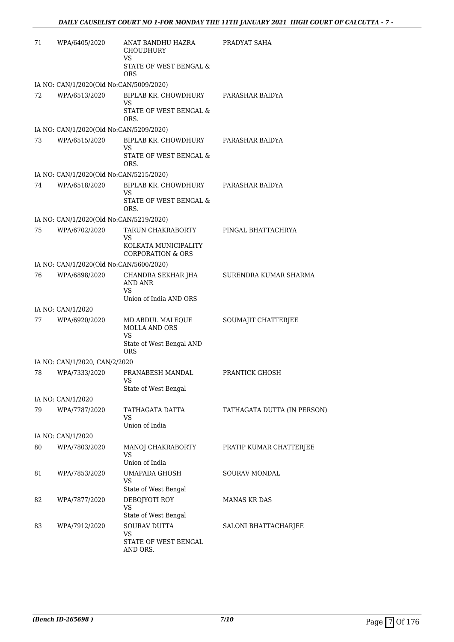| 71 | WPA/6405/2020                           | ANAT BANDHU HAZRA<br>CHOUDHURY<br>VS                                 | PRADYAT SAHA                |
|----|-----------------------------------------|----------------------------------------------------------------------|-----------------------------|
|    |                                         | STATE OF WEST BENGAL &<br><b>ORS</b>                                 |                             |
|    | IA NO: CAN/1/2020(Old No:CAN/5009/2020) |                                                                      |                             |
| 72 | WPA/6513/2020                           | BIPLAB KR. CHOWDHURY<br>VS                                           | PARASHAR BAIDYA             |
|    |                                         | STATE OF WEST BENGAL &<br>ORS.                                       |                             |
|    | IA NO: CAN/1/2020(Old No:CAN/5209/2020) |                                                                      |                             |
| 73 | WPA/6515/2020                           | BIPLAB KR. CHOWDHURY<br>VS                                           | PARASHAR BAIDYA             |
|    |                                         | STATE OF WEST BENGAL &<br>ORS.                                       |                             |
|    | IA NO: CAN/1/2020(Old No:CAN/5215/2020) |                                                                      |                             |
| 74 | WPA/6518/2020                           | BIPLAB KR. CHOWDHURY<br>VS                                           | PARASHAR BAIDYA             |
|    |                                         | STATE OF WEST BENGAL &<br>ORS.                                       |                             |
|    | IA NO: CAN/1/2020(Old No:CAN/5219/2020) |                                                                      |                             |
| 75 | WPA/6702/2020                           | TARUN CHAKRABORTY<br>VS                                              | PINGAL BHATTACHRYA          |
|    |                                         | KOLKATA MUNICIPALITY<br>CORPORATION & ORS                            |                             |
|    | IA NO: CAN/1/2020(Old No:CAN/5600/2020) |                                                                      |                             |
| 76 | WPA/6898/2020                           | CHANDRA SEKHAR JHA<br>AND ANR<br><b>VS</b><br>Union of India AND ORS | SURENDRA KUMAR SHARMA       |
|    |                                         |                                                                      |                             |
|    | IA NO: CAN/1/2020                       |                                                                      |                             |
| 77 | WPA/6920/2020                           | MD ABDUL MALEQUE<br><b>MOLLA AND ORS</b><br><b>VS</b>                | SOUMAJIT CHATTERJEE         |
|    |                                         | State of West Bengal AND<br><b>ORS</b>                               |                             |
|    | IA NO: CAN/1/2020, CAN/2/2020           |                                                                      |                             |
| 78 | WPA/7333/2020                           | PRANABESH MANDAL                                                     | PRANTICK GHOSH              |
|    |                                         | State of West Bengal                                                 |                             |
|    | IA NO: CAN/1/2020                       |                                                                      |                             |
| 79 | WPA/7787/2020                           | TATHAGATA DATTA<br>VS                                                | TATHAGATA DUTTA (IN PERSON) |
|    |                                         | Union of India                                                       |                             |
|    | IA NO: CAN/1/2020                       |                                                                      |                             |
| 80 | WPA/7803/2020                           | MANOJ CHAKRABORTY<br>VS                                              | PRATIP KUMAR CHATTERJEE     |
|    |                                         | Union of India                                                       |                             |
| 81 | WPA/7853/2020                           | <b>UMAPADA GHOSH</b><br>VS                                           | <b>SOURAV MONDAL</b>        |
|    |                                         | State of West Bengal                                                 |                             |
| 82 | WPA/7877/2020                           | DEBOJYOTI ROY<br>VS                                                  | <b>MANAS KR DAS</b>         |
|    |                                         | State of West Bengal                                                 |                             |
| 83 | WPA/7912/2020                           | <b>SOURAV DUTTA</b><br>VS                                            | SALONI BHATTACHARJEE        |
|    |                                         | STATE OF WEST BENGAL<br>AND ORS.                                     |                             |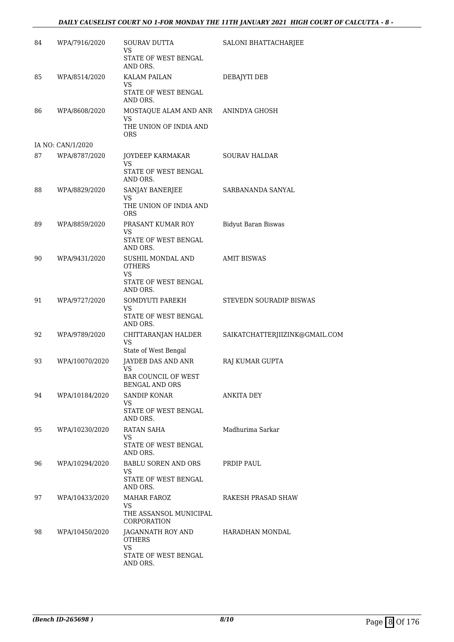# *DAILY CAUSELIST COURT NO 1-FOR MONDAY THE 11TH JANUARY 2021 HIGH COURT OF CALCUTTA - 8 -*

| 84 | WPA/7916/2020     | SOURAV DUTTA<br>VS                                                  | SALONI BHATTACHARJEE           |
|----|-------------------|---------------------------------------------------------------------|--------------------------------|
|    |                   | STATE OF WEST BENGAL<br>AND ORS.                                    |                                |
| 85 | WPA/8514/2020     | <b>KALAM PAILAN</b><br>VS<br>STATE OF WEST BENGAL<br>AND ORS.       | <b>DEBAJYTI DEB</b>            |
| 86 | WPA/8608/2020     | MOSTAQUE ALAM AND ANR<br>VS<br>THE UNION OF INDIA AND<br><b>ORS</b> | ANINDYA GHOSH                  |
|    | IA NO: CAN/1/2020 |                                                                     |                                |
| 87 | WPA/8787/2020     | JOYDEEP KARMAKAR<br>VS<br>STATE OF WEST BENGAL                      | <b>SOURAV HALDAR</b>           |
|    |                   | AND ORS.                                                            |                                |
| 88 | WPA/8829/2020     | SANJAY BANERJEE<br>VS<br>THE UNION OF INDIA AND                     | SARBANANDA SANYAL              |
|    |                   | <b>ORS</b>                                                          |                                |
| 89 | WPA/8859/2020     | PRASANT KUMAR ROY<br>VS                                             | <b>Bidyut Baran Biswas</b>     |
|    |                   | STATE OF WEST BENGAL<br>AND ORS.                                    |                                |
| 90 | WPA/9431/2020     | SUSHIL MONDAL AND<br><b>OTHERS</b><br><b>VS</b>                     | <b>AMIT BISWAS</b>             |
|    |                   | STATE OF WEST BENGAL<br>AND ORS.                                    |                                |
| 91 | WPA/9727/2020     | SOMDYUTI PAREKH<br>VS<br>STATE OF WEST BENGAL                       | STEVEDN SOURADIP BISWAS        |
|    |                   | AND ORS.                                                            |                                |
| 92 | WPA/9789/2020     | CHITTARANJAN HALDER<br><b>VS</b>                                    | SAIKATCHATTERJIIZINK@GMAIL.COM |
|    |                   | State of West Bengal                                                |                                |
| 93 | WPA/10070/2020    | JAYDEB DAS AND ANR<br><b>VS</b><br><b>BAR COUNCIL OF WEST</b>       | RAJ KUMAR GUPTA                |
|    |                   | <b>BENGAL AND ORS</b>                                               |                                |
| 94 | WPA/10184/2020    | <b>SANDIP KONAR</b><br>VS<br>STATE OF WEST BENGAL                   | <b>ANKITA DEY</b>              |
|    |                   | AND ORS.                                                            |                                |
| 95 | WPA/10230/2020    | RATAN SAHA<br>VS                                                    | Madhurima Sarkar               |
|    |                   | STATE OF WEST BENGAL<br>AND ORS.                                    |                                |
| 96 | WPA/10294/2020    | BABLU SOREN AND ORS<br>VS                                           | PRDIP PAUL                     |
|    |                   | STATE OF WEST BENGAL<br>AND ORS.                                    |                                |
| 97 | WPA/10433/2020    | <b>MAHAR FAROZ</b><br>VS                                            | RAKESH PRASAD SHAW             |
|    |                   | THE ASSANSOL MUNICIPAL<br>CORPORATION                               |                                |
| 98 | WPA/10450/2020    | JAGANNATH ROY AND<br><b>OTHERS</b><br><b>VS</b>                     | HARADHAN MONDAL                |
|    |                   | STATE OF WEST BENGAL<br>AND ORS.                                    |                                |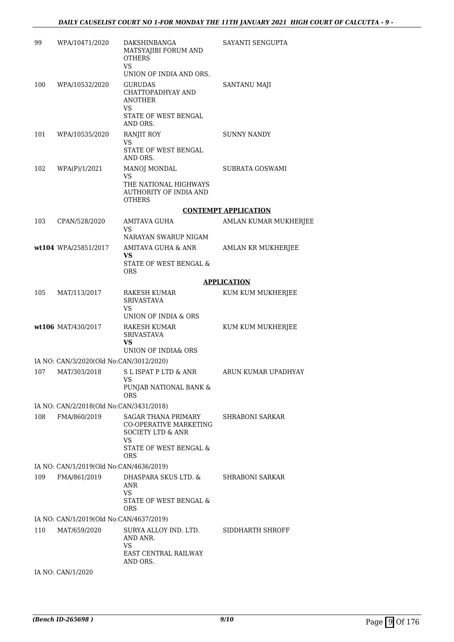| 99  | WPA/10471/2020                                          | DAKSHINBANGA<br>MATSYAJIBI FORUM AND<br><b>OTHERS</b><br>VS<br>UNION OF INDIA AND ORS.                                                               | SAYANTI SENGUPTA            |
|-----|---------------------------------------------------------|------------------------------------------------------------------------------------------------------------------------------------------------------|-----------------------------|
| 100 | WPA/10532/2020                                          | <b>GURUDAS</b><br>CHATTOPADHYAY AND<br><b>ANOTHER</b><br>VS.<br>STATE OF WEST BENGAL<br>AND ORS.                                                     | <b>SANTANU MAJI</b>         |
| 101 | WPA/10535/2020                                          | <b>RANJIT ROY</b><br>VS<br>STATE OF WEST BENGAL<br>AND ORS.                                                                                          | <b>SUNNY NANDY</b>          |
| 102 | WPA(P)/1/2021                                           | MANOJ MONDAL<br>VS.<br>THE NATIONAL HIGHWAYS<br><b>AUTHORITY OF INDIA AND</b><br><b>OTHERS</b>                                                       | SUBRATA GOSWAMI             |
|     |                                                         |                                                                                                                                                      | <b>CONTEMPT APPLICATION</b> |
| 103 | CPAN/528/2020                                           | <b>AMITAVA GUHA</b>                                                                                                                                  | AMLAN KUMAR MUKHERJEE       |
|     |                                                         | VS.<br>NARAYAN SWARUP NIGAM                                                                                                                          |                             |
|     | wt104 WPA/25851/2017                                    | AMITAVA GUHA & ANR                                                                                                                                   | AMLAN KR MUKHERJEE          |
|     |                                                         | VS<br><b>STATE OF WEST BENGAL &amp;</b><br><b>ORS</b>                                                                                                |                             |
|     |                                                         |                                                                                                                                                      | <b>APPLICATION</b>          |
| 105 | MAT/113/2017                                            | RAKESH KUMAR<br><b>SRIVASTAVA</b><br>VS                                                                                                              | KUM KUM MUKHERJEE           |
|     |                                                         | UNION OF INDIA & ORS                                                                                                                                 |                             |
|     | wt106 MAT/430/2017                                      | RAKESH KUMAR<br><b>SRIVASTAVA</b><br>VS.                                                                                                             | KUM KUM MUKHERJEE           |
|     |                                                         | UNION OF INDIA& ORS                                                                                                                                  |                             |
| 107 | IA NO: CAN/3/2020(Old No:CAN/3012/2020)<br>MAT/303/2018 | S L ISPAT P LTD & ANR                                                                                                                                | ARUN KUMAR UPADHYAY         |
|     |                                                         | VS —<br>PUNJAB NATIONAL BANK &<br><b>ORS</b>                                                                                                         |                             |
|     | IA NO: CAN/2/2018(Old No:CAN/3431/2018)                 |                                                                                                                                                      |                             |
| 108 | FMA/860/2019                                            | <b>SAGAR THANA PRIMARY</b><br><b>CO-OPERATIVE MARKETING</b><br><b>SOCIETY LTD &amp; ANR</b><br>VS<br><b>STATE OF WEST BENGAL &amp;</b><br><b>ORS</b> | SHRABONI SARKAR             |
|     | IA NO: CAN/1/2019(Old No:CAN/4636/2019)                 |                                                                                                                                                      |                             |
| 109 | FMA/861/2019                                            | DHASPARA SKUS LTD. &<br>ANR<br><b>VS</b><br>STATE OF WEST BENGAL &                                                                                   | <b>SHRABONI SARKAR</b>      |
|     |                                                         | <b>ORS</b>                                                                                                                                           |                             |
|     | IA NO: CAN/1/2019(Old No:CAN/4637/2019)                 |                                                                                                                                                      |                             |
| 110 | MAT/659/2020                                            | SURYA ALLOY IND. LTD.<br>AND ANR.<br>VS<br><b>EAST CENTRAL RAILWAY</b><br>AND ORS.                                                                   | SIDDHARTH SHROFF            |
|     | IA NO: CAN/1/2020                                       |                                                                                                                                                      |                             |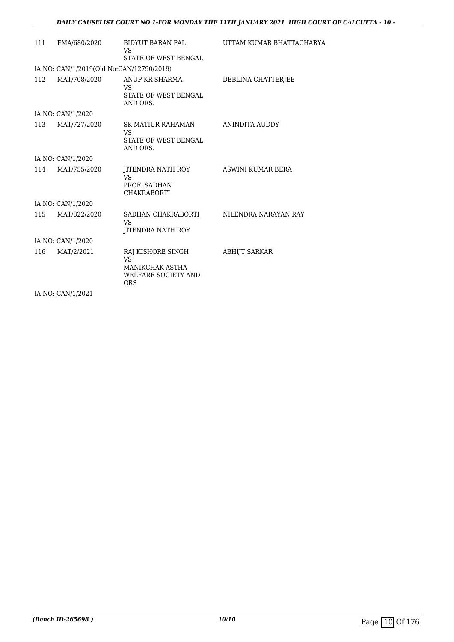| 111<br>FMA/680/2020<br>BIDYUT BARAN PAL<br>VS<br><b>STATE OF WEST BENGAL</b><br>IA NO: CAN/1/2019(Old No:CAN/12790/2019)<br>112<br>MAT/708/2020<br>ANUP KR SHARMA<br>DEBLINA CHATTERJEE<br>VS<br><b>STATE OF WEST BENGAL</b><br>AND ORS.<br>IA NO: CAN/1/2020<br>113<br>MAT/727/2020<br>SK MATIUR RAHAMAN<br>ANINDITA AUDDY<br>VS<br><b>STATE OF WEST BENGAL</b><br>AND ORS.<br>IA NO: CAN/1/2020<br>114<br>MAT/755/2020<br>ASWINI KUMAR BERA<br>JITENDRA NATH ROY<br><b>VS</b><br>PROF. SADHAN<br><b>CHAKRABORTI</b><br>IA NO: CAN/1/2020<br>115<br>MAT/822/2020<br>SADHAN CHAKRABORTI<br>NILENDRA NARAYAN RAY<br>VS<br>JITENDRA NATH ROY<br>IA NO: CAN/1/2020<br>MAT/2/2021<br>116<br>RAJ KISHORE SINGH<br><b>ABHIJT SARKAR</b><br><b>VS</b><br><b>MANIKCHAK ASTHA</b><br><b>WELFARE SOCIETY AND</b><br><b>ORS</b> |  |                          |
|----------------------------------------------------------------------------------------------------------------------------------------------------------------------------------------------------------------------------------------------------------------------------------------------------------------------------------------------------------------------------------------------------------------------------------------------------------------------------------------------------------------------------------------------------------------------------------------------------------------------------------------------------------------------------------------------------------------------------------------------------------------------------------------------------------------------|--|--------------------------|
|                                                                                                                                                                                                                                                                                                                                                                                                                                                                                                                                                                                                                                                                                                                                                                                                                      |  | UTTAM KUMAR BHATTACHARYA |
|                                                                                                                                                                                                                                                                                                                                                                                                                                                                                                                                                                                                                                                                                                                                                                                                                      |  |                          |
|                                                                                                                                                                                                                                                                                                                                                                                                                                                                                                                                                                                                                                                                                                                                                                                                                      |  |                          |
|                                                                                                                                                                                                                                                                                                                                                                                                                                                                                                                                                                                                                                                                                                                                                                                                                      |  |                          |
|                                                                                                                                                                                                                                                                                                                                                                                                                                                                                                                                                                                                                                                                                                                                                                                                                      |  |                          |
|                                                                                                                                                                                                                                                                                                                                                                                                                                                                                                                                                                                                                                                                                                                                                                                                                      |  |                          |
|                                                                                                                                                                                                                                                                                                                                                                                                                                                                                                                                                                                                                                                                                                                                                                                                                      |  |                          |
|                                                                                                                                                                                                                                                                                                                                                                                                                                                                                                                                                                                                                                                                                                                                                                                                                      |  |                          |
|                                                                                                                                                                                                                                                                                                                                                                                                                                                                                                                                                                                                                                                                                                                                                                                                                      |  |                          |
|                                                                                                                                                                                                                                                                                                                                                                                                                                                                                                                                                                                                                                                                                                                                                                                                                      |  |                          |
| $\mathbf{r}$ $\mathbf{r}$ $\mathbf{r}$ $\mathbf{r}$ $\mathbf{r}$ $\mathbf{r}$ $\mathbf{r}$ $\mathbf{r}$ $\mathbf{r}$ $\mathbf{r}$ $\mathbf{r}$ $\mathbf{r}$ $\mathbf{r}$ $\mathbf{r}$ $\mathbf{r}$ $\mathbf{r}$ $\mathbf{r}$ $\mathbf{r}$ $\mathbf{r}$ $\mathbf{r}$ $\mathbf{r}$ $\mathbf{r}$ $\mathbf{r}$ $\mathbf{r}$ $\mathbf{$                                                                                                                                                                                                                                                                                                                                                                                                                                                                                   |  |                          |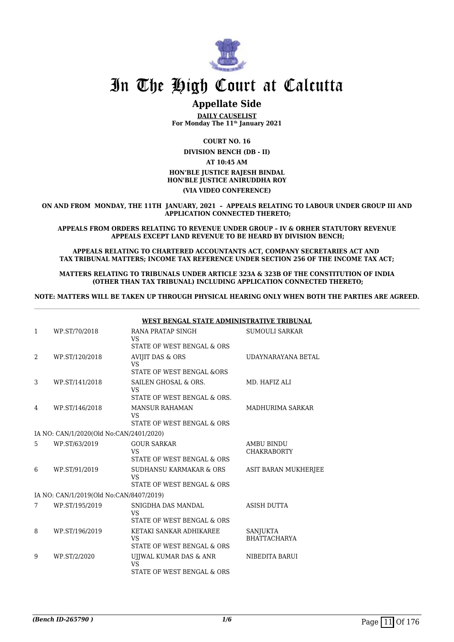

# **Appellate Side**

**DAILY CAUSELIST For Monday The 11th January 2021**

**COURT NO. 16**

**DIVISION BENCH (DB - II)**

**AT 10:45 AM**

### **HON'BLE JUSTICE RAJESH BINDAL HON'BLE JUSTICE ANIRUDDHA ROY**

### **(VIA VIDEO CONFERENCE)**

**ON AND FROM MONDAY, THE 11TH JANUARY, 2021 – APPEALS RELATING TO LABOUR UNDER GROUP III AND APPLICATION CONNECTED THERETO;**

**APPEALS FROM ORDERS RELATING TO REVENUE UNDER GROUP – IV & ORHER STATUTORY REVENUE APPEALS EXCEPT LAND REVENUE TO BE HEARD BY DIVISION BENCH;**

**APPEALS RELATING TO CHARTERED ACCOUNTANTS ACT, COMPANY SECRETARIES ACT AND TAX TRIBUNAL MATTERS; INCOME TAX REFERENCE UNDER SECTION 256 OF THE INCOME TAX ACT;**

**MATTERS RELATING TO TRIBUNALS UNDER ARTICLE 323A & 323B OF THE CONSTITUTION OF INDIA (OTHER THAN TAX TRIBUNAL) INCLUDING APPLICATION CONNECTED THERETO;**

**NOTE: MATTERS WILL BE TAKEN UP THROUGH PHYSICAL HEARING ONLY WHEN BOTH THE PARTIES ARE AGREED.**

|                |                                         | WEST BENGAL STATE ADMINISTRATIVE TRIBUNAL                              |                                         |
|----------------|-----------------------------------------|------------------------------------------------------------------------|-----------------------------------------|
| 1              | WP.ST/70/2018                           | RANA PRATAP SINGH<br>VS                                                | <b>SUMOULI SARKAR</b>                   |
|                |                                         | STATE OF WEST BENGAL & ORS                                             |                                         |
| $\overline{2}$ | WP.ST/120/2018                          | <b>AVIJIT DAS &amp; ORS</b><br><b>VS</b><br>STATE OF WEST BENGAL & ORS | UDAYNARAYANA BETAL                      |
| 3              | WP.ST/141/2018                          | SAILEN GHOSAL & ORS.<br><b>VS</b><br>STATE OF WEST BENGAL & ORS.       | MD. HAFIZ ALI                           |
| 4              | WP.ST/146/2018                          | <b>MANSUR RAHAMAN</b><br><b>VS</b><br>STATE OF WEST BENGAL & ORS       | MADHURIMA SARKAR                        |
|                | IA NO: CAN/1/2020(Old No:CAN/2401/2020) |                                                                        |                                         |
| 5              | WP.ST/63/2019                           | <b>GOUR SARKAR</b><br><b>VS</b><br>STATE OF WEST BENGAL & ORS          | <b>AMBU BINDU</b><br><b>CHAKRABORTY</b> |
| 6              | WP.ST/91/2019                           | SUDHANSU KARMAKAR & ORS<br><b>VS</b><br>STATE OF WEST BENGAL & ORS     | ASIT BARAN MUKHERJEE                    |
|                | IA NO: CAN/1/2019(Old No:CAN/8407/2019) |                                                                        |                                         |
| 7              | WP.ST/195/2019                          | SNIGDHA DAS MANDAL<br><b>VS</b><br>STATE OF WEST BENGAL & ORS          | <b>ASISH DUTTA</b>                      |
| 8              | WP.ST/196/2019                          | KETAKI SANKAR ADHIKAREE<br><b>VS</b><br>STATE OF WEST BENGAL & ORS     | SANJUKTA<br><b>BHATTACHARYA</b>         |
| 9              | WP.ST/2/2020                            | UJJWAL KUMAR DAS & ANR<br><b>VS</b><br>STATE OF WEST BENGAL & ORS      | NIBEDITA BARUI                          |
|                |                                         |                                                                        |                                         |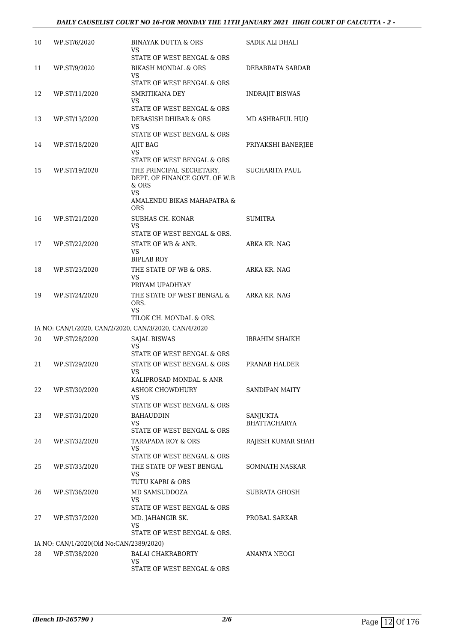| 10 | WP.ST/6/2020                            | BINAYAK DUTTA & ORS<br>VS<br>STATE OF WEST BENGAL & ORS                                                          | SADIK ALI DHALI                 |
|----|-----------------------------------------|------------------------------------------------------------------------------------------------------------------|---------------------------------|
| 11 | WP.ST/9/2020                            | <b>BIKASH MONDAL &amp; ORS</b><br>VS.<br>STATE OF WEST BENGAL & ORS                                              | DEBABRATA SARDAR                |
| 12 | WP.ST/11/2020                           | SMRITIKANA DEY<br>VS                                                                                             | INDRAJIT BISWAS                 |
| 13 | WP.ST/13/2020                           | STATE OF WEST BENGAL & ORS<br>DEBASISH DHIBAR & ORS<br>VS.<br>STATE OF WEST BENGAL & ORS                         | MD ASHRAFUL HUQ                 |
| 14 | WP.ST/18/2020                           | AJIT BAG<br><b>VS</b><br>STATE OF WEST BENGAL & ORS                                                              | PRIYAKSHI BANERJEE              |
| 15 | WP.ST/19/2020                           | THE PRINCIPAL SECRETARY,<br>DEPT. OF FINANCE GOVT. OF W.B.<br>$&$ ORS<br><b>VS</b><br>AMALENDU BIKAS MAHAPATRA & | SUCHARITA PAUL                  |
| 16 | WP.ST/21/2020                           | <b>ORS</b><br>SUBHAS CH. KONAR<br>VS                                                                             | <b>SUMITRA</b>                  |
| 17 | WP.ST/22/2020                           | STATE OF WEST BENGAL & ORS.<br>STATE OF WB & ANR.<br>VS<br><b>BIPLAB ROY</b>                                     | <b>ARKA KR. NAG</b>             |
| 18 | WP.ST/23/2020                           | THE STATE OF WB & ORS.<br>VS<br>PRIYAM UPADHYAY                                                                  | ARKA KR. NAG                    |
| 19 | WP.ST/24/2020                           | THE STATE OF WEST BENGAL &<br>ORS.<br>VS                                                                         | ARKA KR. NAG                    |
|    |                                         | TILOK CH. MONDAL & ORS.                                                                                          |                                 |
|    |                                         | IA NO: CAN/1/2020, CAN/2/2020, CAN/3/2020, CAN/4/2020                                                            |                                 |
| 20 | WP.ST/28/2020                           | <b>SAJAL BISWAS</b><br>VS<br>STATE OF WEST BENGAL & ORS                                                          | <b>IBRAHIM SHAIKH</b>           |
| 21 | WP.ST/29/2020                           | STATE OF WEST BENGAL & ORS<br>VS<br>KALIPROSAD MONDAL & ANR                                                      | PRANAB HALDER                   |
| 22 | WP.ST/30/2020                           | <b>ASHOK CHOWDHURY</b><br>VS<br>STATE OF WEST BENGAL & ORS                                                       | SANDIPAN MAITY                  |
| 23 | WP.ST/31/2020                           | <b>BAHAUDDIN</b><br>VS<br>STATE OF WEST BENGAL & ORS                                                             | SANJUKTA<br><b>BHATTACHARYA</b> |
| 24 | WP.ST/32/2020                           | <b>TARAPADA ROY &amp; ORS</b><br>VS<br>STATE OF WEST BENGAL & ORS                                                | RAJESH KUMAR SHAH               |
| 25 | WP.ST/33/2020                           | THE STATE OF WEST BENGAL<br>VS<br>TUTU KAPRI & ORS                                                               | SOMNATH NASKAR                  |
| 26 | WP.ST/36/2020                           | MD SAMSUDDOZA<br>VS<br>STATE OF WEST BENGAL & ORS                                                                | <b>SUBRATA GHOSH</b>            |
| 27 | WP.ST/37/2020                           | MD. JAHANGIR SK.<br>VS<br>STATE OF WEST BENGAL & ORS.                                                            | PROBAL SARKAR                   |
|    | IA NO: CAN/1/2020(Old No:CAN/2389/2020) |                                                                                                                  |                                 |
| 28 | WP.ST/38/2020                           | <b>BALAI CHAKRABORTY</b><br>VS                                                                                   | ANANYA NEOGI                    |
|    |                                         | STATE OF WEST BENGAL & ORS                                                                                       |                                 |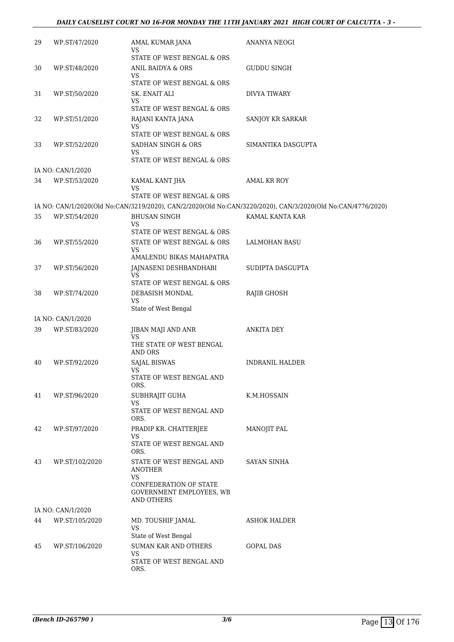# *DAILY CAUSELIST COURT NO 16-FOR MONDAY THE 11TH JANUARY 2021 HIGH COURT OF CALCUTTA - 3 -*

| 29 | WP.ST/47/2020     | AMAL KUMAR JANA<br>VS<br>STATE OF WEST BENGAL & ORS                            | ANANYA NEOGI                                                                                                |
|----|-------------------|--------------------------------------------------------------------------------|-------------------------------------------------------------------------------------------------------------|
| 30 | WP.ST/48/2020     | ANIL BAIDYA & ORS<br>VS                                                        | GUDDU SINGH                                                                                                 |
|    |                   | STATE OF WEST BENGAL & ORS                                                     |                                                                                                             |
| 31 | WP.ST/50/2020     | SK. ENAIT ALI<br>VS                                                            | DIVYA TIWARY                                                                                                |
|    |                   | STATE OF WEST BENGAL & ORS                                                     |                                                                                                             |
| 32 | WP.ST/51/2020     | RAJANI KANTA JANA<br>VS                                                        | SANJOY KR SARKAR                                                                                            |
|    |                   | STATE OF WEST BENGAL & ORS                                                     |                                                                                                             |
| 33 | WP.ST/52/2020     | SADHAN SINGH & ORS<br>VS<br>STATE OF WEST BENGAL & ORS                         | SIMANTIKA DASGUPTA                                                                                          |
|    | IA NO: CAN/1/2020 |                                                                                |                                                                                                             |
| 34 | WP.ST/53/2020     | KAMAL KANT JHA<br>VS                                                           | AMAL KR ROY                                                                                                 |
|    |                   | STATE OF WEST BENGAL & ORS                                                     |                                                                                                             |
|    |                   |                                                                                | IA NO: CAN/1/2020(Old No:CAN/3219/2020), CAN/2/2020(Old No:CAN/3220/2020), CAN/3/2020(Old No:CAN/4776/2020) |
| 35 | WP.ST/54/2020     | <b>BHUSAN SINGH</b><br>VS                                                      | KAMAL KANTA KAR                                                                                             |
|    |                   | STATE OF WEST BENGAL & ORS                                                     |                                                                                                             |
| 36 | WP.ST/55/2020     | STATE OF WEST BENGAL & ORS<br>VS                                               | <b>LALMOHAN BASU</b>                                                                                        |
|    |                   | AMALENDU BIKAS MAHAPATRA                                                       |                                                                                                             |
| 37 | WP.ST/56/2020     | JAJNASENI DESHBANDHABI<br>VS.                                                  | SUDIPTA DASGUPTA                                                                                            |
|    |                   | STATE OF WEST BENGAL & ORS                                                     |                                                                                                             |
| 38 | WP.ST/74/2020     | DEBASISH MONDAL<br>VS                                                          | RAJIB GHOSH                                                                                                 |
|    |                   | State of West Bengal                                                           |                                                                                                             |
|    | IA NO: CAN/1/2020 |                                                                                |                                                                                                             |
| 39 | WP.ST/83/2020     | JIBAN MAJI AND ANR<br>VS                                                       | <b>ANKITA DEY</b>                                                                                           |
|    |                   | THE STATE OF WEST BENGAL<br>AND ORS                                            |                                                                                                             |
| 40 | WP.ST/92/2020     | SAJAL BISWAS                                                                   | INDRANIL HALDER                                                                                             |
|    |                   | VS<br>STATE OF WEST BENGAL AND<br>ORS.                                         |                                                                                                             |
| 41 | WP.ST/96/2020     | SUBHRAJIT GUHA                                                                 | K.M.HOSSAIN                                                                                                 |
|    |                   | VS.<br>STATE OF WEST BENGAL AND<br>ORS.                                        |                                                                                                             |
| 42 | WP.ST/97/2020     | PRADIP KR. CHATTERJEE                                                          | MANOJIT PAL                                                                                                 |
|    |                   | <b>VS</b><br>STATE OF WEST BENGAL AND<br>ORS.                                  |                                                                                                             |
| 43 | WP.ST/102/2020    | STATE OF WEST BENGAL AND<br>ANOTHER                                            | <b>SAYAN SINHA</b>                                                                                          |
|    |                   | VS.<br>CONFEDERATION OF STATE<br>GOVERNMENT EMPLOYEES, WB<br><b>AND OTHERS</b> |                                                                                                             |
|    | IA NO: CAN/1/2020 |                                                                                |                                                                                                             |
| 44 | WP.ST/105/2020    | MD. TOUSHIF JAMAL<br>VS                                                        | <b>ASHOK HALDER</b>                                                                                         |
| 45 | WP.ST/106/2020    | State of West Bengal<br>SUMAN KAR AND OTHERS                                   | GOPAL DAS                                                                                                   |
|    |                   | VS<br>STATE OF WEST BENGAL AND<br>ORS.                                         |                                                                                                             |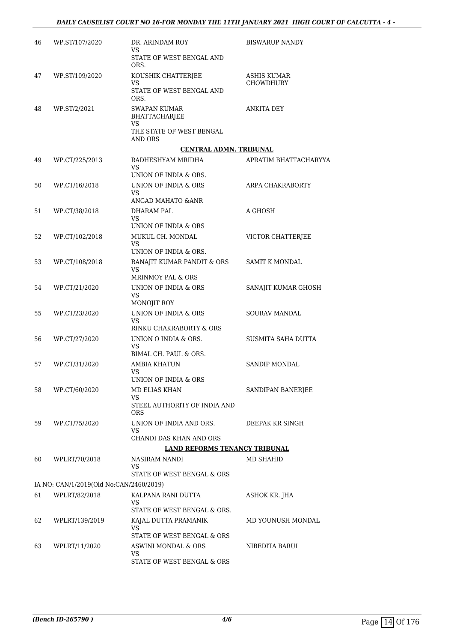| 46 | WP.ST/107/2020                          | DR. ARINDAM ROY                                         | <b>BISWARUP NANDY</b> |
|----|-----------------------------------------|---------------------------------------------------------|-----------------------|
|    |                                         | VS<br>STATE OF WEST BENGAL AND<br>ORS.                  |                       |
| 47 | WP.ST/109/2020                          | KOUSHIK CHATTERJEE                                      | <b>ASHIS KUMAR</b>    |
|    |                                         | VS<br>STATE OF WEST BENGAL AND<br>ORS.                  | <b>CHOWDHURY</b>      |
| 48 | WP.ST/2/2021                            | <b>SWAPAN KUMAR</b><br><b>BHATTACHARJEE</b>             | <b>ANKITA DEY</b>     |
|    |                                         | <b>VS</b><br>THE STATE OF WEST BENGAL<br><b>AND ORS</b> |                       |
|    |                                         | <b>CENTRAL ADMN. TRIBUNAL</b>                           |                       |
| 49 | WP.CT/225/2013                          | RADHESHYAM MRIDHA<br>VS                                 | APRATIM BHATTACHARYYA |
|    |                                         | UNION OF INDIA & ORS.                                   |                       |
| 50 | WP.CT/16/2018                           | UNION OF INDIA & ORS<br>VS                              | ARPA CHAKRABORTY      |
|    |                                         | ANGAD MAHATO & ANR                                      |                       |
| 51 | WP.CT/38/2018                           | <b>DHARAM PAL</b><br>VS<br>UNION OF INDIA & ORS         | A GHOSH               |
| 52 | WP.CT/102/2018                          | MUKUL CH. MONDAL                                        | VICTOR CHATTERJEE     |
|    |                                         | VS<br>UNION OF INDIA & ORS.                             |                       |
| 53 | WP.CT/108/2018                          | RANAJIT KUMAR PANDIT & ORS                              | SAMIT K MONDAL        |
|    |                                         | <b>VS</b><br>MRINMOY PAL & ORS                          |                       |
| 54 | WP.CT/21/2020                           | UNION OF INDIA & ORS<br>VS<br>MONOJIT ROY               | SANAJIT KUMAR GHOSH   |
| 55 | WP.CT/23/2020                           | UNION OF INDIA & ORS<br>VS                              | <b>SOURAV MANDAL</b>  |
|    |                                         | RINKU CHAKRABORTY & ORS                                 |                       |
| 56 | WP.CT/27/2020                           | UNION O INDIA & ORS.<br>VS<br>BIMAL CH. PAUL & ORS.     | SUSMITA SAHA DUTTA    |
| 57 | WP.CT/31/2020                           | AMBIA KHATUN                                            | <b>SANDIP MONDAL</b>  |
|    |                                         | VS<br>UNION OF INDIA & ORS                              |                       |
| 58 | WP.CT/60/2020                           | MD ELIAS KHAN<br>VS                                     | SANDIPAN BANERJEE     |
|    |                                         | STEEL AUTHORITY OF INDIA AND<br>ORS                     |                       |
| 59 | WP.CT/75/2020                           | UNION OF INDIA AND ORS.<br>VS                           | DEEPAK KR SINGH       |
|    |                                         | CHANDI DAS KHAN AND ORS                                 |                       |
|    |                                         | <b>LAND REFORMS TENANCY TRIBUNAL</b>                    |                       |
| 60 | WPLRT/70/2018                           | NASIRAM NANDI<br>VS.                                    | MD SHAHID             |
|    |                                         | STATE OF WEST BENGAL & ORS                              |                       |
|    | IA NO: CAN/1/2019(Old No:CAN/2460/2019) |                                                         |                       |
| 61 | WPLRT/82/2018                           | KALPANA RANI DUTTA<br>VS.                               | ASHOK KR. JHA         |
|    |                                         | STATE OF WEST BENGAL & ORS.                             |                       |
| 62 | WPLRT/139/2019                          | KAJAL DUTTA PRAMANIK<br>VS.                             | MD YOUNUSH MONDAL     |
|    |                                         | STATE OF WEST BENGAL & ORS                              |                       |
| 63 | WPLRT/11/2020                           | ASWINI MONDAL & ORS<br>VS                               | NIBEDITA BARUI        |
|    |                                         | STATE OF WEST BENGAL & ORS                              |                       |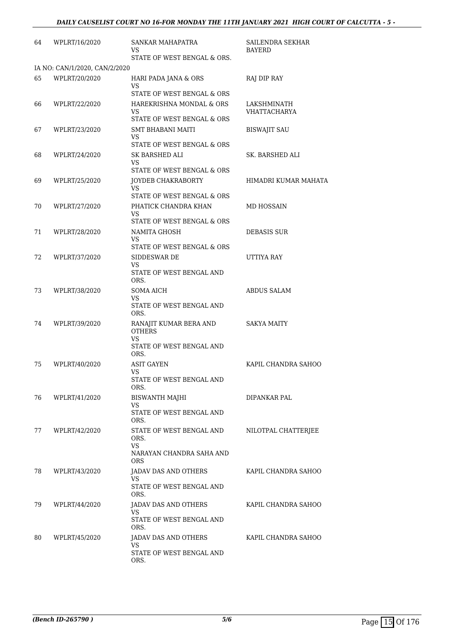| 64 | WPLRT/16/2020                 | SANKAR MAHAPATRA<br>VS                       | SAILENDRA SEKHAR<br>BAYERD  |
|----|-------------------------------|----------------------------------------------|-----------------------------|
|    |                               | STATE OF WEST BENGAL & ORS.                  |                             |
|    | IA NO: CAN/1/2020, CAN/2/2020 |                                              |                             |
| 65 | WPLRT/20/2020                 | HARI PADA JANA & ORS<br>VS                   | RAJ DIP RAY                 |
|    |                               | STATE OF WEST BENGAL & ORS                   |                             |
| 66 | WPLRT/22/2020                 | HAREKRISHNA MONDAL & ORS<br><b>VS</b>        | LAKSHMINATH<br>VHATTACHARYA |
|    |                               | STATE OF WEST BENGAL & ORS                   |                             |
| 67 | WPLRT/23/2020                 | <b>SMT BHABANI MAITI</b>                     | <b>BISWAJIT SAU</b>         |
|    |                               | VS<br>STATE OF WEST BENGAL & ORS             |                             |
| 68 | WPLRT/24/2020                 | SK BARSHED ALI                               | SK. BARSHED ALI             |
|    |                               | VS.<br>STATE OF WEST BENGAL & ORS            |                             |
| 69 | WPLRT/25/2020                 | JOYDEB CHAKRABORTY                           | HIMADRI KUMAR MAHATA        |
|    |                               | VS                                           |                             |
|    |                               | STATE OF WEST BENGAL & ORS                   |                             |
| 70 | WPLRT/27/2020                 | PHATICK CHANDRA KHAN<br>VS                   | MD HOSSAIN                  |
|    |                               | STATE OF WEST BENGAL & ORS                   |                             |
| 71 | WPLRT/28/2020                 | NAMITA GHOSH<br>VS                           | <b>DEBASIS SUR</b>          |
|    |                               | STATE OF WEST BENGAL & ORS                   |                             |
| 72 | WPLRT/37/2020                 | SIDDESWAR DE                                 | UTTIYA RAY                  |
|    |                               | VS<br>STATE OF WEST BENGAL AND               |                             |
|    |                               | ORS.                                         |                             |
| 73 | WPLRT/38/2020                 | <b>SOMA AICH</b>                             | <b>ABDUS SALAM</b>          |
|    |                               | VS<br>STATE OF WEST BENGAL AND<br>ORS.       |                             |
| 74 | WPLRT/39/2020                 | RANAJIT KUMAR BERA AND<br><b>OTHERS</b>      | <b>SAKYA MAITY</b>          |
|    |                               | VS<br>STATE OF WEST BENGAL AND<br>ORS.       |                             |
| 75 | WPLRT/40/2020                 | ASIT GAYEN<br>VS                             | KAPIL CHANDRA SAHOO         |
|    |                               | STATE OF WEST BENGAL AND<br>ORS.             |                             |
| 76 | WPLRT/41/2020                 | <b>BISWANTH MAJHI</b><br>VS.                 | DIPANKAR PAL                |
|    |                               | STATE OF WEST BENGAL AND<br>ORS.             |                             |
| 77 | WPLRT/42/2020                 | STATE OF WEST BENGAL AND<br>ORS.             | NILOTPAL CHATTERIEE         |
|    |                               | VS<br>NARAYAN CHANDRA SAHA AND<br><b>ORS</b> |                             |
| 78 | WPLRT/43/2020                 | JADAV DAS AND OTHERS                         | KAPIL CHANDRA SAHOO         |
|    |                               | VS<br>STATE OF WEST BENGAL AND               |                             |
|    |                               | ORS.                                         |                             |
| 79 | WPLRT/44/2020                 | JADAV DAS AND OTHERS<br>VS                   | KAPIL CHANDRA SAHOO         |
|    |                               | STATE OF WEST BENGAL AND<br>ORS.             |                             |
| 80 | WPLRT/45/2020                 | JADAV DAS AND OTHERS                         | KAPIL CHANDRA SAHOO         |
|    |                               | VS.<br>STATE OF WEST BENGAL AND<br>ORS.      |                             |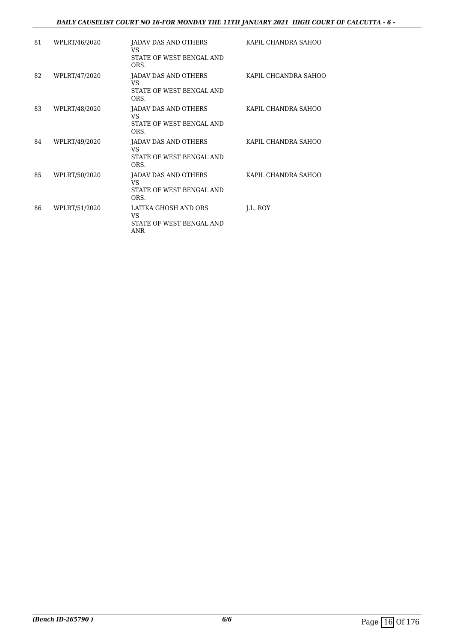# *DAILY CAUSELIST COURT NO 16-FOR MONDAY THE 11TH JANUARY 2021 HIGH COURT OF CALCUTTA - 6 -*

| 81 | WPLRT/46/2020 | JADAV DAS AND OTHERS<br>VS<br>STATE OF WEST BENGAL AND<br>ORS. | KAPIL CHANDRA SAHOO  |
|----|---------------|----------------------------------------------------------------|----------------------|
| 82 | WPLRT/47/2020 | JADAV DAS AND OTHERS<br>VS<br>STATE OF WEST BENGAL AND<br>ORS. | KAPIL CHGANDRA SAHOO |
| 83 | WPLRT/48/2020 | JADAV DAS AND OTHERS<br>VS<br>STATE OF WEST BENGAL AND<br>ORS. | KAPIL CHANDRA SAHOO  |
| 84 | WPLRT/49/2020 | JADAV DAS AND OTHERS<br>VS<br>STATE OF WEST BENGAL AND<br>ORS. | KAPIL CHANDRA SAHOO  |
| 85 | WPLRT/50/2020 | JADAV DAS AND OTHERS<br>VS<br>STATE OF WEST BENGAL AND<br>ORS. | KAPIL CHANDRA SAHOO  |
| 86 | WPLRT/51/2020 | LATIKA GHOSH AND ORS<br>VS<br>STATE OF WEST BENGAL AND<br>ANR  | J.L. ROY             |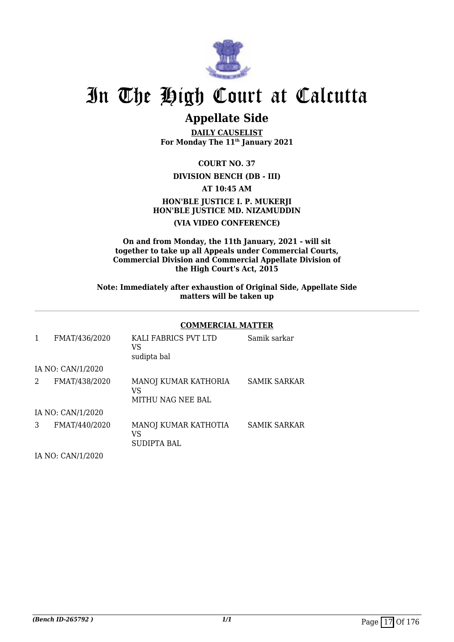

# **Appellate Side**

**DAILY CAUSELIST For Monday The 11th January 2021**

**COURT NO. 37**

# **DIVISION BENCH (DB - III)**

**AT 10:45 AM**

# **HON'BLE JUSTICE I. P. MUKERJI HON'BLE JUSTICE MD. NIZAMUDDIN (VIA VIDEO CONFERENCE)**

# **On and from Monday, the 11th January, 2021 - will sit together to take up all Appeals under Commercial Courts, Commercial Division and Commercial Appellate Division of the High Court's Act, 2015**

**Note: Immediately after exhaustion of Original Side, Appellate Side matters will be taken up**

# **COMMERCIAL MATTER**

| 1 | FMAT/436/2020     | KALI FABRICS PVT LTD<br>VS<br>sudipta bal       | Samik sarkar        |
|---|-------------------|-------------------------------------------------|---------------------|
|   | IA NO: CAN/1/2020 |                                                 |                     |
| 2 | FMAT/438/2020     | MANOJ KUMAR KATHORIA<br>VS<br>MITHU NAG NEE BAL | <b>SAMIK SARKAR</b> |
|   | IA NO: CAN/1/2020 |                                                 |                     |
| 3 | FMAT/440/2020     | MANOJ KUMAR KATHOTIA<br>VS<br>SUDIPTA BAL       | <b>SAMIK SARKAR</b> |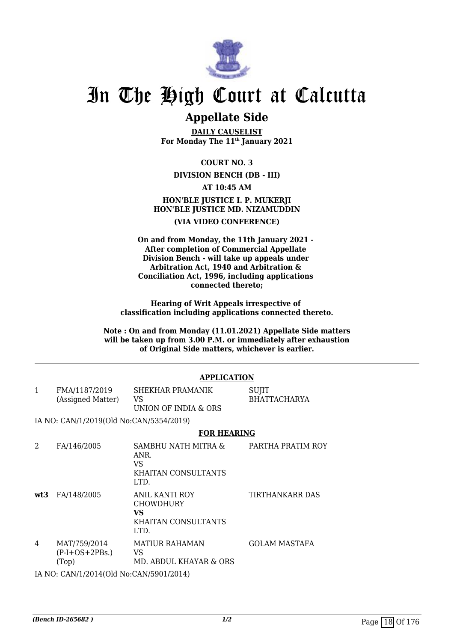

# **Appellate Side**

**DAILY CAUSELIST For Monday The 11th January 2021**

**COURT NO. 3**

# **DIVISION BENCH (DB - III)**

# **AT 10:45 AM HON'BLE JUSTICE I. P. MUKERJI HON'BLE JUSTICE MD. NIZAMUDDIN (VIA VIDEO CONFERENCE)**

**On and from Monday, the 11th January 2021 - After completion of Commercial Appellate Division Bench - will take up appeals under Arbitration Act, 1940 and Arbitration & Conciliation Act, 1996, including applications connected thereto;**

**Hearing of Writ Appeals irrespective of classification including applications connected thereto.**

**Note : On and from Monday (11.01.2021) Appellate Side matters will be taken up from 3.00 P.M. or immediately after exhaustion of Original Side matters, whichever is earlier.**

# **APPLICATION**

| FMA/1187/2019     | SHEKHAR PRAMANIK     | SUJIT        |
|-------------------|----------------------|--------------|
| (Assigned Matter) | VS.                  | BHATTACHARYA |
|                   | UNION OF INDIA & ORS |              |

IA NO: CAN/1/2019(Old No:CAN/5354/2019)

# **FOR HEARING**

| 2   | FA/146/2005                                      | SAMBHU NATH MITRA &<br>ANR.<br>VS<br>KHAITAN CONSULTANTS<br>LTD.               | PARTHA PRATIM ROY    |
|-----|--------------------------------------------------|--------------------------------------------------------------------------------|----------------------|
| wt3 | FA/148/2005                                      | ANIL KANTI ROY<br><b>CHOWDHURY</b><br>VS<br><b>KHAITAN CONSULTANTS</b><br>LTD. | TIRTHANKARR DAS      |
| 4   | MAT/759/2014<br>$(P-I+OS+2PBs.)$<br>(Top)        | <b>MATIUR RAHAMAN</b><br>VS<br>MD. ABDUL KHAYAR & ORS                          | <b>GOLAM MASTAFA</b> |
|     | IA NIO LOANTIA 1904 ALOIJ NI LOANTIE 004 1904 AN |                                                                                |                      |

IA NO: CAN/1/2014(Old No:CAN/5901/2014)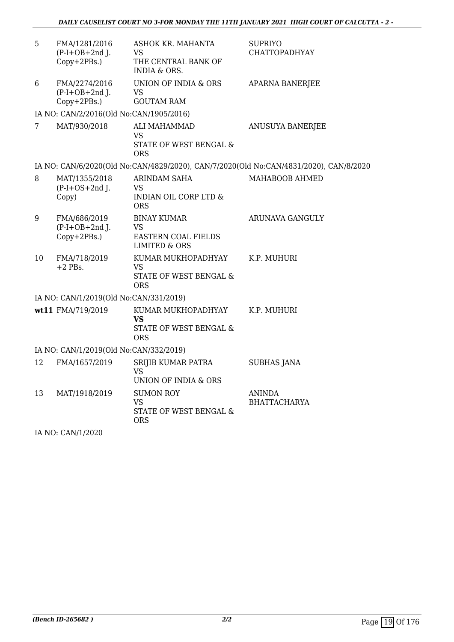| 5                                      | FMA/1281/2016<br>$(P-I+OB+2nd$ J.<br>Copy+2PBs.) | ASHOK KR. MAHANTA<br>VS<br>THE CENTRAL BANK OF<br><b>INDIA &amp; ORS.</b>          | <b>SUPRIYO</b><br><b>CHATTOPADHYAY</b>                                                |  |  |
|----------------------------------------|--------------------------------------------------|------------------------------------------------------------------------------------|---------------------------------------------------------------------------------------|--|--|
| 6                                      | FMA/2274/2016<br>$(P-I+OB+2nd$ J.<br>Copy+2PBs.) | UNION OF INDIA & ORS<br><b>VS</b><br><b>GOUTAM RAM</b>                             | <b>APARNA BANERJEE</b>                                                                |  |  |
|                                        | IA NO: CAN/2/2016(Old No:CAN/1905/2016)          |                                                                                    |                                                                                       |  |  |
| 7                                      | MAT/930/2018                                     | ALI MAHAMMAD<br>VS<br>STATE OF WEST BENGAL &<br><b>ORS</b>                         | ANUSUYA BANERJEE                                                                      |  |  |
|                                        |                                                  |                                                                                    | IA NO: CAN/6/2020(Old No:CAN/4829/2020), CAN/7/2020(Old No:CAN/4831/2020), CAN/8/2020 |  |  |
| 8                                      | MAT/1355/2018<br>$(P-I+OS+2nd J.$<br>Copy)       | ARINDAM SAHA<br>VS<br><b>INDIAN OIL CORP LTD &amp;</b><br><b>ORS</b>               | MAHABOOB AHMED                                                                        |  |  |
| 9                                      | FMA/686/2019<br>$(P-I+OB+2nd J.$<br>Copy+2PBs.)  | <b>BINAY KUMAR</b><br>VS<br><b>EASTERN COAL FIELDS</b><br><b>LIMITED &amp; ORS</b> | ARUNAVA GANGULY                                                                       |  |  |
| 10                                     | FMA/718/2019<br>$+2$ PBs.                        | KUMAR MUKHOPADHYAY<br>VS<br>STATE OF WEST BENGAL &<br>ORS                          | K.P. MUHURI                                                                           |  |  |
|                                        | IA NO: CAN/1/2019(Old No:CAN/331/2019)           |                                                                                    |                                                                                       |  |  |
|                                        | wt11 FMA/719/2019                                | KUMAR MUKHOPADHYAY<br>VS<br>STATE OF WEST BENGAL &<br><b>ORS</b>                   | K.P. MUHURI                                                                           |  |  |
| IA NO: CAN/1/2019(Old No:CAN/332/2019) |                                                  |                                                                                    |                                                                                       |  |  |
| 12                                     | FMA/1657/2019                                    | SRIJIB KUMAR PATRA<br><b>VS</b><br><b>UNION OF INDIA &amp; ORS</b>                 | <b>SUBHAS JANA</b>                                                                    |  |  |
| 13                                     | MAT/1918/2019                                    | <b>SUMON ROY</b><br>VS<br>STATE OF WEST BENGAL &<br>ORS                            | <b>ANINDA</b><br><b>BHATTACHARYA</b>                                                  |  |  |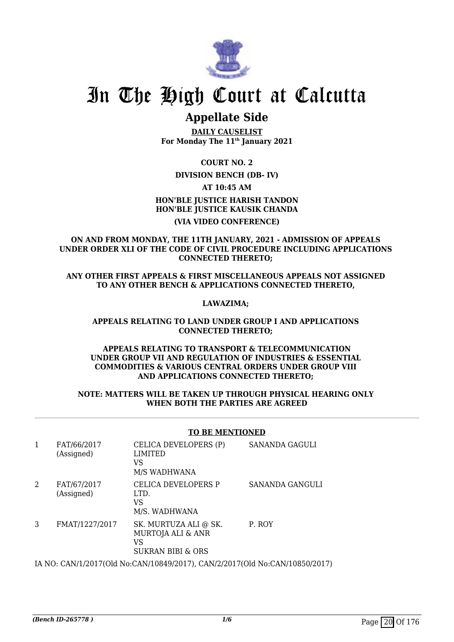

# **Appellate Side**

**DAILY CAUSELIST For Monday The 11th January 2021**

**COURT NO. 2**

# **DIVISION BENCH (DB- IV)**

**AT 10:45 AM**

# **HON'BLE JUSTICE HARISH TANDON HON'BLE JUSTICE KAUSIK CHANDA (VIA VIDEO CONFERENCE)**

# **ON AND FROM MONDAY, THE 11TH JANUARY, 2021 - ADMISSION OF APPEALS UNDER ORDER XLI OF THE CODE OF CIVIL PROCEDURE INCLUDING APPLICATIONS CONNECTED THERETO;**

**ANY OTHER FIRST APPEALS & FIRST MISCELLANEOUS APPEALS NOT ASSIGNED TO ANY OTHER BENCH & APPLICATIONS CONNECTED THERETO,** 

# **LAWAZIMA;**

# **APPEALS RELATING TO LAND UNDER GROUP I AND APPLICATIONS CONNECTED THERETO;**

# **APPEALS RELATING TO TRANSPORT & TELECOMMUNICATION UNDER GROUP VII AND REGULATION OF INDUSTRIES & ESSENTIAL COMMODITIES & VARIOUS CENTRAL ORDERS UNDER GROUP VIII AND APPLICATIONS CONNECTED THERETO;**

# **NOTE: MATTERS WILL BE TAKEN UP THROUGH PHYSICAL HEARING ONLY WHEN BOTH THE PARTIES ARE AGREED**

# **TO BE MENTIONED**

| 1 | FAT/66/2017<br>(Assigned) | CELICA DEVELOPERS (P)<br><b>LIMITED</b><br>VS<br>M/S WADHWANA                               | SANANDA GAGULI  |
|---|---------------------------|---------------------------------------------------------------------------------------------|-----------------|
| 2 | FAT/67/2017<br>(Assigned) | CELICA DEVELOPERS P<br>LTD.<br>VS<br>M/S. WADHWANA                                          | SANANDA GANGULI |
| 3 | FMAT/1227/2017            | SK. MURTUZA ALI @ SK.<br><b>MURTOJA ALI &amp; ANR</b><br>VS<br><b>SUKRAN BIBI &amp; ORS</b> | P. ROY          |
|   |                           |                                                                                             |                 |

IA NO: CAN/1/2017(Old No:CAN/10849/2017), CAN/2/2017(Old No:CAN/10850/2017)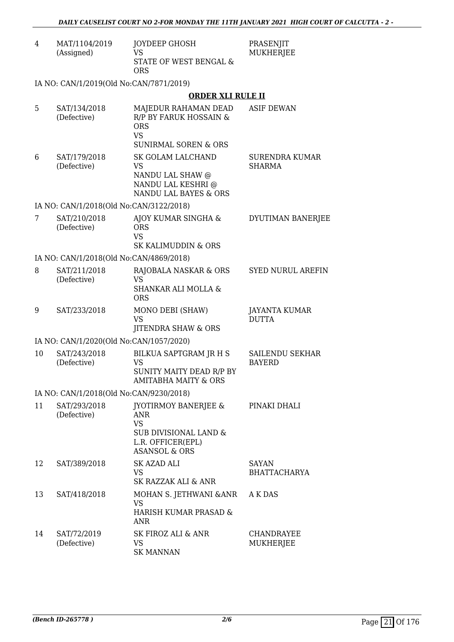| 4 | MAT/1104/2019<br>(Assigned)             | JOYDEEP GHOSH<br><b>VS</b><br><b>STATE OF WEST BENGAL &amp;</b><br><b>ORS</b>                                       | PRASENJIT<br><b>MUKHERJEE</b>        |
|---|-----------------------------------------|---------------------------------------------------------------------------------------------------------------------|--------------------------------------|
|   | IA NO: CAN/1/2019(Old No:CAN/7871/2019) |                                                                                                                     |                                      |
|   |                                         | <b>ORDER XLI RULE II</b>                                                                                            |                                      |
| 5 | SAT/134/2018<br>(Defective)             | MAJEDUR RAHAMAN DEAD<br>R/P BY FARUK HOSSAIN &<br><b>ORS</b><br><b>VS</b><br><b>SUNIRMAL SOREN &amp; ORS</b>        | <b>ASIF DEWAN</b>                    |
| 6 | SAT/179/2018<br>(Defective)             | <b>SK GOLAM LALCHAND</b><br><b>VS</b><br>NANDU LAL SHAW @<br>NANDU LAL KESHRI @<br><b>NANDU LAL BAYES &amp; ORS</b> | SURENDRA KUMAR<br><b>SHARMA</b>      |
|   | IA NO: CAN/1/2018(Old No:CAN/3122/2018) |                                                                                                                     |                                      |
| 7 | SAT/210/2018<br>(Defective)             | AJOY KUMAR SINGHA &<br><b>ORS</b><br><b>VS</b><br>SK KALIMUDDIN & ORS                                               | DYUTIMAN BANERJEE                    |
|   | IA NO: CAN/1/2018(Old No:CAN/4869/2018) |                                                                                                                     |                                      |
| 8 | SAT/211/2018<br>(Defective)             | RAJOBALA NASKAR & ORS<br><b>VS</b><br><b>SHANKAR ALI MOLLA &amp;</b><br><b>ORS</b>                                  | <b>SYED NURUL AREFIN</b>             |
| 9 | SAT/233/2018                            | MONO DEBI (SHAW)<br><b>VS</b><br><b>IITENDRA SHAW &amp; ORS</b>                                                     | <b>JAYANTA KUMAR</b><br><b>DUTTA</b> |

IA NO: CAN/1/2020(Old No:CAN/1057/2020)

| 10                                      | SAT/243/2018<br>(Defective) | BILKUA SAPTGRAM JR H S<br>VS<br>SUNITY MAITY DEAD R/P BY<br>AMITABHA MAITY & ORS | SAILENDU SEKHAR<br><b>BAYERD</b> |  |  |
|-----------------------------------------|-----------------------------|----------------------------------------------------------------------------------|----------------------------------|--|--|
| IA NO: CAN/1/2018(Old No:CAN/9230/2018) |                             |                                                                                  |                                  |  |  |

#### 11 SAT/293/2018 (Defective) JYOTIRMOY BANERJEE & ANR VS SUB DIVISIONAL LAND & L.R. OFFICER(EPL) ASANSOL & ORS PINAKI DHALI 12 SAT/389/2018 SK AZAD ALI VS SK RAZZAK ALI & ANR SAYAN BHATTACHARYA 13 SAT/418/2018 MOHAN S. JETHWANI &ANR VS HARISH KUMAR PRASAD & ANR A K DAS 14 SAT/72/2019 (Defective) SK FIROZ ALI & ANR VS SK MANNAN CHANDRAYEE MUKHERJEE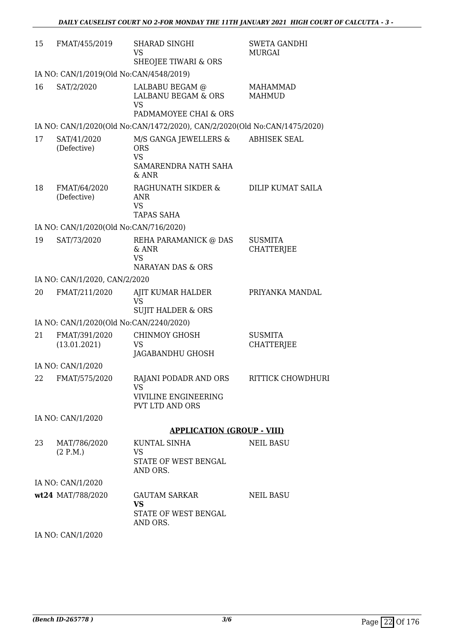| 15 | FMAT/455/2019                           | <b>SHARAD SINGHI</b><br><b>VS</b><br>SHEOJEE TIWARI & ORS                               | <b>SWETA GANDHI</b><br>MURGAI       |
|----|-----------------------------------------|-----------------------------------------------------------------------------------------|-------------------------------------|
|    | IA NO: CAN/1/2019(Old No:CAN/4548/2019) |                                                                                         |                                     |
| 16 | SAT/2/2020                              | LALBABU BEGAM @<br><b>LALBANU BEGAM &amp; ORS</b><br><b>VS</b><br>PADMAMOYEE CHAI & ORS | <b>MAHAMMAD</b><br><b>MAHMUD</b>    |
|    |                                         | IA NO: CAN/1/2020(Old No:CAN/1472/2020), CAN/2/2020(Old No:CAN/1475/2020)               |                                     |
| 17 | SAT/41/2020<br>(Defective)              | M/S GANGA JEWELLERS &<br><b>ORS</b><br><b>VS</b><br>SAMARENDRA NATH SAHA<br>& ANR       | <b>ABHISEK SEAL</b>                 |
| 18 | FMAT/64/2020<br>(Defective)             | RAGHUNATH SIKDER &<br>ANR<br><b>VS</b><br><b>TAPAS SAHA</b>                             | DILIP KUMAT SAILA                   |
|    | IA NO: CAN/1/2020(Old No:CAN/716/2020)  |                                                                                         |                                     |
| 19 | SAT/73/2020                             | REHA PARAMANICK @ DAS<br>& ANR<br><b>VS</b><br><b>NARAYAN DAS &amp; ORS</b>             | <b>SUSMITA</b><br><b>CHATTERJEE</b> |
|    | IA NO: CAN/1/2020, CAN/2/2020           |                                                                                         |                                     |
| 20 | FMAT/211/2020                           | AJIT KUMAR HALDER<br><b>VS</b><br><b>SUJIT HALDER &amp; ORS</b>                         | PRIYANKA MANDAL                     |
|    | IA NO: CAN/1/2020(Old No:CAN/2240/2020) |                                                                                         |                                     |
| 21 | FMAT/391/2020<br>(13.01.2021)           | <b>CHINMOY GHOSH</b><br><b>VS</b><br>JAGABANDHU GHOSH                                   | <b>SUSMITA</b><br><b>CHATTERJEE</b> |
|    | IA NO: CAN/1/2020                       |                                                                                         |                                     |
|    | 22 FMAT/575/2020                        | RAJANI PODADR AND ORS RITTICK CHOWDHURI<br>VS.<br><b>VIVILINE ENGINEERING</b>           |                                     |
|    |                                         | <b>PVT LTD AND ORS</b>                                                                  |                                     |
|    | IA NO: CAN/1/2020                       |                                                                                         |                                     |
|    |                                         | <b>APPLICATION (GROUP - VIII)</b>                                                       |                                     |
| 23 | MAT/786/2020<br>(2 P.M.)                | KUNTAL SINHA<br>VS<br>STATE OF WEST BENGAL<br>AND ORS.                                  | <b>NEIL BASU</b>                    |
|    | IA NO: CAN/1/2020                       |                                                                                         |                                     |
|    | wt24 MAT/788/2020                       | <b>GAUTAM SARKAR</b><br><b>VS</b><br>STATE OF WEST BENGAL<br>AND ORS.                   | <b>NEIL BASU</b>                    |
|    | IA NO: CAN/1/2020                       |                                                                                         |                                     |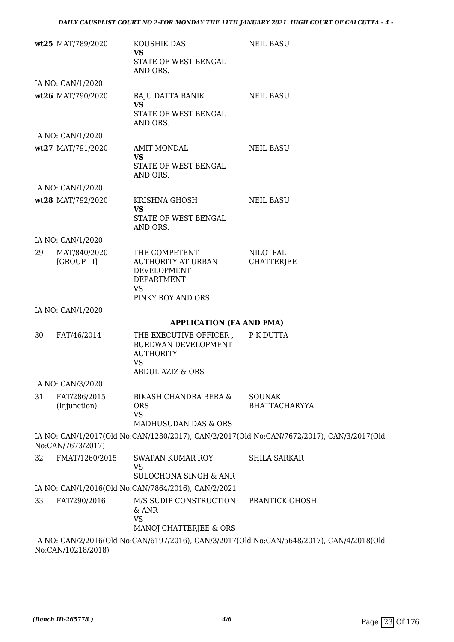|    | wt25 MAT/789/2020            | KOUSHIK DAS<br><b>VS</b><br>STATE OF WEST BENGAL                                                   | <b>NEIL BASU</b>                                                                          |
|----|------------------------------|----------------------------------------------------------------------------------------------------|-------------------------------------------------------------------------------------------|
|    |                              | AND ORS.                                                                                           |                                                                                           |
|    | IA NO: CAN/1/2020            |                                                                                                    |                                                                                           |
|    | wt26 MAT/790/2020            | RAJU DATTA BANIK<br><b>VS</b><br>STATE OF WEST BENGAL<br>AND ORS.                                  | <b>NEIL BASU</b>                                                                          |
|    | IA NO: CAN/1/2020            |                                                                                                    |                                                                                           |
|    | wt27 MAT/791/2020            | AMIT MONDAL<br><b>VS</b><br>STATE OF WEST BENGAL<br>AND ORS.                                       | <b>NEIL BASU</b>                                                                          |
|    | IA NO: CAN/1/2020            |                                                                                                    |                                                                                           |
|    | wt28 MAT/792/2020            | KRISHNA GHOSH<br><b>VS</b><br>STATE OF WEST BENGAL<br>AND ORS.                                     | <b>NEIL BASU</b>                                                                          |
|    | IA NO: CAN/1/2020            |                                                                                                    |                                                                                           |
| 29 | MAT/840/2020<br>$[GROUP-I]$  | THE COMPETENT<br>AUTHORITY AT URBAN<br>DEVELOPMENT<br>DEPARTMENT<br><b>VS</b><br>PINKY ROY AND ORS | <b>NILOTPAL</b><br><b>CHATTERJEE</b>                                                      |
|    | IA NO: CAN/1/2020            |                                                                                                    |                                                                                           |
|    |                              | <b>APPLICATION (FA AND FMA)</b>                                                                    |                                                                                           |
| 30 | FAT/46/2014                  | THE EXECUTIVE OFFICER,<br>BURDWAN DEVELOPMENT<br><b>AUTHORITY</b><br><b>VS</b><br>ABDUL AZIZ & ORS | P K DUTTA                                                                                 |
|    | IA NO: CAN/3/2020            |                                                                                                    |                                                                                           |
| 31 | FAT/286/2015<br>(Injunction) | <b>BIKASH CHANDRA BERA &amp;</b><br><b>ORS</b><br><b>VS</b><br><b>MADHUSUDAN DAS &amp; ORS</b>     | <b>SOUNAK</b><br><b>BHATTACHARYYA</b>                                                     |
|    | No:CAN/7673/2017)            |                                                                                                    | IA NO: CAN/1/2017(Old No:CAN/1280/2017), CAN/2/2017(Old No:CAN/7672/2017), CAN/3/2017(Old |
| 32 | FMAT/1260/2015               | SWAPAN KUMAR ROY<br><b>VS</b>                                                                      | <b>SHILA SARKAR</b>                                                                       |
|    |                              | <b>SULOCHONA SINGH &amp; ANR</b>                                                                   |                                                                                           |
| 33 |                              | IA NO: CAN/1/2016(Old No:CAN/7864/2016), CAN/2/2021<br>M/S SUDIP CONSTRUCTION                      |                                                                                           |
|    | FAT/290/2016                 | & ANR<br><b>VS</b><br>MANOJ CHATTERJEE & ORS                                                       | PRANTICK GHOSH                                                                            |
|    |                              |                                                                                                    | IA NO: CAN/2/2016(Old No:CAN/6197/2016), CAN/3/2017(Old No:CAN/5648/2017), CAN/4/2018(Old |
|    | No:CAN/10218/2018)           |                                                                                                    |                                                                                           |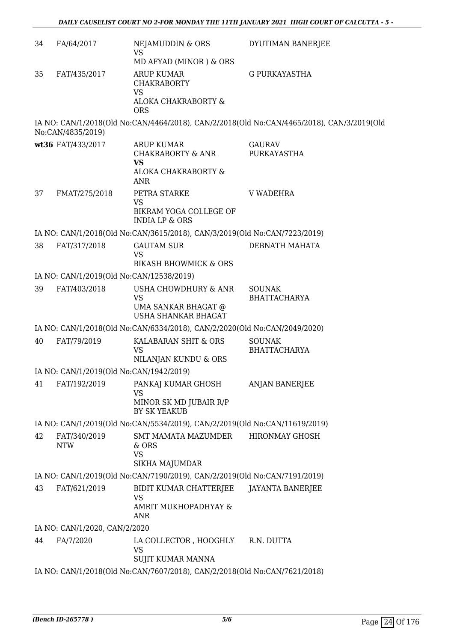| 34 | FA/64/2017                               | NEJAMUDDIN & ORS<br><b>VS</b><br>MD AFYAD (MINOR) & ORS                                      | DYUTIMAN BANERJEE                                                                         |
|----|------------------------------------------|----------------------------------------------------------------------------------------------|-------------------------------------------------------------------------------------------|
| 35 | FAT/435/2017                             | <b>ARUP KUMAR</b><br><b>CHAKRABORTY</b><br><b>VS</b><br>ALOKA CHAKRABORTY &                  | <b>G PURKAYASTHA</b>                                                                      |
|    |                                          | <b>ORS</b>                                                                                   |                                                                                           |
|    | No:CAN/4835/2019)                        |                                                                                              | IA NO: CAN/1/2018(Old No:CAN/4464/2018), CAN/2/2018(Old No:CAN/4465/2018), CAN/3/2019(Old |
|    | wt36 FAT/433/2017                        | <b>ARUP KUMAR</b><br><b>CHAKRABORTY &amp; ANR</b><br><b>VS</b><br>ALOKA CHAKRABORTY &<br>ANR | <b>GAURAV</b><br>PURKAYASTHA                                                              |
| 37 | FMAT/275/2018                            | PETRA STARKE<br><b>VS</b>                                                                    | <b>V WADEHRA</b>                                                                          |
|    |                                          | BIKRAM YOGA COLLEGE OF<br><b>INDIA LP &amp; ORS</b>                                          |                                                                                           |
|    |                                          | IA NO: CAN/1/2018(Old No:CAN/3615/2018), CAN/3/2019(Old No:CAN/7223/2019)                    |                                                                                           |
| 38 | FAT/317/2018                             | <b>GAUTAM SUR</b><br><b>VS</b>                                                               | DEBNATH MAHATA                                                                            |
|    |                                          | <b>BIKASH BHOWMICK &amp; ORS</b>                                                             |                                                                                           |
|    | IA NO: CAN/1/2019(Old No:CAN/12538/2019) |                                                                                              |                                                                                           |
| 39 | FAT/403/2018                             | USHA CHOWDHURY & ANR<br><b>VS</b><br>UMA SANKAR BHAGAT @<br><b>USHA SHANKAR BHAGAT</b>       | <b>SOUNAK</b><br><b>BHATTACHARYA</b>                                                      |
|    |                                          | IA NO: CAN/1/2018(Old No:CAN/6334/2018), CAN/2/2020(Old No:CAN/2049/2020)                    |                                                                                           |
| 40 | FAT/79/2019                              | KALABARAN SHIT & ORS<br><b>VS</b><br>NILANJAN KUNDU & ORS                                    | <b>SOUNAK</b><br><b>BHATTACHARYA</b>                                                      |
|    | IA NO: CAN/1/2019(Old No:CAN/1942/2019)  |                                                                                              |                                                                                           |
| 41 | FAT/192/2019                             | PANKAJ KUMAR GHOSH                                                                           | <b>ANJAN BANERJEE</b>                                                                     |
|    |                                          | <b>VS</b><br>MINOR SK MD JUBAIR R/P<br>BY SK YEAKUB                                          |                                                                                           |
|    |                                          | IA NO: CAN/1/2019(Old No:CAN/5534/2019), CAN/2/2019(Old No:CAN/11619/2019)                   |                                                                                           |
| 42 | FAT/340/2019                             | <b>SMT MAMATA MAZUMDER</b>                                                                   | <b>HIRONMAY GHOSH</b>                                                                     |
|    | <b>NTW</b>                               | & ORS<br><b>VS</b><br>SIKHA MAJUMDAR                                                         |                                                                                           |
|    |                                          | IA NO: CAN/1/2019(Old No:CAN/7190/2019), CAN/2/2019(Old No:CAN/7191/2019)                    |                                                                                           |
| 43 | FAT/621/2019                             | BIDIT KUMAR CHATTERJEE                                                                       | <b>JAYANTA BANERJEE</b>                                                                   |
|    |                                          | <b>VS</b><br>AMRIT MUKHOPADHYAY &<br><b>ANR</b>                                              |                                                                                           |
|    | IA NO: CAN/1/2020, CAN/2/2020            |                                                                                              |                                                                                           |
| 44 | FA/7/2020                                | LA COLLECTOR , HOOGHLY<br><b>VS</b><br>SUJIT KUMAR MANNA                                     | R.N. DUTTA                                                                                |
|    |                                          | IA NO: CAN/1/2018(Old No:CAN/7607/2018), CAN/2/2018(Old No:CAN/7621/2018)                    |                                                                                           |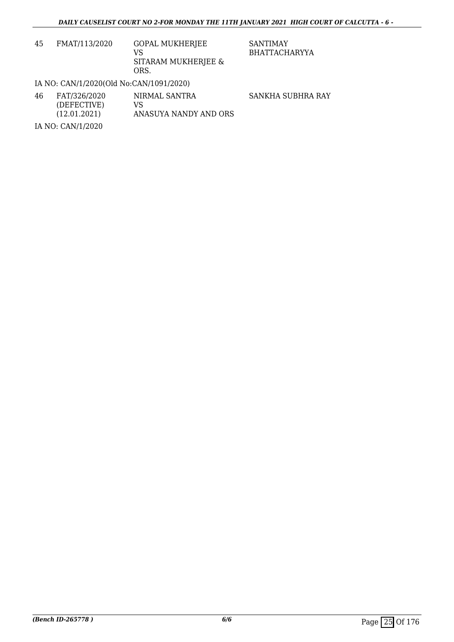| 45 | FMAT/113/2020 | <b>GOPAL MUKHERJEE</b> |
|----|---------------|------------------------|
|    |               | VS.                    |
|    |               | SITARAM MUKHERJEE &    |
|    |               | ORS.                   |

SANTIMAY BHATTACHARYYA

# IA NO: CAN/1/2020(Old No:CAN/1091/2020)

| 46 | FAT/326/2020<br>(DEFECTIVE)<br>(12.01.2021) | NIRMAL SANTRA<br>VS<br>ANASUYA NANDY AND ORS | SANKHA SUBHRA RAY |
|----|---------------------------------------------|----------------------------------------------|-------------------|
|    | IA NO: CAN/1/2020                           |                                              |                   |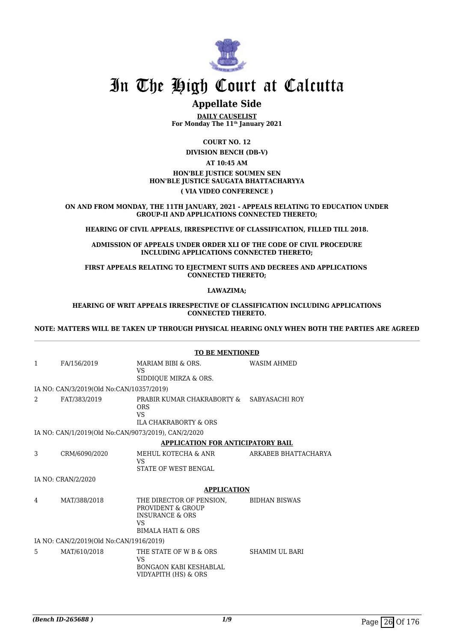

# **Appellate Side**

**DAILY CAUSELIST For Monday The 11th January 2021**

**COURT NO. 12**

**DIVISION BENCH (DB-V)**

## **AT 10:45 AM HON'BLE JUSTICE SOUMEN SEN HON'BLE JUSTICE SAUGATA BHATTACHARYYA ( VIA VIDEO CONFERENCE )**

**ON AND FROM MONDAY, THE 11TH JANUARY, 2021 - APPEALS RELATING TO EDUCATION UNDER GROUP-II AND APPLICATIONS CONNECTED THERETO;**

**HEARING OF CIVIL APPEALS, IRRESPECTIVE OF CLASSIFICATION, FILLED TILL 2018.**

**ADMISSION OF APPEALS UNDER ORDER XLI OF THE CODE OF CIVIL PROCEDURE INCLUDING APPLICATIONS CONNECTED THERETO;**

**FIRST APPEALS RELATING TO EJECTMENT SUITS AND DECREES AND APPLICATIONS CONNECTED THERETO;**

**LAWAZIMA;**

#### **HEARING OF WRIT APPEALS IRRESPECTIVE OF CLASSIFICATION INCLUDING APPLICATIONS CONNECTED THERETO.**

**NOTE: MATTERS WILL BE TAKEN UP THROUGH PHYSICAL HEARING ONLY WHEN BOTH THE PARTIES ARE AGREED**

|   |                                                     | <b>TO BE MENTIONED</b>                                                                                                   |                       |  |
|---|-----------------------------------------------------|--------------------------------------------------------------------------------------------------------------------------|-----------------------|--|
| 1 | FA/156/2019                                         | MARIAM BIBI & ORS.<br>VS.<br>SIDDIQUE MIRZA & ORS.                                                                       | <b>WASIM AHMED</b>    |  |
|   | IA NO: CAN/3/2019(Old No:CAN/10357/2019)            |                                                                                                                          |                       |  |
| 2 | FAT/383/2019                                        | PRABIR KUMAR CHAKRABORTY & SABYASACHI ROY<br><b>ORS</b><br><b>VS</b><br><b>ILA CHAKRABORTY &amp; ORS</b>                 |                       |  |
|   | IA NO: CAN/1/2019(Old No:CAN/9073/2019), CAN/2/2020 |                                                                                                                          |                       |  |
|   |                                                     | <b>APPLICATION FOR ANTICIPATORY BAIL</b>                                                                                 |                       |  |
| 3 | CRM/6090/2020                                       | MEHUL KOTECHA & ANR<br><b>VS</b><br><b>STATE OF WEST BENGAL</b>                                                          | ARKABEB BHATTACHARYA  |  |
|   | IA NO: CRAN/2/2020                                  |                                                                                                                          |                       |  |
|   |                                                     | <b>APPLICATION</b>                                                                                                       |                       |  |
| 4 | MAT/388/2018                                        | THE DIRECTOR OF PENSION,<br>PROVIDENT & GROUP<br><b>INSURANCE &amp; ORS</b><br><b>VS</b><br><b>BIMALA HATI &amp; ORS</b> | <b>BIDHAN BISWAS</b>  |  |
|   | IA NO: CAN/2/2019(Old No:CAN/1916/2019)             |                                                                                                                          |                       |  |
| 5 | MAT/610/2018                                        | THE STATE OF W B & ORS<br>VS<br><b>BONGAON KABI KESHABLAL</b><br>VIDYAPITH (HS) & ORS                                    | <b>SHAMIM UL BARI</b> |  |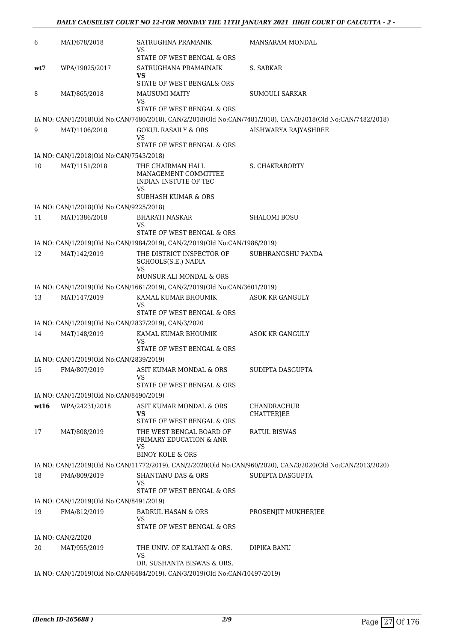| 6                                                                                                        | MAT/678/2018                                        | SATRUGHNA PRAMANIK<br>VS                                                  | <b>MANSARAM MONDAL</b>                                                                                      |
|----------------------------------------------------------------------------------------------------------|-----------------------------------------------------|---------------------------------------------------------------------------|-------------------------------------------------------------------------------------------------------------|
|                                                                                                          |                                                     | STATE OF WEST BENGAL & ORS                                                |                                                                                                             |
| wt7                                                                                                      | WPA/19025/2017                                      | SATRUGHANA PRAMAINAIK<br><b>VS</b>                                        | S. SARKAR                                                                                                   |
|                                                                                                          |                                                     | STATE OF WEST BENGAL& ORS                                                 |                                                                                                             |
| 8                                                                                                        | MAT/865/2018                                        | <b>MAUSUMI MAITY</b><br>VS                                                | <b>SUMOULI SARKAR</b>                                                                                       |
|                                                                                                          |                                                     | STATE OF WEST BENGAL & ORS                                                |                                                                                                             |
|                                                                                                          |                                                     |                                                                           | IA NO: CAN/1/2018(Old No:CAN/7480/2018), CAN/2/2018(Old No:CAN/7481/2018), CAN/3/2018(Old No:CAN/7482/2018) |
| 9                                                                                                        | MAT/1106/2018                                       | <b>GOKUL RASAILY &amp; ORS</b><br>VS<br>STATE OF WEST BENGAL & ORS        | AISHWARYA RAJYASHREE                                                                                        |
|                                                                                                          | IA NO: CAN/1/2018(Old No:CAN/7543/2018)             |                                                                           |                                                                                                             |
| 10                                                                                                       | MAT/1151/2018                                       | THE CHAIRMAN HALL                                                         | <b>S. CHAKRABORTY</b>                                                                                       |
|                                                                                                          |                                                     | MANAGEMENT COMMITTEE<br>INDIAN INSTUTE OF TEC<br>VS                       |                                                                                                             |
|                                                                                                          |                                                     | <b>SUBHASH KUMAR &amp; ORS</b>                                            |                                                                                                             |
|                                                                                                          | IA NO: CAN/1/2018(Old No:CAN/9225/2018)             |                                                                           |                                                                                                             |
| 11                                                                                                       | MAT/1386/2018                                       | <b>BHARATI NASKAR</b><br>VS                                               | <b>SHALOMI BOSU</b>                                                                                         |
|                                                                                                          |                                                     | STATE OF WEST BENGAL & ORS                                                |                                                                                                             |
|                                                                                                          |                                                     | IA NO: CAN/1/2019(Old No:CAN/1984/2019), CAN/2/2019(Old No:CAN/1986/2019) |                                                                                                             |
| 12                                                                                                       | MAT/142/2019                                        | THE DISTRICT INSPECTOR OF<br>SCHOOLS(S.E.) NADIA<br>VS                    | SUBHRANGSHU PANDA                                                                                           |
|                                                                                                          |                                                     | MUNSUR ALI MONDAL & ORS                                                   |                                                                                                             |
|                                                                                                          |                                                     | IA NO: CAN/1/2019(Old No:CAN/1661/2019), CAN/2/2019(Old No:CAN/3601/2019) |                                                                                                             |
| 13                                                                                                       | MAT/147/2019                                        | KAMAL KUMAR BHOUMIK<br>VS                                                 | <b>ASOK KR GANGULY</b>                                                                                      |
|                                                                                                          |                                                     | STATE OF WEST BENGAL & ORS                                                |                                                                                                             |
|                                                                                                          | IA NO: CAN/1/2019(Old No:CAN/2837/2019), CAN/3/2020 |                                                                           |                                                                                                             |
| 14                                                                                                       | MAT/148/2019                                        | KAMAL KUMAR BHOUMIK                                                       | ASOK KR GANGULY                                                                                             |
|                                                                                                          |                                                     | VS<br>STATE OF WEST BENGAL & ORS                                          |                                                                                                             |
|                                                                                                          | IA NO: CAN/1/2019(Old No:CAN/2839/2019)             |                                                                           |                                                                                                             |
| 15                                                                                                       | FMA/807/2019                                        | ASIT KUMAR MONDAL & ORS                                                   | SUDIPTA DASGUPTA                                                                                            |
|                                                                                                          |                                                     | VS.                                                                       |                                                                                                             |
|                                                                                                          | IA NO: CAN/1/2019(Old No:CAN/8490/2019)             | STATE OF WEST BENGAL & ORS                                                |                                                                                                             |
| wt16                                                                                                     | WPA/24231/2018                                      | ASIT KUMAR MONDAL & ORS                                                   | CHANDRACHUR                                                                                                 |
|                                                                                                          |                                                     | <b>VS</b><br>STATE OF WEST BENGAL & ORS                                   | <b>CHATTERJEE</b>                                                                                           |
| 17                                                                                                       | MAT/808/2019                                        | THE WEST BENGAL BOARD OF<br>PRIMARY EDUCATION & ANR<br><b>VS</b>          | RATUL BISWAS                                                                                                |
|                                                                                                          |                                                     | <b>BINOY KOLE &amp; ORS</b>                                               |                                                                                                             |
|                                                                                                          |                                                     |                                                                           | IA NO: CAN/1/2019(Old No:CAN/11772/2019), CAN/2/2020(Old No:CAN/960/2020), CAN/3/2020(Old No:CAN/2013/2020) |
| 18                                                                                                       | FMA/809/2019                                        | <b>SHANTANU DAS &amp; ORS</b><br>VS<br>STATE OF WEST BENGAL & ORS         | SUDIPTA DASGUPTA                                                                                            |
|                                                                                                          | IA NO: CAN/1/2019(Old No:CAN/8491/2019)             |                                                                           |                                                                                                             |
| 19                                                                                                       | FMA/812/2019                                        | <b>BADRUL HASAN &amp; ORS</b>                                             | PROSENJIT MUKHERJEE                                                                                         |
|                                                                                                          |                                                     | VS<br>STATE OF WEST BENGAL & ORS                                          |                                                                                                             |
|                                                                                                          | IA NO: CAN/2/2020                                   |                                                                           |                                                                                                             |
| 20                                                                                                       | MAT/955/2019                                        | THE UNIV. OF KALYANI & ORS.                                               | DIPIKA BANU                                                                                                 |
|                                                                                                          |                                                     | VS                                                                        |                                                                                                             |
| DR. SUSHANTA BISWAS & ORS.<br>IA NO: CAN/1/2019(Old No:CAN/6484/2019), CAN/3/2019(Old No:CAN/10497/2019) |                                                     |                                                                           |                                                                                                             |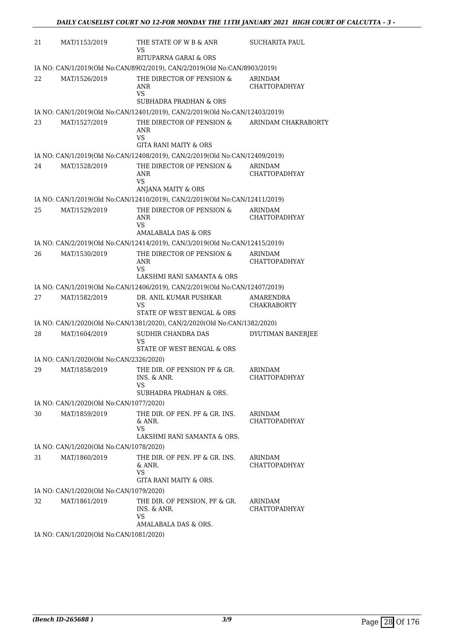| 21 | MAT/1153/2019                           | THE STATE OF W B & ANR<br>VS                                                       | SUCHARITA PAUL                  |
|----|-----------------------------------------|------------------------------------------------------------------------------------|---------------------------------|
|    |                                         | RITUPARNA GARAI & ORS                                                              |                                 |
|    |                                         | IA NO: CAN/1/2019(Old No:CAN/8902/2019), CAN/2/2019(Old No:CAN/8903/2019)          |                                 |
| 22 | MAT/1526/2019                           | THE DIRECTOR OF PENSION &<br>ANR<br><b>VS</b><br><b>SUBHADRA PRADHAN &amp; ORS</b> | ARINDAM<br><b>CHATTOPADHYAY</b> |
|    |                                         | IA NO: CAN/1/2019(Old No:CAN/12401/2019), CAN/2/2019(Old No:CAN/12403/2019)        |                                 |
| 23 | MAT/1527/2019                           | THE DIRECTOR OF PENSION &                                                          | ARINDAM CHAKRABORTY             |
|    |                                         | ANR<br><b>VS</b><br><b>GITA RANI MAITY &amp; ORS</b>                               |                                 |
|    |                                         | IA NO: CAN/1/2019(Old No:CAN/12408/2019), CAN/2/2019(Old No:CAN/12409/2019)        |                                 |
| 24 | MAT/1528/2019                           | THE DIRECTOR OF PENSION &                                                          | ARINDAM                         |
|    |                                         | ANR<br><b>VS</b>                                                                   | <b>CHATTOPADHYAY</b>            |
|    |                                         | ANJANA MAITY & ORS                                                                 |                                 |
|    |                                         | IA NO: CAN/1/2019(Old No:CAN/12410/2019), CAN/2/2019(Old No:CAN/12411/2019)        |                                 |
| 25 | MAT/1529/2019                           | THE DIRECTOR OF PENSION &<br>ANR<br>VS                                             | ARINDAM<br><b>CHATTOPADHYAY</b> |
|    |                                         | <b>AMALABALA DAS &amp; ORS</b>                                                     |                                 |
|    |                                         | IA NO: CAN/2/2019(Old No:CAN/12414/2019), CAN/3/2019(Old No:CAN/12415/2019)        |                                 |
| 26 | MAT/1530/2019                           | THE DIRECTOR OF PENSION &<br>ANR                                                   | ARINDAM<br><b>CHATTOPADHYAY</b> |
|    |                                         | <b>VS</b>                                                                          |                                 |
|    |                                         | LAKSHMI RANI SAMANTA & ORS                                                         |                                 |
|    |                                         | IA NO: CAN/1/2019(Old No:CAN/12406/2019), CAN/2/2019(Old No:CAN/12407/2019)        |                                 |
| 27 | MAT/1582/2019                           | DR. ANIL KUMAR PUSHKAR<br><b>VS</b><br>STATE OF WEST BENGAL & ORS                  | AMARENDRA<br>CHAKRABORTY        |
|    |                                         | IA NO: CAN/1/2020(Old No:CAN/1381/2020), CAN/2/2020(Old No:CAN/1382/2020)          |                                 |
| 28 | MAT/1604/2019                           | SUDHIR CHANDRA DAS<br>VS                                                           | DYUTIMAN BANERJEE               |
|    |                                         | STATE OF WEST BENGAL & ORS                                                         |                                 |
|    | IA NO: CAN/1/2020(Old No:CAN/2326/2020) |                                                                                    |                                 |
| 29 | MAT/1858/2019                           | THE DIR. OF PENSION PF & GR.<br>INS. & ANR.<br>VS<br>SUBHADRA PRADHAN & ORS.       | <b>ARINDAM</b><br>CHATTOPADHYAY |
|    | IA NO: CAN/1/2020(Old No:CAN/1077/2020) |                                                                                    |                                 |
| 30 | MAT/1859/2019                           | THE DIR. OF PEN. PF & GR. INS.<br>& ANR.<br>VS.<br>LAKSHMI RANI SAMANTA & ORS.     | ARINDAM<br><b>CHATTOPADHYAY</b> |
|    | IA NO: CAN/1/2020(Old No:CAN/1078/2020) |                                                                                    |                                 |
| 31 | MAT/1860/2019                           | THE DIR. OF PEN. PF & GR. INS.                                                     |                                 |
|    |                                         | & ANR.<br>VS                                                                       | ARINDAM<br>CHATTOPADHYAY        |
|    |                                         | GITA RANI MAITY & ORS.                                                             |                                 |
|    | IA NO: CAN/1/2020(Old No:CAN/1079/2020) |                                                                                    |                                 |
| 32 | MAT/1861/2019                           | THE DIR. OF PENSION, PF & GR.<br>INS. & ANR.<br><b>VS</b>                          | ARINDAM<br>CHATTOPADHYAY        |
|    |                                         | AMALABALA DAS & ORS.                                                               |                                 |
|    | IA NO: CAN/1/2020(Old No:CAN/1081/2020) |                                                                                    |                                 |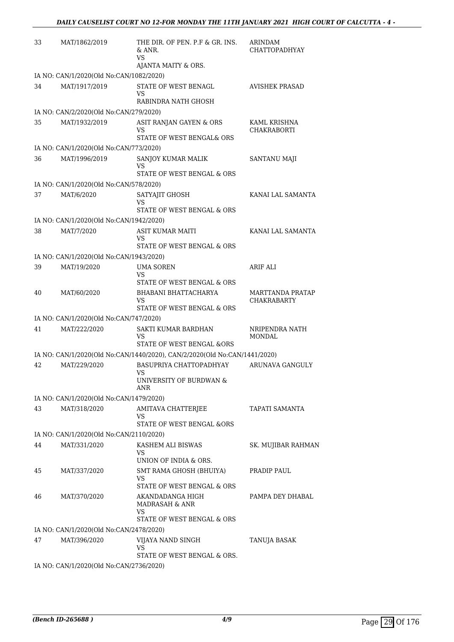| 33 | MAT/1862/2019                           | THE DIR. OF PEN. P.F & GR. INS.<br>& ANR.<br><b>VS</b>                    | ARINDAM<br><b>CHATTOPADHYAY</b>        |
|----|-----------------------------------------|---------------------------------------------------------------------------|----------------------------------------|
|    | IA NO: CAN/1/2020(Old No:CAN/1082/2020) | AJANTA MAITY & ORS.                                                       |                                        |
| 34 | MAT/1917/2019                           | STATE OF WEST BENAGL<br><b>VS</b>                                         | <b>AVISHEK PRASAD</b>                  |
|    |                                         | RABINDRA NATH GHOSH                                                       |                                        |
|    | IA NO: CAN/2/2020(Old No:CAN/279/2020)  |                                                                           |                                        |
| 35 | MAT/1932/2019                           | ASIT RANJAN GAYEN & ORS<br>VS<br>STATE OF WEST BENGAL& ORS                | KAML KRISHNA<br>CHAKRABORTI            |
|    | IA NO: CAN/1/2020(Old No:CAN/773/2020)  |                                                                           |                                        |
| 36 | MAT/1996/2019                           | SANJOY KUMAR MALIK<br>VS<br>STATE OF WEST BENGAL & ORS                    | SANTANU MAJI                           |
|    | IA NO: CAN/1/2020(Old No:CAN/578/2020)  |                                                                           |                                        |
| 37 | MAT/6/2020                              | SATYAJIT GHOSH<br>VS                                                      | KANAI LAL SAMANTA                      |
|    |                                         | STATE OF WEST BENGAL & ORS                                                |                                        |
|    | IA NO: CAN/1/2020(Old No:CAN/1942/2020) |                                                                           |                                        |
| 38 | MAT/7/2020                              | ASIT KUMAR MAITI<br>VS<br>STATE OF WEST BENGAL & ORS                      | KANAI LAL SAMANTA                      |
|    | IA NO: CAN/1/2020(Old No:CAN/1943/2020) |                                                                           |                                        |
| 39 | MAT/19/2020                             | <b>UMA SOREN</b><br><b>VS</b>                                             | ARIF ALI                               |
|    |                                         | STATE OF WEST BENGAL & ORS                                                |                                        |
| 40 | MAT/60/2020                             | BHABANI BHATTACHARYA<br>VS<br>STATE OF WEST BENGAL & ORS                  | MARTTANDA PRATAP<br><b>CHAKRABARTY</b> |
|    | IA NO: CAN/1/2020(Old No:CAN/747/2020)  |                                                                           |                                        |
| 41 | MAT/222/2020                            | SAKTI KUMAR BARDHAN<br>VS                                                 | NRIPENDRA NATH<br><b>MONDAL</b>        |
|    |                                         | STATE OF WEST BENGAL &ORS                                                 |                                        |
|    |                                         | IA NO: CAN/1/2020(Old No:CAN/1440/2020), CAN/2/2020(Old No:CAN/1441/2020) |                                        |
| 42 | MAT/229/2020                            | BASUPRIYA CHATTOPADHYAY<br><b>VS</b><br>UNIVERSITY OF BURDWAN &<br>ANR    | ARUNAVA GANGULY                        |
|    | IA NO: CAN/1/2020(Old No:CAN/1479/2020) |                                                                           |                                        |
| 43 | MAT/318/2020                            | AMITAVA CHATTERJEE<br>VS                                                  | TAPATI SAMANTA                         |
|    |                                         | STATE OF WEST BENGAL &ORS                                                 |                                        |
|    | IA NO: CAN/1/2020(Old No:CAN/2110/2020) |                                                                           |                                        |
| 44 | MAT/331/2020                            | KASHEM ALI BISWAS<br>VS<br>UNION OF INDIA & ORS.                          | SK. MUJIBAR RAHMAN                     |
| 45 | MAT/337/2020                            | SMT RAMA GHOSH (BHUIYA)                                                   | PRADIP PAUL                            |
|    |                                         | VS<br>STATE OF WEST BENGAL & ORS                                          |                                        |
| 46 | MAT/370/2020                            | AKANDADANGA HIGH<br><b>MADRASAH &amp; ANR</b><br>VS                       | PAMPA DEY DHABAL                       |
|    |                                         | STATE OF WEST BENGAL & ORS                                                |                                        |
|    | IA NO: CAN/1/2020(Old No:CAN/2478/2020) |                                                                           |                                        |
| 47 | MAT/396/2020                            | VIJAYA NAND SINGH<br><b>VS</b><br>STATE OF WEST BENGAL & ORS.             | TANUJA BASAK                           |
|    | IA NO: CAN/1/2020(Old No:CAN/2736/2020) |                                                                           |                                        |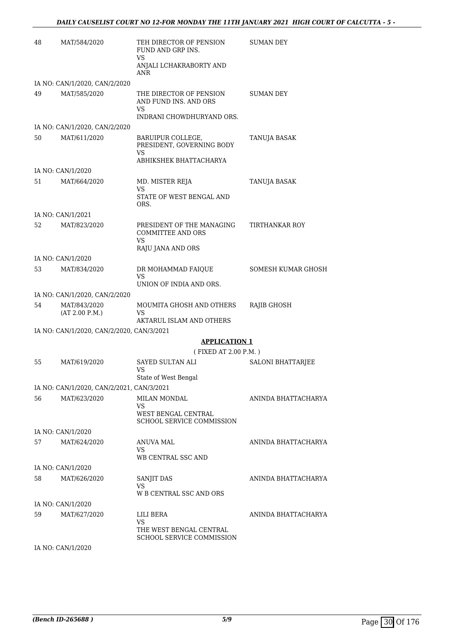| 48 | MAT/584/2020                              | TEH DIRECTOR OF PENSION<br>FUND AND GRP INS.<br>VS                 | <b>SUMAN DEY</b>         |
|----|-------------------------------------------|--------------------------------------------------------------------|--------------------------|
|    |                                           | ANJALI LCHAKRABORTY AND<br><b>ANR</b>                              |                          |
|    | IA NO: CAN/1/2020, CAN/2/2020             |                                                                    |                          |
| 49 | MAT/585/2020                              | THE DIRECTOR OF PENSION<br>AND FUND INS. AND ORS<br>VS             | SUMAN DEY                |
|    |                                           | INDRANI CHOWDHURYAND ORS.                                          |                          |
|    | IA NO: CAN/1/2020, CAN/2/2020             |                                                                    |                          |
| 50 | MAT/611/2020                              | BARUIPUR COLLEGE,<br>PRESIDENT, GOVERNING BODY<br>VS.              | TANUJA BASAK             |
|    |                                           | ABHIKSHEK BHATTACHARYA                                             |                          |
|    | IA NO: CAN/1/2020                         |                                                                    |                          |
| 51 | MAT/664/2020                              | MD. MISTER REJA<br>VS                                              | TANUJA BASAK             |
|    |                                           | STATE OF WEST BENGAL AND<br>ORS.                                   |                          |
|    | IA NO: CAN/1/2021                         |                                                                    |                          |
| 52 | MAT/823/2020                              | PRESIDENT OF THE MANAGING<br><b>COMMITTEE AND ORS</b><br><b>VS</b> | TIRTHANKAR ROY           |
|    |                                           | RAJU JANA AND ORS                                                  |                          |
|    | IA NO: CAN/1/2020                         |                                                                    |                          |
| 53 | MAT/834/2020                              | DR MOHAMMAD FAIQUE<br><b>VS</b>                                    | SOMESH KUMAR GHOSH       |
|    |                                           | UNION OF INDIA AND ORS.                                            |                          |
|    | IA NO: CAN/1/2020, CAN/2/2020             |                                                                    |                          |
| 54 | MAT/843/2020<br>(AT 2.00 P.M.)            | MOUMITA GHOSH AND OTHERS<br>VS<br>AKTARUL ISLAM AND OTHERS         | RAJIB GHOSH              |
|    | IA NO: CAN/1/2020, CAN/2/2020, CAN/3/2021 |                                                                    |                          |
|    |                                           | <b>APPLICATION 1</b>                                               |                          |
|    |                                           | (FIXED AT 2.00 P.M.)                                               |                          |
| 55 | MAT/619/2020                              | <b>SAYED SULTAN ALI</b><br>VS                                      | <b>SALONI BHATTARJEE</b> |
|    |                                           | State of West Bengal                                               |                          |
|    | IA NO: CAN/1/2020, CAN/2/2021, CAN/3/2021 |                                                                    |                          |
| 56 | MAT/623/2020                              | <b>MILAN MONDAL</b><br>VS                                          | ANINDA BHATTACHARYA      |
|    |                                           | WEST BENGAL CENTRAL<br><b>SCHOOL SERVICE COMMISSION</b>            |                          |
|    | IA NO: CAN/1/2020                         |                                                                    |                          |
| 57 | MAT/624/2020                              | ANUVA MAL                                                          | ANINDA BHATTACHARYA      |
|    |                                           | VS                                                                 |                          |
|    |                                           | WB CENTRAL SSC AND                                                 |                          |
|    | IA NO: CAN/1/2020                         |                                                                    |                          |
| 58 | MAT/626/2020                              | SANJIT DAS<br>VS                                                   | ANINDA BHATTACHARYA      |
|    |                                           | W B CENTRAL SSC AND ORS                                            |                          |
|    | IA NO: CAN/1/2020                         |                                                                    |                          |
| 59 | MAT/627/2020                              | LILI BERA<br>VS                                                    | ANINDA BHATTACHARYA      |
|    |                                           | THE WEST BENGAL CENTRAL<br><b>SCHOOL SERVICE COMMISSION</b>        |                          |
|    | IA NO: CAN/1/2020                         |                                                                    |                          |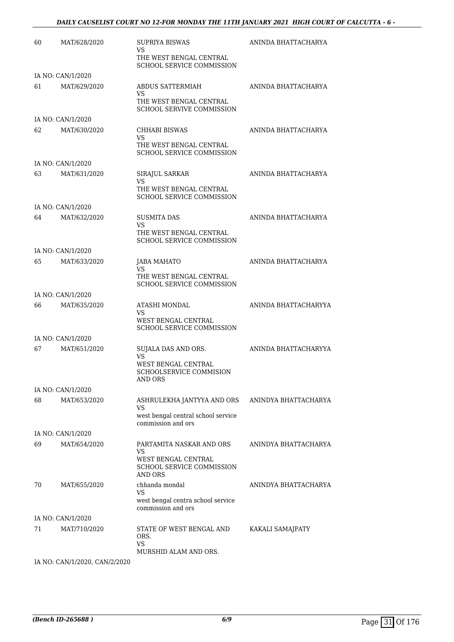| 60 | MAT/628/2020                      | SUPRIYA BISWAS<br>VS<br>THE WEST BENGAL CENTRAL<br><b>SCHOOL SERVICE COMMISSION</b>           | ANINDA BHATTACHARYA  |
|----|-----------------------------------|-----------------------------------------------------------------------------------------------|----------------------|
|    | IA NO: CAN/1/2020                 |                                                                                               |                      |
| 61 | MAT/629/2020                      | ABDUS SATTERMIAH<br>VS<br>THE WEST BENGAL CENTRAL<br><b>SCHOOL SERVIVE COMMISSION</b>         | ANINDA BHATTACHARYA  |
|    | IA NO: CAN/1/2020                 |                                                                                               |                      |
| 62 | MAT/630/2020                      | <b>CHHABI BISWAS</b><br>VS<br>THE WEST BENGAL CENTRAL<br><b>SCHOOL SERVICE COMMISSION</b>     | ANINDA BHATTACHARYA  |
|    | IA NO: CAN/1/2020                 |                                                                                               |                      |
| 63 | MAT/631/2020                      | SIRAJUL SARKAR<br>VS<br>THE WEST BENGAL CENTRAL                                               | ANINDA BHATTACHARYA  |
|    |                                   | <b>SCHOOL SERVICE COMMISSION</b>                                                              |                      |
| 64 | IA NO: CAN/1/2020<br>MAT/632/2020 | SUSMITA DAS                                                                                   | ANINDA BHATTACHARYA  |
|    |                                   | VS<br>THE WEST BENGAL CENTRAL                                                                 |                      |
|    | IA NO: CAN/1/2020                 | <b>SCHOOL SERVICE COMMISSION</b>                                                              |                      |
| 65 | MAT/633/2020                      | JABA MAHATO<br>VS                                                                             | ANINDA BHATTACHARYA  |
|    |                                   | THE WEST BENGAL CENTRAL<br><b>SCHOOL SERVICE COMMISSION</b>                                   |                      |
|    | IA NO: CAN/1/2020                 |                                                                                               |                      |
| 66 | MAT/635/2020                      | ATASHI MONDAL<br>VS.                                                                          | ANINDA BHATTACHARYYA |
|    |                                   | WEST BENGAL CENTRAL<br><b>SCHOOL SERVICE COMMISSION</b>                                       |                      |
|    | IA NO: CAN/1/2020                 |                                                                                               |                      |
| 67 | MAT/651/2020                      | SUJALA DAS AND ORS.<br><b>VS</b><br>WEST BENGAL CENTRAL                                       | ANINDA BHATTACHARYYA |
|    |                                   | SCHOOLSERVICE COMMISION<br><b>AND ORS</b>                                                     |                      |
|    | IA NO: CAN/1/2020                 |                                                                                               |                      |
| 68 | MAT/653/2020                      | ASHRULEKHA JANTYYA AND ORS<br>VS<br>west bengal central school service                        | ANINDYA BHATTACHARYA |
|    |                                   | commission and ors                                                                            |                      |
|    | IA NO: CAN/1/2020                 |                                                                                               |                      |
| 69 | MAT/654/2020                      | PARTAMITA NASKAR AND ORS<br>VS<br>WEST BENGAL CENTRAL<br>SCHOOL SERVICE COMMISSION<br>AND ORS | ANINDYA BHATTACHARYA |
| 70 | MAT/655/2020                      | chhanda mondal<br>VS<br>west bengal centra school service                                     | ANINDYA BHATTACHARYA |
|    |                                   | commission and ors                                                                            |                      |
|    | IA NO: CAN/1/2020                 |                                                                                               |                      |
| 71 | MAT/710/2020                      | STATE OF WEST BENGAL AND<br>ORS.<br><b>VS</b><br>MURSHID ALAM AND ORS.                        | KAKALI SAMAJPATY     |

IA NO: CAN/1/2020, CAN/2/2020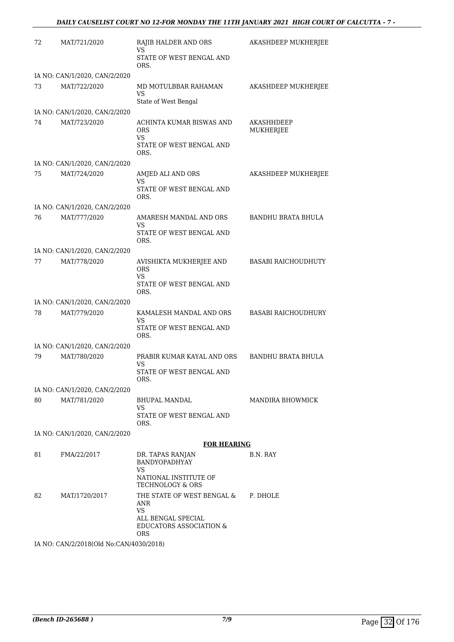| 72 | MAT/721/2020                  | RAJIB HALDER AND ORS<br>VS<br>STATE OF WEST BENGAL AND<br>ORS.                                                           | AKASHDEEP MUKHERJEE        |
|----|-------------------------------|--------------------------------------------------------------------------------------------------------------------------|----------------------------|
|    | IA NO: CAN/1/2020, CAN/2/2020 |                                                                                                                          |                            |
| 73 | MAT/722/2020                  | MD MOTULBBAR RAHAMAN<br><b>VS</b><br>State of West Bengal                                                                | AKASHDEEP MUKHERJEE        |
|    | IA NO: CAN/1/2020, CAN/2/2020 |                                                                                                                          |                            |
| 74 | MAT/723/2020                  | ACHINTA KUMAR BISWAS AND<br><b>ORS</b><br>VS.<br>STATE OF WEST BENGAL AND<br>ORS.                                        | AKASHHDEEP<br>MUKHERJEE    |
|    | IA NO: CAN/1/2020, CAN/2/2020 |                                                                                                                          |                            |
| 75 | MAT/724/2020                  | AMJED ALI AND ORS                                                                                                        | AKASHDEEP MUKHERJEE        |
|    |                               | <b>VS</b><br>STATE OF WEST BENGAL AND<br>ORS.                                                                            |                            |
|    | IA NO: CAN/1/2020, CAN/2/2020 |                                                                                                                          |                            |
| 76 | MAT/777/2020                  | AMARESH MANDAL AND ORS<br><b>VS</b><br>STATE OF WEST BENGAL AND<br>ORS.                                                  | <b>BANDHU BRATA BHULA</b>  |
|    | IA NO: CAN/1/2020, CAN/2/2020 |                                                                                                                          |                            |
| 77 | MAT/778/2020                  | AVISHIKTA MUKHERJEE AND                                                                                                  | <b>BASABI RAICHOUDHUTY</b> |
|    |                               | <b>ORS</b><br><b>VS</b><br>STATE OF WEST BENGAL AND<br>ORS.                                                              |                            |
|    | IA NO: CAN/1/2020, CAN/2/2020 |                                                                                                                          |                            |
| 78 | MAT/779/2020                  | KAMALESH MANDAL AND ORS<br><b>VS</b><br>STATE OF WEST BENGAL AND<br>ORS.                                                 | <b>BASABI RAICHOUDHURY</b> |
|    | IA NO: CAN/1/2020, CAN/2/2020 |                                                                                                                          |                            |
| 79 | MAT/780/2020                  | PRABIR KUMAR KAYAL AND ORS<br>VS<br>STATE OF WEST BENGAL AND                                                             | <b>BANDHU BRATA BHULA</b>  |
|    |                               | ORS.                                                                                                                     |                            |
|    | IA NO: CAN/1/2020, CAN/2/2020 |                                                                                                                          |                            |
| 80 | MAT/781/2020                  | <b>BHUPAL MANDAL</b><br>VS.<br>STATE OF WEST BENGAL AND                                                                  | MANDIRA BHOWMICK           |
|    |                               | ORS.                                                                                                                     |                            |
|    | IA NO: CAN/1/2020, CAN/2/2020 | <b>FOR HEARING</b>                                                                                                       |                            |
| 81 | FMA/22/2017                   | DR. TAPAS RANJAN                                                                                                         | B.N. RAY                   |
|    |                               | BANDYOPADHYAY<br>VS<br>NATIONAL INSTITUTE OF<br>TECHNOLOGY & ORS                                                         |                            |
| 82 | MAT/1720/2017                 | THE STATE OF WEST BENGAL &<br>ANR<br><b>VS</b><br>ALL BENGAL SPECIAL<br><b>EDUCATORS ASSOCIATION &amp;</b><br><b>ORS</b> | P. DHOLE                   |

IA NO: CAN/2/2018(Old No:CAN/4030/2018)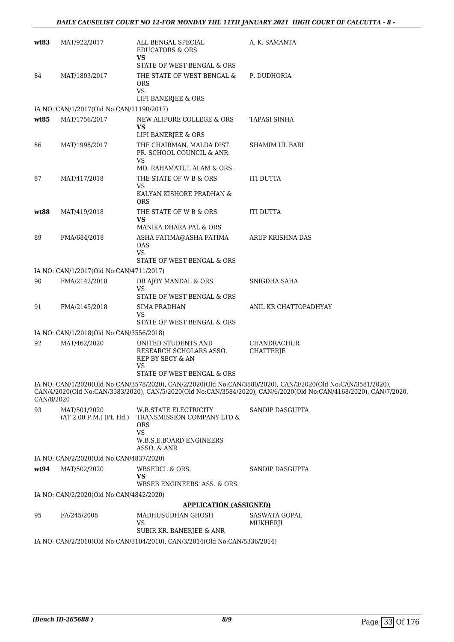| wt83                                                                      | MAT/922/2017                             | ALL BENGAL SPECIAL<br><b>EDUCATORS &amp; ORS</b><br><b>VS</b>                  | A. K. SAMANTA                                                                                                                                                                                                                    |  |  |
|---------------------------------------------------------------------------|------------------------------------------|--------------------------------------------------------------------------------|----------------------------------------------------------------------------------------------------------------------------------------------------------------------------------------------------------------------------------|--|--|
|                                                                           |                                          | STATE OF WEST BENGAL & ORS                                                     |                                                                                                                                                                                                                                  |  |  |
| 84                                                                        | MAT/1803/2017                            | THE STATE OF WEST BENGAL &<br><b>ORS</b><br><b>VS</b>                          | P. DUDHORIA                                                                                                                                                                                                                      |  |  |
|                                                                           |                                          | LIPI BANERJEE & ORS                                                            |                                                                                                                                                                                                                                  |  |  |
|                                                                           | IA NO: CAN/1/2017(Old No:CAN/11190/2017) |                                                                                |                                                                                                                                                                                                                                  |  |  |
| wt85                                                                      | MAT/1756/2017                            | NEW ALIPORE COLLEGE & ORS<br>VS<br>LIPI BANERJEE & ORS                         | TAPASI SINHA                                                                                                                                                                                                                     |  |  |
| 86                                                                        | MAT/1998/2017                            | THE CHAIRMAN, MALDA DIST.<br>PR. SCHOOL COUNCIL & ANR.<br><b>VS</b>            | SHAMIM UL BARI                                                                                                                                                                                                                   |  |  |
|                                                                           |                                          | MD. RAHAMATUL ALAM & ORS.                                                      |                                                                                                                                                                                                                                  |  |  |
| 87                                                                        | MAT/417/2018                             | THE STATE OF W B & ORS<br><b>VS</b><br>KALYAN KISHORE PRADHAN &                | <b>ITI DUTTA</b>                                                                                                                                                                                                                 |  |  |
|                                                                           |                                          | <b>ORS</b>                                                                     |                                                                                                                                                                                                                                  |  |  |
| wt88                                                                      | MAT/419/2018                             | THE STATE OF W B & ORS<br>VS                                                   | <b>ITI DUTTA</b>                                                                                                                                                                                                                 |  |  |
|                                                                           |                                          | MANIKA DHARA PAL & ORS                                                         |                                                                                                                                                                                                                                  |  |  |
| 89                                                                        | FMA/684/2018                             | ASHA FATIMA@ASHA FATIMA<br>DAS<br>VS.<br>STATE OF WEST BENGAL & ORS            | ARUP KRISHNA DAS                                                                                                                                                                                                                 |  |  |
|                                                                           | IA NO: CAN/1/2017(Old No:CAN/4711/2017)  |                                                                                |                                                                                                                                                                                                                                  |  |  |
| 90                                                                        | FMA/2142/2018                            | DR AJOY MANDAL & ORS                                                           | SNIGDHA SAHA                                                                                                                                                                                                                     |  |  |
|                                                                           |                                          | VS<br>STATE OF WEST BENGAL & ORS                                               |                                                                                                                                                                                                                                  |  |  |
| 91                                                                        | FMA/2145/2018                            | SIMA PRADHAN<br>VS                                                             | ANIL KR CHATTOPADHYAY                                                                                                                                                                                                            |  |  |
| STATE OF WEST BENGAL & ORS<br>IA NO: CAN/1/2018(Old No:CAN/3556/2018)     |                                          |                                                                                |                                                                                                                                                                                                                                  |  |  |
| 92                                                                        | MAT/462/2020                             | UNITED STUDENTS AND                                                            | CHANDRACHUR                                                                                                                                                                                                                      |  |  |
|                                                                           |                                          | RESEARCH SCHOLARS ASSO.<br>REP BY SECY & AN<br>VS                              | <b>CHATTERJE</b>                                                                                                                                                                                                                 |  |  |
|                                                                           |                                          | STATE OF WEST BENGAL & ORS                                                     |                                                                                                                                                                                                                                  |  |  |
| CAN/8/2020                                                                |                                          |                                                                                | IA NO: CAN/1/2020(Old No:CAN/3578/2020), CAN/2/2020(Old No:CAN/3580/2020), CAN/3/2020(Old No:CAN/3581/2020),<br>CAN/4/2020(Old No:CAN/3583/2020), CAN/5/2020(Old No:CAN/3584/2020), CAN/6/2020(Old No:CAN/4168/2020), CAN/7/2020 |  |  |
| 93                                                                        | MAT/501/2020<br>(AT 2.00 P.M.) (Pt. Hd.) | W.B.STATE ELECTRICITY<br>TRANSMISSION COMPANY LTD &<br><b>ORS</b><br><b>VS</b> | SANDIP DASGUPTA                                                                                                                                                                                                                  |  |  |
|                                                                           |                                          | W.B.S.E.BOARD ENGINEERS<br>ASSO. & ANR                                         |                                                                                                                                                                                                                                  |  |  |
| IA NO: CAN/2/2020(Old No:CAN/4837/2020)                                   |                                          |                                                                                |                                                                                                                                                                                                                                  |  |  |
| wt94                                                                      | MAT/502/2020                             | WBSEDCL & ORS.<br>VS<br>WBSEB ENGINEERS' ASS. & ORS.                           | SANDIP DASGUPTA                                                                                                                                                                                                                  |  |  |
|                                                                           | IA NO: CAN/2/2020(Old No:CAN/4842/2020)  |                                                                                |                                                                                                                                                                                                                                  |  |  |
| <b>APPLICATION (ASSIGNED)</b>                                             |                                          |                                                                                |                                                                                                                                                                                                                                  |  |  |
| 95                                                                        | FA/245/2008                              | MADHUSUDHAN GHOSH                                                              | SASWATA GOPAL                                                                                                                                                                                                                    |  |  |
|                                                                           |                                          | VS<br>SUBIR KR. BANERJEE & ANR                                                 | MUKHERJI                                                                                                                                                                                                                         |  |  |
| IA NO: CAN/2/2010(Old No:CAN/3104/2010), CAN/3/2014(Old No:CAN/5336/2014) |                                          |                                                                                |                                                                                                                                                                                                                                  |  |  |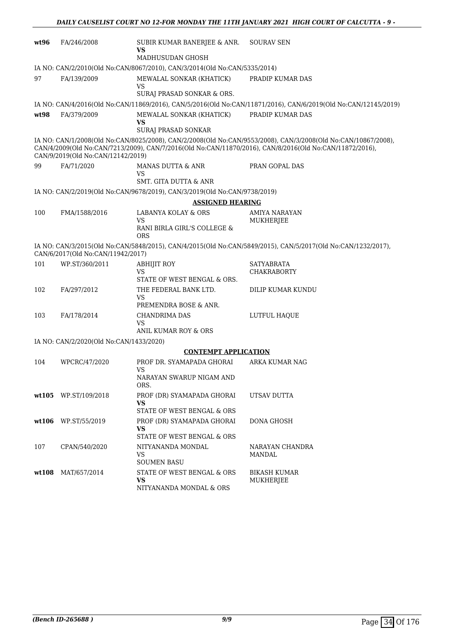| wt96                                                                                                                                                                                                                                                          | FA/246/2008          | SUBIR KUMAR BANERJEE & ANR.<br>VS                                             | <b>SOURAV SEN</b>                                                                                              |  |  |
|---------------------------------------------------------------------------------------------------------------------------------------------------------------------------------------------------------------------------------------------------------------|----------------------|-------------------------------------------------------------------------------|----------------------------------------------------------------------------------------------------------------|--|--|
|                                                                                                                                                                                                                                                               |                      | MADHUSUDAN GHOSH                                                              |                                                                                                                |  |  |
|                                                                                                                                                                                                                                                               |                      | IA NO: CAN/2/2010(Old No:CAN/8067/2010), CAN/3/2014(Old No:CAN/5335/2014)     |                                                                                                                |  |  |
| 97                                                                                                                                                                                                                                                            | FA/139/2009          | MEWALAL SONKAR (KHATICK)<br>VS<br>SURAJ PRASAD SONKAR & ORS.                  | PRADIP KUMAR DAS                                                                                               |  |  |
|                                                                                                                                                                                                                                                               |                      |                                                                               | IA NO: CAN/4/2016(Old No:CAN/11869/2016), CAN/5/2016(Old No:CAN/11871/2016), CAN/6/2019(Old No:CAN/12145/2019) |  |  |
| wt98                                                                                                                                                                                                                                                          |                      | MEWALAL SONKAR (KHATICK)                                                      | PRADIP KUMAR DAS                                                                                               |  |  |
|                                                                                                                                                                                                                                                               | FA/379/2009          | <b>VS</b><br><b>SURAJ PRASAD SONKAR</b>                                       |                                                                                                                |  |  |
| IA NO: CAN/1/2008(Old No:CAN/8025/2008), CAN/2/2008(Old No:CAN/9553/2008), CAN/3/2008(Old No:CAN/10867/2008),<br>CAN/4/2009(Old No:CAN/7213/2009), CAN/7/2016(Old No:CAN/11870/2016), CAN/8/2016(Old No:CAN/11872/2016),<br>CAN/9/2019(Old No:CAN/12142/2019) |                      |                                                                               |                                                                                                                |  |  |
| 99                                                                                                                                                                                                                                                            | FA/71/2020           | MANAS DUTTA & ANR<br><b>VS</b>                                                | PRAN GOPAL DAS                                                                                                 |  |  |
|                                                                                                                                                                                                                                                               |                      | SMT. GITA DUTTA & ANR                                                         |                                                                                                                |  |  |
|                                                                                                                                                                                                                                                               |                      | IA NO: CAN/2/2019(Old No:CAN/9678/2019), CAN/3/2019(Old No:CAN/9738/2019)     |                                                                                                                |  |  |
|                                                                                                                                                                                                                                                               |                      | <b>ASSIGNED HEARING</b>                                                       |                                                                                                                |  |  |
| 100                                                                                                                                                                                                                                                           | FMA/1588/2016        | LABANYA KOLAY & ORS<br><b>VS</b><br>RANI BIRLA GIRL'S COLLEGE &<br><b>ORS</b> | AMIYA NARAYAN<br>MUKHERJEE                                                                                     |  |  |
| IA NO: CAN/3/2015(Old No:CAN/5848/2015), CAN/4/2015(Old No:CAN/5849/2015), CAN/5/2017(Old No:CAN/1232/2017),<br>CAN/6/2017(Old No:CAN/11942/2017)                                                                                                             |                      |                                                                               |                                                                                                                |  |  |
| 101                                                                                                                                                                                                                                                           | WP.ST/360/2011       | <b>ABHIJIT ROY</b><br>VS<br>STATE OF WEST BENGAL & ORS.                       | SATYABRATA<br><b>CHAKRABORTY</b>                                                                               |  |  |
| 102                                                                                                                                                                                                                                                           | FA/297/2012          | THE FEDERAL BANK LTD.<br>VS<br>PREMENDRA BOSE & ANR.                          | DILIP KUMAR KUNDU                                                                                              |  |  |
| 103                                                                                                                                                                                                                                                           | FA/178/2014          | <b>CHANDRIMA DAS</b><br>VS<br>ANIL KUMAR ROY & ORS                            | LUTFUL HAQUE                                                                                                   |  |  |
|                                                                                                                                                                                                                                                               |                      |                                                                               |                                                                                                                |  |  |
| IA NO: CAN/2/2020(Old No:CAN/1433/2020)<br><b>CONTEMPT APPLICATION</b>                                                                                                                                                                                        |                      |                                                                               |                                                                                                                |  |  |
| 104                                                                                                                                                                                                                                                           | WPCRC/47/2020        | PROF DR. SYAMAPADA GHORAI                                                     | ARKA KUMAR NAG                                                                                                 |  |  |
|                                                                                                                                                                                                                                                               |                      | VS<br>NARAYAN SWARUP NIGAM AND<br>ORS.                                        |                                                                                                                |  |  |
|                                                                                                                                                                                                                                                               | wt105 WP.ST/109/2018 | PROF (DR) SYAMAPADA GHORAI<br><b>VS</b>                                       | UTSAV DUTTA                                                                                                    |  |  |
|                                                                                                                                                                                                                                                               |                      | STATE OF WEST BENGAL & ORS                                                    |                                                                                                                |  |  |
|                                                                                                                                                                                                                                                               | wt106 WP.ST/55/2019  | PROF (DR) SYAMAPADA GHORAI<br><b>VS</b><br>STATE OF WEST BENGAL & ORS         | DONA GHOSH                                                                                                     |  |  |
| 107                                                                                                                                                                                                                                                           | CPAN/540/2020        | NITYANANDA MONDAL<br>VS<br><b>SOUMEN BASU</b>                                 | NARAYAN CHANDRA<br><b>MANDAL</b>                                                                               |  |  |
| wt108                                                                                                                                                                                                                                                         | MAT/657/2014         | STATE OF WEST BENGAL & ORS<br><b>VS</b><br>NITYANANDA MONDAL & ORS            | BIKASH KUMAR<br>MUKHERJEE                                                                                      |  |  |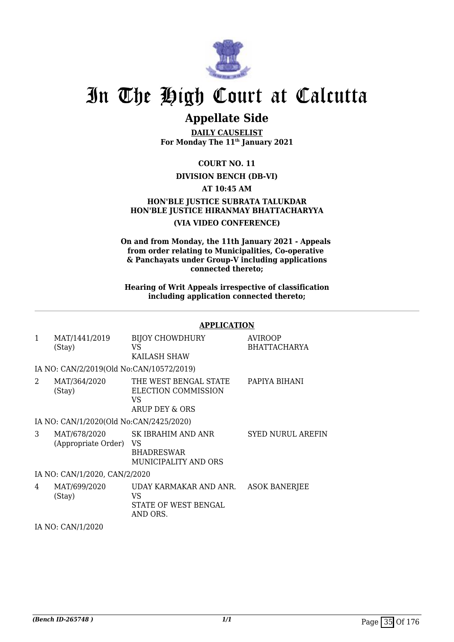

## **Appellate Side**

**DAILY CAUSELIST For Monday The 11th January 2021**

### **COURT NO. 11**

### **DIVISION BENCH (DB-VI)**

### **AT 10:45 AM**

### **HON'BLE JUSTICE SUBRATA TALUKDAR HON'BLE JUSTICE HIRANMAY BHATTACHARYYA (VIA VIDEO CONFERENCE)**

**On and from Monday, the 11th January 2021 - Appeals from order relating to Municipalities, Co-operative & Panchayats under Group-V including applications connected thereto;**

**Hearing of Writ Appeals irrespective of classification including application connected thereto;**

#### **APPLICATION**

| 1              | MAT/1441/2019<br>(Stay)                  | <b>BIJOY CHOWDHURY</b><br>VS<br>KAILASH SHAW                           | <b>AVIROOP</b><br><b>BHATTACHARYA</b> |
|----------------|------------------------------------------|------------------------------------------------------------------------|---------------------------------------|
|                | IA NO: CAN/2/2019(Old No:CAN/10572/2019) |                                                                        |                                       |
| $\mathfrak{D}$ | MAT/364/2020<br>(Stay)                   | THE WEST BENGAL STATE<br>ELECTION COMMISSION<br>VS<br>ARUP DEY & ORS   | PAPIYA BIHANI                         |
|                | IA NO: CAN/1/2020(Old No:CAN/2425/2020)  |                                                                        |                                       |
| 3              | MAT/678/2020<br>(Appropriate Order)      | SK IBRAHIM AND ANR<br>VS.<br><b>BHADRESWAR</b><br>MUNICIPALITY AND ORS | <b>SYED NURUL AREFIN</b>              |
|                | IA NO: CAN/1/2020, CAN/2/2020            |                                                                        |                                       |
| 4              | MAT/699/2020<br>(Stay)                   | UDAY KARMAKAR AND ANR.<br>VS<br>STATE OF WEST BENGAL<br>AND ORS.       | <b>ASOK BANERJEE</b>                  |

IA NO: CAN/1/2020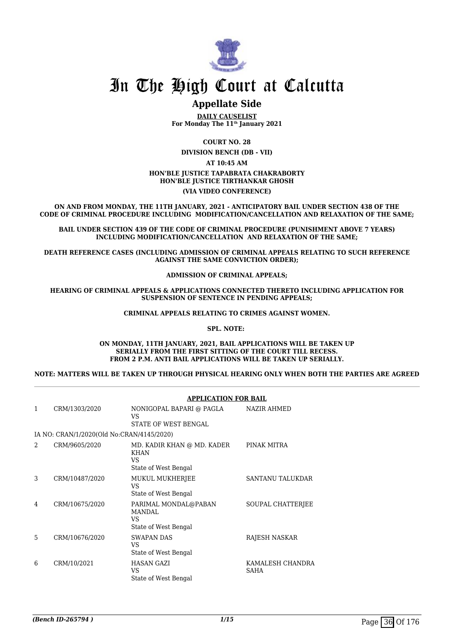

## **Appellate Side**

**DAILY CAUSELIST For Monday The 11th January 2021**

**COURT NO. 28**

**DIVISION BENCH (DB - VII)**

#### **AT 10:45 AM HON'BLE JUSTICE TAPABRATA CHAKRABORTY HON'BLE JUSTICE TIRTHANKAR GHOSH (VIA VIDEO CONFERENCE)**

**ON AND FROM MONDAY, THE 11TH JANUARY, 2021 - ANTICIPATORY BAIL UNDER SECTION 438 OF THE CODE OF CRIMINAL PROCEDURE INCLUDING MODIFICATION/CANCELLATION AND RELAXATION OF THE SAME;**

**BAIL UNDER SECTION 439 OF THE CODE OF CRIMINAL PROCEDURE (PUNISHMENT ABOVE 7 YEARS) INCLUDING MODIFICATION/CANCELLATION AND RELAXATION OF THE SAME;**

**DEATH REFERENCE CASES (INCLUDING ADMISSION OF CRIMINAL APPEALS RELATING TO SUCH REFERENCE AGAINST THE SAME CONVICTION ORDER);**

**ADMISSION OF CRIMINAL APPEALS;**

**HEARING OF CRIMINAL APPEALS & APPLICATIONS CONNECTED THERETO INCLUDING APPLICATION FOR SUSPENSION OF SENTENCE IN PENDING APPEALS;**

**CRIMINAL APPEALS RELATING TO CRIMES AGAINST WOMEN.**

#### **SPL. NOTE:**

#### **ON MONDAY, 11TH JANUARY, 2021, BAIL APPLICATIONS WILL BE TAKEN UP SERIALLY FROM THE FIRST SITTING OF THE COURT TILL RECESS. FROM 2 P.M. ANTI BAIL APPLICATIONS WILL BE TAKEN UP SERIALLY.**

**NOTE: MATTERS WILL BE TAKEN UP THROUGH PHYSICAL HEARING ONLY WHEN BOTH THE PARTIES ARE AGREED**

|               |                                           | <b>APPLICATION FOR BAIL</b>                                              |                                 |  |
|---------------|-------------------------------------------|--------------------------------------------------------------------------|---------------------------------|--|
| 1             | CRM/1303/2020                             | NONIGOPAL BAPARI @ PAGLA<br>VS<br>STATE OF WEST BENGAL                   | <b>NAZIR AHMED</b>              |  |
|               | IA NO: CRAN/1/2020(Old No:CRAN/4145/2020) |                                                                          |                                 |  |
| $\mathcal{D}$ | CRM/9605/2020                             | MD. KADIR KHAN @ MD. KADER<br><b>KHAN</b><br>VS.<br>State of West Bengal | PINAK MITRA                     |  |
| 3             | CRM/10487/2020                            | MUKUL MUKHERJEE<br>VS.<br>State of West Bengal                           | SANTANU TALUKDAR                |  |
| 4             | CRM/10675/2020                            | PARIMAL MONDAL@PABAN<br><b>MANDAL</b><br>VS.<br>State of West Bengal     | SOUPAL CHATTERIEE               |  |
| 5             | CRM/10676/2020                            | <b>SWAPAN DAS</b><br>VS.<br>State of West Bengal                         | RAJESH NASKAR                   |  |
| 6             | CRM/10/2021                               | <b>HASAN GAZI</b><br>VS.<br>State of West Bengal                         | KAMALESH CHANDRA<br><b>SAHA</b> |  |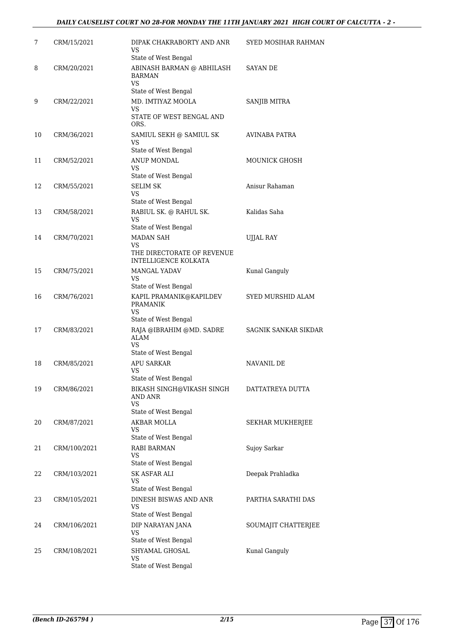### *DAILY CAUSELIST COURT NO 28-FOR MONDAY THE 11TH JANUARY 2021 HIGH COURT OF CALCUTTA - 2 -*

| 7  | CRM/15/2021  | DIPAK CHAKRABORTY AND ANR<br>VS<br>State of West Bengal                     | <b>SYED MOSIHAR RAHMAN</b> |
|----|--------------|-----------------------------------------------------------------------------|----------------------------|
| 8  | CRM/20/2021  | ABINASH BARMAN @ ABHILASH<br><b>BARMAN</b><br>VS                            | <b>SAYAN DE</b>            |
| 9  | CRM/22/2021  | State of West Bengal<br>MD. IMTIYAZ MOOLA<br>VS<br>STATE OF WEST BENGAL AND | SANJIB MITRA               |
|    |              | ORS.                                                                        |                            |
| 10 | CRM/36/2021  | SAMIUL SEKH @ SAMIUL SK<br>VS<br>State of West Bengal                       | AVINABA PATRA              |
| 11 | CRM/52/2021  | ANUP MONDAL<br>VS.                                                          | MOUNICK GHOSH              |
|    |              | State of West Bengal                                                        |                            |
| 12 | CRM/55/2021  | <b>SELIM SK</b><br>VS<br>State of West Bengal                               | Anisur Rahaman             |
| 13 | CRM/58/2021  | RABIUL SK. @ RAHUL SK.<br>VS                                                | Kalidas Saha               |
| 14 | CRM/70/2021  | State of West Bengal<br><b>MADAN SAH</b>                                    | <b>UJJAL RAY</b>           |
|    |              | VS                                                                          |                            |
|    |              | THE DIRECTORATE OF REVENUE<br>INTELLIGENCE KOLKATA                          |                            |
| 15 | CRM/75/2021  | MANGAL YADAV<br>VS.                                                         | Kunal Ganguly              |
|    |              | State of West Bengal                                                        |                            |
| 16 | CRM/76/2021  | KAPIL PRAMANIK@KAPILDEV<br><b>PRAMANIK</b><br>VS                            | SYED MURSHID ALAM          |
|    |              | State of West Bengal                                                        |                            |
| 17 | CRM/83/2021  | RAJA @IBRAHIM @MD. SADRE<br><b>ALAM</b><br>VS                               | SAGNIK SANKAR SIKDAR       |
|    |              | State of West Bengal                                                        |                            |
| 18 | CRM/85/2021  | <b>APU SARKAR</b><br>VS<br>State of West Bengal                             | <b>NAVANIL DE</b>          |
| 19 | CRM/86/2021  | BIKASH SINGH@VIKASH SINGH<br>AND ANR<br>VS                                  | DATTATREYA DUTTA           |
|    |              | State of West Bengal                                                        |                            |
| 20 | CRM/87/2021  | AKBAR MOLLA<br>VS.<br>State of West Bengal                                  | SEKHAR MUKHERJEE           |
| 21 | CRM/100/2021 | RABI BARMAN<br>VS                                                           | Sujoy Sarkar               |
| 22 |              | State of West Bengal<br>SK ASFAR ALI                                        | Deepak Prahladka           |
|    | CRM/103/2021 | <b>VS</b>                                                                   |                            |
| 23 | CRM/105/2021 | State of West Bengal<br>DINESH BISWAS AND ANR                               | PARTHA SARATHI DAS         |
|    |              | VS<br>State of West Bengal                                                  |                            |
| 24 | CRM/106/2021 | DIP NARAYAN JANA                                                            | SOUMAJIT CHATTERJEE        |
|    |              | VS<br>State of West Bengal                                                  |                            |
| 25 | CRM/108/2021 | SHYAMAL GHOSAL                                                              | Kunal Ganguly              |
|    |              | VS                                                                          |                            |
|    |              | State of West Bengal                                                        |                            |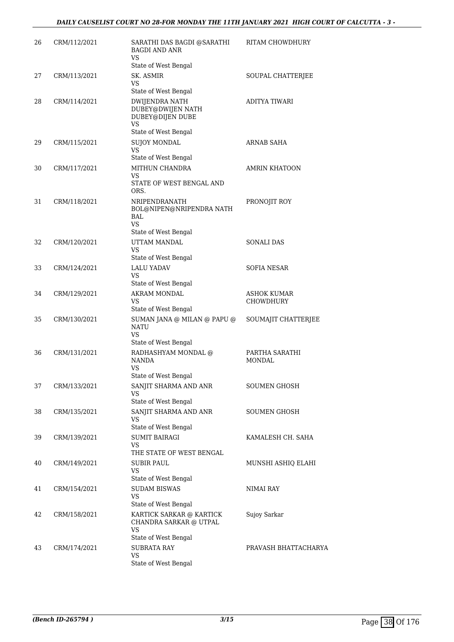| 26 | CRM/112/2021 | SARATHI DAS BAGDI @SARATHI<br><b>BAGDI AND ANR</b><br>VS                                     | RITAM CHOWDHURY                        |
|----|--------------|----------------------------------------------------------------------------------------------|----------------------------------------|
| 27 | CRM/113/2021 | State of West Bengal<br>SK. ASMIR<br>VS                                                      | SOUPAL CHATTERJEE                      |
| 28 | CRM/114/2021 | State of West Bengal<br>DWIJENDRA NATH<br>DUBEY@DWIJEN NATH<br>DUBEY@DIJEN DUBE<br><b>VS</b> | ADITYA TIWARI                          |
| 29 | CRM/115/2021 | State of West Bengal<br><b>SUJOY MONDAL</b><br><b>VS</b>                                     | ARNAB SAHA                             |
| 30 | CRM/117/2021 | State of West Bengal<br>MITHUN CHANDRA<br>VS.<br>STATE OF WEST BENGAL AND<br>ORS.            | <b>AMRIN KHATOON</b>                   |
| 31 | CRM/118/2021 | NRIPENDRANATH<br>BOL@NIPEN@NRIPENDRA NATH<br>BAL.<br>VS.                                     | PRONOJIT ROY                           |
| 32 | CRM/120/2021 | State of West Bengal<br>UTTAM MANDAL<br><b>VS</b><br>State of West Bengal                    | <b>SONALI DAS</b>                      |
| 33 | CRM/124/2021 | <b>LALU YADAV</b><br>VS<br>State of West Bengal                                              | SOFIA NESAR                            |
| 34 | CRM/129/2021 | AKRAM MONDAL<br>VS<br>State of West Bengal                                                   | <b>ASHOK KUMAR</b><br><b>CHOWDHURY</b> |
| 35 | CRM/130/2021 | SUMAN JANA @ MILAN @ PAPU @<br><b>NATU</b><br>VS.                                            | SOUMAJIT CHATTERJEE                    |
| 36 | CRM/131/2021 | State of West Bengal<br>RADHASHYAM MONDAL @<br>NANDA<br>VS<br>State of West Bengal           | PARTHA SARATHI<br><b>MONDAL</b>        |
| 37 | CRM/133/2021 | SANJIT SHARMA AND ANR<br>VS<br>State of West Bengal                                          | <b>SOUMEN GHOSH</b>                    |
| 38 | CRM/135/2021 | SANJIT SHARMA AND ANR<br>VS<br>State of West Bengal                                          | <b>SOUMEN GHOSH</b>                    |
| 39 | CRM/139/2021 | <b>SUMIT BAIRAGI</b><br>VS<br>THE STATE OF WEST BENGAL                                       | KAMALESH CH. SAHA                      |
| 40 | CRM/149/2021 | SUBIR PAUL<br>VS<br>State of West Bengal                                                     | MUNSHI ASHIQ ELAHI                     |
| 41 | CRM/154/2021 | <b>SUDAM BISWAS</b><br>VS<br>State of West Bengal                                            | NIMAI RAY                              |
| 42 | CRM/158/2021 | KARTICK SARKAR @ KARTICK<br>CHANDRA SARKAR @ UTPAL<br><b>VS</b><br>State of West Bengal      | Sujoy Sarkar                           |
| 43 | CRM/174/2021 | <b>SUBRATA RAY</b><br>VS<br>State of West Bengal                                             | PRAVASH BHATTACHARYA                   |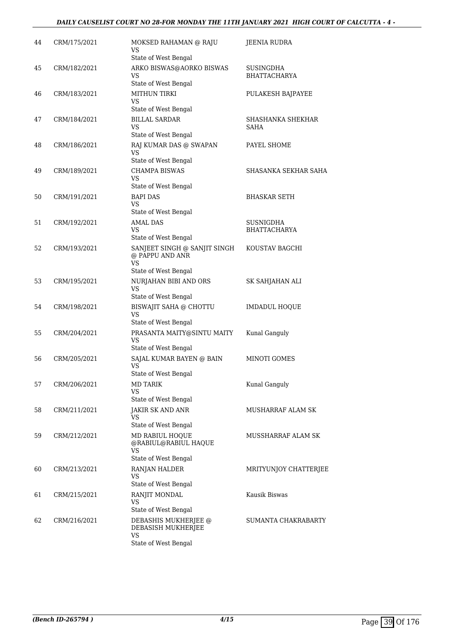| 44 | CRM/175/2021 | MOKSED RAHAMAN @ RAJU<br>VS<br>State of West Bengal                                  | <b>JEENIA RUDRA</b>              |
|----|--------------|--------------------------------------------------------------------------------------|----------------------------------|
| 45 | CRM/182/2021 | ARKO BISWAS@AORKO BISWAS<br><b>VS</b><br>State of West Bengal                        | SUSINGDHA<br><b>BHATTACHARYA</b> |
| 46 | CRM/183/2021 | <b>MITHUN TIRKI</b><br>VS<br>State of West Bengal                                    | PULAKESH BAJPAYEE                |
| 47 | CRM/184/2021 | <b>BILLAL SARDAR</b><br><b>VS</b><br>State of West Bengal                            | SHASHANKA SHEKHAR<br>SAHA        |
| 48 | CRM/186/2021 | RAJ KUMAR DAS @ SWAPAN<br>VS<br>State of West Bengal                                 | PAYEL SHOME                      |
| 49 | CRM/189/2021 | CHAMPA BISWAS<br><b>VS</b><br>State of West Bengal                                   | SHASANKA SEKHAR SAHA             |
| 50 | CRM/191/2021 | <b>BAPI DAS</b><br>VS<br>State of West Bengal                                        | <b>BHASKAR SETH</b>              |
| 51 | CRM/192/2021 | <b>AMAL DAS</b>                                                                      | <b>SUSNIGDHA</b>                 |
|    |              | <b>VS</b><br>State of West Bengal                                                    | <b>BHATTACHARYA</b>              |
| 52 | CRM/193/2021 | SANJEET SINGH @ SANJIT SINGH<br>@ PAPPU AND ANR<br><b>VS</b><br>State of West Bengal | KOUSTAV BAGCHI                   |
| 53 | CRM/195/2021 | NURJAHAN BIBI AND ORS<br>VS<br>State of West Bengal                                  | SK SAHJAHAN ALI                  |
| 54 | CRM/198/2021 | <b>BISWAJIT SAHA @ CHOTTU</b><br><b>VS</b><br>State of West Bengal                   | <b>IMDADUL HOQUE</b>             |
| 55 | CRM/204/2021 | PRASANTA MAITY@SINTU MAITY<br><b>VS</b><br>State of West Bengal                      | Kunal Ganguly                    |
| 56 | CRM/205/2021 | SAJAL KUMAR BAYEN @ BAIN<br><b>VS</b><br>State of West Bengal                        | MINOTI GOMES                     |
| 57 | CRM/206/2021 | <b>MD TARIK</b><br>VS<br>State of West Bengal                                        | Kunal Ganguly                    |
| 58 | CRM/211/2021 | <b>JAKIR SK AND ANR</b><br>VS<br>State of West Bengal                                | MUSHARRAF ALAM SK                |
| 59 | CRM/212/2021 | MD RABIUL HOQUE<br>@RABIUL@RABIUL HAQUE<br>VS                                        | MUSSHARRAF ALAM SK               |
|    |              | State of West Bengal                                                                 |                                  |
| 60 | CRM/213/2021 | RANJAN HALDER<br>VS<br>State of West Bengal                                          | MRITYUNJOY CHATTERJEE            |
| 61 | CRM/215/2021 | RANJIT MONDAL<br><b>VS</b><br>State of West Bengal                                   | Kausik Biswas                    |
| 62 | CRM/216/2021 | DEBASHIS MUKHERJEE @<br>DEBASISH MUKHERJEE<br>VS<br>State of West Bengal             | SUMANTA CHAKRABARTY              |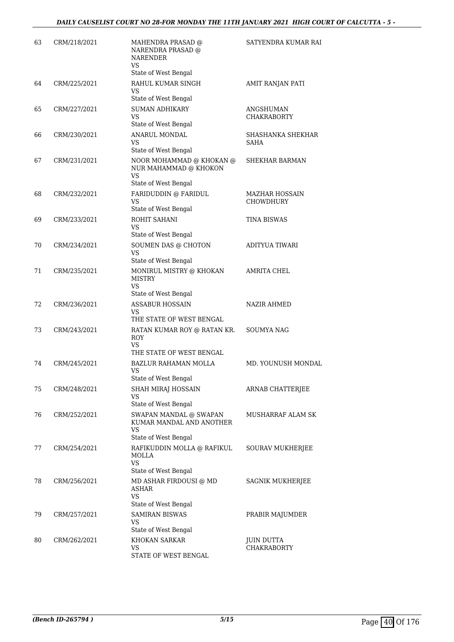| 63 | CRM/218/2021 | MAHENDRA PRASAD @<br>NARENDRA PRASAD @<br><b>NARENDER</b><br>VS<br>State of West Bengal | SATYENDRA KUMAR RAI                |
|----|--------------|-----------------------------------------------------------------------------------------|------------------------------------|
| 64 | CRM/225/2021 | RAHUL KUMAR SINGH<br>VS                                                                 | AMIT RANJAN PATI                   |
| 65 | CRM/227/2021 | State of West Bengal<br><b>SUMAN ADHIKARY</b><br><b>VS</b><br>State of West Bengal      | ANGSHUMAN<br><b>CHAKRABORTY</b>    |
| 66 | CRM/230/2021 | ANARUL MONDAL<br>VS                                                                     | SHASHANKA SHEKHAR<br><b>SAHA</b>   |
| 67 | CRM/231/2021 | State of West Bengal<br>NOOR MOHAMMAD @ KHOKAN @<br>NUR MAHAMMAD @ KHOKON<br><b>VS</b>  | SHEKHAR BARMAN                     |
|    |              | State of West Bengal                                                                    |                                    |
| 68 | CRM/232/2021 | FARIDUDDIN @ FARIDUL<br>VS<br>State of West Bengal                                      | MAZHAR HOSSAIN<br><b>CHOWDHURY</b> |
| 69 | CRM/233/2021 | ROHIT SAHANI<br><b>VS</b><br>State of West Bengal                                       | <b>TINA BISWAS</b>                 |
| 70 | CRM/234/2021 | SOUMEN DAS @ CHOTON<br><b>VS</b>                                                        | ADITYUA TIWARI                     |
| 71 | CRM/235/2021 | State of West Bengal<br>MONIRUL MISTRY @ KHOKAN<br><b>MISTRY</b><br>VS                  | <b>AMRITA CHEL</b>                 |
| 72 | CRM/236/2021 | State of West Bengal<br><b>ASSABUR HOSSAIN</b><br>VS<br>THE STATE OF WEST BENGAL        | <b>NAZIR AHMED</b>                 |
| 73 | CRM/243/2021 | RATAN KUMAR ROY @ RATAN KR.<br><b>ROY</b><br>VS.<br>THE STATE OF WEST BENGAL            | <b>SOUMYA NAG</b>                  |
| 74 | CRM/245/2021 | <b>BAZLUR RAHAMAN MOLLA</b><br>VS<br>State of West Bengal                               | MD. YOUNUSH MONDAL                 |
| 75 | CRM/248/2021 | <b>SHAH MIRAJ HOSSAIN</b><br>VS<br>State of West Bengal                                 | ARNAB CHATTERJEE                   |
| 76 | CRM/252/2021 | SWAPAN MANDAL @ SWAPAN<br>KUMAR MANDAL AND ANOTHER<br><b>VS</b>                         | MUSHARRAF ALAM SK                  |
| 77 | CRM/254/2021 | State of West Bengal<br>RAFIKUDDIN MOLLA @ RAFIKUL<br><b>MOLLA</b><br>VS                | SOURAV MUKHERJEE                   |
|    |              | State of West Bengal                                                                    |                                    |
| 78 | CRM/256/2021 | MD ASHAR FIRDOUSI @ MD<br><b>ASHAR</b><br><b>VS</b>                                     | SAGNIK MUKHERJEE                   |
| 79 | CRM/257/2021 | State of West Bengal<br><b>SAMIRAN BISWAS</b><br>VS                                     | PRABIR MAJUMDER                    |
| 80 | CRM/262/2021 | State of West Bengal<br>KHOKAN SARKAR<br>VS.<br>STATE OF WEST BENGAL                    | JUIN DUTTA<br><b>CHAKRABORTY</b>   |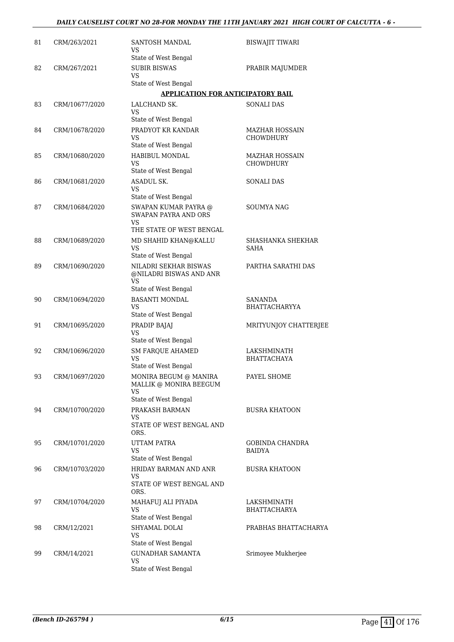| 81 | CRM/263/2021   | SANTOSH MANDAL<br>VS.<br>State of West Bengal                                                | <b>BISWAJIT TIWARI</b>                    |
|----|----------------|----------------------------------------------------------------------------------------------|-------------------------------------------|
| 82 | CRM/267/2021   | <b>SUBIR BISWAS</b><br>VS                                                                    | PRABIR MAJUMDER                           |
|    |                | State of West Bengal<br><b>APPLICATION FOR ANTICIPATORY BAIL</b>                             |                                           |
| 83 | CRM/10677/2020 | LALCHAND SK.                                                                                 | <b>SONALI DAS</b>                         |
|    |                | <b>VS</b><br>State of West Bengal                                                            |                                           |
| 84 | CRM/10678/2020 | PRADYOT KR KANDAR<br>VS<br>State of West Bengal                                              | <b>MAZHAR HOSSAIN</b><br><b>CHOWDHURY</b> |
| 85 | CRM/10680/2020 | HABIBUL MONDAL<br><b>VS</b><br>State of West Bengal                                          | MAZHAR HOSSAIN<br><b>CHOWDHURY</b>        |
| 86 | CRM/10681/2020 | ASADUL SK.<br><b>VS</b><br>State of West Bengal                                              | <b>SONALI DAS</b>                         |
| 87 | CRM/10684/2020 | SWAPAN KUMAR PAYRA @<br><b>SWAPAN PAYRA AND ORS</b><br><b>VS</b><br>THE STATE OF WEST BENGAL | <b>SOUMYA NAG</b>                         |
| 88 | CRM/10689/2020 | MD SHAHID KHAN@KALLU<br><b>VS</b><br>State of West Bengal                                    | SHASHANKA SHEKHAR<br>SAHA                 |
| 89 | CRM/10690/2020 | NILADRI SEKHAR BISWAS<br>@NILADRI BISWAS AND ANR<br><b>VS</b><br>State of West Bengal        | PARTHA SARATHI DAS                        |
| 90 | CRM/10694/2020 | <b>BASANTI MONDAL</b><br>VS<br>State of West Bengal                                          | SANANDA<br><b>BHATTACHARYYA</b>           |
| 91 | CRM/10695/2020 | PRADIP BAJAJ<br><b>VS</b><br>State of West Bengal                                            | MRITYUNJOY CHATTERJEE                     |
| 92 | CRM/10696/2020 | <b>SM FARQUE AHAMED</b><br><b>VS</b><br>State of West Bengal                                 | LAKSHMINATH<br><b>BHATTACHAYA</b>         |
| 93 | CRM/10697/2020 | MONIRA BEGUM @ MANIRA<br>MALLIK @ MONIRA BEEGUM<br><b>VS</b>                                 | PAYEL SHOME                               |
| 94 | CRM/10700/2020 | State of West Bengal<br>PRAKASH BARMAN<br>VS<br>STATE OF WEST BENGAL AND                     | <b>BUSRA KHATOON</b>                      |
| 95 | CRM/10701/2020 | ORS.<br>UTTAM PATRA<br>VS                                                                    | GOBINDA CHANDRA<br><b>BAIDYA</b>          |
| 96 | CRM/10703/2020 | State of West Bengal<br>HRIDAY BARMAN AND ANR<br>VS<br>STATE OF WEST BENGAL AND              | <b>BUSRA KHATOON</b>                      |
| 97 | CRM/10704/2020 | ORS.<br>MAHAFUJ ALI PIYADA<br><b>VS</b><br>State of West Bengal                              | LAKSHMINATH<br><b>BHATTACHARYA</b>        |
| 98 | CRM/12/2021    | SHYAMAL DOLAI<br>VS<br>State of West Bengal                                                  | PRABHAS BHATTACHARYA                      |
| 99 | CRM/14/2021    | <b>GUNADHAR SAMANTA</b><br><b>VS</b><br>State of West Bengal                                 | Srimoyee Mukherjee                        |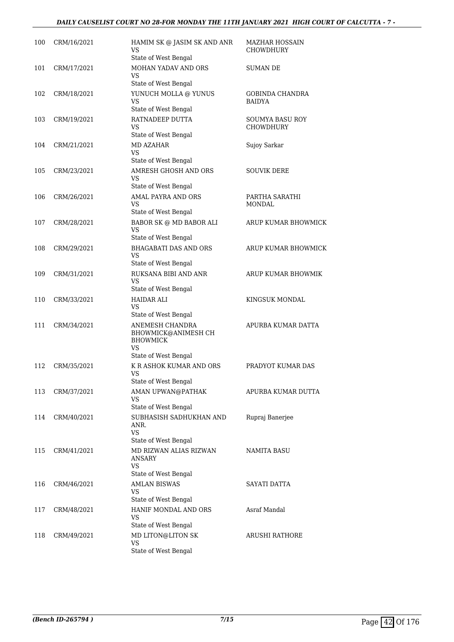### *DAILY CAUSELIST COURT NO 28-FOR MONDAY THE 11TH JANUARY 2021 HIGH COURT OF CALCUTTA - 7 -*

| 100 | CRM/16/2021 | HAMIM SK @ JASIM SK AND ANR<br>VS.<br>State of West Bengal                                           | MAZHAR HOSSAIN<br><b>CHOWDHURY</b>      |
|-----|-------------|------------------------------------------------------------------------------------------------------|-----------------------------------------|
| 101 | CRM/17/2021 | MOHAN YADAV AND ORS<br>VS                                                                            | SUMAN DE                                |
| 102 | CRM/18/2021 | State of West Bengal<br>YUNUCH MOLLA @ YUNUS<br><b>VS</b>                                            | <b>GOBINDA CHANDRA</b><br><b>BAIDYA</b> |
| 103 | CRM/19/2021 | State of West Bengal<br>RATNADEEP DUTTA<br>VS<br>State of West Bengal                                | SOUMYA BASU ROY<br><b>CHOWDHURY</b>     |
| 104 | CRM/21/2021 | <b>MD AZAHAR</b><br><b>VS</b>                                                                        | Sujoy Sarkar                            |
| 105 | CRM/23/2021 | State of West Bengal<br>AMRESH GHOSH AND ORS<br><b>VS</b><br>State of West Bengal                    | <b>SOUVIK DERE</b>                      |
| 106 | CRM/26/2021 | <b>AMAL PAYRA AND ORS</b><br><b>VS</b><br>State of West Bengal                                       | PARTHA SARATHI<br><b>MONDAL</b>         |
| 107 | CRM/28/2021 | BABOR SK @ MD BABOR ALI<br><b>VS</b>                                                                 | ARUP KUMAR BHOWMICK                     |
| 108 | CRM/29/2021 | State of West Bengal<br><b>BHAGABATI DAS AND ORS</b><br>VS<br>State of West Bengal                   | ARUP KUMAR BHOWMICK                     |
| 109 | CRM/31/2021 | RUKSANA BIBI AND ANR<br>VS<br>State of West Bengal                                                   | ARUP KUMAR BHOWMIK                      |
| 110 | CRM/33/2021 | <b>HAIDAR ALI</b><br>VS.<br>State of West Bengal                                                     | KINGSUK MONDAL                          |
| 111 | CRM/34/2021 | ANEMESH CHANDRA<br>BHOWMICK@ANIMESH CH<br><b>BHOWMICK</b><br>VS.<br>State of West Bengal             | APURBA KUMAR DATTA                      |
| 112 | CRM/35/2021 | K R ASHOK KUMAR AND ORS<br>VS<br>State of West Bengal                                                | PRADYOT KUMAR DAS                       |
| 113 | CRM/37/2021 | AMAN UPWAN@PATHAK<br>VS<br>State of West Bengal                                                      | APURBA KUMAR DUTTA                      |
| 114 | CRM/40/2021 | SUBHASISH SADHUKHAN AND<br>ANR.<br><b>VS</b>                                                         | Rupraj Banerjee                         |
| 115 | CRM/41/2021 | State of West Bengal<br>MD RIZWAN ALIAS RIZWAN<br><b>ANSARY</b><br><b>VS</b><br>State of West Bengal | NAMITA BASU                             |
| 116 | CRM/46/2021 | <b>AMLAN BISWAS</b><br>VS<br>State of West Bengal                                                    | SAYATI DATTA                            |
| 117 | CRM/48/2021 | HANIF MONDAL AND ORS<br>VS<br>State of West Bengal                                                   | Asraf Mandal                            |
| 118 | CRM/49/2021 | MD LITON@LITON SK<br><b>VS</b><br>State of West Bengal                                               | <b>ARUSHI RATHORE</b>                   |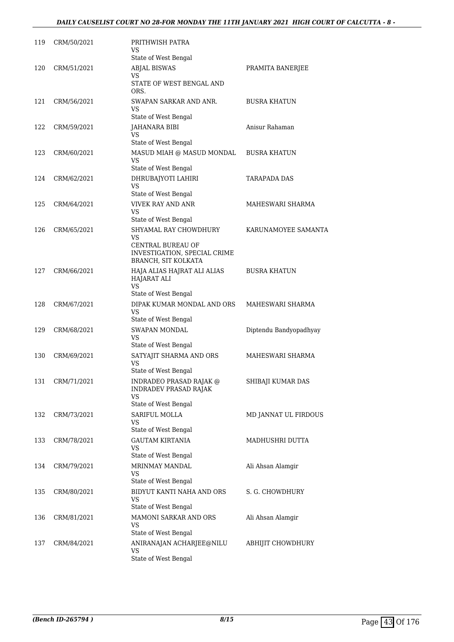| 119 | CRM/50/2021 | PRITHWISH PATRA<br>VS<br>State of West Bengal                                                           |                        |
|-----|-------------|---------------------------------------------------------------------------------------------------------|------------------------|
| 120 | CRM/51/2021 | <b>ABJAL BISWAS</b><br>VS<br>STATE OF WEST BENGAL AND                                                   | PRAMITA BANERJEE       |
| 121 | CRM/56/2021 | ORS.<br>SWAPAN SARKAR AND ANR.<br>VS                                                                    | <b>BUSRA KHATUN</b>    |
| 122 | CRM/59/2021 | State of West Bengal<br><b>JAHANARA BIBI</b><br>VS                                                      | Anisur Rahaman         |
| 123 | CRM/60/2021 | State of West Bengal<br>MASUD MIAH @ MASUD MONDAL<br>VS<br>State of West Bengal                         | <b>BUSRA KHATUN</b>    |
| 124 | CRM/62/2021 | DHRUBAJYOTI LAHIRI<br><b>VS</b><br>State of West Bengal                                                 | TARAPADA DAS           |
| 125 | CRM/64/2021 | <b>VIVEK RAY AND ANR</b><br>VS<br>State of West Bengal                                                  | MAHESWARI SHARMA       |
| 126 | CRM/65/2021 | SHYAMAL RAY CHOWDHURY<br>VS<br>CENTRAL BUREAU OF<br>INVESTIGATION, SPECIAL CRIME<br>BRANCH, SIT KOLKATA | KARUNAMOYEE SAMANTA    |
| 127 | CRM/66/2021 | HAJA ALIAS HAJRAT ALI ALIAS<br><b>HAJARAT ALI</b><br>VS                                                 | <b>BUSRA KHATUN</b>    |
| 128 | CRM/67/2021 | State of West Bengal<br>DIPAK KUMAR MONDAL AND ORS<br><b>VS</b><br>State of West Bengal                 | MAHESWARI SHARMA       |
| 129 | CRM/68/2021 | <b>SWAPAN MONDAL</b><br>VS<br>State of West Bengal                                                      | Diptendu Bandyopadhyay |
| 130 | CRM/69/2021 | SATYAJIT SHARMA AND ORS<br>VS<br>State of West Bengal                                                   | MAHESWARI SHARMA       |
| 131 | CRM/71/2021 | INDRADEO PRASAD RAJAK @<br><b>INDRADEV PRASAD RAJAK</b><br>VS<br>State of West Bengal                   | SHIBAJI KUMAR DAS      |
| 132 | CRM/73/2021 | SARIFUL MOLLA<br>VS<br>State of West Bengal                                                             | MD JANNAT UL FIRDOUS   |
| 133 | CRM/78/2021 | <b>GAUTAM KIRTANIA</b><br>VS<br>State of West Bengal                                                    | MADHUSHRI DUTTA        |
| 134 | CRM/79/2021 | <b>MRINMAY MANDAL</b><br>VS<br>State of West Bengal                                                     | Ali Ahsan Alamgir      |
| 135 | CRM/80/2021 | BIDYUT KANTI NAHA AND ORS<br>VS<br>State of West Bengal                                                 | S. G. CHOWDHURY        |
| 136 | CRM/81/2021 | MAMONI SARKAR AND ORS<br>VS<br>State of West Bengal                                                     | Ali Ahsan Alamgir      |
| 137 | CRM/84/2021 | ANIRANAJAN ACHARJEE@NILU<br>VS<br>State of West Bengal                                                  | ABHIJIT CHOWDHURY      |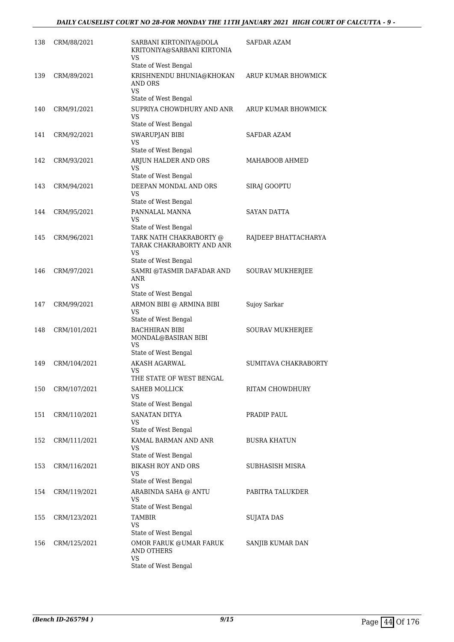| 138 | CRM/88/2021  | SARBANI KIRTONIYA@DOLA<br>KRITONIYA@SARBANI KIRTONIA<br>VS                         | SAFDAR AZAM          |
|-----|--------------|------------------------------------------------------------------------------------|----------------------|
|     |              | State of West Bengal                                                               |                      |
| 139 | CRM/89/2021  | KRISHNENDU BHUNIA@KHOKAN<br>AND ORS                                                | ARUP KUMAR BHOWMICK  |
|     |              | VS<br>State of West Bengal                                                         |                      |
| 140 | CRM/91/2021  | SUPRIYA CHOWDHURY AND ANR<br>VS<br>State of West Bengal                            | ARUP KUMAR BHOWMICK  |
| 141 | CRM/92/2021  | <b>SWARUPJAN BIBI</b><br>VS<br>State of West Bengal                                | SAFDAR AZAM          |
| 142 | CRM/93/2021  | ARJUN HALDER AND ORS<br>VS                                                         | MAHABOOB AHMED       |
|     |              | State of West Bengal                                                               |                      |
| 143 | CRM/94/2021  | DEEPAN MONDAL AND ORS<br>VS<br>State of West Bengal                                | SIRAJ GOOPTU         |
| 144 | CRM/95/2021  | PANNALAL MANNA<br>VS                                                               | <b>SAYAN DATTA</b>   |
| 145 | CRM/96/2021  | State of West Bengal<br>TARK NATH CHAKRABORTY @<br>TARAK CHAKRABORTY AND ANR<br>VS | RAJDEEP BHATTACHARYA |
|     |              | State of West Bengal                                                               |                      |
| 146 | CRM/97/2021  | SAMRI @TASMIR DAFADAR AND<br>ANR<br>VS                                             | SOURAV MUKHERJEE     |
|     |              | State of West Bengal                                                               |                      |
| 147 | CRM/99/2021  | ARMON BIBI @ ARMINA BIBI<br>VS                                                     | Sujoy Sarkar         |
| 148 | CRM/101/2021 | State of West Bengal<br><b>BACHHIRAN BIBI</b><br>MONDAL@BASIRAN BIBI<br>VS         | SOURAV MUKHERJEE     |
|     |              | State of West Bengal                                                               |                      |
| 149 | CRM/104/2021 | AKASH AGARWAL<br>VS<br>THE STATE OF WEST BENGAL                                    | SUMITAVA CHAKRABORTY |
| 150 | CRM/107/2021 | SAHEB MOLLICK<br>VS<br>State of West Bengal                                        | RITAM CHOWDHURY      |
| 151 | CRM/110/2021 | <b>SANATAN DITYA</b><br>VS<br>State of West Bengal                                 | PRADIP PAUL          |
| 152 | CRM/111/2021 | KAMAL BARMAN AND ANR<br>VS                                                         | <b>BUSRA KHATUN</b>  |
|     |              | State of West Bengal                                                               |                      |
| 153 | CRM/116/2021 | <b>BIKASH ROY AND ORS</b><br>VS<br>State of West Bengal                            | SUBHASISH MISRA      |
| 154 | CRM/119/2021 | ARABINDA SAHA @ ANTU<br>VS<br>State of West Bengal                                 | PABITRA TALUKDER     |
| 155 | CRM/123/2021 | <b>TAMBIR</b>                                                                      | <b>SUJATA DAS</b>    |
|     |              | VS                                                                                 |                      |
| 156 | CRM/125/2021 | State of West Bengal<br>OMOR FARUK @UMAR FARUK<br><b>AND OTHERS</b>                | SANJIB KUMAR DAN     |
|     |              | <b>VS</b><br>State of West Bengal                                                  |                      |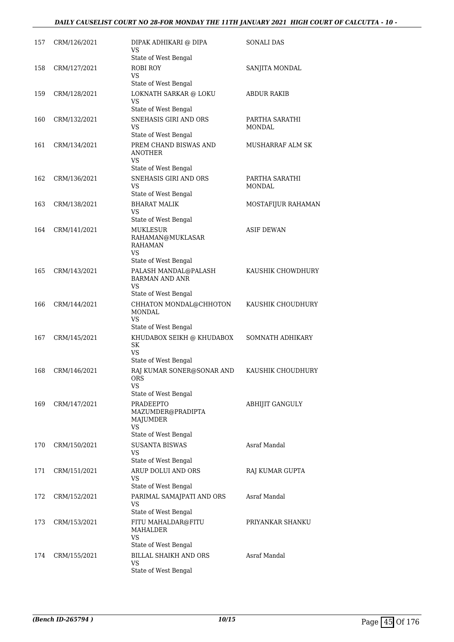### *DAILY CAUSELIST COURT NO 28-FOR MONDAY THE 11TH JANUARY 2021 HIGH COURT OF CALCUTTA - 10 -*

| 157 | CRM/126/2021 | DIPAK ADHIKARI @ DIPA<br>VS<br>State of West Bengal                                        | SONALI DAS                      |
|-----|--------------|--------------------------------------------------------------------------------------------|---------------------------------|
| 158 | CRM/127/2021 | ROBI ROY<br>VS.<br>State of West Bengal                                                    | SANJITA MONDAL                  |
| 159 | CRM/128/2021 | LOKNATH SARKAR @ LOKU<br>VS<br>State of West Bengal                                        | <b>ABDUR RAKIB</b>              |
| 160 | CRM/132/2021 | SNEHASIS GIRI AND ORS<br>VS<br>State of West Bengal                                        | PARTHA SARATHI<br><b>MONDAL</b> |
| 161 | CRM/134/2021 | PREM CHAND BISWAS AND<br>ANOTHER<br><b>VS</b>                                              | MUSHARRAF ALM SK                |
| 162 | CRM/136/2021 | State of West Bengal<br>SNEHASIS GIRI AND ORS<br>VS<br>State of West Bengal                | PARTHA SARATHI<br>MONDAL        |
| 163 | CRM/138/2021 | <b>BHARAT MALIK</b><br><b>VS</b><br>State of West Bengal                                   | MOSTAFIJUR RAHAMAN              |
| 164 | CRM/141/2021 | <b>MUKLESUR</b><br>RAHAMAN@MUKLASAR<br><b>RAHAMAN</b><br><b>VS</b><br>State of West Bengal | <b>ASIF DEWAN</b>               |
| 165 | CRM/143/2021 | PALASH MANDAL@PALASH<br><b>BARMAN AND ANR</b><br>VS<br>State of West Bengal                | KAUSHIK CHOWDHURY               |
| 166 | CRM/144/2021 | CHHATON MONDAL@CHHOTON<br>MONDAL<br><b>VS</b><br>State of West Bengal                      | KAUSHIK CHOUDHURY               |
| 167 | CRM/145/2021 | KHUDABOX SEIKH @ KHUDABOX<br>SK<br><b>VS</b><br>State of West Bengal                       | SOMNATH ADHIKARY                |
| 168 | CRM/146/2021 | RAJ KUMAR SONER@SONAR AND<br>ORS<br>VS                                                     | KAUSHIK CHOUDHURY               |
| 169 | CRM/147/2021 | State of West Bengal<br><b>PRADEEPTO</b><br>MAZUMDER@PRADIPTA<br>MAJUMDER<br>VS            | ABHIJIT GANGULY                 |
| 170 | CRM/150/2021 | State of West Bengal<br><b>SUSANTA BISWAS</b><br>VS<br>State of West Bengal                | Asraf Mandal                    |
| 171 | CRM/151/2021 | ARUP DOLUI AND ORS<br>VS<br>State of West Bengal                                           | RAJ KUMAR GUPTA                 |
| 172 | CRM/152/2021 | PARIMAL SAMAJPATI AND ORS<br>VS<br>State of West Bengal                                    | Asraf Mandal                    |
| 173 | CRM/153/2021 | FITU MAHALDAR@FITU<br>MAHALDER<br>VS                                                       | PRIYANKAR SHANKU                |
| 174 | CRM/155/2021 | State of West Bengal<br>BILLAL SHAIKH AND ORS<br>VS<br>State of West Bengal                | Asraf Mandal                    |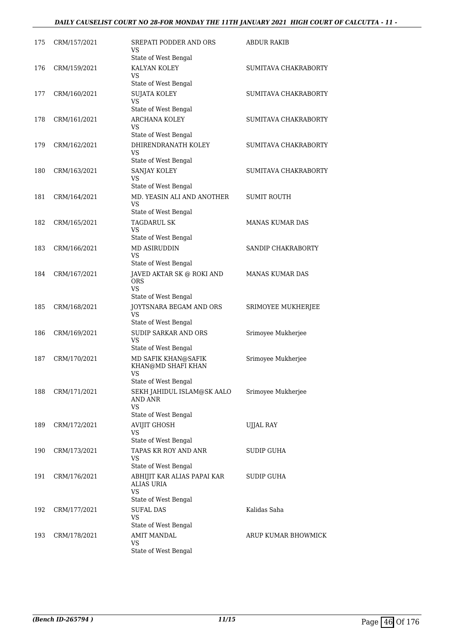### *DAILY CAUSELIST COURT NO 28-FOR MONDAY THE 11TH JANUARY 2021 HIGH COURT OF CALCUTTA - 11 -*

| 175 | CRM/157/2021 | SREPATI PODDER AND ORS<br>VS<br>State of West Bengal                               | <b>ABDUR RAKIB</b>     |
|-----|--------------|------------------------------------------------------------------------------------|------------------------|
| 176 | CRM/159/2021 | KALYAN KOLEY<br>VS<br>State of West Bengal                                         | SUMITAVA CHAKRABORTY   |
| 177 | CRM/160/2021 | <b>SUJATA KOLEY</b><br>VS<br>State of West Bengal                                  | SUMITAVA CHAKRABORTY   |
| 178 | CRM/161/2021 | ARCHANA KOLEY<br>VS<br>State of West Bengal                                        | SUMITAVA CHAKRABORTY   |
| 179 | CRM/162/2021 | DHIRENDRANATH KOLEY<br>VS<br>State of West Bengal                                  | SUMITAVA CHAKRABORTY   |
| 180 | CRM/163/2021 | SANJAY KOLEY<br>VS.<br>State of West Bengal                                        | SUMITAVA CHAKRABORTY   |
| 181 | CRM/164/2021 | MD. YEASIN ALI AND ANOTHER<br>VS.<br>State of West Bengal                          | <b>SUMIT ROUTH</b>     |
| 182 | CRM/165/2021 | <b>TAGDARUL SK</b><br>VS.<br>State of West Bengal                                  | <b>MANAS KUMAR DAS</b> |
| 183 | CRM/166/2021 | <b>MD ASIRUDDIN</b><br>VS.<br>State of West Bengal                                 | SANDIP CHAKRABORTY     |
| 184 | CRM/167/2021 | JAVED AKTAR SK @ ROKI AND<br><b>ORS</b><br>VS.<br>State of West Bengal             | <b>MANAS KUMAR DAS</b> |
| 185 | CRM/168/2021 | JOYTSNARA BEGAM AND ORS<br>VS                                                      | SRIMOYEE MUKHERJEE     |
| 186 | CRM/169/2021 | State of West Bengal<br><b>SUDIP SARKAR AND ORS</b><br>VS.<br>State of West Bengal | Srimoyee Mukherjee     |
| 187 | CRM/170/2021 | MD SAFIK KHAN@SAFIK<br>KHAN@MD SHAFI KHAN<br><b>VS</b><br>State of West Bengal     | Srimoyee Mukherjee     |
| 188 | CRM/171/2021 | SEKH JAHIDUL ISLAM@SK AALO<br>AND ANR<br>VS<br>State of West Bengal                | Srimoyee Mukherjee     |
| 189 | CRM/172/2021 | <b>AVIJIT GHOSH</b><br>VS<br>State of West Bengal                                  | <b>UJJAL RAY</b>       |
| 190 | CRM/173/2021 | TAPAS KR ROY AND ANR<br>VS<br>State of West Bengal                                 | SUDIP GUHA             |
| 191 | CRM/176/2021 | ABHIJIT KAR ALIAS PAPAI KAR<br>ALIAS URIA<br>VS.<br>State of West Bengal           | SUDIP GUHA             |
| 192 | CRM/177/2021 | <b>SUFAL DAS</b><br><b>VS</b><br>State of West Bengal                              | Kalidas Saha           |
| 193 | CRM/178/2021 | <b>AMIT MANDAL</b><br>VS<br>State of West Bengal                                   | ARUP KUMAR BHOWMICK    |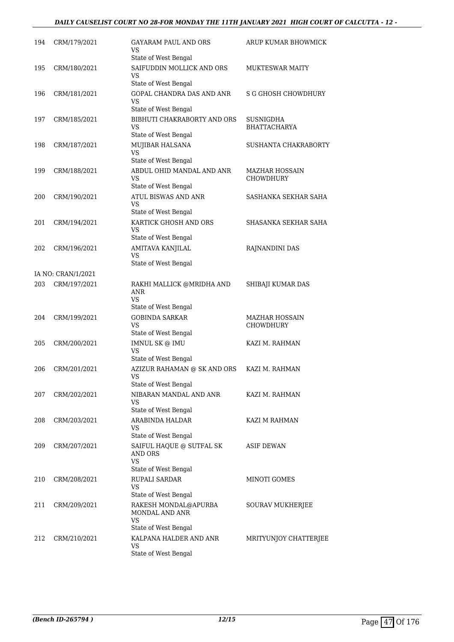### *DAILY CAUSELIST COURT NO 28-FOR MONDAY THE 11TH JANUARY 2021 HIGH COURT OF CALCUTTA - 12 -*

| 194 | CRM/179/2021       | GAYARAM PAUL AND ORS<br>VS<br>State of West Bengal                              | ARUP KUMAR BHOWMICK                |
|-----|--------------------|---------------------------------------------------------------------------------|------------------------------------|
| 195 | CRM/180/2021       | SAIFUDDIN MOLLICK AND ORS<br>VS<br>State of West Bengal                         | <b>MUKTESWAR MAITY</b>             |
| 196 | CRM/181/2021       | GOPAL CHANDRA DAS AND ANR<br>VS<br>State of West Bengal                         | <b>S G GHOSH CHOWDHURY</b>         |
| 197 | CRM/185/2021       | BIBHUTI CHAKRABORTY AND ORS<br>VS<br>State of West Bengal                       | <b>SUSNIGDHA</b><br>BHATTACHARYA   |
| 198 | CRM/187/2021       | MUJIBAR HALSANA<br>VS<br>State of West Bengal                                   | SUSHANTA CHAKRABORTY               |
| 199 | CRM/188/2021       | ABDUL OHID MANDAL AND ANR<br>VS<br>State of West Bengal                         | MAZHAR HOSSAIN<br>CHOWDHURY        |
| 200 | CRM/190/2021       | <b>ATUL BISWAS AND ANR</b><br>VS<br>State of West Bengal                        | SASHANKA SEKHAR SAHA               |
| 201 | CRM/194/2021       | KARTICK GHOSH AND ORS<br>VS<br>State of West Bengal                             | SHASANKA SEKHAR SAHA               |
| 202 | CRM/196/2021       | AMITAVA KANJILAL<br>VS<br>State of West Bengal                                  | RAJNANDINI DAS                     |
|     | IA NO: CRAN/1/2021 |                                                                                 |                                    |
| 203 | CRM/197/2021       | RAKHI MALLICK @MRIDHA AND<br>ANR<br>VS<br>State of West Bengal                  | SHIBAJI KUMAR DAS                  |
| 204 | CRM/199/2021       | <b>GOBINDA SARKAR</b><br>VS<br>State of West Bengal                             | <b>MAZHAR HOSSAIN</b><br>CHOWDHURY |
| 205 | CRM/200/2021       | IMNUL SK @ IMU<br>VS<br>State of West Bengal                                    | KAZI M. RAHMAN                     |
| 206 | CRM/201/2021       | AZIZUR RAHAMAN @ SK AND ORS<br>VS<br>State of West Bengal                       | KAZI M. RAHMAN                     |
| 207 | CRM/202/2021       | NIBARAN MANDAL AND ANR<br>VS<br>State of West Bengal                            | KAZI M. RAHMAN                     |
| 208 | CRM/203/2021       | ARABINDA HALDAR<br>VS<br>State of West Bengal                                   | KAZI M RAHMAN                      |
| 209 | CRM/207/2021       | SAIFUL HAQUE @ SUTFAL SK<br><b>AND ORS</b><br><b>VS</b><br>State of West Bengal | <b>ASIF DEWAN</b>                  |
| 210 | CRM/208/2021       | <b>RUPALI SARDAR</b><br>VS<br>State of West Bengal                              | MINOTI GOMES                       |
| 211 | CRM/209/2021       | RAKESH MONDAL@APURBA<br>MONDAL AND ANR<br>VS<br>State of West Bengal            | SOURAV MUKHERJEE                   |
| 212 | CRM/210/2021       | KALPANA HALDER AND ANR<br>VS<br>State of West Bengal                            | MRITYUNJOY CHATTERJEE              |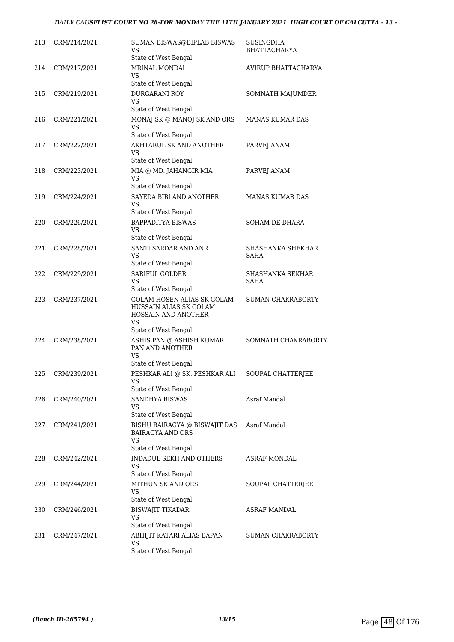### *DAILY CAUSELIST COURT NO 28-FOR MONDAY THE 11TH JANUARY 2021 HIGH COURT OF CALCUTTA - 13 -*

| 213 | CRM/214/2021 | SUMAN BISWAS@BIPLAB BISWAS<br>VS<br>State of West Bengal                                                         | SUSINGDHA<br><b>BHATTACHARYA</b> |
|-----|--------------|------------------------------------------------------------------------------------------------------------------|----------------------------------|
| 214 | CRM/217/2021 | MRINAL MONDAL<br>VS                                                                                              | AVIRUP BHATTACHARYA              |
| 215 | CRM/219/2021 | State of West Bengal<br><b>DURGARANI ROY</b><br>VS<br>State of West Bengal                                       | SOMNATH MAJUMDER                 |
| 216 | CRM/221/2021 | MONAJ SK @ MANOJ SK AND ORS<br>VS<br>State of West Bengal                                                        | <b>MANAS KUMAR DAS</b>           |
| 217 | CRM/222/2021 | AKHTARUL SK AND ANOTHER<br>VS<br>State of West Bengal                                                            | PARVEJ ANAM                      |
| 218 | CRM/223/2021 | MIA @ MD. JAHANGIR MIA<br>VS<br>State of West Bengal                                                             | PARVEJ ANAM                      |
| 219 | CRM/224/2021 | SAYEDA BIBI AND ANOTHER<br>VS<br>State of West Bengal                                                            | <b>MANAS KUMAR DAS</b>           |
| 220 | CRM/226/2021 | <b>BAPPADITYA BISWAS</b><br>VS<br>State of West Bengal                                                           | SOHAM DE DHARA                   |
| 221 | CRM/228/2021 | SANTI SARDAR AND ANR<br>VS<br>State of West Bengal                                                               | SHASHANKA SHEKHAR<br>SAHA        |
| 222 | CRM/229/2021 | SARIFUL GOLDER<br>VS<br>State of West Bengal                                                                     | SHASHANKA SEKHAR<br><b>SAHA</b>  |
| 223 | CRM/237/2021 | <b>GOLAM HOSEN ALIAS SK GOLAM</b><br>HUSSAIN ALIAS SK GOLAM<br>HOSSAIN AND ANOTHER<br>VS<br>State of West Bengal | <b>SUMAN CHAKRABORTY</b>         |
| 224 | CRM/238/2021 | ASHIS PAN @ ASHISH KUMAR<br>PAN AND ANOTHER<br>VS<br>State of West Bengal                                        | SOMNATH CHAKRABORTY              |
| 225 | CRM/239/2021 | PESHKAR ALI @ SK. PESHKAR ALI<br><b>VS</b><br>State of West Bengal                                               | SOUPAL CHATTERJEE                |
| 226 | CRM/240/2021 | SANDHYA BISWAS<br>VS<br>State of West Bengal                                                                     | Asraf Mandal                     |
| 227 | CRM/241/2021 | BISHU BAIRAGYA @ BISWAJIT DAS<br><b>BAIRAGYA AND ORS</b><br>VS<br>State of West Bengal                           | Asraf Mandal                     |
| 228 | CRM/242/2021 | <b>INDADUL SEKH AND OTHERS</b><br>VS<br>State of West Bengal                                                     | <b>ASRAF MONDAL</b>              |
| 229 | CRM/244/2021 | MITHUN SK AND ORS<br><b>VS</b><br>State of West Bengal                                                           | SOUPAL CHATTERJEE                |
| 230 | CRM/246/2021 | <b>BISWAJIT TIKADAR</b><br><b>VS</b><br>State of West Bengal                                                     | <b>ASRAF MANDAL</b>              |
| 231 | CRM/247/2021 | ABHIJIT KATARI ALIAS BAPAN<br>VS<br>State of West Bengal                                                         | SUMAN CHAKRABORTY                |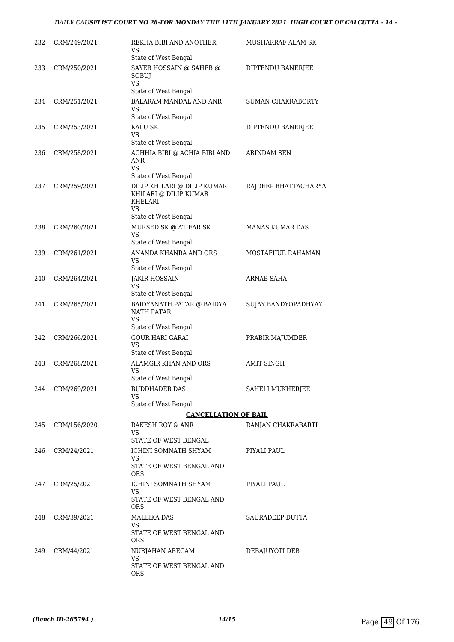| 232 | CRM/249/2021 | REKHA BIBI AND ANOTHER<br>VS<br>State of West Bengal                                          | <b>MUSHARRAF ALAM SK</b> |
|-----|--------------|-----------------------------------------------------------------------------------------------|--------------------------|
| 233 | CRM/250/2021 | SAYEB HOSSAIN @ SAHEB @<br>SOBUJ<br><b>VS</b>                                                 | DIPTENDU BANERJEE        |
| 234 | CRM/251/2021 | State of West Bengal<br>BALARAM MANDAL AND ANR<br>VS                                          | <b>SUMAN CHAKRABORTY</b> |
| 235 | CRM/253/2021 | State of West Bengal<br><b>KALU SK</b>                                                        | DIPTENDU BANERJEE        |
|     |              | VS                                                                                            |                          |
|     |              | State of West Bengal                                                                          |                          |
| 236 | CRM/258/2021 | ACHHIA BIBI @ ACHIA BIBI AND<br>ANR<br>VS                                                     | ARINDAM SEN              |
|     |              | State of West Bengal                                                                          |                          |
| 237 | CRM/259/2021 | DILIP KHILARI @ DILIP KUMAR<br>KHILARI @ DILIP KUMAR<br>KHELARI<br>VS<br>State of West Bengal | RAJDEEP BHATTACHARYA     |
| 238 | CRM/260/2021 | MURSED SK @ ATIFAR SK                                                                         | <b>MANAS KUMAR DAS</b>   |
|     |              | VS                                                                                            |                          |
| 239 | CRM/261/2021 | State of West Bengal<br>ANANDA KHANRA AND ORS                                                 |                          |
|     |              | VS                                                                                            | MOSTAFIJUR RAHAMAN       |
|     |              | State of West Bengal                                                                          |                          |
| 240 | CRM/264/2021 | <b>JAKIR HOSSAIN</b><br>VS<br>State of West Bengal                                            | ARNAB SAHA               |
| 241 | CRM/265/2021 | BAIDYANATH PATAR @ BAIDYA<br><b>NATH PATAR</b><br>VS                                          | SUJAY BANDYOPADHYAY      |
|     |              | State of West Bengal                                                                          |                          |
| 242 | CRM/266/2021 | <b>GOUR HARI GARAI</b><br><b>VS</b>                                                           | PRABIR MAJUMDER          |
| 243 | CRM/268/2021 | State of West Bengal<br>ALAMGIR KHAN AND ORS                                                  | <b>AMIT SINGH</b>        |
|     |              | VS<br>State of West Bengal                                                                    |                          |
| 244 | CRM/269/2021 | <b>BUDDHADEB DAS</b>                                                                          | SAHELI MUKHERJEE         |
|     |              | VS                                                                                            |                          |
|     |              | State of West Bengal                                                                          |                          |
|     |              | <b>CANCELLATION OF BAIL</b>                                                                   |                          |
| 245 | CRM/156/2020 | RAKESH ROY & ANR<br>VS.                                                                       | RANJAN CHAKRABARTI       |
|     |              | STATE OF WEST BENGAL                                                                          |                          |
| 246 | CRM/24/2021  | ICHINI SOMNATH SHYAM                                                                          | PIYALI PAUL              |
|     |              | VS<br>STATE OF WEST BENGAL AND<br>ORS.                                                        |                          |
| 247 | CRM/25/2021  | ICHINI SOMNATH SHYAM                                                                          | PIYALI PAUL              |
|     |              | VS<br>STATE OF WEST BENGAL AND<br>ORS.                                                        |                          |
| 248 | CRM/39/2021  | <b>MALLIKA DAS</b>                                                                            | SAURADEEP DUTTA          |
|     |              | VS<br>STATE OF WEST BENGAL AND<br>ORS.                                                        |                          |
| 249 | CRM/44/2021  | NURJAHAN ABEGAM                                                                               | DEBAJUYOTI DEB           |
|     |              | VS<br>STATE OF WEST BENGAL AND<br>ORS.                                                        |                          |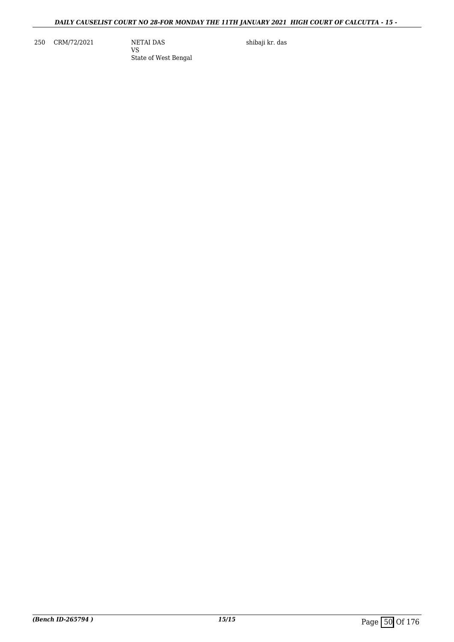250 CRM/72/2021 NETAI DAS

VS State of West Bengal shibaji kr. das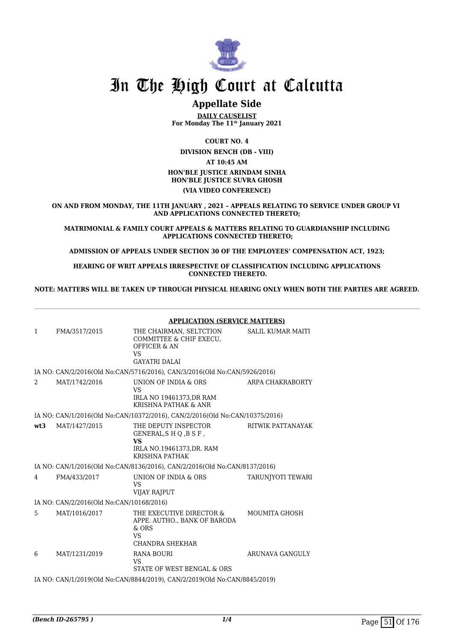

## **Appellate Side**

**DAILY CAUSELIST For Monday The 11th January 2021**

**COURT NO. 4**

**DIVISION BENCH (DB - VIII)**

**AT 10:45 AM**

#### **HON'BLE JUSTICE ARINDAM SINHA HON'BLE JUSTICE SUVRA GHOSH**

#### **(VIA VIDEO CONFERENCE)**

**ON AND FROM MONDAY, THE 11TH JANUARY , 2021 – APPEALS RELATING TO SERVICE UNDER GROUP VI AND APPLICATIONS CONNECTED THERETO;**

**MATRIMONIAL & FAMILY COURT APPEALS & MATTERS RELATING TO GUARDIANSHIP INCLUDING APPLICATIONS CONNECTED THERETO;**

**ADMISSION OF APPEALS UNDER SECTION 30 OF THE EMPLOYEES' COMPENSATION ACT, 1923;**

**HEARING OF WRIT APPEALS IRRESPECTIVE OF CLASSIFICATION INCLUDING APPLICATIONS CONNECTED THERETO.**

**NOTE: MATTERS WILL BE TAKEN UP THROUGH PHYSICAL HEARING ONLY WHEN BOTH THE PARTIES ARE AGREED.**

|     |                                          | <b>APPLICATION (SERVICE MATTERS)</b>                                                                        |                          |  |
|-----|------------------------------------------|-------------------------------------------------------------------------------------------------------------|--------------------------|--|
| 1   | FMA/3517/2015                            | THE CHAIRMAN, SELTCTION<br>COMMITTEE & CHIF EXECU.<br><b>OFFICER &amp; AN</b><br>VS<br><b>GAYATRI DALAI</b> | <b>SALIL KUMAR MAITI</b> |  |
|     |                                          | IA NO: CAN/2/2016(Old No:CAN/5716/2016), CAN/3/2016(Old No:CAN/5926/2016)                                   |                          |  |
| 2   | MAT/1742/2016                            | UNION OF INDIA & ORS<br><b>VS</b><br>IRLA NO 19461373, DR RAM<br>KRISHNA PATHAK & ANR                       | ARPA CHAKRABORTY         |  |
|     |                                          | IA NO: CAN/1/2016(Old No:CAN/10372/2016), CAN/2/2016(Old No:CAN/10375/2016)                                 |                          |  |
| wt3 | MAT/1427/2015                            | THE DEPUTY INSPECTOR<br>GENERAL, SHQ, BSF,<br><b>VS</b><br>IRLA NO.19461373, DR. RAM<br>KRISHNA PATHAK      | RITWIK PATTANAYAK        |  |
|     |                                          | IA NO: CAN/1/2016(Old No:CAN/8136/2016), CAN/2/2016(Old No:CAN/8137/2016)                                   |                          |  |
| 4   | FMA/433/2017                             | UNION OF INDIA & ORS<br><b>VS</b><br><b>VIJAY RAJPUT</b>                                                    | TARUNIYOTI TEWARI        |  |
|     | IA NO: CAN/2/2016(Old No:CAN/10168/2016) |                                                                                                             |                          |  |
| 5   | MAT/1016/2017                            | THE EXECUTIVE DIRECTOR &<br>APPE. AUTHO., BANK OF BARODA<br>$&$ ORS<br><b>VS</b><br>CHANDRA SHEKHAR         | <b>MOUMITA GHOSH</b>     |  |
| 6   | MAT/1231/2019                            | RANA BOURI<br>VS<br>STATE OF WEST BENGAL & ORS                                                              | ARUNAVA GANGULY          |  |
|     |                                          | IA NO: CAN/1/2019(Old No:CAN/8844/2019), CAN/2/2019(Old No:CAN/8845/2019)                                   |                          |  |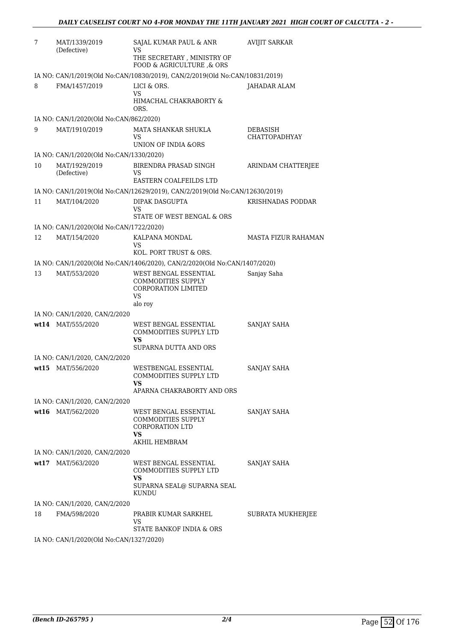| 7    | MAT/1339/2019<br>(Defective)            | SAJAL KUMAR PAUL & ANR<br>VS<br>THE SECRETARY, MINISTRY OF                                        | <b>AVIJIT SARKAR</b>             |
|------|-----------------------------------------|---------------------------------------------------------------------------------------------------|----------------------------------|
|      |                                         | FOOD & AGRICULTURE , & ORS                                                                        |                                  |
|      |                                         | IA NO: CAN/1/2019(Old No:CAN/10830/2019), CAN/2/2019(Old No:CAN/10831/2019)                       |                                  |
| 8    | FMA/1457/2019                           | LICI & ORS.<br>VS<br>HIMACHAL CHAKRABORTY &<br>ORS.                                               | <b>JAHADAR ALAM</b>              |
|      | IA NO: CAN/1/2020(Old No:CAN/862/2020)  |                                                                                                   |                                  |
| 9    | MAT/1910/2019                           | MATA SHANKAR SHUKLA<br>VS<br>UNION OF INDIA &ORS                                                  | DEBASISH<br><b>CHATTOPADHYAY</b> |
|      | IA NO: CAN/1/2020(Old No:CAN/1330/2020) |                                                                                                   |                                  |
| 10   | MAT/1929/2019<br>(Defective)            | BIRENDRA PRASAD SINGH<br>VS<br>EASTERN COALFEILDS LTD                                             | ARINDAM CHATTERJEE               |
|      |                                         | IA NO: CAN/1/2019(Old No:CAN/12629/2019), CAN/2/2019(Old No:CAN/12630/2019)                       |                                  |
| 11   | MAT/104/2020                            | DIPAK DASGUPTA<br>VS<br>STATE OF WEST BENGAL & ORS                                                | KRISHNADAS PODDAR                |
|      | IA NO: CAN/1/2020(Old No:CAN/1722/2020) |                                                                                                   |                                  |
| 12   | MAT/154/2020                            | KALPANA MONDAL<br>VS<br>KOL. PORT TRUST & ORS.                                                    | <b>MASTA FIZUR RAHAMAN</b>       |
|      |                                         | IA NO: CAN/1/2020(Old No:CAN/1406/2020), CAN/2/2020(Old No:CAN/1407/2020)                         |                                  |
| 13   | MAT/553/2020                            | WEST BENGAL ESSENTIAL<br>COMMODITIES SUPPLY<br><b>CORPORATION LIMITED</b><br><b>VS</b><br>alo roy | Sanjay Saha                      |
|      | IA NO: CAN/1/2020, CAN/2/2020           |                                                                                                   |                                  |
|      | wt14 MAT/555/2020                       | WEST BENGAL ESSENTIAL<br>COMMODITIES SUPPLY LTD<br>VS<br>SUPARNA DUTTA AND ORS                    | SANJAY SAHA                      |
|      | IA NO: CAN/1/2020, CAN/2/2020           |                                                                                                   |                                  |
| wt15 | MAT/556/2020                            | WESTBENGAL ESSENTIAL<br>COMMODITIES SUPPLY LTD<br>VS<br>APARNA CHAKRABORTY AND ORS                | SANJAY SAHA                      |
|      | IA NO: CAN/1/2020, CAN/2/2020           |                                                                                                   |                                  |
|      | wt16 MAT/562/2020                       | WEST BENGAL ESSENTIAL<br>COMMODITIES SUPPLY<br><b>CORPORATION LTD</b><br>VS<br>AKHIL HEMBRAM      | SANJAY SAHA                      |
|      | IA NO: CAN/1/2020, CAN/2/2020           |                                                                                                   |                                  |
|      | wt17 MAT/563/2020                       | WEST BENGAL ESSENTIAL<br>COMMODITIES SUPPLY LTD<br>VS<br>SUPARNA SEAL@ SUPARNA SEAL<br>KUNDU      | <b>SANJAY SAHA</b>               |
|      | IA NO: CAN/1/2020, CAN/2/2020           |                                                                                                   |                                  |
| 18   | FMA/598/2020                            | PRABIR KUMAR SARKHEL<br>VS<br>STATE BANKOF INDIA & ORS                                            | SUBRATA MUKHERJEE                |
|      | IA NO: CAN/1/2020(Old No:CAN/1327/2020) |                                                                                                   |                                  |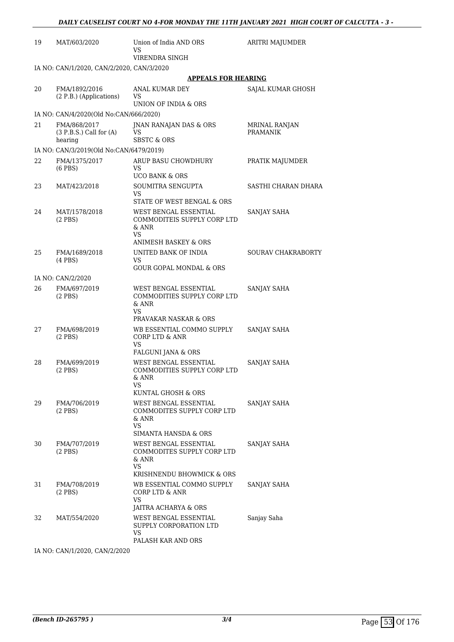| 19 | MAT/603/2020                                           | Union of India AND ORS<br>VS<br>VIRENDRA SINGH                                                       | ARITRI MAJUMDER                  |
|----|--------------------------------------------------------|------------------------------------------------------------------------------------------------------|----------------------------------|
|    | IA NO: CAN/1/2020, CAN/2/2020, CAN/3/2020              |                                                                                                      |                                  |
|    |                                                        | <b>APPEALS FOR HEARING</b>                                                                           |                                  |
| 20 | FMA/1892/2016<br>(2 P.B.) (Applications)               | ANAL KUMAR DEY<br>VS                                                                                 | SAJAL KUMAR GHOSH                |
|    |                                                        | UNION OF INDIA & ORS                                                                                 |                                  |
|    | IA NO: CAN/4/2020(Old No:CAN/666/2020)                 |                                                                                                      |                                  |
| 21 | FMA/868/2017<br>$(3 P.B.S.)$ Call for $(A)$<br>hearing | <b>INAN RANAJAN DAS &amp; ORS</b><br>VS<br><b>SBSTC &amp; ORS</b>                                    | MRINAL RANJAN<br><b>PRAMANIK</b> |
|    | IA NO: CAN/3/2019(Old No:CAN/6479/2019)                |                                                                                                      |                                  |
| 22 | FMA/1375/2017<br>$(6$ PBS $)$                          | ARUP BASU CHOWDHURY<br>VS<br><b>UCO BANK &amp; ORS</b>                                               | PRATIK MAJUMDER                  |
| 23 | MAT/423/2018                                           | SOUMITRA SENGUPTA                                                                                    | SASTHI CHARAN DHARA              |
|    |                                                        | VS.<br>STATE OF WEST BENGAL & ORS                                                                    |                                  |
| 24 | MAT/1578/2018<br>$(2$ PBS $)$                          | WEST BENGAL ESSENTIAL<br>COMMODITEIS SUPPLY CORP LTD<br>$&$ ANR<br>VS                                | SANJAY SAHA                      |
|    |                                                        | ANIMESH BASKEY & ORS                                                                                 |                                  |
| 25 | FMA/1689/2018<br>$(4$ PBS $)$                          | UNITED BANK OF INDIA<br>VS                                                                           | SOURAV CHAKRABORTY               |
|    |                                                        | <b>GOUR GOPAL MONDAL &amp; ORS</b>                                                                   |                                  |
|    | IA NO: CAN/2/2020                                      |                                                                                                      |                                  |
| 26 | FMA/697/2019<br>$(2$ PBS $)$                           | WEST BENGAL ESSENTIAL<br>COMMODITIES SUPPLY CORP LTD<br>$\&$ ANR<br>VS.                              | SANJAY SAHA                      |
|    |                                                        | PRAVAKAR NASKAR & ORS                                                                                |                                  |
| 27 | FMA/698/2019<br>$(2$ PBS $)$                           | WB ESSENTIAL COMMO SUPPLY<br><b>CORP LTD &amp; ANR</b><br>VS                                         | SANJAY SAHA                      |
|    |                                                        | FALGUNI JANA & ORS                                                                                   |                                  |
| 28 | FMA/699/2019<br>$(2$ PBS)                              | WEST BENGAL ESSENTIAL<br>COMMODITIES SUPPLY CORP LTD<br>& ANR<br>VS                                  | SANJAY SAHA                      |
|    |                                                        | KUNTAL GHOSH & ORS                                                                                   |                                  |
| 29 | FMA/706/2019<br>$(2$ PBS $)$                           | WEST BENGAL ESSENTIAL<br>COMMODITES SUPPLY CORP LTD<br>& ANR<br>VS                                   | SANJAY SAHA                      |
|    |                                                        | SIMANTA HANSDA & ORS                                                                                 |                                  |
| 30 | FMA/707/2019<br>$(2$ PBS)                              | WEST BENGAL ESSENTIAL<br>COMMODITES SUPPLY CORP LTD<br>& ANR<br>VS.<br>KRISHNENDU BHOWMICK & ORS     | SANJAY SAHA                      |
| 31 | FMA/708/2019<br>$(2$ PBS)                              | WB ESSENTIAL COMMO SUPPLY<br>CORP LTD & ANR<br>VS                                                    | SANJAY SAHA                      |
| 32 | MAT/554/2020                                           | JAITRA ACHARYA & ORS<br>WEST BENGAL ESSENTIAL<br>SUPPLY CORPORATION LTD<br>VS.<br>PALASH KAR AND ORS | Sanjay Saha                      |

IA NO: CAN/1/2020, CAN/2/2020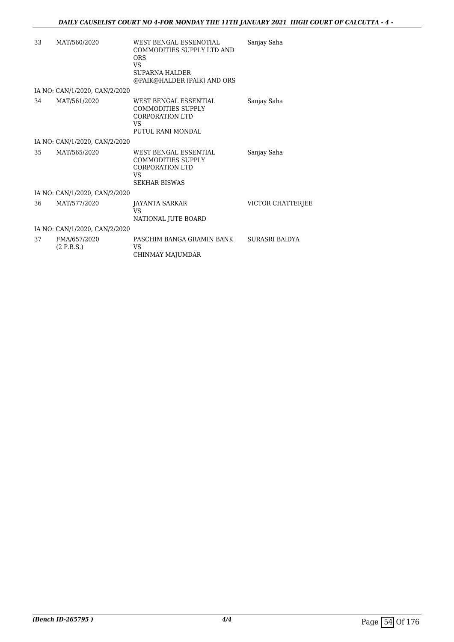| 33 | MAT/560/2020                  | WEST BENGAL ESSENOTIAL<br>COMMODITIES SUPPLY LTD AND<br><b>ORS</b><br>VS.<br><b>SUPARNA HALDER</b><br>@PAIK@HALDER (PAIK) AND ORS | Sanjay Saha       |
|----|-------------------------------|-----------------------------------------------------------------------------------------------------------------------------------|-------------------|
|    | IA NO: CAN/1/2020, CAN/2/2020 |                                                                                                                                   |                   |
| 34 | MAT/561/2020                  | WEST BENGAL ESSENTIAL<br><b>COMMODITIES SUPPLY</b><br><b>CORPORATION LTD</b><br><b>VS</b><br>PUTUL RANI MONDAL                    | Sanjay Saha       |
|    | IA NO: CAN/1/2020, CAN/2/2020 |                                                                                                                                   |                   |
| 35 | MAT/565/2020                  | WEST BENGAL ESSENTIAL<br><b>COMMODITIES SUPPLY</b><br>CORPORATION LTD<br>VS<br><b>SEKHAR BISWAS</b>                               | Sanjay Saha       |
|    | IA NO: CAN/1/2020, CAN/2/2020 |                                                                                                                                   |                   |
| 36 | MAT/577/2020                  | JAYANTA SARKAR<br>VS<br>NATIONAL JUTE BOARD                                                                                       | VICTOR CHATTERJEE |
|    | IA NO: CAN/1/2020, CAN/2/2020 |                                                                                                                                   |                   |
| 37 | FMA/657/2020<br>(2 P.B.S.)    | PASCHIM BANGA GRAMIN BANK<br>VS.<br>CHINMAY MAJUMDAR                                                                              | SURASRI BAIDYA    |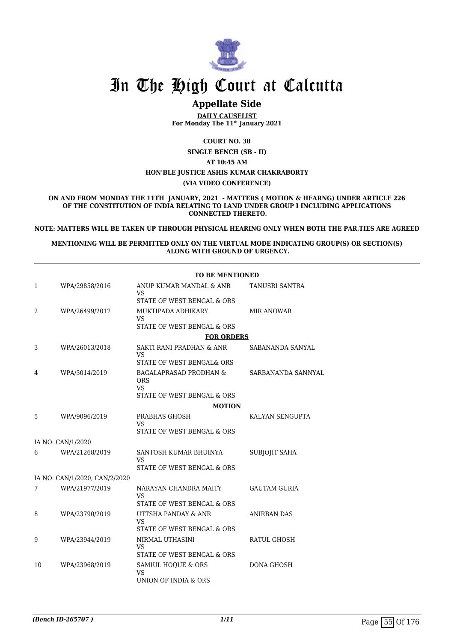

## **Appellate Side**

**DAILY CAUSELIST For Monday The 11th January 2021**

**COURT NO. 38**

**SINGLE BENCH (SB - II)**

**AT 10:45 AM HON'BLE JUSTICE ASHIS KUMAR CHAKRABORTY (VIA VIDEO CONFERENCE)**

**ON AND FROM MONDAY THE 11TH JANUARY, 2021 - MATTERS ( MOTION & HEARNG) UNDER ARTICLE 226 OF THE CONSTITUTION OF INDIA RELATING TO LAND UNDER GROUP I INCLUDING APPLICATIONS CONNECTED THERETO.**

**NOTE: MATTERS WILL BE TAKEN UP THROUGH PHYSICAL HEARING ONLY WHEN BOTH THE PAR.TIES ARE AGREED**

**MENTIONING WILL BE PERMITTED ONLY ON THE VIRTUAL MODE INDICATING GROUP(S) OR SECTION(S) ALONG WITH GROUND OF URGENCY.**

|    |                               | <b>TO BE MENTIONED</b>                                  |                       |
|----|-------------------------------|---------------------------------------------------------|-----------------------|
| 1  | WPA/29858/2016                | ANUP KUMAR MANDAL & ANR<br>VS.                          | <b>TANUSRI SANTRA</b> |
|    |                               | STATE OF WEST BENGAL & ORS                              |                       |
| 2  | WPA/26499/2017                | MUKTIPADA ADHIKARY                                      | MIR ANOWAR            |
|    |                               | VS.<br>STATE OF WEST BENGAL & ORS                       |                       |
|    |                               | <b>FOR ORDERS</b>                                       |                       |
|    |                               | SAKTI RANI PRADHAN & ANR                                |                       |
| 3  | WPA/26013/2018                | VS                                                      | SABANANDA SANYAL      |
|    |                               | STATE OF WEST BENGAL& ORS                               |                       |
| 4  | WPA/3014/2019                 | <b>BAGALAPRASAD PRODHAN &amp;</b><br><b>ORS</b>         | SARBANANDA SANNYAL    |
|    |                               | <b>VS</b>                                               |                       |
|    |                               | STATE OF WEST BENGAL & ORS                              |                       |
|    |                               | <b>MOTION</b>                                           |                       |
| 5  | WPA/9096/2019                 | PRABHAS GHOSH                                           | KALYAN SENGUPTA       |
|    |                               | VS<br>STATE OF WEST BENGAL & ORS                        |                       |
|    | IA NO: CAN/1/2020             |                                                         |                       |
| 6  | WPA/21268/2019                | SANTOSH KUMAR BHUINYA                                   | <b>SUBJOJIT SAHA</b>  |
|    |                               | <b>VS</b>                                               |                       |
|    |                               | STATE OF WEST BENGAL & ORS                              |                       |
|    | IA NO: CAN/1/2020, CAN/2/2020 |                                                         |                       |
| 7  | WPA/21977/2019                | NARAYAN CHANDRA MAITY<br>VS                             | <b>GAUTAM GURIA</b>   |
|    |                               | STATE OF WEST BENGAL & ORS                              |                       |
| 8  | WPA/23790/2019                | UTTSHA PANDAY & ANR<br>VS                               | ANIRBAN DAS           |
|    |                               | STATE OF WEST BENGAL & ORS                              |                       |
| 9  | WPA/23944/2019                | NIRMAL UTHASINI                                         | RATUL GHOSH           |
|    |                               | VS                                                      |                       |
|    |                               | STATE OF WEST BENGAL & ORS                              |                       |
| 10 | WPA/23968/2019                | SAMIUL HOQUE & ORS<br><b>VS</b><br>UNION OF INDIA & ORS | <b>DONA GHOSH</b>     |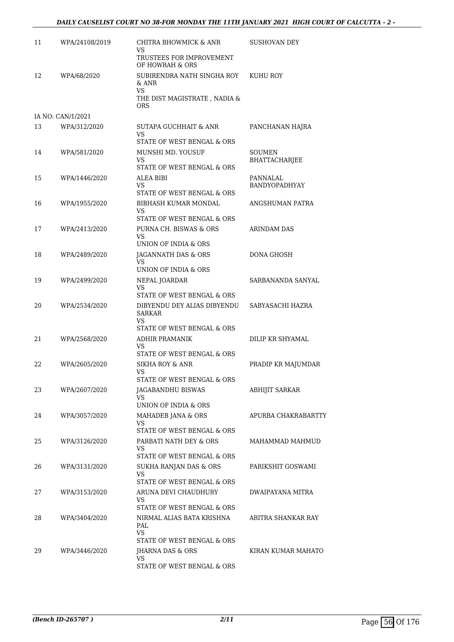### *DAILY CAUSELIST COURT NO 38-FOR MONDAY THE 11TH JANUARY 2021 HIGH COURT OF CALCUTTA - 2 -*

| 11 | WPA/24108/2019    | CHITRA BHOWMICK & ANR<br>VS                                                         | <b>SUSHOVAN DEY</b>              |
|----|-------------------|-------------------------------------------------------------------------------------|----------------------------------|
|    |                   | TRUSTEES FOR IMPROVEMENT<br>OF HOWRAH & ORS                                         |                                  |
| 12 | WPA/68/2020       | SUBIRENDRA NATH SINGHA ROY<br>& ANR<br>VS.                                          | KUHU ROY                         |
|    |                   | THE DIST MAGISTRATE, NADIA &<br><b>ORS</b>                                          |                                  |
|    | IA NO: CAN/1/2021 |                                                                                     |                                  |
| 13 | WPA/312/2020      | SUTAPA GUCHHAIT & ANR<br>VS                                                         | PANCHANAN HAJRA                  |
| 14 | WPA/581/2020      | STATE OF WEST BENGAL & ORS<br>MUNSHI MD. YOUSUF<br>VS<br>STATE OF WEST BENGAL & ORS | SOUMEN<br><b>BHATTACHARJEE</b>   |
| 15 | WPA/1446/2020     | ALEA BIBI<br>VS.<br>STATE OF WEST BENGAL & ORS                                      | PANNALAL<br><b>BANDYOPADHYAY</b> |
| 16 | WPA/1955/2020     | BIBHASH KUMAR MONDAL<br>VS                                                          | ANGSHUMAN PATRA                  |
|    |                   | STATE OF WEST BENGAL & ORS                                                          |                                  |
| 17 | WPA/2413/2020     | PURNA CH. BISWAS & ORS<br>VS.                                                       | <b>ARINDAM DAS</b>               |
|    |                   | UNION OF INDIA & ORS                                                                |                                  |
| 18 | WPA/2489/2020     | JAGANNATH DAS & ORS<br>VS<br>UNION OF INDIA & ORS                                   | DONA GHOSH                       |
| 19 | WPA/2499/2020     | NEPAL JOARDAR                                                                       | SARBANANDA SANYAL                |
|    |                   | VS<br>STATE OF WEST BENGAL & ORS                                                    |                                  |
| 20 | WPA/2534/2020     | DIBYENDU DEY ALIAS DIBYENDU<br>SARKAR<br>VS                                         | SABYASACHI HAZRA                 |
|    |                   | STATE OF WEST BENGAL & ORS                                                          |                                  |
| 21 | WPA/2568/2020     | <b>ADHIR PRAMANIK</b><br>VS                                                         | DILIP KR SHYAMAL                 |
|    |                   | STATE OF WEST BENGAL & ORS                                                          |                                  |
| 22 | WPA/2605/2020     | SIKHA ROY & ANR<br>VS<br>STATE OF WEST BENGAL & ORS                                 | PRADIP KR MAJUMDAR               |
| 23 | WPA/2607/2020     | JAGABANDHU BISWAS<br>VS                                                             | <b>ABHIJIT SARKAR</b>            |
|    |                   | UNION OF INDIA & ORS                                                                |                                  |
| 24 | WPA/3057/2020     | MAHADEB JANA & ORS<br>VS                                                            | APURBA CHAKRABARTTY              |
|    |                   | STATE OF WEST BENGAL & ORS                                                          |                                  |
| 25 | WPA/3126/2020     | PARBATI NATH DEY & ORS<br>VS.<br>STATE OF WEST BENGAL & ORS                         | MAHAMMAD MAHMUD                  |
| 26 | WPA/3131/2020     | SUKHA RANJAN DAS & ORS                                                              | PARIKSHIT GOSWAMI                |
|    |                   | VS<br>STATE OF WEST BENGAL & ORS                                                    |                                  |
| 27 | WPA/3153/2020     | ARUNA DEVI CHAUDHURY                                                                | DWAIPAYANA MITRA                 |
|    |                   | VS<br>STATE OF WEST BENGAL & ORS                                                    |                                  |
| 28 | WPA/3404/2020     | NIRMAL ALIAS BATA KRISHNA                                                           | ARITRA SHANKAR RAY               |
|    |                   | PAL<br>VS.                                                                          |                                  |
|    |                   | STATE OF WEST BENGAL & ORS                                                          |                                  |
| 29 | WPA/3446/2020     | JHARNA DAS & ORS                                                                    | KIRAN KUMAR MAHATO               |
|    |                   | VS<br>STATE OF WEST BENGAL & ORS                                                    |                                  |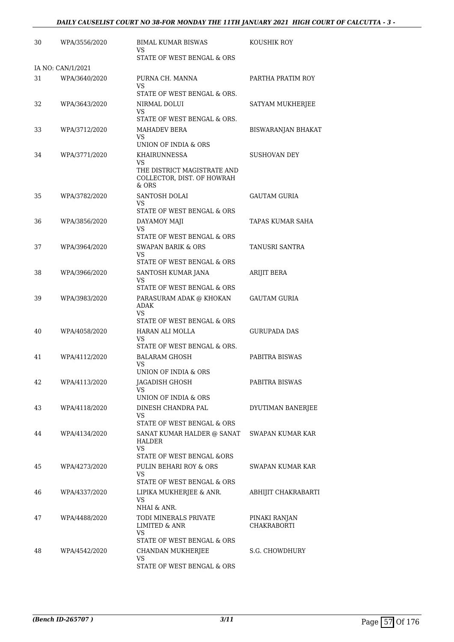| 30 | WPA/3556/2020     | <b>BIMAL KUMAR BISWAS</b><br>VS                                                            | KOUSHIK ROY                         |
|----|-------------------|--------------------------------------------------------------------------------------------|-------------------------------------|
|    |                   | STATE OF WEST BENGAL & ORS                                                                 |                                     |
|    | IA NO: CAN/1/2021 |                                                                                            |                                     |
| 31 | WPA/3640/2020     | PURNA CH. MANNA<br>VS<br>STATE OF WEST BENGAL & ORS.                                       | PARTHA PRATIM ROY                   |
| 32 | WPA/3643/2020     | NIRMAL DOLUI<br>VS                                                                         | SATYAM MUKHERJEE                    |
| 33 | WPA/3712/2020     | STATE OF WEST BENGAL & ORS.<br><b>MAHADEV BERA</b><br>VS<br>UNION OF INDIA & ORS           | BISWARANJAN BHAKAT                  |
| 34 | WPA/3771/2020     | KHAIRUNNESSA<br>VS<br>THE DISTRICT MAGISTRATE AND<br>COLLECTOR, DIST. OF HOWRAH<br>$&$ ORS | <b>SUSHOVAN DEY</b>                 |
| 35 | WPA/3782/2020     | SANTOSH DOLAI<br>VS<br>STATE OF WEST BENGAL & ORS                                          | GAUTAM GURIA                        |
| 36 | WPA/3856/2020     | DAYAMOY MAJI<br>VS<br>STATE OF WEST BENGAL & ORS                                           | TAPAS KUMAR SAHA                    |
| 37 | WPA/3964/2020     | <b>SWAPAN BARIK &amp; ORS</b><br>VS<br>STATE OF WEST BENGAL & ORS                          | TANUSRI SANTRA                      |
| 38 | WPA/3966/2020     | SANTOSH KUMAR JANA<br>VS                                                                   | ARIJIT BERA                         |
| 39 | WPA/3983/2020     | STATE OF WEST BENGAL & ORS<br>PARASURAM ADAK @ KHOKAN<br>ADAK<br>VS.                       | GAUTAM GURIA                        |
| 40 | WPA/4058/2020     | STATE OF WEST BENGAL & ORS<br>HARAN ALI MOLLA<br>VS<br>STATE OF WEST BENGAL & ORS.         | GURUPADA DAS                        |
| 41 | WPA/4112/2020     | <b>BALARAM GHOSH</b><br>VS<br>UNION OF INDIA & ORS                                         | PABITRA BISWAS                      |
| 42 | WPA/4113/2020     | <b>JAGADISH GHOSH</b><br>VS<br>UNION OF INDIA & ORS                                        | PABITRA BISWAS                      |
| 43 | WPA/4118/2020     | DINESH CHANDRA PAL<br>VS<br>STATE OF WEST BENGAL & ORS                                     | DYUTIMAN BANERJEE                   |
| 44 | WPA/4134/2020     | SANAT KUMAR HALDER @ SANAT<br>HALDER<br>VS<br>STATE OF WEST BENGAL &ORS                    | SWAPAN KUMAR KAR                    |
| 45 | WPA/4273/2020     | PULIN BEHARI ROY & ORS<br>VS<br>STATE OF WEST BENGAL & ORS                                 | SWAPAN KUMAR KAR                    |
| 46 | WPA/4337/2020     | LIPIKA MUKHERJEE & ANR.<br>VS<br>NHAI & ANR.                                               | ABHIJIT CHAKRABARTI                 |
| 47 | WPA/4488/2020     | TODI MINERALS PRIVATE<br><b>LIMITED &amp; ANR</b><br>VS<br>STATE OF WEST BENGAL & ORS      | PINAKI RANJAN<br><b>CHAKRABORTI</b> |
| 48 | WPA/4542/2020     | CHANDAN MUKHERJEE<br>VS<br>STATE OF WEST BENGAL & ORS                                      | S.G. CHOWDHURY                      |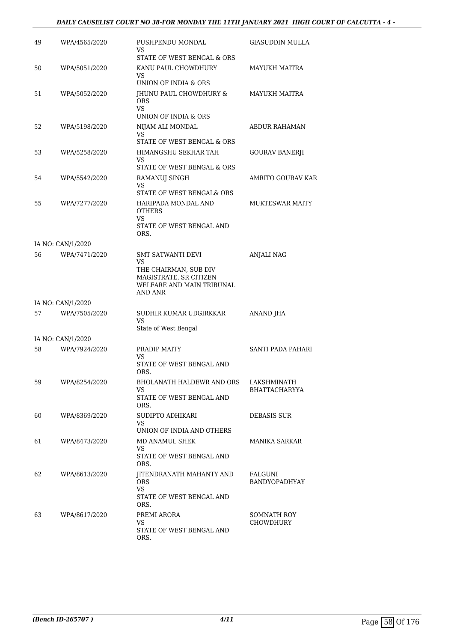| 49 | WPA/4565/2020     | PUSHPENDU MONDAL<br>VS                                                       | GIASUDDIN MULLA                     |
|----|-------------------|------------------------------------------------------------------------------|-------------------------------------|
|    |                   | STATE OF WEST BENGAL & ORS                                                   |                                     |
| 50 | WPA/5051/2020     | KANU PAUL CHOWDHURY<br>VS                                                    | MAYUKH MAITRA                       |
|    |                   | UNION OF INDIA & ORS                                                         |                                     |
| 51 | WPA/5052/2020     | JHUNU PAUL CHOWDHURY &<br><b>ORS</b><br><b>VS</b>                            | MAYUKH MAITRA                       |
|    |                   | UNION OF INDIA & ORS                                                         |                                     |
| 52 | WPA/5198/2020     | NIJAM ALI MONDAL<br>VS                                                       | <b>ABDUR RAHAMAN</b>                |
|    |                   | STATE OF WEST BENGAL & ORS                                                   |                                     |
| 53 | WPA/5258/2020     | HIMANGSHU SEKHAR TAH<br>VS<br>STATE OF WEST BENGAL & ORS                     | <b>GOURAV BANERJI</b>               |
| 54 | WPA/5542/2020     | RAMANUJ SINGH                                                                | AMRITO GOURAV KAR                   |
|    |                   | VS<br>STATE OF WEST BENGAL& ORS                                              |                                     |
| 55 | WPA/7277/2020     | HARIPADA MONDAL AND                                                          | <b>MUKTESWAR MAITY</b>              |
|    |                   | <b>OTHERS</b><br>VS.                                                         |                                     |
|    |                   | STATE OF WEST BENGAL AND<br>ORS.                                             |                                     |
|    | IA NO: CAN/1/2020 |                                                                              |                                     |
| 56 | WPA/7471/2020     | <b>SMT SATWANTI DEVI</b><br>VS                                               | <b>ANJALI NAG</b>                   |
|    |                   | THE CHAIRMAN, SUB DIV<br>MAGISTRATE, SR CITIZEN<br>WELFARE AND MAIN TRIBUNAL |                                     |
|    |                   | AND ANR                                                                      |                                     |
|    | IA NO: CAN/1/2020 |                                                                              |                                     |
| 57 | WPA/7505/2020     | SUDHIR KUMAR UDGIRKKAR<br>VS.<br>State of West Bengal                        | ANAND JHA                           |
|    | IA NO: CAN/1/2020 |                                                                              |                                     |
| 58 | WPA/7924/2020     | PRADIP MAITY                                                                 | SANTI PADA PAHARI                   |
|    |                   | VS<br>STATE OF WEST BENGAL AND                                               |                                     |
|    |                   | ORS.                                                                         |                                     |
| 59 | WPA/8254/2020     | <b>BHOLANATH HALDEWR AND ORS</b><br>VS.                                      | LAKSHMINATH<br><b>BHATTACHARYYA</b> |
|    |                   | STATE OF WEST BENGAL AND<br>ORS.                                             |                                     |
| 60 | WPA/8369/2020     | SUDIPTO ADHIKARI<br>VS                                                       | DEBASIS SUR                         |
|    |                   | UNION OF INDIA AND OTHERS                                                    |                                     |
| 61 | WPA/8473/2020     | MD ANAMUL SHEK<br>VS.<br>STATE OF WEST BENGAL AND                            | MANIKA SARKAR                       |
|    |                   | ORS.                                                                         |                                     |
| 62 | WPA/8613/2020     | <b>JITENDRANATH MAHANTY AND</b><br><b>ORS</b>                                | FALGUNI<br>BANDYOPADHYAY            |
|    |                   | VS<br>STATE OF WEST BENGAL AND<br>ORS.                                       |                                     |
| 63 | WPA/8617/2020     | PREMI ARORA                                                                  | SOMNATH ROY                         |
|    |                   | VS<br>STATE OF WEST BENGAL AND<br>ORS.                                       | CHOWDHURY                           |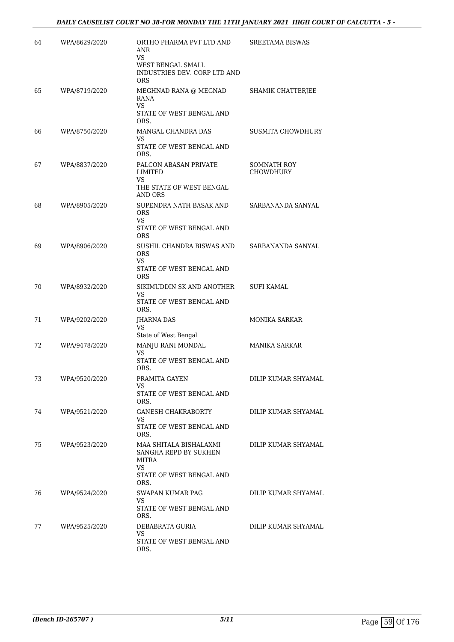| 64 | WPA/8629/2020 | ORTHO PHARMA PVT LTD AND<br><b>ANR</b><br><b>VS</b><br>WEST BENGAL SMALL<br>INDUSTRIES DEV. CORP LTD AND<br><b>ORS</b> | <b>SREETAMA BISWAS</b>          |
|----|---------------|------------------------------------------------------------------------------------------------------------------------|---------------------------------|
| 65 | WPA/8719/2020 | MEGHNAD RANA @ MEGNAD<br>RANA<br><b>VS</b><br>STATE OF WEST BENGAL AND<br>ORS.                                         | <b>SHAMIK CHATTERJEE</b>        |
| 66 | WPA/8750/2020 | MANGAL CHANDRA DAS<br>VS.<br>STATE OF WEST BENGAL AND<br>ORS.                                                          | <b>SUSMITA CHOWDHURY</b>        |
| 67 | WPA/8837/2020 | PALCON ABASAN PRIVATE<br>LIMITED<br>VS<br>THE STATE OF WEST BENGAL<br>AND ORS                                          | SOMNATH ROY<br><b>CHOWDHURY</b> |
| 68 | WPA/8905/2020 | SUPENDRA NATH BASAK AND<br><b>ORS</b><br>VS<br>STATE OF WEST BENGAL AND<br><b>ORS</b>                                  | SARBANANDA SANYAL               |
| 69 | WPA/8906/2020 | SUSHIL CHANDRA BISWAS AND<br><b>ORS</b><br><b>VS</b><br>STATE OF WEST BENGAL AND<br><b>ORS</b>                         | SARBANANDA SANYAL               |
| 70 | WPA/8932/2020 | SIKIMUDDIN SK AND ANOTHER<br>VS<br>STATE OF WEST BENGAL AND<br>ORS.                                                    | <b>SUFI KAMAL</b>               |
| 71 | WPA/9202/2020 | <b>JHARNA DAS</b><br>VS<br>State of West Bengal                                                                        | <b>MONIKA SARKAR</b>            |
| 72 | WPA/9478/2020 | MANJU RANI MONDAL<br>VS<br>STATE OF WEST BENGAL AND<br>ORS.                                                            | MANIKA SARKAR                   |
| 73 | WPA/9520/2020 | PRAMITA GAYEN<br>VS.<br>STATE OF WEST BENGAL AND<br>ORS.                                                               | DILIP KUMAR SHYAMAL             |
| 74 | WPA/9521/2020 | GANESH CHAKRABORTY<br>VS.<br>STATE OF WEST BENGAL AND<br>ORS.                                                          | DILIP KUMAR SHYAMAL             |
| 75 | WPA/9523/2020 | MAA SHITALA BISHALAXMI<br>SANGHA REPD BY SUKHEN<br>MITRA<br>VS.<br>STATE OF WEST BENGAL AND<br>ORS.                    | DILIP KUMAR SHYAMAL             |
| 76 | WPA/9524/2020 | SWAPAN KUMAR PAG<br>VS<br>STATE OF WEST BENGAL AND<br>ORS.                                                             | DILIP KUMAR SHYAMAL             |
| 77 | WPA/9525/2020 | DEBABRATA GURIA<br>VS.<br>STATE OF WEST BENGAL AND<br>ORS.                                                             | DILIP KUMAR SHYAMAL             |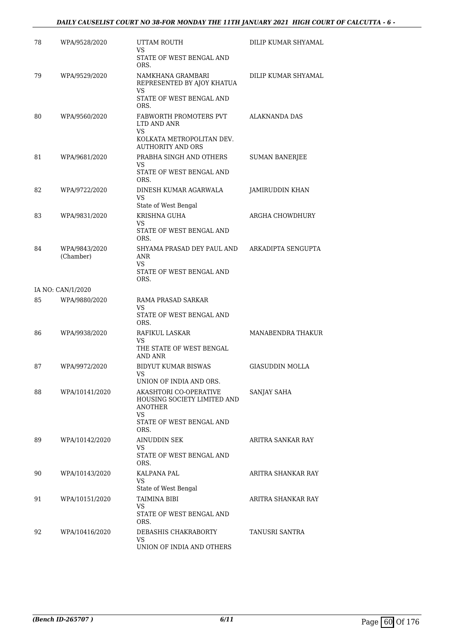| 78 | WPA/9528/2020              | UTTAM ROUTH<br>VS                                           | DILIP KUMAR SHYAMAL    |
|----|----------------------------|-------------------------------------------------------------|------------------------|
|    |                            | STATE OF WEST BENGAL AND<br>ORS.                            |                        |
| 79 | WPA/9529/2020              | NAMKHANA GRAMBARI<br>REPRESENTED BY AJOY KHATUA             | DILIP KUMAR SHYAMAL    |
|    |                            | VS<br>STATE OF WEST BENGAL AND<br>ORS.                      |                        |
| 80 | WPA/9560/2020              | FABWORTH PROMOTERS PVT<br>LTD AND ANR<br>VS                 | <b>ALAKNANDA DAS</b>   |
|    |                            | KOLKATA METROPOLITAN DEV.<br><b>AUTHORITY AND ORS</b>       |                        |
| 81 | WPA/9681/2020              | PRABHA SINGH AND OTHERS<br>VS                               | <b>SUMAN BANERJEE</b>  |
|    |                            | STATE OF WEST BENGAL AND<br>ORS.                            |                        |
| 82 | WPA/9722/2020              | DINESH KUMAR AGARWALA<br>VS<br>State of West Bengal         | JAMIRUDDIN KHAN        |
| 83 | WPA/9831/2020              | KRISHNA GUHA                                                | ARGHA CHOWDHURY        |
|    |                            | VS<br>STATE OF WEST BENGAL AND<br>ORS.                      |                        |
| 84 | WPA/9843/2020<br>(Chamber) | SHYAMA PRASAD DEY PAUL AND<br>ANR<br>VS                     | ARKADIPTA SENGUPTA     |
|    |                            | STATE OF WEST BENGAL AND<br>ORS.                            |                        |
|    | IA NO: CAN/1/2020          |                                                             |                        |
| 85 | WPA/9880/2020              | RAMA PRASAD SARKAR<br>VS                                    |                        |
|    |                            | STATE OF WEST BENGAL AND<br>ORS.                            |                        |
| 86 | WPA/9938/2020              | RAFIKUL LASKAR<br>VS                                        | MANABENDRA THAKUR      |
|    |                            | THE STATE OF WEST BENGAL<br>AND ANR                         |                        |
| 87 | WPA/9972/2020              | <b>BIDYUT KUMAR BISWAS</b><br>VS<br>UNION OF INDIA AND ORS. | <b>GIASUDDIN MOLLA</b> |
| 88 | WPA/10141/2020             | AKASHTORI CO-OPERATIVE<br>HOUSING SOCIETY LIMITED AND       | SANJAY SAHA            |
|    |                            | ANOTHER<br>VS.                                              |                        |
|    |                            | STATE OF WEST BENGAL AND<br>ORS.                            |                        |
| 89 | WPA/10142/2020             | AINUDDIN SEK<br>VS.                                         | ARITRA SANKAR RAY      |
|    |                            | STATE OF WEST BENGAL AND<br>ORS.                            |                        |
| 90 | WPA/10143/2020             | KALPANA PAL<br>VS<br>State of West Bengal                   | ARITRA SHANKAR RAY     |
| 91 | WPA/10151/2020             | <b>TAIMINA BIBI</b>                                         | ARITRA SHANKAR RAY     |
|    |                            | VS.<br>STATE OF WEST BENGAL AND<br>ORS.                     |                        |
| 92 | WPA/10416/2020             | DEBASHIS CHAKRABORTY                                        | TANUSRI SANTRA         |
|    |                            | VS<br>UNION OF INDIA AND OTHERS                             |                        |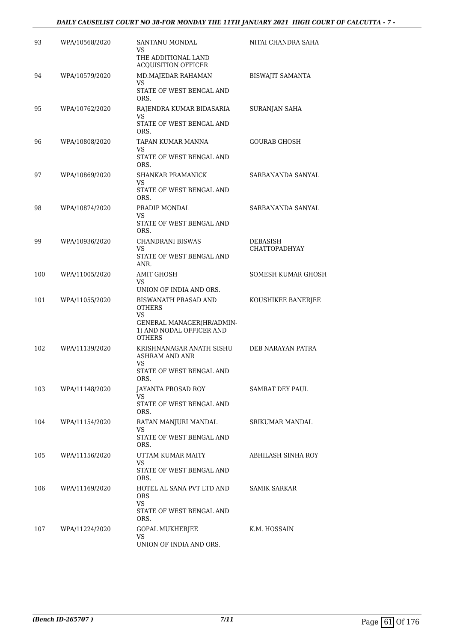| 93  | WPA/10568/2020 | SANTANU MONDAL<br>VS<br>THE ADDITIONAL LAND<br><b>ACQUISITION OFFICER</b>                                             | NITAI CHANDRA SAHA               |
|-----|----------------|-----------------------------------------------------------------------------------------------------------------------|----------------------------------|
| 94  | WPA/10579/2020 | MD.MAJEDAR RAHAMAN<br>VS<br>STATE OF WEST BENGAL AND<br>ORS.                                                          | BISWAJIT SAMANTA                 |
| 95  | WPA/10762/2020 | RAJENDRA KUMAR BIDASARIA<br>VS<br>STATE OF WEST BENGAL AND<br>ORS.                                                    | SURANJAN SAHA                    |
| 96  | WPA/10808/2020 | TAPAN KUMAR MANNA<br>VS<br>STATE OF WEST BENGAL AND<br>ORS.                                                           | <b>GOURAB GHOSH</b>              |
| 97  | WPA/10869/2020 | SHANKAR PRAMANICK<br>VS<br>STATE OF WEST BENGAL AND                                                                   | SARBANANDA SANYAL                |
| 98  | WPA/10874/2020 | ORS.<br>PRADIP MONDAL<br>VS<br>STATE OF WEST BENGAL AND<br>ORS.                                                       | SARBANANDA SANYAL                |
| 99  | WPA/10936/2020 | <b>CHANDRANI BISWAS</b><br>VS<br>STATE OF WEST BENGAL AND<br>ANR.                                                     | DEBASISH<br><b>CHATTOPADHYAY</b> |
| 100 | WPA/11005/2020 | <b>AMIT GHOSH</b><br>VS<br>UNION OF INDIA AND ORS.                                                                    | <b>SOMESH KUMAR GHOSH</b>        |
| 101 | WPA/11055/2020 | BISWANATH PRASAD AND<br><b>OTHERS</b><br>VS<br>GENERAL MANAGER(HR/ADMIN-<br>1) AND NODAL OFFICER AND<br><b>OTHERS</b> | KOUSHIKEE BANERJEE               |
| 102 | WPA/11139/2020 | KRISHNANAGAR ANATH SISHU<br><b>ASHRAM AND ANR</b><br>VS<br>STATE OF WEST BENGAL AND<br>ORS.                           | DEB NARAYAN PATRA                |
| 103 | WPA/11148/2020 | JAYANTA PROSAD ROY<br>VS<br>STATE OF WEST BENGAL AND<br>ORS.                                                          | <b>SAMRAT DEY PAUL</b>           |
| 104 | WPA/11154/2020 | RATAN MANJURI MANDAL<br>VS<br>STATE OF WEST BENGAL AND<br>ORS.                                                        | SRIKUMAR MANDAL                  |
| 105 | WPA/11156/2020 | UTTAM KUMAR MAITY<br>VS.<br>STATE OF WEST BENGAL AND                                                                  | ABHILASH SINHA ROY               |
| 106 | WPA/11169/2020 | ORS.<br>HOTEL AL SANA PVT LTD AND<br><b>ORS</b><br>VS.<br>STATE OF WEST BENGAL AND<br>ORS.                            | SAMIK SARKAR                     |
| 107 | WPA/11224/2020 | GOPAL MUKHERJEE<br>VS<br>UNION OF INDIA AND ORS.                                                                      | K.M. HOSSAIN                     |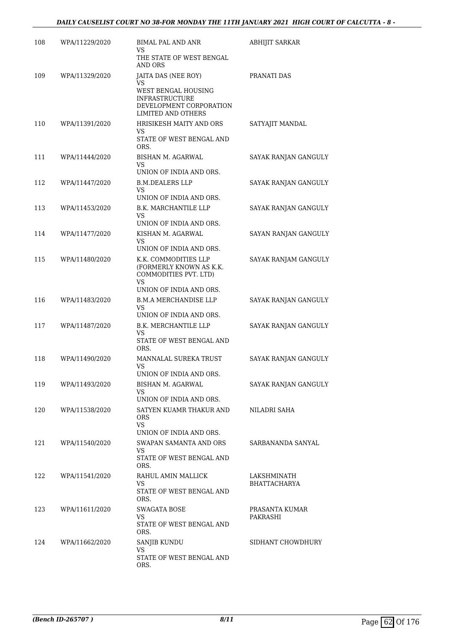| 108 | WPA/11229/2020 | <b>BIMAL PAL AND ANR</b><br>VS                                                                                                    | <b>ABHIJIT SARKAR</b>              |
|-----|----------------|-----------------------------------------------------------------------------------------------------------------------------------|------------------------------------|
|     |                | THE STATE OF WEST BENGAL<br><b>AND ORS</b>                                                                                        |                                    |
| 109 | WPA/11329/2020 | JAITA DAS (NEE ROY)<br>VS<br>WEST BENGAL HOUSING<br><b>INFRASTRUCTURE</b><br>DEVELOPMENT CORPORATION<br><b>LIMITED AND OTHERS</b> | PRANATI DAS                        |
| 110 | WPA/11391/2020 | HRISIKESH MAITY AND ORS<br>VS.<br>STATE OF WEST BENGAL AND<br>ORS.                                                                | SATYAJIT MANDAL                    |
| 111 | WPA/11444/2020 | BISHAN M. AGARWAL<br>VS<br>UNION OF INDIA AND ORS.                                                                                | SAYAK RANJAN GANGULY               |
| 112 | WPA/11447/2020 | <b>B.M.DEALERS LLP</b><br>VS<br>UNION OF INDIA AND ORS.                                                                           | SAYAK RANJAN GANGULY               |
| 113 | WPA/11453/2020 | B.K. MARCHANTILE LLP<br>VS<br>UNION OF INDIA AND ORS.                                                                             | SAYAK RANJAN GANGULY               |
| 114 | WPA/11477/2020 | KISHAN M. AGARWAL<br>VS.<br>UNION OF INDIA AND ORS.                                                                               | SAYAN RANJAN GANGULY               |
| 115 | WPA/11480/2020 | K.K. COMMODITIES LLP<br>(FORMERLY KNOWN AS K.K.<br>COMMODITIES PVT. LTD)<br>VS<br>UNION OF INDIA AND ORS.                         | SAYAK RANJAM GANGULY               |
| 116 | WPA/11483/2020 | B.M.A MERCHANDISE LLP<br>VS.<br>UNION OF INDIA AND ORS.                                                                           | SAYAK RANJAN GANGULY               |
| 117 | WPA/11487/2020 | B.K. MERCHANTILE LLP<br><b>VS</b><br>STATE OF WEST BENGAL AND<br>ORS.                                                             | SAYAK RANJAN GANGULY               |
| 118 | WPA/11490/2020 | MANNALAL SUREKA TRUST<br>VS<br>UNION OF INDIA AND ORS.                                                                            | SAYAK RANJAN GANGULY               |
| 119 | WPA/11493/2020 | BISHAN M. AGARWAL<br>VS<br>UNION OF INDIA AND ORS.                                                                                | SAYAK RANJAN GANGULY               |
| 120 | WPA/11538/2020 | SATYEN KUAMR THAKUR AND<br><b>ORS</b><br><b>VS</b><br>UNION OF INDIA AND ORS.                                                     | NILADRI SAHA                       |
| 121 | WPA/11540/2020 | SWAPAN SAMANTA AND ORS<br>VS.<br>STATE OF WEST BENGAL AND<br>ORS.                                                                 | SARBANANDA SANYAL                  |
| 122 | WPA/11541/2020 | RAHUL AMIN MALLICK<br>VS<br>STATE OF WEST BENGAL AND<br>ORS.                                                                      | LAKSHMINATH<br><b>BHATTACHARYA</b> |
| 123 | WPA/11611/2020 | SWAGATA BOSE<br>VS<br>STATE OF WEST BENGAL AND<br>ORS.                                                                            | PRASANTA KUMAR<br>PAKRASHI         |
| 124 | WPA/11662/2020 | SANJIB KUNDU<br>VS.<br>STATE OF WEST BENGAL AND<br>ORS.                                                                           | SIDHANT CHOWDHURY                  |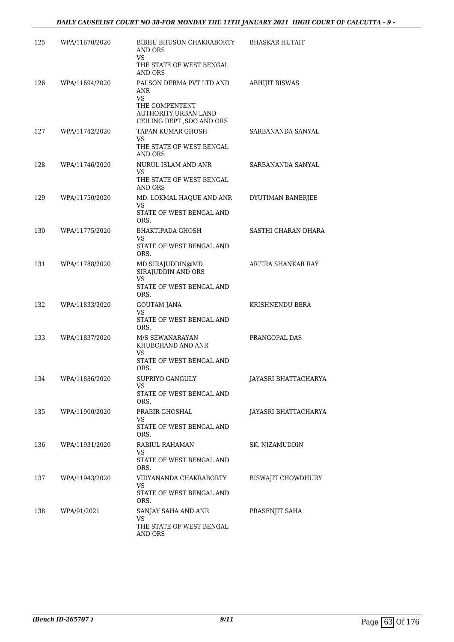| 125 | WPA/11670/2020 | BIBHU BHUSON CHAKRABORTY<br><b>AND ORS</b>                                     | <b>BHASKAR HUTAIT</b>       |
|-----|----------------|--------------------------------------------------------------------------------|-----------------------------|
|     |                | VS<br>THE STATE OF WEST BENGAL<br>AND ORS                                      |                             |
| 126 | WPA/11694/2020 | PALSON DERMA PVT LTD AND<br><b>ANR</b><br><b>VS</b><br>THE COMPENTENT          | <b>ABHIJIT BISWAS</b>       |
|     |                | AUTHORITY, URBAN LAND<br>CEILING DEPT , SDO AND ORS                            |                             |
| 127 | WPA/11742/2020 | TAPAN KUMAR GHOSH<br><b>VS</b>                                                 | SARBANANDA SANYAL           |
|     |                | THE STATE OF WEST BENGAL<br>AND ORS                                            |                             |
| 128 | WPA/11746/2020 | NURUL ISLAM AND ANR<br>VS                                                      | SARBANANDA SANYAL           |
|     |                | THE STATE OF WEST BENGAL<br>AND ORS                                            |                             |
| 129 | WPA/11750/2020 | MD. LOKMAL HAQUE AND ANR<br>VS                                                 | DYUTIMAN BANERJEE           |
|     |                | STATE OF WEST BENGAL AND<br>ORS.                                               |                             |
| 130 | WPA/11775/2020 | <b>BHAKTIPADA GHOSH</b><br>VS                                                  | SASTHI CHARAN DHARA         |
|     |                | STATE OF WEST BENGAL AND<br>ORS.                                               |                             |
| 131 | WPA/11788/2020 | MD SIRAJUDDIN@MD<br>SIRAJUDDIN AND ORS<br>VS<br>STATE OF WEST BENGAL AND       | ARITRA SHANKAR RAY          |
| 132 | WPA/11833/2020 | ORS.<br>GOUTAM JANA                                                            | KRISHNENDU BERA             |
|     |                | <b>VS</b><br>STATE OF WEST BENGAL AND<br>ORS.                                  |                             |
| 133 | WPA/11837/2020 | M/S SEWANARAYAN<br>KHUBCHAND AND ANR<br>VS<br>STATE OF WEST BENGAL AND<br>ORS. | PRANGOPAL DAS               |
| 134 | WPA/11886/2020 | SUPRIYO GANGULY                                                                | JAYASRI BHATTACHARYA        |
|     |                | VS.<br>STATE OF WEST BENGAL AND<br>ORS.                                        |                             |
| 135 | WPA/11900/2020 | PRABIR GHOSHAL                                                                 | <b>JAYASRI BHATTACHARYA</b> |
|     |                | VS.<br>STATE OF WEST BENGAL AND<br>ORS.                                        |                             |
| 136 | WPA/11931/2020 | RABIUL RAHAMAN<br>VS.                                                          | SK. NIZAMUDDIN              |
|     |                | STATE OF WEST BENGAL AND<br>ORS.                                               |                             |
| 137 | WPA/11943/2020 | VIDYANANDA CHAKRABORTY<br>VS.                                                  | BISWAJIT CHOWDHURY          |
|     |                | STATE OF WEST BENGAL AND<br>ORS.                                               |                             |
| 138 | WPA/91/2021    | SANJAY SAHA AND ANR<br>VS.                                                     | PRASENJIT SAHA              |
|     |                | THE STATE OF WEST BENGAL<br>AND ORS                                            |                             |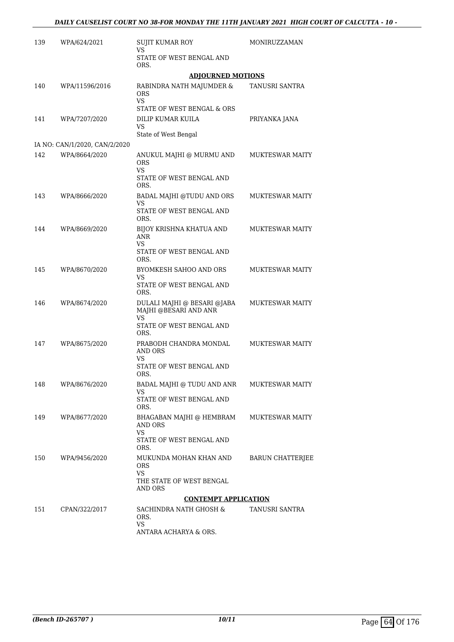| 139 | WPA/624/2021                                   | <b>SUJIT KUMAR ROY</b><br>VS                                      | MONIRUZZAMAN            |
|-----|------------------------------------------------|-------------------------------------------------------------------|-------------------------|
|     |                                                | STATE OF WEST BENGAL AND<br>ORS.                                  |                         |
|     |                                                | <b>ADJOURNED MOTIONS</b>                                          |                         |
| 140 | WPA/11596/2016                                 | RABINDRA NATH MAJUMDER &<br><b>ORS</b><br><b>VS</b>               | TANUSRI SANTRA          |
| 141 | WPA/7207/2020                                  | STATE OF WEST BENGAL & ORS<br>DILIP KUMAR KUILA<br>VS             | PRIYANKA JANA           |
|     |                                                | State of West Bengal                                              |                         |
| 142 | IA NO: CAN/1/2020, CAN/2/2020<br>WPA/8664/2020 | ANUKUL MAJHI @ MURMU AND                                          | <b>MUKTESWAR MAITY</b>  |
|     |                                                | <b>ORS</b><br><b>VS</b>                                           |                         |
|     |                                                | STATE OF WEST BENGAL AND<br>ORS.                                  |                         |
| 143 | WPA/8666/2020                                  | BADAL MAJHI @TUDU AND ORS<br><b>VS</b>                            | <b>MUKTESWAR MAITY</b>  |
|     |                                                | STATE OF WEST BENGAL AND<br>ORS.                                  |                         |
| 144 | WPA/8669/2020                                  | BIJOY KRISHNA KHATUA AND<br>ANR                                   | <b>MUKTESWAR MAITY</b>  |
|     |                                                | <b>VS</b><br>STATE OF WEST BENGAL AND<br>ORS.                     |                         |
| 145 | WPA/8670/2020                                  | BYOMKESH SAHOO AND ORS<br>VS                                      | <b>MUKTESWAR MAITY</b>  |
|     |                                                | STATE OF WEST BENGAL AND<br>ORS.                                  |                         |
| 146 | WPA/8674/2020                                  | DULALI MAJHI @ BESARI @JABA<br>MAJHI @BESARI AND ANR<br><b>VS</b> | <b>MUKTESWAR MAITY</b>  |
|     |                                                | STATE OF WEST BENGAL AND<br>ORS.                                  |                         |
| 147 | WPA/8675/2020                                  | PRABODH CHANDRA MONDAL<br>AND ORS<br>VS                           | <b>MUKTESWAR MAITY</b>  |
|     |                                                | STATE OF WEST BENGAL AND<br>ORS.                                  |                         |
| 148 | WPA/8676/2020                                  | BADAL MAJHI @ TUDU AND ANR<br>VS                                  | <b>MUKTESWAR MAITY</b>  |
|     |                                                | STATE OF WEST BENGAL AND<br>ORS.                                  |                         |
| 149 | WPA/8677/2020                                  | BHAGABAN MAJHI @ HEMBRAM<br>AND ORS<br><b>VS</b>                  | <b>MUKTESWAR MAITY</b>  |
|     |                                                | STATE OF WEST BENGAL AND<br>ORS.                                  |                         |
| 150 | WPA/9456/2020                                  | MUKUNDA MOHAN KHAN AND<br>ORS.<br><b>VS</b>                       | <b>BARUN CHATTERJEE</b> |
|     |                                                | THE STATE OF WEST BENGAL<br>AND ORS                               |                         |
|     |                                                | <b>CONTEMPT APPLICATION</b>                                       |                         |
| 151 | CPAN/322/2017                                  | SACHINDRA NATH GHOSH &<br>ORS.<br>VS                              | TANUSRI SANTRA          |
|     |                                                | ANTARA ACHARYA & ORS.                                             |                         |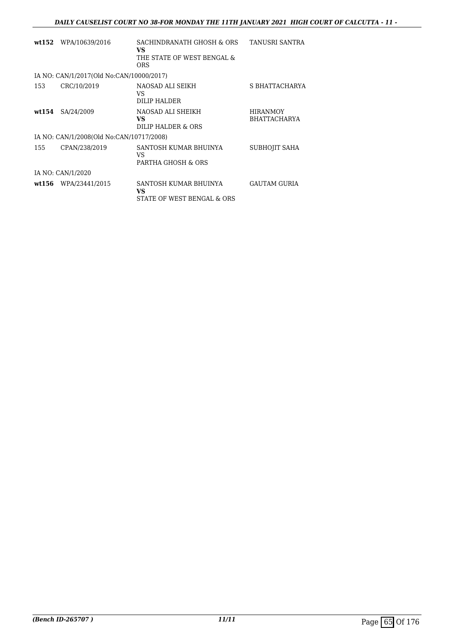|        | wt152 WPA/10639/2016                     | SACHINDRANATH GHOSH & ORS<br>VS.<br>THE STATE OF WEST BENGAL &<br><b>ORS</b> | TANUSRI SANTRA                         |
|--------|------------------------------------------|------------------------------------------------------------------------------|----------------------------------------|
|        | IA NO: CAN/1/2017(Old No:CAN/10000/2017) |                                                                              |                                        |
| 153    | CRC/10/2019                              | NAOSAD ALI SEIKH<br>VS<br>DILIP HALDER                                       | S BHATTACHARYA                         |
| wt.154 | SA/24/2009                               | NAOSAD ALI SHEIKH<br>VS.<br>DILIP HALDER & ORS                               | <b>HIRANMOY</b><br><b>BHATTACHARYA</b> |
|        | IA NO: CAN/1/2008(Old No:CAN/10717/2008) |                                                                              |                                        |
| 155    | CPAN/238/2019                            | SANTOSH KUMAR BHUINYA<br>VS<br>PARTHA GHOSH & ORS                            | SUBHOJIT SAHA                          |
|        | IA NO: CAN/1/2020                        |                                                                              |                                        |
|        | wt156 WPA/23441/2015                     | SANTOSH KUMAR BHUINYA<br>VS<br>STATE OF WEST BENGAL & ORS                    | <b>GAUTAM GURIA</b>                    |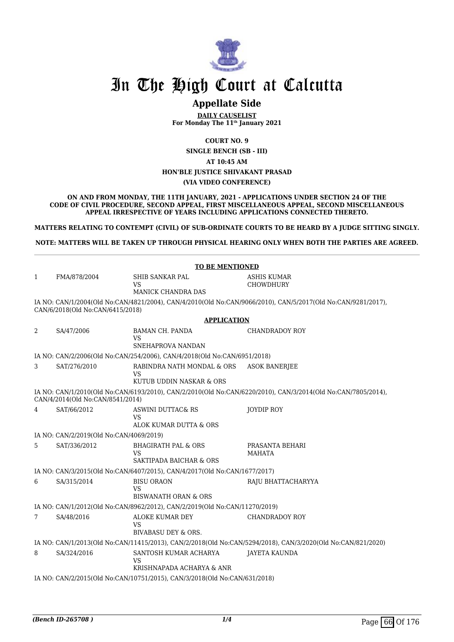

## **Appellate Side**

**DAILY CAUSELIST For Monday The 11th January 2021**

**COURT NO. 9**

**SINGLE BENCH (SB - III) AT 10:45 AM HON'BLE JUSTICE SHIVAKANT PRASAD (VIA VIDEO CONFERENCE)**

**ON AND FROM MONDAY, THE 11TH JANUARY, 2021 - APPLICATIONS UNDER SECTION 24 OF THE CODE OF CIVIL PROCEDURE, SECOND APPEAL, FIRST MISCELLANEOUS APPEAL, SECOND MISCELLANEOUS APPEAL IRRESPECTIVE OF YEARS INCLUDING APPLICATIONS CONNECTED THERETO.**

**MATTERS RELATING TO CONTEMPT (CIVIL) OF SUB-ORDINATE COURTS TO BE HEARD BY A JUDGE SITTING SINGLY.**

**NOTE: MATTERS WILL BE TAKEN UP THROUGH PHYSICAL HEARING ONLY WHEN BOTH THE PARTIES ARE AGREED.**

|              |                                         | <b>TO BE MENTIONED</b>                                                                                 |                                                                                                              |
|--------------|-----------------------------------------|--------------------------------------------------------------------------------------------------------|--------------------------------------------------------------------------------------------------------------|
| $\mathbf{1}$ | FMA/878/2004                            | SHIB SANKAR PAL                                                                                        | ASHIS KUMAR                                                                                                  |
|              |                                         | VS<br><b>MANICK CHANDRA DAS</b>                                                                        | <b>CHOWDHURY</b>                                                                                             |
|              |                                         |                                                                                                        | IA NO: CAN/1/2004(Old No:CAN/4821/2004), CAN/4/2010(Old No:CAN/9066/2010), CAN/5/2017(Old No:CAN/9281/2017), |
|              | CAN/6/2018(Old No:CAN/6415/2018)        |                                                                                                        |                                                                                                              |
|              |                                         | <b>APPLICATION</b>                                                                                     |                                                                                                              |
| 2            | SA/47/2006                              | <b>BAMAN CH. PANDA</b><br><b>VS</b>                                                                    | CHANDRADOY ROY                                                                                               |
|              |                                         | SNEHAPROVA NANDAN                                                                                      |                                                                                                              |
|              |                                         | IA NO: CAN/2/2006(Old No:CAN/254/2006), CAN/4/2018(Old No:CAN/6951/2018)                               |                                                                                                              |
| 3            | SAT/276/2010                            | RABINDRA NATH MONDAL & ORS<br>VS                                                                       | <b>ASOK BANERIEE</b>                                                                                         |
|              |                                         | KUTUB UDDIN NASKAR & ORS                                                                               |                                                                                                              |
|              | CAN/4/2014(Old No:CAN/8541/2014)        |                                                                                                        | IA NO: CAN/1/2010(Old No:CAN/6193/2010), CAN/2/2010(Old No:CAN/6220/2010), CAN/3/2014(Old No:CAN/7805/2014), |
| 4            | SAT/66/2012                             | <b>ASWINI DUTTAC&amp; RS</b>                                                                           | JOYDIP ROY                                                                                                   |
|              |                                         | VS<br>ALOK KUMAR DUTTA & ORS                                                                           |                                                                                                              |
|              | IA NO: CAN/2/2019(Old No:CAN/4069/2019) |                                                                                                        |                                                                                                              |
| 5            | SAT/336/2012                            | <b>BHAGIRATH PAL &amp; ORS</b>                                                                         | PRASANTA BEHARI                                                                                              |
|              |                                         | VS<br>SAKTIPADA BAICHAR & ORS                                                                          | MAHATA                                                                                                       |
|              |                                         | IA NO: CAN/3/2015(Old No:CAN/6407/2015), CAN/4/2017(Old No:CAN/1677/2017)                              |                                                                                                              |
| 6            | SA/315/2014                             | <b>BISU ORAON</b>                                                                                      | RAJU BHATTACHARYYA                                                                                           |
|              |                                         | VS                                                                                                     |                                                                                                              |
|              |                                         | BISWANATH ORAN & ORS                                                                                   |                                                                                                              |
|              |                                         | IA NO: CAN/1/2012(Old No:CAN/8962/2012), CAN/2/2019(Old No:CAN/11270/2019)                             |                                                                                                              |
| 7            | SA/48/2016                              | ALOKE KUMAR DEY<br>VS                                                                                  | <b>CHANDRADOY ROY</b>                                                                                        |
|              |                                         | BIVABASU DEY & ORS.                                                                                    |                                                                                                              |
|              |                                         |                                                                                                        | IA NO: CAN/1/2013(Old No:CAN/11415/2013), CAN/2/2018(Old No:CAN/5294/2018), CAN/3/2020(Old No:CAN/821/2020)  |
| 8            | SA/324/2016                             | SANTOSH KUMAR ACHARYA                                                                                  | <b>JAYETA KAUNDA</b>                                                                                         |
|              |                                         | VS                                                                                                     |                                                                                                              |
|              |                                         | KRISHNAPADA ACHARYA & ANR<br>IA NO: CAN/2/2015(Old No:CAN/10751/2015), CAN/3/2018(Old No:CAN/631/2018) |                                                                                                              |
|              |                                         |                                                                                                        |                                                                                                              |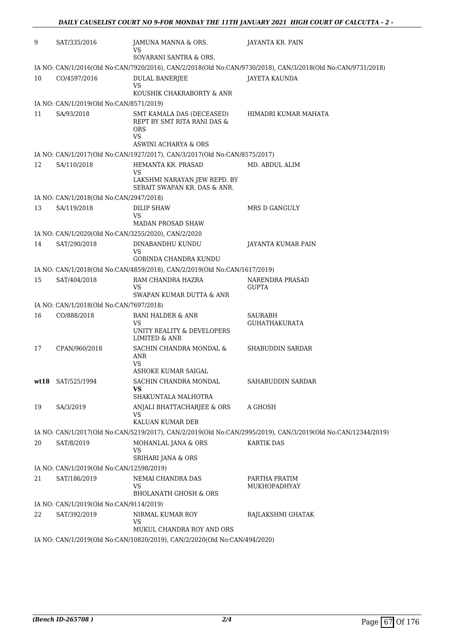| 9    | SAT/335/2016                                        | JAMUNA MANNA & ORS.<br>VS                                                                              | JAYANTA KR. PAIN                                                                                             |
|------|-----------------------------------------------------|--------------------------------------------------------------------------------------------------------|--------------------------------------------------------------------------------------------------------------|
|      |                                                     | SOVARANI SANTRA & ORS.                                                                                 |                                                                                                              |
|      |                                                     |                                                                                                        | IA NO: CAN/1/2016(Old No:CAN/7920/2016), CAN/2/2018(Old No:CAN/9730/2018), CAN/3/2018(Old No:CAN/9731/2018)  |
| 10   | CO/4597/2016                                        | <b>DULAL BANERJEE</b><br>VS                                                                            | JAYETA KAUNDA                                                                                                |
|      |                                                     | KOUSHIK CHAKRABORTY & ANR                                                                              |                                                                                                              |
|      | IA NO: CAN/1/2019(Old No:CAN/8571/2019)             |                                                                                                        |                                                                                                              |
| 11   | SA/93/2018                                          | SMT KAMALA DAS (DECEASED)<br>REPT BY SMT RITA RANI DAS &<br><b>ORS</b><br>VS<br>ASWINI ACHARYA & ORS   | HIMADRI KUMAR MAHATA                                                                                         |
|      |                                                     | IA NO: CAN/1/2017(Old No:CAN/1927/2017), CAN/3/2017(Old No:CAN/8575/2017)                              |                                                                                                              |
| 12   | SA/110/2018                                         | HEMANTA KR. PRASAD<br>VS                                                                               | MD. ABDUL ALIM                                                                                               |
|      |                                                     | LAKSHMI NARAYAN JEW REPD. BY<br>SEBAIT SWAPAN KR. DAS & ANR.                                           |                                                                                                              |
|      | IA NO: CAN/1/2018(Old No:CAN/2947/2018)             |                                                                                                        |                                                                                                              |
| 13   | SA/119/2018                                         | DILIP SHAW<br>VS                                                                                       | MRS D GANGULY                                                                                                |
|      |                                                     | MADAN PROSAD SHAW                                                                                      |                                                                                                              |
|      | IA NO: CAN/1/2020(Old No:CAN/3255/2020), CAN/2/2020 |                                                                                                        |                                                                                                              |
| 14   | SAT/290/2018                                        | DINABANDHU KUNDU<br>VS<br>GOBINDA CHANDRA KUNDU                                                        | <b>JAYANTA KUMAR PAIN</b>                                                                                    |
|      |                                                     | IA NO: CAN/1/2018(Old No:CAN/4859/2018), CAN/2/2019(Old No:CAN/1617/2019)                              |                                                                                                              |
| 15   | SAT/404/2018                                        | RAM CHANDRA HAZRA                                                                                      | NARENDRA PRASAD                                                                                              |
|      |                                                     | VS<br>SWAPAN KUMAR DUTTA & ANR                                                                         | <b>GUPTA</b>                                                                                                 |
|      | IA NO: CAN/1/2018(Old No:CAN/7697/2018)             |                                                                                                        |                                                                                                              |
| 16   | CO/888/2018                                         | <b>BANI HALDER &amp; ANR</b><br>VS<br>UNITY REALITY & DEVELOPERS<br><b>LIMITED &amp; ANR</b>           | SAURABH<br><b>GUHATHAKURATA</b>                                                                              |
| 17   | CPAN/960/2018                                       | SACHIN CHANDRA MONDAL &<br>ANR                                                                         | SHABUDDIN SARDAR                                                                                             |
|      |                                                     | VS<br>ASHOKE KUMAR SAIGAL                                                                              |                                                                                                              |
| wt18 | SAT/525/1994                                        | SACHIN CHANDRA MONDAL<br>VS                                                                            | SAHABUDDIN SARDAR                                                                                            |
| 19   | SA/3/2019                                           | SHAKUNTALA MALHOTRA<br>ANJALI BHATTACHARJEE & ORS                                                      | A GHOSH                                                                                                      |
|      |                                                     | VS<br>KALUAN KUMAR DEB                                                                                 |                                                                                                              |
|      |                                                     |                                                                                                        | IA NO: CAN/1/2017(Old No:CAN/5219/2017), CAN/2/2019(Old No:CAN/2995/2019), CAN/3/2019(Old No:CAN/12344/2019) |
| 20   | SAT/8/2019                                          | MOHANLAL JANA & ORS<br>VS                                                                              | <b>KARTIK DAS</b>                                                                                            |
|      | IA NO: CAN/1/2019(Old No:CAN/12598/2019)            | SRIHARI JANA & ORS                                                                                     |                                                                                                              |
| 21   | SAT/186/2019                                        | NEMAI CHANDRA DAS                                                                                      | PARTHA PRATIM                                                                                                |
|      |                                                     | VS<br>BHOLANATH GHOSH & ORS                                                                            | MUKHOPADHYAY                                                                                                 |
|      | IA NO: CAN/1/2019(Old No:CAN/9114/2019)             |                                                                                                        |                                                                                                              |
| 22   | SAT/392/2019                                        | NIRMAL KUMAR ROY<br>VS                                                                                 | RAJLAKSHMI GHATAK                                                                                            |
|      |                                                     | MUKUL CHANDRA ROY AND ORS<br>IA NO: CAN/1/2019(Old No:CAN/10820/2019), CAN/2/2020(Old No:CAN/494/2020) |                                                                                                              |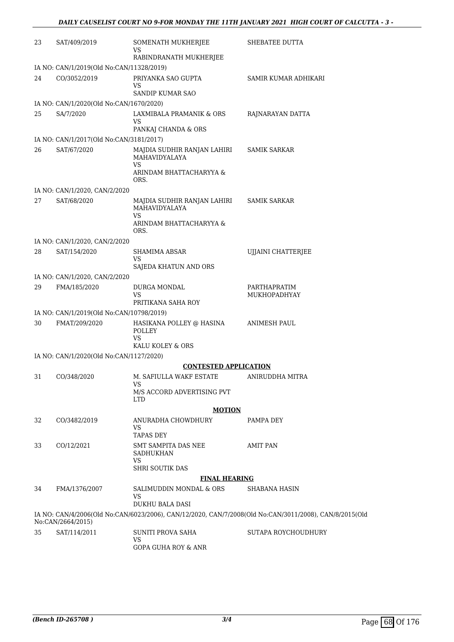| 23 | SAT/409/2019                                           | SOMENATH MUKHERJEE<br>VS<br>RABINDRANATH MUKHERJEE    | SHEBATEE DUTTA                                                                                         |
|----|--------------------------------------------------------|-------------------------------------------------------|--------------------------------------------------------------------------------------------------------|
|    | IA NO: CAN/1/2019(Old No:CAN/11328/2019)               |                                                       |                                                                                                        |
| 24 | CO/3052/2019                                           | PRIYANKA SAO GUPTA                                    | SAMIR KUMAR ADHIKARI                                                                                   |
|    |                                                        | VS<br>SANDIP KUMAR SAO                                |                                                                                                        |
|    | IA NO: CAN/1/2020(Old No:CAN/1670/2020)                |                                                       |                                                                                                        |
| 25 | SA/7/2020                                              | LAXMIBALA PRAMANIK & ORS<br>VS<br>PANKAJ CHANDA & ORS | RAJNARAYAN DATTA                                                                                       |
|    |                                                        |                                                       |                                                                                                        |
| 26 | IA NO: CAN/1/2017(Old No:CAN/3181/2017)<br>SAT/67/2020 | MAJDIA SUDHIR RANJAN LAHIRI<br>MAHAVIDYALAYA          | <b>SAMIK SARKAR</b>                                                                                    |
|    |                                                        | <b>VS</b><br>ARINDAM BHATTACHARYYA &<br>ORS.          |                                                                                                        |
|    | IA NO: CAN/1/2020, CAN/2/2020                          |                                                       |                                                                                                        |
| 27 | SAT/68/2020                                            | MAJDIA SUDHIR RANJAN LAHIRI<br>MAHAVIDYALAYA          | <b>SAMIK SARKAR</b>                                                                                    |
|    |                                                        | VS<br>ARINDAM BHATTACHARYYA &<br>ORS.                 |                                                                                                        |
|    | IA NO: CAN/1/2020, CAN/2/2020                          |                                                       |                                                                                                        |
| 28 | SAT/154/2020                                           | SHAMIMA ABSAR<br>VS                                   | UIJAINI CHATTERJEE                                                                                     |
|    |                                                        | SAJEDA KHATUN AND ORS                                 |                                                                                                        |
|    | IA NO: CAN/1/2020, CAN/2/2020                          |                                                       |                                                                                                        |
| 29 | FMA/185/2020                                           | DURGA MONDAL<br>VS<br>PRITIKANA SAHA ROY              | PARTHAPRATIM<br>MUKHOPADHYAY                                                                           |
|    | IA NO: CAN/1/2019(Old No:CAN/10798/2019)               |                                                       |                                                                                                        |
| 30 | FMAT/209/2020                                          | HASIKANA POLLEY @ HASINA<br><b>POLLEY</b>             | ANIMESH PAUL                                                                                           |
|    |                                                        | <b>VS</b><br>KALU KOLEY & ORS                         |                                                                                                        |
|    | IA NO: CAN/1/2020(Old No:CAN/1127/2020)                |                                                       |                                                                                                        |
|    |                                                        | <b>CONTESTED APPLICATION</b>                          |                                                                                                        |
| 31 | CO/348/2020                                            | M. SAFIULLA WAKF ESTATE<br>VS.                        | ANIRUDDHA MITRA                                                                                        |
|    |                                                        | M/S ACCORD ADVERTISING PVT<br><b>LTD</b>              |                                                                                                        |
|    |                                                        | <b>MOTION</b>                                         |                                                                                                        |
| 32 | CO/3482/2019                                           | ANURADHA CHOWDHURY<br>VS.<br>TAPAS DEY                | PAMPA DEY                                                                                              |
| 33 | CO/12/2021                                             | SMT SAMPITA DAS NEE<br>SADHUKHAN                      | AMIT PAN                                                                                               |
|    |                                                        | VS<br><b>SHRI SOUTIK DAS</b>                          |                                                                                                        |
|    |                                                        | <b>FINAL HEARING</b>                                  |                                                                                                        |
| 34 | FMA/1376/2007                                          | SALIMUDDIN MONDAL & ORS                               | SHABANA HASIN                                                                                          |
|    |                                                        | VS<br>DUKHU BALA DASI                                 |                                                                                                        |
|    | No:CAN/2664/2015)                                      |                                                       | IA NO: CAN/4/2006(Old No:CAN/6023/2006), CAN/12/2020, CAN/7/2008(Old No:CAN/3011/2008), CAN/8/2015(Old |
| 35 | SAT/114/2011                                           | SUNITI PROVA SAHA                                     | SUTAPA ROYCHOUDHURY                                                                                    |
|    |                                                        | VS.<br><b>GOPA GUHA ROY &amp; ANR</b>                 |                                                                                                        |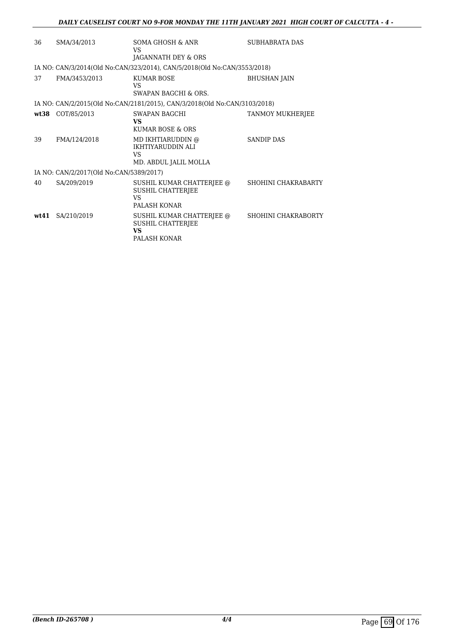| 36 | SMA/34/2013                             | SOMA GHOSH & ANR<br>VS<br>JAGANNATH DEY & ORS                                | <b>SUBHABRATA DAS</b> |
|----|-----------------------------------------|------------------------------------------------------------------------------|-----------------------|
|    |                                         | IA NO: CAN/3/2014(Old No:CAN/323/2014), CAN/5/2018(Old No:CAN/3553/2018)     |                       |
| 37 | FMA/3453/2013                           | <b>KUMAR BOSE</b><br>VS<br>SWAPAN BAGCHI & ORS.                              | <b>BHUSHAN JAIN</b>   |
|    |                                         | IA NO: CAN/2/2015(Old No:CAN/2181/2015), CAN/3/2018(Old No:CAN/3103/2018)    |                       |
|    | wt38 COT/85/2013                        | SWAPAN BAGCHI<br>VS<br>KUMAR BOSE & ORS                                      | TANMOY MUKHERJEE      |
| 39 | FMA/124/2018                            | MD IKHTIARUDDIN @<br><b>IKHTIYARUDDIN ALI</b><br>VS<br>MD. ABDUL JALIL MOLLA | <b>SANDIP DAS</b>     |
|    | IA NO: CAN/2/2017(Old No:CAN/5389/2017) |                                                                              |                       |
| 40 | SA/209/2019                             | SUSHIL KUMAR CHATTERJEE @<br><b>SUSHIL CHATTERIEE</b><br>VS<br>PALASH KONAR  | SHOHINI CHAKRABARTY   |
|    | wt41 SA/210/2019                        | SUSHIL KUMAR CHATTERJEE @<br>SUSHIL CHATTERJEE<br>VS<br>PALASH KONAR         | SHOHINI CHAKRABORTY   |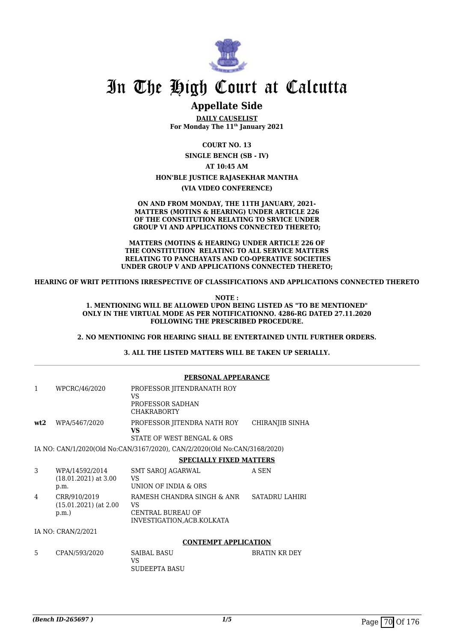

### **Appellate Side**

**DAILY CAUSELIST For Monday The 11th January 2021**

**COURT NO. 13**

**SINGLE BENCH (SB - IV)**

**AT 10:45 AM**

#### **HON'BLE JUSTICE RAJASEKHAR MANTHA**

**(VIA VIDEO CONFERENCE)**

**ON AND FROM MONDAY, THE 11TH JANUARY, 2021- MATTERS (MOTINS & HEARING) UNDER ARTICLE 226 OF THE CONSTITUTION RELATING TO SRVICE UNDER GROUP VI AND APPLICATIONS CONNECTED THERETO;**

**MATTERS (MOTINS & HEARING) UNDER ARTICLE 226 OF THE CONSTITUTION RELATING TO ALL SERVICE MATTERS RELATING TO PANCHAYATS AND CO-OPERATIVE SOCIETIES UNDER GROUP V AND APPLICATIONS CONNECTED THERETO;**

**HEARING OF WRIT PETITIONS IRRESPECTIVE OF CLASSIFICATIONS AND APPLICATIONS CONNECTED THERETO**

**NOTE : 1. MENTIONING WILL BE ALLOWED UPON BEING LISTED AS "TO BE MENTIONED" ONLY IN THE VIRTUAL MODE AS PER NOTIFICATIONNO. 4286-RG DATED 27.11.2020 FOLLOWING THE PRESCRIBED PROCEDURE.**

**2. NO MENTIONING FOR HEARING SHALL BE ENTERTAINED UNTIL FURTHER ORDERS.**

**3. ALL THE LISTED MATTERS WILL BE TAKEN UP SERIALLY.**

|     |                                                  | PERSONAL APPEARANCE                                                                       |                       |  |
|-----|--------------------------------------------------|-------------------------------------------------------------------------------------------|-----------------------|--|
| 1   | WPCRC/46/2020                                    | PROFESSOR JITENDRANATH ROY<br>VS<br>PROFESSOR SADHAN<br><b>CHAKRABORTY</b>                |                       |  |
| wt2 | WPA/5467/2020                                    | PROFESSOR JITENDRA NATH ROY<br>VS<br>STATE OF WEST BENGAL & ORS                           | CHIRANJIB SINHA       |  |
|     |                                                  | IA NO: CAN/1/2020(Old No:CAN/3167/2020), CAN/2/2020(Old No:CAN/3168/2020)                 |                       |  |
|     |                                                  | <b>SPECIALLY FIXED MATTERS</b>                                                            |                       |  |
| 3   | WPA/14592/2014<br>$(18.01.2021)$ at 3.00<br>p.m. | SMT SAROJ AGARWAL<br><b>VS</b><br>UNION OF INDIA & ORS                                    | A SEN                 |  |
| 4   | CRR/910/2019<br>$(15.01.2021)$ (at 2.00<br>p.m.  | RAMESH CHANDRA SINGH & ANR<br>VS<br><b>CENTRAL BUREAU OF</b><br>INVESTIGATION.ACB.KOLKATA | <b>SATADRU LAHIRI</b> |  |
|     | IA NO: CRAN/2/2021                               |                                                                                           |                       |  |
|     |                                                  | <b>CONTEMPT APPLICATION</b>                                                               |                       |  |
| 5   | CPAN/593/2020                                    | <b>SAIBAL BASU</b><br>VS                                                                  | <b>BRATIN KR DEY</b>  |  |

SUDEEPTA BASU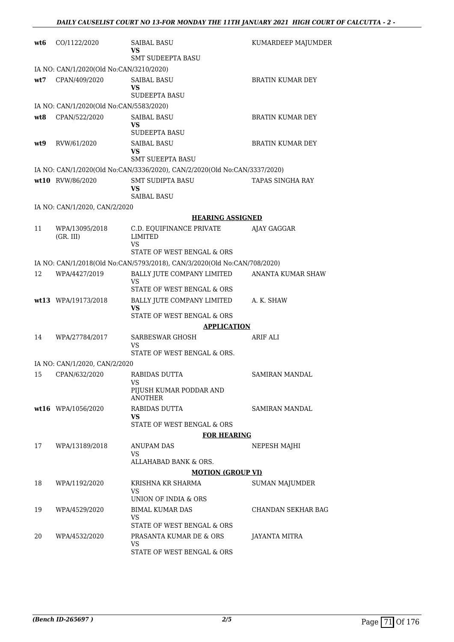| wt6  | CO/1122/2020                            | <b>SAIBAL BASU</b><br>VS<br><b>SMT SUDEEPTA BASU</b>                      | KUMARDEEP MAJUMDER      |
|------|-----------------------------------------|---------------------------------------------------------------------------|-------------------------|
|      | IA NO: CAN/1/2020(Old No:CAN/3210/2020) |                                                                           |                         |
| wt7  | CPAN/409/2020                           | <b>SAIBAL BASU</b><br>VS<br><b>SUDEEPTA BASU</b>                          | <b>BRATIN KUMAR DEY</b> |
|      | IA NO: CAN/1/2020(Old No:CAN/5583/2020) |                                                                           |                         |
| wt.8 | CPAN/522/2020                           | <b>SAIBAL BASU</b><br>VS<br><b>SUDEEPTA BASU</b>                          | <b>BRATIN KUMAR DEY</b> |
| wt9  | RVW/61/2020                             | <b>SAIBAL BASU</b><br>VS<br>SMT SUEEPTA BASU                              | BRATIN KUMAR DEY        |
|      |                                         | IA NO: CAN/1/2020(Old No:CAN/3336/2020), CAN/2/2020(Old No:CAN/3337/2020) |                         |
|      | wt10 RVW/86/2020                        | <b>SMT SUDIPTA BASU</b><br>VS<br><b>SAIBAL BASU</b>                       | TAPAS SINGHA RAY        |
|      | IA NO: CAN/1/2020, CAN/2/2020           |                                                                           |                         |
|      |                                         | <b>HEARING ASSIGNED</b>                                                   |                         |
| 11   | WPA/13095/2018<br>(GR, III)             | C.D. EQUIFINANCE PRIVATE<br><b>LIMITED</b><br>VS                          | AJAY GAGGAR             |
|      |                                         | STATE OF WEST BENGAL & ORS                                                |                         |
|      |                                         | IA NO: CAN/1/2018(Old No:CAN/5793/2018), CAN/3/2020(Old No:CAN/708/2020)  |                         |
| 12   | WPA/4427/2019                           | BALLY JUTE COMPANY LIMITED<br>VS<br>STATE OF WEST BENGAL & ORS            | ANANTA KUMAR SHAW       |
|      | wt13 WPA/19173/2018                     | BALLY JUTE COMPANY LIMITED<br>VS                                          | A. K. SHAW              |
|      |                                         | STATE OF WEST BENGAL & ORS                                                |                         |
|      |                                         | <b>APPLICATION</b>                                                        |                         |
| 14   | WPA/27784/2017                          | SARBESWAR GHOSH<br>VS<br>STATE OF WEST BENGAL & ORS.                      | ARIF ALI                |
|      | IA NO: CAN/1/2020, CAN/2/2020           |                                                                           |                         |
| 15   | CPAN/632/2020                           | RABIDAS DUTTA<br>VS                                                       | SAMIRAN MANDAL          |
|      |                                         | PIJUSH KUMAR PODDAR AND<br>ANOTHER                                        |                         |
|      | wt16 WPA/1056/2020                      | RABIDAS DUTTA<br>VS<br>STATE OF WEST BENGAL & ORS                         | SAMIRAN MANDAL          |
|      |                                         | <b>FOR HEARING</b>                                                        |                         |
| 17   | WPA/13189/2018                          | ANUPAM DAS<br>VS                                                          | NEPESH MAJHI            |
|      |                                         | ALLAHABAD BANK & ORS.<br><b>MOTION (GROUP VI)</b>                         |                         |
| 18   | WPA/1192/2020                           | KRISHNA KR SHARMA                                                         | SUMAN MAJUMDER          |
|      |                                         | VS<br>UNION OF INDIA & ORS                                                |                         |
| 19   | WPA/4529/2020                           | <b>BIMAL KUMAR DAS</b><br>VS                                              | CHANDAN SEKHAR BAG      |
|      |                                         | STATE OF WEST BENGAL & ORS                                                |                         |
| 20   | WPA/4532/2020                           | PRASANTA KUMAR DE & ORS<br>VS<br>STATE OF WEST BENGAL & ORS               | JAYANTA MITRA           |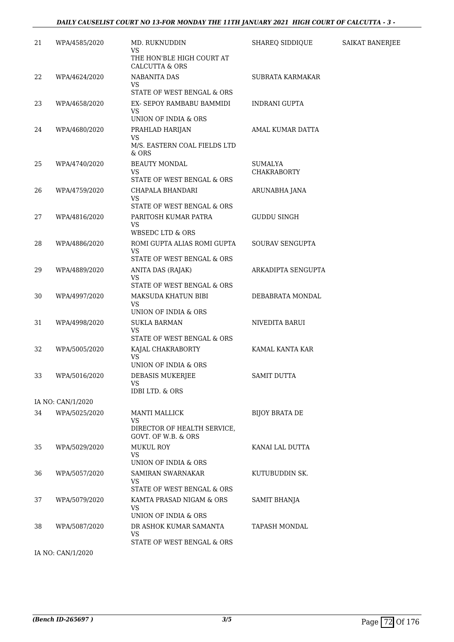#### *DAILY CAUSELIST COURT NO 13-FOR MONDAY THE 11TH JANUARY 2021 HIGH COURT OF CALCUTTA - 3 -*

| 21 | WPA/4585/2020     | MD. RUKNUDDIN<br><b>VS</b><br>THE HON'BLE HIGH COURT AT                                       | SHAREQ SIDDIQUE               | SAIKAT BANERJEE |
|----|-------------------|-----------------------------------------------------------------------------------------------|-------------------------------|-----------------|
| 22 | WPA/4624/2020     | <b>CALCUTTA &amp; ORS</b><br><b>NABANITA DAS</b><br>VS                                        | <b>SUBRATA KARMAKAR</b>       |                 |
| 23 | WPA/4658/2020     | STATE OF WEST BENGAL & ORS<br>EX- SEPOY RAMBABU BAMMIDI<br><b>VS</b>                          | INDRANI GUPTA                 |                 |
| 24 | WPA/4680/2020     | UNION OF INDIA & ORS<br>PRAHLAD HARIJAN<br><b>VS</b><br>M/S. EASTERN COAL FIELDS LTD<br>& ORS | AMAL KUMAR DATTA              |                 |
| 25 | WPA/4740/2020     | <b>BEAUTY MONDAL</b><br><b>VS</b><br>STATE OF WEST BENGAL & ORS                               | SUMALYA<br><b>CHAKRABORTY</b> |                 |
| 26 | WPA/4759/2020     | CHAPALA BHANDARI<br><b>VS</b><br>STATE OF WEST BENGAL & ORS                                   | ARUNABHA JANA                 |                 |
| 27 | WPA/4816/2020     | PARITOSH KUMAR PATRA<br><b>VS</b><br><b>WBSEDC LTD &amp; ORS</b>                              | GUDDU SINGH                   |                 |
| 28 | WPA/4886/2020     | ROMI GUPTA ALIAS ROMI GUPTA<br>VS<br>STATE OF WEST BENGAL & ORS                               | SOURAV SENGUPTA               |                 |
| 29 | WPA/4889/2020     | ANITA DAS (RAJAK)<br>VS<br>STATE OF WEST BENGAL & ORS                                         | ARKADIPTA SENGUPTA            |                 |
| 30 | WPA/4997/2020     | MAKSUDA KHATUN BIBI<br>VS<br>UNION OF INDIA & ORS                                             | DEBABRATA MONDAL              |                 |
| 31 | WPA/4998/2020     | <b>SUKLA BARMAN</b><br>VS<br>STATE OF WEST BENGAL & ORS                                       | NIVEDITA BARUI                |                 |
| 32 | WPA/5005/2020     | KAJAL CHAKRABORTY<br><b>VS</b><br>UNION OF INDIA & ORS                                        | KAMAL KANTA KAR               |                 |
| 33 | WPA/5016/2020     | DEBASIS MUKERJEE<br>VS<br><b>IDBI LTD. &amp; ORS</b>                                          | <b>SAMIT DUTTA</b>            |                 |
|    | IA NO: CAN/1/2020 |                                                                                               |                               |                 |
| 34 | WPA/5025/2020     | MANTI MALLICK<br><b>VS</b><br>DIRECTOR OF HEALTH SERVICE,<br>GOVT. OF W.B. & ORS              | <b>BIJOY BRATA DE</b>         |                 |
| 35 | WPA/5029/2020     | <b>MUKUL ROY</b><br><b>VS</b><br>UNION OF INDIA & ORS                                         | KANAI LAL DUTTA               |                 |
| 36 | WPA/5057/2020     | <b>SAMIRAN SWARNAKAR</b><br><b>VS</b><br>STATE OF WEST BENGAL & ORS                           | KUTUBUDDIN SK.                |                 |
| 37 | WPA/5079/2020     | KAMTA PRASAD NIGAM & ORS<br><b>VS</b><br>UNION OF INDIA & ORS                                 | SAMIT BHANJA                  |                 |
| 38 | WPA/5087/2020     | DR ASHOK KUMAR SAMANTA<br>VS<br>STATE OF WEST BENGAL & ORS                                    | <b>TAPASH MONDAL</b>          |                 |
|    | IA NO: CAN/1/2020 |                                                                                               |                               |                 |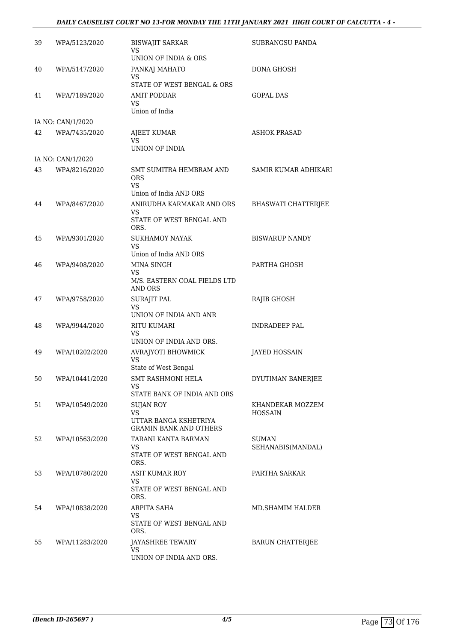#### *DAILY CAUSELIST COURT NO 13-FOR MONDAY THE 11TH JANUARY 2021 HIGH COURT OF CALCUTTA - 4 -*

| 39 | WPA/5123/2020     | <b>BISWAJIT SARKAR</b><br>VS                                                     | <b>SUBRANGSU PANDA</b>             |
|----|-------------------|----------------------------------------------------------------------------------|------------------------------------|
| 40 | WPA/5147/2020     | UNION OF INDIA & ORS<br>PANKAJ MAHATO                                            | <b>DONA GHOSH</b>                  |
|    |                   | VS<br>STATE OF WEST BENGAL & ORS                                                 |                                    |
| 41 | WPA/7189/2020     | <b>AMIT PODDAR</b><br>VS.<br>Union of India                                      | <b>GOPAL DAS</b>                   |
|    | IA NO: CAN/1/2020 |                                                                                  |                                    |
| 42 | WPA/7435/2020     | AJEET KUMAR<br>VS<br>UNION OF INDIA                                              | <b>ASHOK PRASAD</b>                |
|    | IA NO: CAN/1/2020 |                                                                                  |                                    |
| 43 | WPA/8216/2020     | SMT SUMITRA HEMBRAM AND<br><b>ORS</b><br>VS.<br>Union of India AND ORS           | <b>SAMIR KUMAR ADHIKARI</b>        |
| 44 | WPA/8467/2020     | ANIRUDHA KARMAKAR AND ORS<br>VS.<br>STATE OF WEST BENGAL AND                     | BHASWATI CHATTERJEE                |
|    |                   | ORS.                                                                             |                                    |
| 45 | WPA/9301/2020     | <b>SUKHAMOY NAYAK</b><br>VS<br>Union of India AND ORS                            | <b>BISWARUP NANDY</b>              |
| 46 | WPA/9408/2020     | <b>MINA SINGH</b><br>VS<br>M/S. EASTERN COAL FIELDS LTD                          | PARTHA GHOSH                       |
|    |                   | <b>AND ORS</b>                                                                   |                                    |
| 47 | WPA/9758/2020     | <b>SURAJIT PAL</b><br>VS<br>UNION OF INDIA AND ANR                               | RAJIB GHOSH                        |
| 48 | WPA/9944/2020     | RITU KUMARI<br>VS<br>UNION OF INDIA AND ORS.                                     | <b>INDRADEEP PAL</b>               |
| 49 | WPA/10202/2020    | AVRAJYOTI BHOWMICK<br>VS<br>State of West Bengal                                 | <b>JAYED HOSSAIN</b>               |
| 50 | WPA/10441/2020    | SMT RASHMONI HELA<br>VS.                                                         | DYUTIMAN BANERJEE                  |
|    |                   | STATE BANK OF INDIA AND ORS                                                      |                                    |
| 51 | WPA/10549/2020    | SUJAN ROY<br><b>VS</b><br>UTTAR BANGA KSHETRIYA<br><b>GRAMIN BANK AND OTHERS</b> | KHANDEKAR MOZZEM<br><b>HOSSAIN</b> |
| 52 | WPA/10563/2020    | TARANI KANTA BARMAN<br>VS.<br>STATE OF WEST BENGAL AND<br>ORS.                   | <b>SUMAN</b><br>SEHANABIS(MANDAL)  |
| 53 | WPA/10780/2020    | <b>ASIT KUMAR ROY</b><br>VS.<br>STATE OF WEST BENGAL AND<br>ORS.                 | PARTHA SARKAR                      |
| 54 | WPA/10838/2020    | ARPITA SAHA<br>VS<br>STATE OF WEST BENGAL AND                                    | MD.SHAMIM HALDER                   |
| 55 | WPA/11283/2020    | ORS.<br>JAYASHREE TEWARY<br>VS<br>UNION OF INDIA AND ORS.                        | <b>BARUN CHATTERJEE</b>            |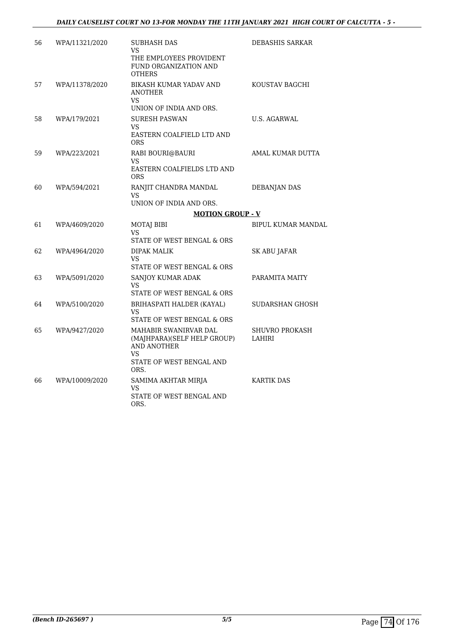| 56 | WPA/11321/2020 | SUBHASH DAS<br>VS.<br>THE EMPLOYEES PROVIDENT<br>FUND ORGANIZATION AND<br>OTHERS                                     | DEBASHIS SARKAR           |
|----|----------------|----------------------------------------------------------------------------------------------------------------------|---------------------------|
| 57 | WPA/11378/2020 | BIKASH KUMAR YADAV AND<br><b>ANOTHER</b><br>VS.<br>UNION OF INDIA AND ORS.                                           | KOUSTAV BAGCHI            |
| 58 | WPA/179/2021   | <b>SURESH PASWAN</b><br>VS.<br>EASTERN COALFIELD LTD AND<br>ORS.                                                     | <b>U.S. AGARWAL</b>       |
| 59 | WPA/223/2021   | RABI BOURI@BAURI<br>VS<br>EASTERN COALFIELDS LTD AND<br>ORS.                                                         | AMAL KUMAR DUTTA          |
| 60 | WPA/594/2021   | RANJIT CHANDRA MANDAL<br>VS.<br>UNION OF INDIA AND ORS.                                                              | DEBANJAN DAS              |
|    |                | <b>MOTION GROUP - V</b>                                                                                              |                           |
| 61 | WPA/4609/2020  | <b>MOTAJ BIBI</b><br><b>VS</b><br>STATE OF WEST BENGAL & ORS                                                         | <b>BIPUL KUMAR MANDAL</b> |
| 62 | WPA/4964/2020  | <b>DIPAK MALIK</b><br>VS.<br>STATE OF WEST BENGAL & ORS                                                              | <b>SK ABU JAFAR</b>       |
| 63 | WPA/5091/2020  | SANJOY KUMAR ADAK<br>VS<br>STATE OF WEST BENGAL & ORS                                                                | PARAMITA MAITY            |
| 64 | WPA/5100/2020  | BRIHASPATI HALDER (KAYAL)<br><b>VS</b><br>STATE OF WEST BENGAL & ORS                                                 | SUDARSHAN GHOSH           |
| 65 | WPA/9427/2020  | MAHABIR SWANIRVAR DAL<br>(MAJHPARA)(SELF HELP GROUP)<br><b>AND ANOTHER</b><br>VS<br>STATE OF WEST BENGAL AND<br>ORS. | SHUVRO PROKASH<br>LAHIRI  |
| 66 | WPA/10009/2020 | SAMIMA AKHTAR MIRJA<br>VS<br>STATE OF WEST BENGAL AND<br>ORS.                                                        | <b>KARTIK DAS</b>         |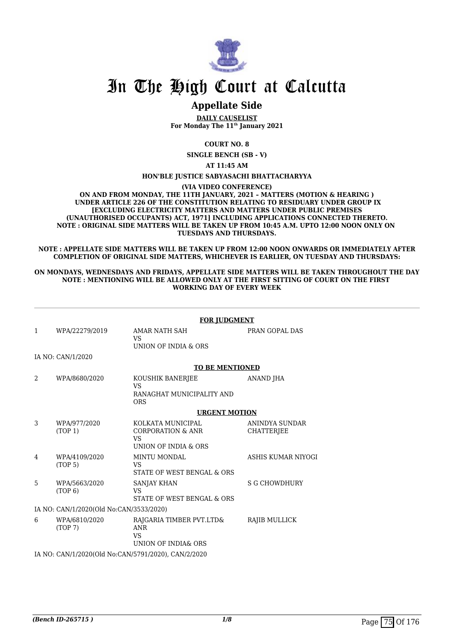

# In The High Court at Calcutta

## **Appellate Side**

**DAILY CAUSELIST For Monday The 11th January 2021**

**COURT NO. 8**

**SINGLE BENCH (SB - V)**

**AT 11:45 AM**

#### **HON'BLE JUSTICE SABYASACHI BHATTACHARYYA**

**(VIA VIDEO CONFERENCE)**

**ON AND FROM MONDAY, THE 11TH JANUARY, 2021 – MATTERS (MOTION & HEARING ) UNDER ARTICLE 226 OF THE CONSTITUTION RELATING TO RESIDUARY UNDER GROUP IX [EXCLUDING ELECTRICITY MATTERS AND MATTERS UNDER PUBLIC PREMISES (UNAUTHORISED OCCUPANTS) ACT, 1971] INCLUDING APPLICATIONS CONNECTED THERETO. NOTE : ORIGINAL SIDE MATTERS WILL BE TAKEN UP FROM 10:45 A.M. UPTO 12:00 NOON ONLY ON TUESDAYS AND THURSDAYS.**

**NOTE : APPELLATE SIDE MATTERS WILL BE TAKEN UP FROM 12:00 NOON ONWARDS OR IMMEDIATELY AFTER COMPLETION OF ORIGINAL SIDE MATTERS, WHICHEVER IS EARLIER, ON TUESDAY AND THURSDAYS:**

#### **ON MONDAYS, WEDNESDAYS AND FRIDAYS, APPELLATE SIDE MATTERS WILL BE TAKEN THROUGHOUT THE DAY NOTE : MENTIONING WILL BE ALLOWED ONLY AT THE FIRST SITTING OF COURT ON THE FIRST WORKING DAY OF EVERY WEEK**

|               |                                         | <b>FOR JUDGMENT</b>                                                                    |                                     |
|---------------|-----------------------------------------|----------------------------------------------------------------------------------------|-------------------------------------|
| $\mathbf{1}$  | WPA/22279/2019                          | AMAR NATH SAH<br><b>VS</b><br>UNION OF INDIA & ORS                                     | PRAN GOPAL DAS                      |
|               | IA NO: CAN/1/2020                       |                                                                                        |                                     |
|               |                                         | <b>TO BE MENTIONED</b>                                                                 |                                     |
| $\mathcal{D}$ | WPA/8680/2020                           | KOUSHIK BANERJEE<br>VS<br>RANAGHAT MUNICIPALITY AND<br><b>ORS</b>                      | ANAND JHA                           |
|               |                                         | <b>URGENT MOTION</b>                                                                   |                                     |
| 3             | WPA/977/2020<br>(TOP 1)                 | KOLKATA MUNICIPAL<br><b>CORPORATION &amp; ANR</b><br><b>VS</b><br>UNION OF INDIA & ORS | ANINDYA SUNDAR<br><b>CHATTERJEE</b> |
| 4             | WPA/4109/2020<br>(TOP <sub>5</sub> )    | <b>MINTU MONDAL</b><br><b>VS</b><br>STATE OF WEST BENGAL & ORS                         | ASHIS KUMAR NIYOGI                  |
| 5             | WPA/5663/2020<br>(TOP <sub>6</sub> )    | <b>SANJAY KHAN</b><br>VS<br><b>STATE OF WEST BENGAL &amp; ORS</b>                      | S G CHOWDHURY                       |
|               | IA NO: CAN/1/2020(Old No:CAN/3533/2020) |                                                                                        |                                     |
| 6             | WPA/6810/2020<br>(TOP 7)                | RAJGARIA TIMBER PVT.LTD&<br><b>ANR</b><br><b>VS</b><br>UNION OF INDIA& ORS             | RAJIB MULLICK                       |
|               |                                         | IA NO: CAN/1/2020(Old No:CAN/5791/2020), CAN/2/2020                                    |                                     |
|               |                                         |                                                                                        |                                     |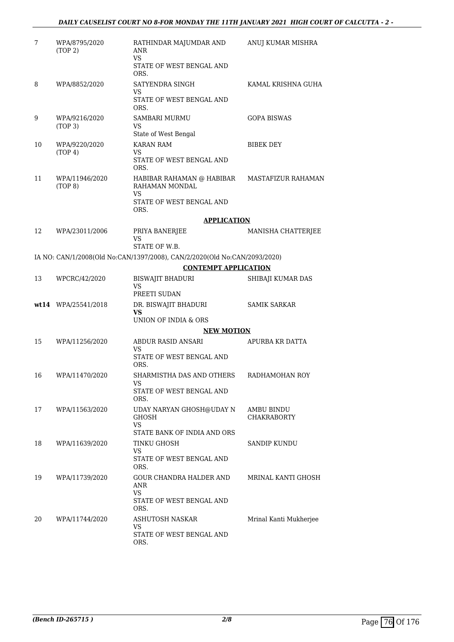### *DAILY CAUSELIST COURT NO 8-FOR MONDAY THE 11TH JANUARY 2021 HIGH COURT OF CALCUTTA - 2 -*

| 7  | WPA/8795/2020<br>(TOP 2)             | RATHINDAR MAJUMDAR AND<br>ANR<br><b>VS</b>                                | ANUJ KUMAR MISHRA                |
|----|--------------------------------------|---------------------------------------------------------------------------|----------------------------------|
|    |                                      | STATE OF WEST BENGAL AND<br>ORS.                                          |                                  |
| 8  | WPA/8852/2020                        | SATYENDRA SINGH<br>VS.                                                    | KAMAL KRISHNA GUHA               |
|    |                                      | STATE OF WEST BENGAL AND<br>ORS.                                          |                                  |
| 9  | WPA/9216/2020<br>(TOP <sub>3</sub> ) | <b>SAMBARI MURMU</b><br><b>VS</b><br>State of West Bengal                 | <b>GOPA BISWAS</b>               |
| 10 | WPA/9220/2020                        | <b>KARAN RAM</b>                                                          | <b>BIBEK DEY</b>                 |
|    | (TOP 4)                              | VS<br>STATE OF WEST BENGAL AND<br>ORS.                                    |                                  |
| 11 | WPA/11946/2020<br>(TOP 8)            | HABIBAR RAHAMAN @ HABIBAR<br>RAHAMAN MONDAL                               | MASTAFIZUR RAHAMAN               |
|    |                                      | VS<br>STATE OF WEST BENGAL AND<br>ORS.                                    |                                  |
|    |                                      | <b>APPLICATION</b>                                                        |                                  |
| 12 | WPA/23011/2006                       | PRIYA BANERJEE<br>VS                                                      | MANISHA CHATTERJEE               |
|    |                                      | STATE OF W.B.                                                             |                                  |
|    |                                      | IA NO: CAN/1/2008(Old No:CAN/1397/2008), CAN/2/2020(Old No:CAN/2093/2020) |                                  |
|    |                                      | <b>CONTEMPT APPLICATION</b>                                               |                                  |
| 13 | WPCRC/42/2020                        | BISWAJIT BHADURI<br>VS<br>PREETI SUDAN                                    | SHIBAJI KUMAR DAS                |
|    | wt14 WPA/25541/2018                  | DR. BISWAJIT BHADURI<br><b>VS</b>                                         | <b>SAMIK SARKAR</b>              |
|    |                                      | UNION OF INDIA & ORS                                                      |                                  |
|    |                                      | <b>NEW MOTION</b>                                                         |                                  |
| 15 | WPA/11256/2020                       | ABDUR RASID ANSARI<br>VS                                                  | APURBA KR DATTA                  |
|    |                                      | STATE OF WEST BENGAL AND<br>ORS.                                          |                                  |
| 16 | WPA/11470/2020                       | SHARMISTHA DAS AND OTHERS<br>VS<br>STATE OF WEST BENGAL AND               | RADHAMOHAN ROY                   |
|    |                                      | ORS.                                                                      |                                  |
| 17 | WPA/11563/2020                       | UDAY NARYAN GHOSH@UDAY N<br><b>GHOSH</b><br>VS.                           | AMBU BINDU<br><b>CHAKRABORTY</b> |
|    |                                      | STATE BANK OF INDIA AND ORS                                               |                                  |
| 18 | WPA/11639/2020                       | TINKU GHOSH<br>VS.                                                        | SANDIP KUNDU                     |
|    |                                      | STATE OF WEST BENGAL AND<br>ORS.                                          |                                  |
| 19 | WPA/11739/2020                       | GOUR CHANDRA HALDER AND<br>ANR<br><b>VS</b>                               | MRINAL KANTI GHOSH               |
|    |                                      | STATE OF WEST BENGAL AND<br>ORS.                                          |                                  |
| 20 | WPA/11744/2020                       | ASHUTOSH NASKAR<br>VS<br>STATE OF WEST BENGAL AND<br>ORS.                 | Mrinal Kanti Mukherjee           |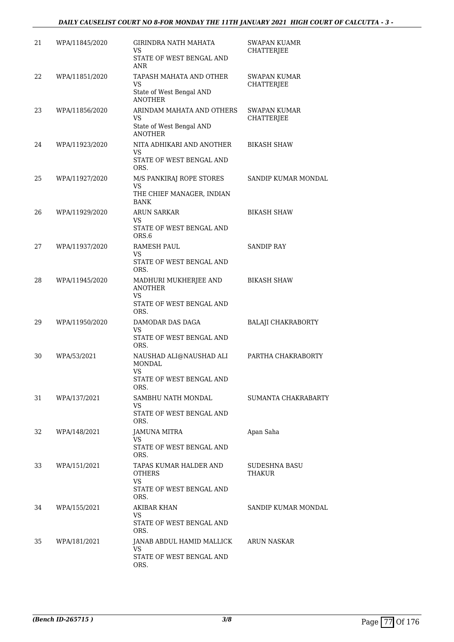#### *DAILY CAUSELIST COURT NO 8-FOR MONDAY THE 11TH JANUARY 2021 HIGH COURT OF CALCUTTA - 3 -*

| 21 | WPA/11845/2020 | <b>GIRINDRA NATH MAHATA</b><br>VS.<br>STATE OF WEST BENGAL AND<br>ANR                    | <b>SWAPAN KUAMR</b><br>CHATTERJEE        |
|----|----------------|------------------------------------------------------------------------------------------|------------------------------------------|
| 22 | WPA/11851/2020 | TAPASH MAHATA AND OTHER<br>VS<br>State of West Bengal AND<br><b>ANOTHER</b>              | SWAPAN KUMAR<br><b>CHATTERJEE</b>        |
| 23 | WPA/11856/2020 | ARINDAM MAHATA AND OTHERS<br>VS<br>State of West Bengal AND<br><b>ANOTHER</b>            | <b>SWAPAN KUMAR</b><br><b>CHATTERJEE</b> |
| 24 | WPA/11923/2020 | NITA ADHIKARI AND ANOTHER<br>VS<br>STATE OF WEST BENGAL AND<br>ORS.                      | <b>BIKASH SHAW</b>                       |
| 25 | WPA/11927/2020 | M/S PANKIRAJ ROPE STORES<br><b>VS</b><br>THE CHIEF MANAGER, INDIAN<br><b>BANK</b>        | SANDIP KUMAR MONDAL                      |
| 26 | WPA/11929/2020 | <b>ARUN SARKAR</b><br>VS<br>STATE OF WEST BENGAL AND<br>ORS.6                            | <b>BIKASH SHAW</b>                       |
| 27 | WPA/11937/2020 | <b>RAMESH PAUL</b><br>VS<br>STATE OF WEST BENGAL AND<br>ORS.                             | <b>SANDIP RAY</b>                        |
| 28 | WPA/11945/2020 | MADHURI MUKHERJEE AND<br><b>ANOTHER</b><br><b>VS</b><br>STATE OF WEST BENGAL AND<br>ORS. | <b>BIKASH SHAW</b>                       |
| 29 | WPA/11950/2020 | DAMODAR DAS DAGA<br>VS<br>STATE OF WEST BENGAL AND<br>ORS.                               | <b>BALAJI CHAKRABORTY</b>                |
| 30 | WPA/53/2021    | NAUSHAD ALI@NAUSHAD ALI<br>MONDAL<br><b>VS</b><br>STATE OF WEST BENGAL AND<br>ORS.       | PARTHA CHAKRABORTY                       |
| 31 | WPA/137/2021   | SAMBHU NATH MONDAL<br>VS.<br>STATE OF WEST BENGAL AND<br>ORS.                            | SUMANTA CHAKRABARTY                      |
| 32 | WPA/148/2021   | JAMUNA MITRA<br>VS<br>STATE OF WEST BENGAL AND<br>ORS.                                   | Apan Saha                                |
| 33 | WPA/151/2021   | TAPAS KUMAR HALDER AND<br><b>OTHERS</b><br><b>VS</b><br>STATE OF WEST BENGAL AND<br>ORS. | SUDESHNA BASU<br>THAKUR                  |
| 34 | WPA/155/2021   | AKIBAR KHAN<br>VS<br>STATE OF WEST BENGAL AND<br>ORS.                                    | SANDIP KUMAR MONDAL                      |
| 35 | WPA/181/2021   | JANAB ABDUL HAMID MALLICK<br>VS<br>STATE OF WEST BENGAL AND<br>ORS.                      | <b>ARUN NASKAR</b>                       |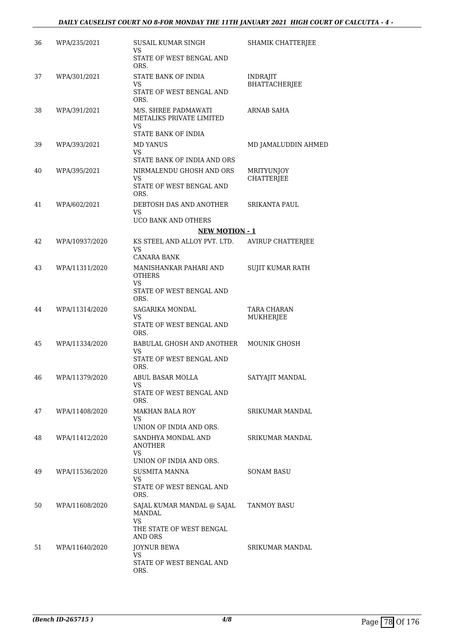#### *DAILY CAUSELIST COURT NO 8-FOR MONDAY THE 11TH JANUARY 2021 HIGH COURT OF CALCUTTA - 4 -*

| 36 | WPA/235/2021   | <b>SUSAIL KUMAR SINGH</b><br>VS<br>STATE OF WEST BENGAL AND          | SHAMIK CHATTERJEE                      |
|----|----------------|----------------------------------------------------------------------|----------------------------------------|
| 37 | WPA/301/2021   | ORS.<br>STATE BANK OF INDIA                                          | <b>INDRAJIT</b>                        |
|    |                | VS<br>STATE OF WEST BENGAL AND<br>ORS.                               | <b>BHATTACHERJEE</b>                   |
| 38 | WPA/391/2021   | M/S. SHREE PADMAWATI<br>METALIKS PRIVATE LIMITED<br>VS               | ARNAB SAHA                             |
| 39 | WPA/393/2021   | STATE BANK OF INDIA<br>MD YANUS<br>VS<br>STATE BANK OF INDIA AND ORS | MD JAMALUDDIN AHMED                    |
| 40 | WPA/395/2021   | NIRMALENDU GHOSH AND ORS<br>VS<br>STATE OF WEST BENGAL AND<br>ORS.   | <b>MRITYUNJOY</b><br><b>CHATTERJEE</b> |
| 41 | WPA/602/2021   | DEBTOSH DAS AND ANOTHER<br>VS<br>UCO BANK AND OTHERS                 | <b>SRIKANTA PAUL</b>                   |
|    |                | <b>NEW MOTION - 1</b>                                                |                                        |
| 42 | WPA/10937/2020 | KS STEEL AND ALLOY PVT. LTD.                                         | <b>AVIRUP CHATTERJEE</b>               |
|    |                | VS<br>CANARA BANK                                                    |                                        |
| 43 | WPA/11311/2020 | MANISHANKAR PAHARI AND<br><b>OTHERS</b><br><b>VS</b>                 | SUJIT KUMAR RATH                       |
|    |                | STATE OF WEST BENGAL AND<br>ORS.                                     |                                        |
| 44 | WPA/11314/2020 | <b>SAGARIKA MONDAL</b><br>VS                                         | <b>TARA CHARAN</b><br>MUKHERJEE        |
|    |                | STATE OF WEST BENGAL AND<br>ORS.                                     |                                        |
| 45 | WPA/11334/2020 | <b>BABULAL GHOSH AND ANOTHER</b><br>VS<br>STATE OF WEST BENGAL AND   | <b>MOUNIK GHOSH</b>                    |
|    |                | ORS.                                                                 |                                        |
| 46 | WPA/11379/2020 | ABUL BASAR MOLLA<br>VS<br>STATE OF WEST BENGAL AND                   | SATYAJIT MANDAL                        |
|    |                | ORS.                                                                 |                                        |
| 47 | WPA/11408/2020 | <b>MAKHAN BALA ROY</b><br><b>VS</b><br>UNION OF INDIA AND ORS.       | SRIKUMAR MANDAL                        |
| 48 | WPA/11412/2020 | SANDHYA MONDAL AND<br><b>ANOTHER</b>                                 | <b>SRIKUMAR MANDAL</b>                 |
|    |                | <b>VS</b><br>UNION OF INDIA AND ORS.                                 |                                        |
| 49 | WPA/11536/2020 | <b>SUSMITA MANNA</b><br>VS<br>STATE OF WEST BENGAL AND               | <b>SONAM BASU</b>                      |
| 50 | WPA/11608/2020 | ORS.<br>SAJAL KUMAR MANDAL @ SAJAL<br><b>MANDAL</b>                  | <b>TANMOY BASU</b>                     |
|    |                | VS.<br>THE STATE OF WEST BENGAL<br><b>AND ORS</b>                    |                                        |
| 51 | WPA/11640/2020 | JOYNUR BEWA<br><b>VS</b><br>STATE OF WEST BENGAL AND<br>ORS.         | SRIKUMAR MANDAL                        |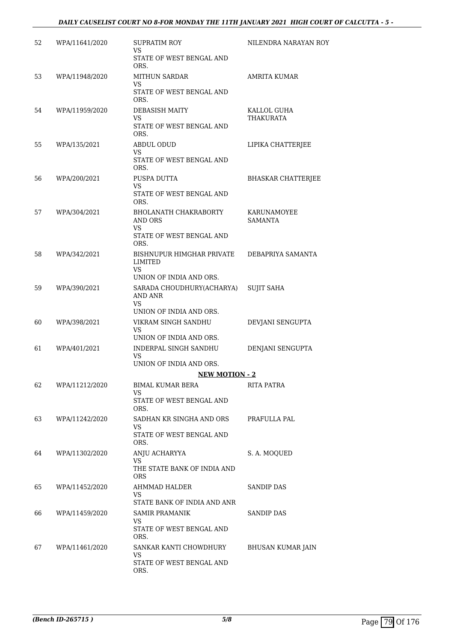#### *DAILY CAUSELIST COURT NO 8-FOR MONDAY THE 11TH JANUARY 2021 HIGH COURT OF CALCUTTA - 5 -*

| 52 | WPA/11641/2020 | <b>SUPRATIM ROY</b><br><b>VS</b><br>STATE OF WEST BENGAL AND | NILENDRA NARAYAN ROY                 |
|----|----------------|--------------------------------------------------------------|--------------------------------------|
|    |                | ORS.                                                         |                                      |
| 53 | WPA/11948/2020 | <b>MITHUN SARDAR</b><br>VS                                   | <b>AMRITA KUMAR</b>                  |
|    |                | STATE OF WEST BENGAL AND<br>ORS.                             |                                      |
| 54 | WPA/11959/2020 | DEBASISH MAITY                                               | KALLOL GUHA                          |
|    |                | VS<br>STATE OF WEST BENGAL AND<br>ORS.                       | THAKURATA                            |
| 55 | WPA/135/2021   | <b>ABDUL ODUD</b><br>VS                                      | LIPIKA CHATTERJEE                    |
|    |                | STATE OF WEST BENGAL AND<br>ORS.                             |                                      |
| 56 | WPA/200/2021   | PUSPA DUTTA<br>VS                                            | <b>BHASKAR CHATTERJEE</b>            |
|    |                | STATE OF WEST BENGAL AND<br>ORS.                             |                                      |
| 57 | WPA/304/2021   | <b>BHOLANATH CHAKRABORTY</b><br>AND ORS                      | <b>KARUNAMOYEE</b><br><b>SAMANTA</b> |
|    |                | VS<br>STATE OF WEST BENGAL AND<br>ORS.                       |                                      |
| 58 | WPA/342/2021   | BISHNUPUR HIMGHAR PRIVATE<br>LIMITED                         | DEBAPRIYA SAMANTA                    |
|    |                | VS.<br>UNION OF INDIA AND ORS.                               |                                      |
| 59 | WPA/390/2021   | SARADA CHOUDHURY(ACHARYA)<br><b>AND ANR</b><br>VS            | <b>SUJIT SAHA</b>                    |
|    |                | UNION OF INDIA AND ORS.                                      |                                      |
| 60 | WPA/398/2021   | VIKRAM SINGH SANDHU<br>VS                                    | DEVJANI SENGUPTA                     |
|    |                | UNION OF INDIA AND ORS.                                      |                                      |
| 61 | WPA/401/2021   | INDERPAL SINGH SANDHU<br>VS<br>UNION OF INDIA AND ORS.       | DENJANI SENGUPTA                     |
|    |                | <b>NEW MOTION - 2</b>                                        |                                      |
| 62 | WPA/11212/2020 | BIMAL KUMAR BERA                                             | RITA PATRA                           |
|    |                | VS<br>STATE OF WEST BENGAL AND<br>ORS.                       |                                      |
| 63 | WPA/11242/2020 | SADHAN KR SINGHA AND ORS                                     | PRAFULLA PAL                         |
|    |                | VS<br>STATE OF WEST BENGAL AND<br>ORS.                       |                                      |
| 64 | WPA/11302/2020 | ANJU ACHARYYA                                                | S. A. MOQUED                         |
|    |                | VS<br>THE STATE BANK OF INDIA AND<br><b>ORS</b>              |                                      |
| 65 | WPA/11452/2020 | AHMMAD HALDER<br>VS.                                         | <b>SANDIP DAS</b>                    |
|    |                | STATE BANK OF INDIA AND ANR                                  |                                      |
| 66 | WPA/11459/2020 | <b>SAMIR PRAMANIK</b><br>VS<br>STATE OF WEST BENGAL AND      | <b>SANDIP DAS</b>                    |
| 67 | WPA/11461/2020 | ORS.<br>SANKAR KANTI CHOWDHURY                               | <b>BHUSAN KUMAR JAIN</b>             |
|    |                | VS.<br>STATE OF WEST BENGAL AND                              |                                      |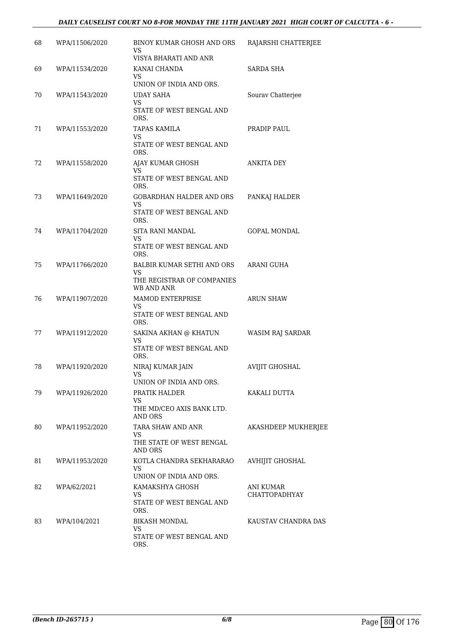### *DAILY CAUSELIST COURT NO 8-FOR MONDAY THE 11TH JANUARY 2021 HIGH COURT OF CALCUTTA - 6 -*

| 68 | WPA/11506/2020 | BINOY KUMAR GHOSH AND ORS<br><b>VS</b><br>VISYA BHARATI AND ANR                  | RAJARSHI CHATTERJEE                      |
|----|----------------|----------------------------------------------------------------------------------|------------------------------------------|
| 69 | WPA/11534/2020 | KANAI CHANDA<br>VS<br>UNION OF INDIA AND ORS.                                    | SARDA SHA                                |
| 70 | WPA/11543/2020 | UDAY SAHA<br>VS.<br>STATE OF WEST BENGAL AND<br>ORS.                             | Sourav Chatterjee                        |
| 71 | WPA/11553/2020 | TAPAS KAMILA<br>VS<br>STATE OF WEST BENGAL AND<br>ORS.                           | PRADIP PAUL                              |
| 72 | WPA/11558/2020 | AJAY KUMAR GHOSH<br>VS.<br>STATE OF WEST BENGAL AND<br>ORS.                      | <b>ANKITA DEY</b>                        |
| 73 | WPA/11649/2020 | <b>GOBARDHAN HALDER AND ORS</b><br><b>VS</b><br>STATE OF WEST BENGAL AND<br>ORS. | PANKAJ HALDER                            |
| 74 | WPA/11704/2020 | <b>SITA RANI MANDAL</b><br>VS<br>STATE OF WEST BENGAL AND<br>ORS.                | <b>GOPAL MONDAL</b>                      |
| 75 | WPA/11766/2020 | BALBIR KUMAR SETHI AND ORS<br>VS<br>THE REGISTRAR OF COMPANIES<br>WB AND ANR     | ARANI GUHA                               |
| 76 | WPA/11907/2020 | MAMOD ENTERPRISE<br>VS<br>STATE OF WEST BENGAL AND<br>ORS.                       | <b>ARUN SHAW</b>                         |
| 77 | WPA/11912/2020 | SAKINA AKHAN @ KHATUN<br>VS<br>STATE OF WEST BENGAL AND<br>ORS.                  | WASIM RAJ SARDAR                         |
| 78 | WPA/11920/2020 | NIRAJ KUMAR JAIN<br><b>VS</b><br>UNION OF INDIA AND ORS.                         | <b>AVIJIT GHOSHAL</b>                    |
| 79 | WPA/11926/2020 | PRATIK HALDER<br>VS<br>THE MD/CEO AXIS BANK LTD.<br><b>AND ORS</b>               | KAKALI DUTTA                             |
| 80 | WPA/11952/2020 | TARA SHAW AND ANR<br>VS<br>THE STATE OF WEST BENGAL<br>AND ORS                   | AKASHDEEP MUKHERJEE                      |
| 81 | WPA/11953/2020 | KOTLA CHANDRA SEKHARARAO<br>VS.<br>UNION OF INDIA AND ORS.                       | <b>AVHIJIT GHOSHAL</b>                   |
| 82 | WPA/62/2021    | KAMAKSHYA GHOSH<br>VS.<br>STATE OF WEST BENGAL AND<br>ORS.                       | <b>ANI KUMAR</b><br><b>CHATTOPADHYAY</b> |
| 83 | WPA/104/2021   | <b>BIKASH MONDAL</b><br>VS<br>STATE OF WEST BENGAL AND<br>ORS.                   | KAUSTAV CHANDRA DAS                      |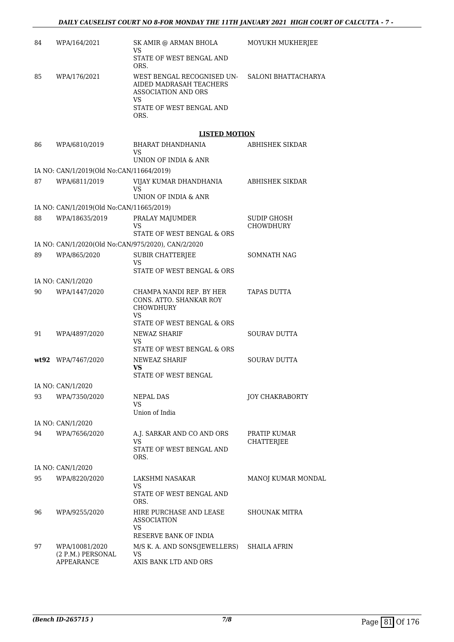| 84 | WPA/164/2021                                      | SK AMIR @ ARMAN BHOLA<br>VS<br>STATE OF WEST BENGAL AND                                                                       | MOYUKH MUKHERJEE                       |
|----|---------------------------------------------------|-------------------------------------------------------------------------------------------------------------------------------|----------------------------------------|
|    |                                                   | ORS.                                                                                                                          |                                        |
| 85 | WPA/176/2021                                      | WEST BENGAL RECOGNISED UN-<br>AIDED MADRASAH TEACHERS<br><b>ASSOCIATION AND ORS</b><br>VS<br>STATE OF WEST BENGAL AND<br>ORS. | SALONI BHATTACHARYA                    |
|    |                                                   |                                                                                                                               |                                        |
|    |                                                   | <b>LISTED MOTION</b>                                                                                                          |                                        |
| 86 | WPA/6810/2019                                     | BHARAT DHANDHANIA<br>VS<br>UNION OF INDIA & ANR                                                                               | ABHISHEK SIKDAR                        |
|    | IA NO: CAN/1/2019(Old No:CAN/11664/2019)          |                                                                                                                               |                                        |
| 87 | WPA/6811/2019                                     | VIJAY KUMAR DHANDHANIA<br>VS                                                                                                  | ABHISHEK SIKDAR                        |
|    |                                                   | UNION OF INDIA & ANR                                                                                                          |                                        |
|    | IA NO: CAN/1/2019(Old No:CAN/11665/2019)          |                                                                                                                               |                                        |
| 88 | WPA/18635/2019                                    | PRALAY MAJUMDER<br>VS<br>STATE OF WEST BENGAL & ORS                                                                           | <b>SUDIP GHOSH</b><br><b>CHOWDHURY</b> |
|    |                                                   | IA NO: CAN/1/2020(Old No:CAN/975/2020), CAN/2/2020                                                                            |                                        |
| 89 | WPA/865/2020                                      | <b>SUBIR CHATTERJEE</b>                                                                                                       | SOMNATH NAG                            |
|    |                                                   | VS<br>STATE OF WEST BENGAL & ORS                                                                                              |                                        |
|    | IA NO: CAN/1/2020                                 |                                                                                                                               |                                        |
| 90 | WPA/1447/2020                                     | CHAMPA NANDI REP. BY HER<br>CONS. ATTO. SHANKAR ROY<br>CHOWDHURY<br>VS                                                        | TAPAS DUTTA                            |
|    |                                                   | STATE OF WEST BENGAL & ORS                                                                                                    |                                        |
| 91 | WPA/4897/2020                                     | <b>NEWAZ SHARIF</b><br>VS<br>STATE OF WEST BENGAL & ORS                                                                       | <b>SOURAV DUTTA</b>                    |
|    | wt92 WPA/7467/2020                                | NEWEAZ SHARIF                                                                                                                 | <b>SOURAV DUTTA</b>                    |
|    |                                                   | VS<br>STATE OF WEST BENGAL                                                                                                    |                                        |
|    | IA NO: CAN/1/2020                                 |                                                                                                                               |                                        |
| 93 | WPA/7350/2020                                     | NEPAL DAS<br>VS                                                                                                               | JOY CHAKRABORTY                        |
|    |                                                   | Union of India                                                                                                                |                                        |
|    | IA NO: CAN/1/2020                                 |                                                                                                                               |                                        |
| 94 | WPA/7656/2020                                     | A.J. SARKAR AND CO AND ORS<br>VS<br>STATE OF WEST BENGAL AND<br>ORS.                                                          | PRATIP KUMAR<br>CHATTERJEE             |
|    | IA NO: CAN/1/2020                                 |                                                                                                                               |                                        |
| 95 | WPA/8220/2020                                     | LAKSHMI NASAKAR<br>VS<br>STATE OF WEST BENGAL AND                                                                             | MANOJ KUMAR MONDAL                     |
|    |                                                   | ORS.                                                                                                                          |                                        |
| 96 | WPA/9255/2020                                     | HIRE PURCHASE AND LEASE<br><b>ASSOCIATION</b><br>VS<br>RESERVE BANK OF INDIA                                                  | <b>SHOUNAK MITRA</b>                   |
| 97 | WPA/10081/2020<br>(2 P.M.) PERSONAL<br>APPEARANCE | M/S K. A. AND SONS(JEWELLERS)<br>VS<br>AXIS BANK LTD AND ORS                                                                  | SHAILA AFRIN                           |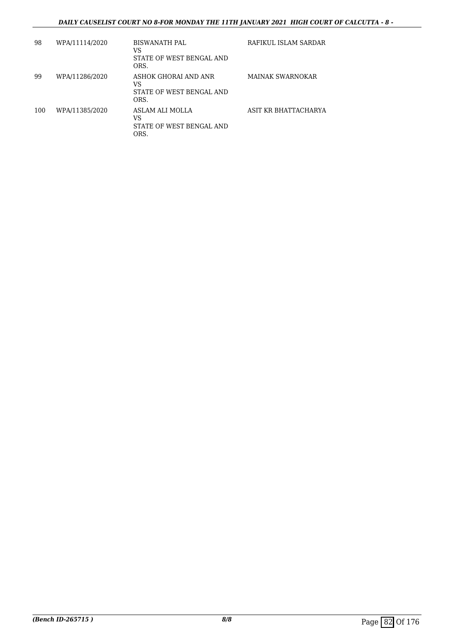### *DAILY CAUSELIST COURT NO 8-FOR MONDAY THE 11TH JANUARY 2021 HIGH COURT OF CALCUTTA - 8 -*

| 98  | WPA/11114/2020 | <b>BISWANATH PAL</b><br>VS<br>STATE OF WEST BENGAL AND<br>ORS. | RAFIKUL ISLAM SARDAR |
|-----|----------------|----------------------------------------------------------------|----------------------|
| 99  | WPA/11286/2020 | ASHOK GHORAI AND ANR<br>VS<br>STATE OF WEST BENGAL AND<br>ORS. | MAINAK SWARNOKAR     |
| 100 | WPA/11385/2020 | ASLAM ALI MOLLA<br>VS<br>STATE OF WEST BENGAL AND<br>ORS.      | ASIT KR BHATTACHARYA |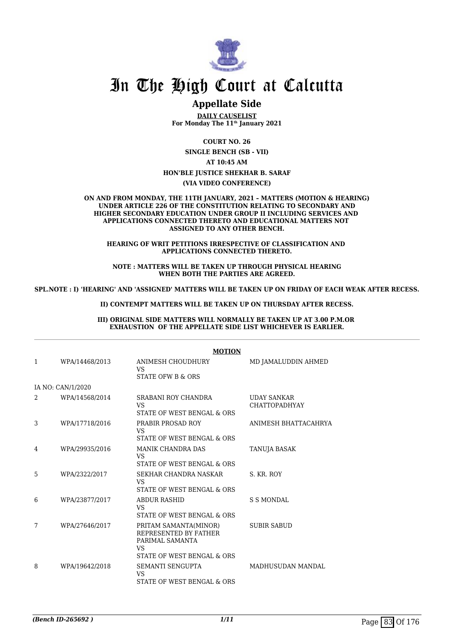

# In The High Court at Calcutta

## **Appellate Side**

**DAILY CAUSELIST For Monday The 11th January 2021**

**COURT NO. 26 SINGLE BENCH (SB - VII) AT 10:45 AM HON'BLE JUSTICE SHEKHAR B. SARAF (VIA VIDEO CONFERENCE)**

**ON AND FROM MONDAY, THE 11TH JANUARY, 2021 – MATTERS (MOTION & HEARING) UNDER ARTICLE 226 OF THE CONSTITUTION RELATING TO SECONDARY AND HIGHER SECONDARY EDUCATION UNDER GROUP II INCLUDING SERVICES AND APPLICATIONS CONNECTED THERETO AND EDUCATIONAL MATTERS NOT ASSIGNED TO ANY OTHER BENCH.**

**HEARING OF WRIT PETITIONS IRRESPECTIVE OF CLASSIFICATION AND APPLICATIONS CONNECTED THERETO.**

**NOTE : MATTERS WILL BE TAKEN UP THROUGH PHYSICAL HEARING WHEN BOTH THE PARTIES ARE AGREED.**

**SPL.NOTE : I) 'HEARING' AND 'ASSIGNED' MATTERS WILL BE TAKEN UP ON FRIDAY OF EACH WEAK AFTER RECESS.**

**II) CONTEMPT MATTERS WILL BE TAKEN UP ON THURSDAY AFTER RECESS.**

**III) ORIGINAL SIDE MATTERS WILL NORMALLY BE TAKEN UP AT 3.00 P.M.OR EXHAUSTION OF THE APPELLATE SIDE LIST WHICHEVER IS EARLIER.**

| <b>MOTION</b> |                   |                                                                                                        |                                            |
|---------------|-------------------|--------------------------------------------------------------------------------------------------------|--------------------------------------------|
| 1             | WPA/14468/2013    | ANIMESH CHOUDHURY<br><b>VS</b><br>STATE OFW B & ORS                                                    | MD JAMALUDDIN AHMED                        |
|               | IA NO: CAN/1/2020 |                                                                                                        |                                            |
| 2             | WPA/14568/2014    | SRABANI ROY CHANDRA<br><b>VS</b><br>STATE OF WEST BENGAL & ORS                                         | <b>UDAY SANKAR</b><br><b>CHATTOPADHYAY</b> |
| 3             | WPA/17718/2016    | PRABIR PROSAD ROY<br><b>VS</b><br>STATE OF WEST BENGAL & ORS                                           | ANIMESH BHATTACAHRYA                       |
| 4             | WPA/29935/2016    | <b>MANIK CHANDRA DAS</b><br><b>VS</b><br>STATE OF WEST BENGAL & ORS                                    | <b>TANUJA BASAK</b>                        |
| 5             | WPA/2322/2017     | SEKHAR CHANDRA NASKAR<br><b>VS</b><br>STATE OF WEST BENGAL & ORS                                       | S. KR. ROY                                 |
| 6             | WPA/23877/2017    | <b>ABDUR RASHID</b><br>VS.<br>STATE OF WEST BENGAL & ORS                                               | <b>S S MONDAL</b>                          |
| 7             | WPA/27646/2017    | PRITAM SAMANTA(MINOR)<br>REPRESENTED BY FATHER<br>PARIMAL SAMANTA<br>VS.<br>STATE OF WEST BENGAL & ORS | <b>SUBIR SABUD</b>                         |
| 8             | WPA/19642/2018    | SEMANTI SENGUPTA<br><b>VS</b><br>STATE OF WEST BENGAL & ORS                                            | <b>MADHUSUDAN MANDAL</b>                   |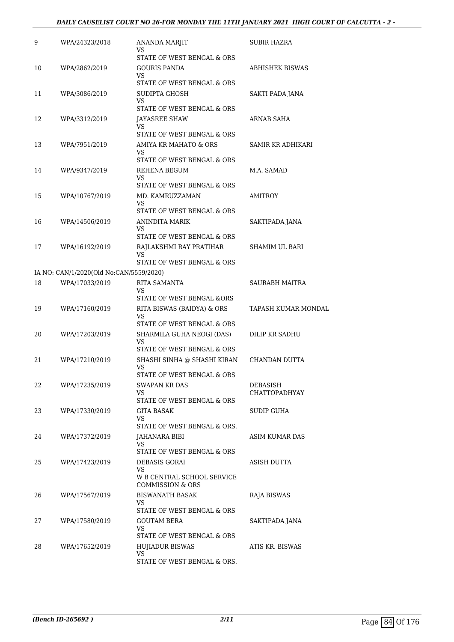#### *DAILY CAUSELIST COURT NO 26-FOR MONDAY THE 11TH JANUARY 2021 HIGH COURT OF CALCUTTA - 2 -*

| 9  | WPA/24323/2018                          | ANANDA MARJIT<br>VS                                       | SUBIR HAZRA           |
|----|-----------------------------------------|-----------------------------------------------------------|-----------------------|
| 10 | WPA/2862/2019                           | STATE OF WEST BENGAL & ORS<br>GOURIS PANDA                | ABHISHEK BISWAS       |
|    |                                         | VS.<br>STATE OF WEST BENGAL & ORS                         |                       |
| 11 | WPA/3086/2019                           | SUDIPTA GHOSH                                             | SAKTI PADA JANA       |
|    |                                         | VS<br>STATE OF WEST BENGAL & ORS                          |                       |
| 12 | WPA/3312/2019                           | <b>JAYASREE SHAW</b>                                      | ARNAB SAHA            |
|    |                                         | VS                                                        |                       |
| 13 | WPA/7951/2019                           | STATE OF WEST BENGAL & ORS<br>AMIYA KR MAHATO & ORS       | SAMIR KR ADHIKARI     |
|    |                                         | VS.                                                       |                       |
|    |                                         | STATE OF WEST BENGAL & ORS                                |                       |
| 14 | WPA/9347/2019                           | REHENA BEGUM<br>VS.                                       | M.A. SAMAD            |
|    |                                         | STATE OF WEST BENGAL & ORS                                |                       |
| 15 | WPA/10767/2019                          | MD. KAMRUZZAMAN<br>VS                                     | AMITROY               |
|    |                                         | STATE OF WEST BENGAL & ORS                                |                       |
| 16 | WPA/14506/2019                          | ANINDITA MARIK<br>VS                                      | SAKTIPADA JANA        |
|    |                                         | STATE OF WEST BENGAL & ORS                                |                       |
| 17 | WPA/16192/2019                          | RAJLAKSHMI RAY PRATIHAR                                   | <b>SHAMIM UL BARI</b> |
|    |                                         | VS.<br>STATE OF WEST BENGAL & ORS                         |                       |
|    | IA NO: CAN/1/2020(Old No:CAN/5559/2020) |                                                           |                       |
| 18 | WPA/17033/2019                          | RITA SAMANTA                                              | SAURABH MAITRA        |
|    |                                         | VS<br>STATE OF WEST BENGAL &ORS                           |                       |
| 19 | WPA/17160/2019                          | RITA BISWAS (BAIDYA) & ORS<br>VS                          | TAPASH KUMAR MONDAL   |
|    |                                         | STATE OF WEST BENGAL & ORS                                |                       |
| 20 | WPA/17203/2019                          | SHARMILA GUHA NEOGI (DAS)<br>VS                           | DILIP KR SADHU        |
|    |                                         | STATE OF WEST BENGAL & ORS                                |                       |
| 21 | WPA/17210/2019                          | SHASHI SINHA @ SHASHI KIRAN<br>VS                         | CHANDAN DUTTA         |
|    |                                         | STATE OF WEST BENGAL & ORS                                |                       |
| 22 | WPA/17235/2019                          | SWAPAN KR DAS                                             | DEBASISH              |
|    |                                         | VS.<br>STATE OF WEST BENGAL & ORS                         | <b>CHATTOPADHYAY</b>  |
| 23 | WPA/17330/2019                          | GITA BASAK                                                | SUDIP GUHA            |
|    |                                         | VS.<br>STATE OF WEST BENGAL & ORS.                        |                       |
| 24 | WPA/17372/2019                          | JAHANARA BIBI                                             | ASIM KUMAR DAS        |
|    |                                         | VS.<br>STATE OF WEST BENGAL & ORS                         |                       |
| 25 | WPA/17423/2019                          | <b>DEBASIS GORAI</b>                                      | ASISH DUTTA           |
|    |                                         | VS                                                        |                       |
|    |                                         | W B CENTRAL SCHOOL SERVICE<br><b>COMMISSION &amp; ORS</b> |                       |
| 26 | WPA/17567/2019                          | BISWANATH BASAK                                           | RAJA BISWAS           |
|    |                                         | VS.<br>STATE OF WEST BENGAL & ORS                         |                       |
| 27 | WPA/17580/2019                          | <b>GOUTAM BERA</b>                                        | SAKTIPADA JANA        |
|    |                                         | VS                                                        |                       |
|    |                                         | STATE OF WEST BENGAL & ORS                                |                       |
| 28 | WPA/17652/2019                          | <b>HUJIADUR BISWAS</b><br><b>VS</b>                       | ATIS KR. BISWAS       |
|    |                                         | STATE OF WEST BENGAL & ORS.                               |                       |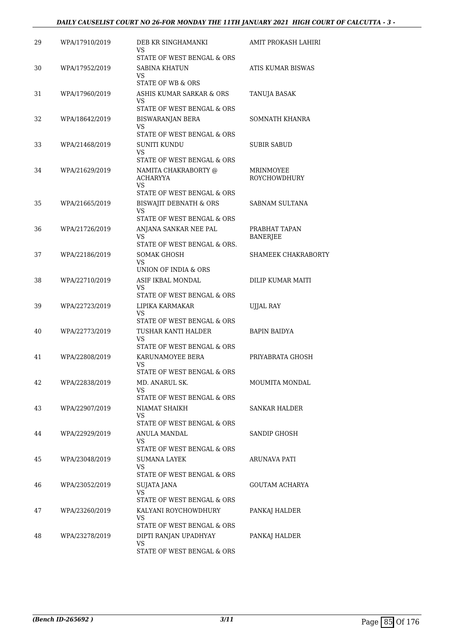#### *DAILY CAUSELIST COURT NO 26-FOR MONDAY THE 11TH JANUARY 2021 HIGH COURT OF CALCUTTA - 3 -*

| 29 | WPA/17910/2019 | DEB KR SINGHAMANKI<br>VS                                     | AMIT PROKASH LAHIRI              |
|----|----------------|--------------------------------------------------------------|----------------------------------|
| 30 | WPA/17952/2019 | STATE OF WEST BENGAL & ORS<br>SABINA KHATUN                  | ATIS KUMAR BISWAS                |
|    |                | VS<br>STATE OF WB & ORS                                      |                                  |
| 31 | WPA/17960/2019 | ASHIS KUMAR SARKAR & ORS<br>VS<br>STATE OF WEST BENGAL & ORS | TANUJA BASAK                     |
| 32 | WPA/18642/2019 | BISWARANJAN BERA<br>VS<br>STATE OF WEST BENGAL & ORS         | SOMNATH KHANRA                   |
| 33 | WPA/21468/2019 | SUNITI KUNDU<br>VS                                           | SUBIR SABUD                      |
|    |                | STATE OF WEST BENGAL & ORS                                   |                                  |
| 34 | WPA/21629/2019 | NAMITA CHAKRABORTY @<br><b>ACHARYYA</b><br>VS.               | MRINMOYEE<br><b>ROYCHOWDHURY</b> |
|    |                | STATE OF WEST BENGAL & ORS                                   |                                  |
| 35 | WPA/21665/2019 | BISWAJIT DEBNATH & ORS<br>VS                                 | SABNAM SULTANA                   |
|    |                | STATE OF WEST BENGAL & ORS                                   |                                  |
| 36 | WPA/21726/2019 | ANJANA SANKAR NEE PAL<br>VS.<br>STATE OF WEST BENGAL & ORS.  | PRABHAT TAPAN<br><b>BANERJEE</b> |
| 37 | WPA/22186/2019 | <b>SOMAK GHOSH</b><br>VS                                     | SHAMEEK CHAKRABORTY              |
|    |                | UNION OF INDIA & ORS                                         |                                  |
| 38 | WPA/22710/2019 | ASIF IKBAL MONDAL<br>VS<br>STATE OF WEST BENGAL & ORS        | DILIP KUMAR MAITI                |
| 39 | WPA/22723/2019 | LIPIKA KARMAKAR<br><b>VS</b>                                 | UJJAL RAY                        |
| 40 | WPA/22773/2019 | STATE OF WEST BENGAL & ORS<br>TUSHAR KANTI HALDER            | <b>BAPIN BAIDYA</b>              |
|    |                | VS<br>STATE OF WEST BENGAL & ORS                             |                                  |
| 41 | WPA/22808/2019 | KARUNAMOYEE BERA<br>VS<br>STATE OF WEST BENGAL & ORS         | PRIYABRATA GHOSH                 |
| 42 | WPA/22838/2019 | MD. ANARUL SK.<br>VS.                                        | MOUMITA MONDAL                   |
|    |                | STATE OF WEST BENGAL & ORS                                   |                                  |
| 43 | WPA/22907/2019 | NIAMAT SHAIKH<br>VS<br>STATE OF WEST BENGAL & ORS            | SANKAR HALDER                    |
| 44 | WPA/22929/2019 | ANULA MANDAL<br>VS.                                          | <b>SANDIP GHOSH</b>              |
|    |                | STATE OF WEST BENGAL & ORS                                   |                                  |
| 45 | WPA/23048/2019 | SUMANA LAYEK<br>VS<br>STATE OF WEST BENGAL & ORS             | ARUNAVA PATI                     |
| 46 | WPA/23052/2019 | <b>SUJATA JANA</b><br>VS                                     | GOUTAM ACHARYA                   |
|    |                | STATE OF WEST BENGAL & ORS                                   |                                  |
| 47 | WPA/23260/2019 | KALYANI ROYCHOWDHURY<br>VS.<br>STATE OF WEST BENGAL & ORS    | PANKAJ HALDER                    |
| 48 | WPA/23278/2019 | DIPTI RANJAN UPADHYAY                                        | PANKAJ HALDER                    |
|    |                | VS<br>STATE OF WEST BENGAL & ORS                             |                                  |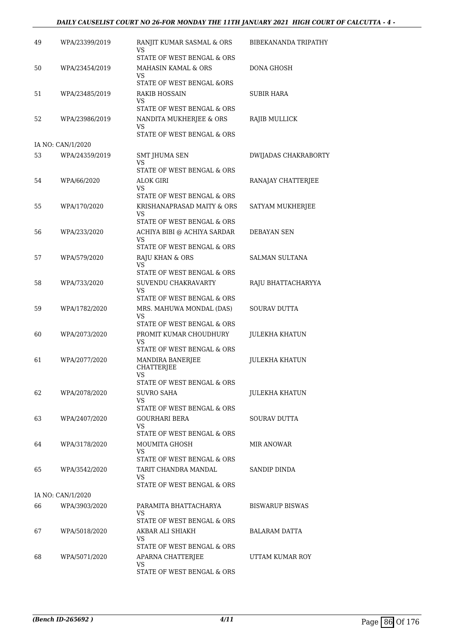#### *DAILY CAUSELIST COURT NO 26-FOR MONDAY THE 11TH JANUARY 2021 HIGH COURT OF CALCUTTA - 4 -*

| 49 | WPA/23399/2019    | RANJIT KUMAR SASMAL & ORS<br>VS                                  | BIBEKANANDA TRIPATHY   |
|----|-------------------|------------------------------------------------------------------|------------------------|
| 50 | WPA/23454/2019    | STATE OF WEST BENGAL & ORS<br>MAHASIN KAMAL & ORS                | DONA GHOSH             |
|    |                   | VS<br>STATE OF WEST BENGAL &ORS                                  |                        |
| 51 | WPA/23485/2019    | RAKIB HOSSAIN<br>VS                                              | SUBIR HARA             |
| 52 | WPA/23986/2019    | STATE OF WEST BENGAL & ORS<br>NANDITA MUKHERJEE & ORS<br>VS      | RAJIB MULLICK          |
|    | IA NO: CAN/1/2020 | STATE OF WEST BENGAL & ORS                                       |                        |
| 53 | WPA/24359/2019    | SMT JHUMA SEN                                                    | DWIJADAS CHAKRABORTY   |
|    |                   | VS<br>STATE OF WEST BENGAL & ORS                                 |                        |
| 54 | WPA/66/2020       | ALOK GIRI<br>VS                                                  | RANAJAY CHATTERJEE     |
|    |                   | STATE OF WEST BENGAL & ORS                                       |                        |
| 55 | WPA/170/2020      | KRISHANAPRASAD MAITY & ORS<br>VS                                 | SATYAM MUKHERJEE       |
|    |                   | STATE OF WEST BENGAL & ORS                                       |                        |
| 56 | WPA/233/2020      | ACHIYA BIBI @ ACHIYA SARDAR<br>VS.<br>STATE OF WEST BENGAL & ORS | DEBAYAN SEN            |
| 57 | WPA/579/2020      | RAJU KHAN & ORS                                                  | <b>SALMAN SULTANA</b>  |
|    |                   | VS<br>STATE OF WEST BENGAL & ORS                                 |                        |
| 58 | WPA/733/2020      | SUVENDU CHAKRAVARTY<br>VS                                        | RAJU BHATTACHARYYA     |
|    |                   | STATE OF WEST BENGAL & ORS                                       |                        |
| 59 | WPA/1782/2020     | MRS. MAHUWA MONDAL (DAS)<br>VS                                   | SOURAV DUTTA           |
|    |                   | STATE OF WEST BENGAL & ORS                                       |                        |
| 60 | WPA/2073/2020     | PROMIT KUMAR CHOUDHURY<br>VS<br>STATE OF WEST BENGAL & ORS       | <b>JULEKHA KHATUN</b>  |
| 61 | WPA/2077/2020     | MANDIRA BANERJEE<br><b>CHATTERJEE</b>                            | <b>JULEKHA KHATUN</b>  |
|    |                   | VS.<br>STATE OF WEST BENGAL & ORS                                |                        |
| 62 | WPA/2078/2020     | SUVRO SAHA                                                       | <b>JULEKHA KHATUN</b>  |
|    |                   | VS                                                               |                        |
|    |                   | STATE OF WEST BENGAL & ORS                                       |                        |
| 63 | WPA/2407/2020     | GOURHARI BERA<br>VS                                              | SOURAV DUTTA           |
|    |                   | STATE OF WEST BENGAL & ORS                                       |                        |
| 64 | WPA/3178/2020     | MOUMITA GHOSH<br>VS.                                             | MIR ANOWAR             |
|    |                   | STATE OF WEST BENGAL & ORS                                       |                        |
| 65 | WPA/3542/2020     | TARIT CHANDRA MANDAL<br>VS.<br>STATE OF WEST BENGAL & ORS        | SANDIP DINDA           |
|    | IA NO: CAN/1/2020 |                                                                  |                        |
| 66 | WPA/3903/2020     | PARAMITA BHATTACHARYA<br>VS.                                     | <b>BISWARUP BISWAS</b> |
|    |                   | STATE OF WEST BENGAL & ORS                                       |                        |
| 67 | WPA/5018/2020     | AKBAR ALI SHIAKH<br>VS                                           | BALARAM DATTA          |
|    |                   | STATE OF WEST BENGAL & ORS                                       |                        |
| 68 | WPA/5071/2020     | APARNA CHATTERJEE<br>VS.                                         | UTTAM KUMAR ROY        |
|    |                   | STATE OF WEST BENGAL & ORS                                       |                        |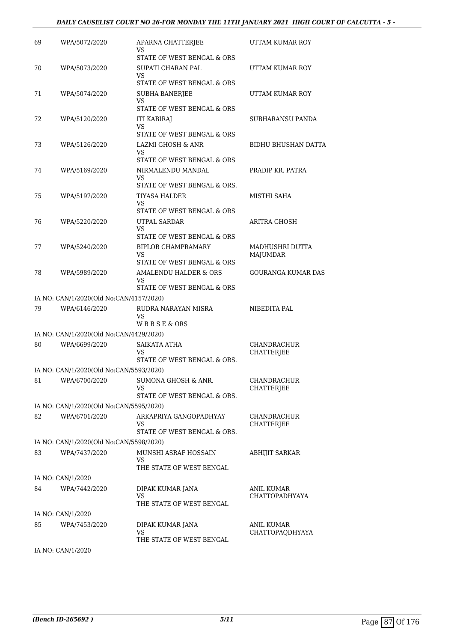#### *DAILY CAUSELIST COURT NO 26-FOR MONDAY THE 11TH JANUARY 2021 HIGH COURT OF CALCUTTA - 5 -*

| 69 | WPA/5072/2020                           | APARNA CHATTERJEE<br>VS                                       | UTTAM KUMAR ROY                  |
|----|-----------------------------------------|---------------------------------------------------------------|----------------------------------|
|    |                                         | STATE OF WEST BENGAL & ORS                                    |                                  |
| 70 | WPA/5073/2020                           | SUPATI CHARAN PAL<br>VS                                       | UTTAM KUMAR ROY                  |
|    |                                         | STATE OF WEST BENGAL & ORS                                    |                                  |
| 71 | WPA/5074/2020                           | <b>SUBHA BANERJEE</b><br>VS<br>STATE OF WEST BENGAL & ORS     | UTTAM KUMAR ROY                  |
| 72 | WPA/5120/2020                           | <b>ITI KABIRAJ</b>                                            | SUBHARANSU PANDA                 |
|    |                                         | <b>VS</b>                                                     |                                  |
|    |                                         | STATE OF WEST BENGAL & ORS                                    |                                  |
| 73 | WPA/5126/2020                           | <b>LAZMI GHOSH &amp; ANR</b><br>VS.                           | <b>BIDHU BHUSHAN DATTA</b>       |
|    |                                         | STATE OF WEST BENGAL & ORS                                    |                                  |
| 74 | WPA/5169/2020                           | NIRMALENDU MANDAL<br>VS<br>STATE OF WEST BENGAL & ORS.        | PRADIP KR. PATRA                 |
| 75 | WPA/5197/2020                           | TIYASA HALDER                                                 | MISTHI SAHA                      |
|    |                                         | VS                                                            |                                  |
|    |                                         | STATE OF WEST BENGAL & ORS                                    |                                  |
| 76 | WPA/5220/2020                           | UTPAL SARDAR                                                  | ARITRA GHOSH                     |
|    |                                         | VS.<br>STATE OF WEST BENGAL & ORS                             |                                  |
| 77 | WPA/5240/2020                           | BIPLOB CHAMPRAMARY                                            | MADHUSHRI DUTTA                  |
|    |                                         | VS                                                            | MAJUMDAR                         |
|    |                                         | STATE OF WEST BENGAL & ORS                                    |                                  |
| 78 | WPA/5989/2020                           | AMALENDU HALDER & ORS<br>VS                                   | <b>GOURANGA KUMAR DAS</b>        |
|    |                                         | STATE OF WEST BENGAL & ORS                                    |                                  |
|    | IA NO: CAN/1/2020(Old No:CAN/4157/2020) |                                                               |                                  |
| 79 | WPA/6146/2020                           | RUDRA NARAYAN MISRA<br>VS                                     | NIBEDITA PAL                     |
|    |                                         | WBBSE&ORS                                                     |                                  |
|    | IA NO: CAN/1/2020(Old No:CAN/4429/2020) |                                                               |                                  |
| 80 | WPA/6699/2020                           | SAIKATA ATHA<br>VS                                            | CHANDRACHUR<br><b>CHATTERJEE</b> |
|    |                                         | STATE OF WEST BENGAL & ORS.                                   |                                  |
|    | IA NO: CAN/1/2020(Old No:CAN/5593/2020) |                                                               |                                  |
| 81 | WPA/6700/2020                           | SUMONA GHOSH & ANR.<br>VS<br>STATE OF WEST BENGAL & ORS.      | CHANDRACHUR<br>CHATTERJEE        |
|    | IA NO: CAN/1/2020(Old No:CAN/5595/2020) |                                                               |                                  |
| 82 | WPA/6701/2020                           | ARKAPRIYA GANGOPADHYAY                                        | <b>CHANDRACHUR</b>               |
|    |                                         | VS                                                            | CHATTERJEE                       |
|    |                                         | STATE OF WEST BENGAL & ORS.                                   |                                  |
|    | IA NO: CAN/1/2020(Old No:CAN/5598/2020) |                                                               |                                  |
| 83 | WPA/7437/2020                           | MUNSHI ASRAF HOSSAIN<br><b>VS</b><br>THE STATE OF WEST BENGAL | <b>ABHIJIT SARKAR</b>            |
|    | IA NO: CAN/1/2020                       |                                                               |                                  |
| 84 | WPA/7442/2020                           | DIPAK KUMAR JANA                                              | ANIL KUMAR                       |
|    |                                         | VS                                                            | CHATTOPADHYAYA                   |
|    |                                         | THE STATE OF WEST BENGAL                                      |                                  |
|    | IA NO: CAN/1/2020                       |                                                               |                                  |
| 85 | WPA/7453/2020                           | DIPAK KUMAR JANA<br>VS                                        | ANIL KUMAR<br>CHATTOPAQDHYAYA    |
|    |                                         | THE STATE OF WEST BENGAL                                      |                                  |
|    |                                         |                                                               |                                  |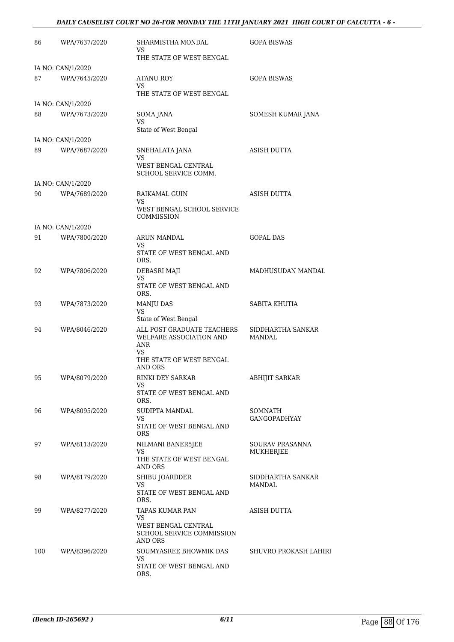#### *DAILY CAUSELIST COURT NO 26-FOR MONDAY THE 11TH JANUARY 2021 HIGH COURT OF CALCUTTA - 6 -*

| 86  | WPA/7637/2020                      | SHARMISTHA MONDAL<br>VS.                                                                     | <b>GOPA BISWAS</b>                 |
|-----|------------------------------------|----------------------------------------------------------------------------------------------|------------------------------------|
|     |                                    | THE STATE OF WEST BENGAL                                                                     |                                    |
| 87  | IA NO: CAN/1/2020<br>WPA/7645/2020 | ATANU ROY<br>VS                                                                              | <b>GOPA BISWAS</b>                 |
|     |                                    | THE STATE OF WEST BENGAL                                                                     |                                    |
|     | IA NO: CAN/1/2020                  |                                                                                              |                                    |
| 88  | WPA/7673/2020                      | SOMA JANA<br><b>VS</b><br>State of West Bengal                                               | SOMESH KUMAR JANA                  |
|     | IA NO: CAN/1/2020                  |                                                                                              |                                    |
| 89  | WPA/7687/2020                      | SNEHALATA JANA                                                                               | <b>ASISH DUTTA</b>                 |
|     |                                    | <b>VS</b><br>WEST BENGAL CENTRAL                                                             |                                    |
|     |                                    | SCHOOL SERVICE COMM.                                                                         |                                    |
|     | IA NO: CAN/1/2020                  |                                                                                              |                                    |
| 90  | WPA/7689/2020                      | RAIKAMAL GUIN<br>VS.<br>WEST BENGAL SCHOOL SERVICE                                           | ASISH DUTTA                        |
|     |                                    | COMMISSION                                                                                   |                                    |
|     | IA NO: CAN/1/2020                  |                                                                                              |                                    |
| 91  | WPA/7800/2020                      | ARUN MANDAL<br>VS.                                                                           | <b>GOPAL DAS</b>                   |
|     |                                    | STATE OF WEST BENGAL AND<br>ORS.                                                             |                                    |
| 92  | WPA/7806/2020                      | DEBASRI MAJI<br>VS                                                                           | MADHUSUDAN MANDAL                  |
|     |                                    | STATE OF WEST BENGAL AND<br>ORS.                                                             |                                    |
| 93  | WPA/7873/2020                      | MANJU DAS<br><b>VS</b><br>State of West Bengal                                               | SABITA KHUTIA                      |
| 94  | WPA/8046/2020                      | ALL POST GRADUATE TEACHERS SIDDHARTHA SANKAR<br>WELFARE ASSOCIATION AND<br><b>ANR</b><br>VS. | MANDAL                             |
|     |                                    | THE STATE OF WEST BENGAL<br>AND ORS                                                          |                                    |
| 95  | WPA/8079/2020                      | RINKI DEY SARKAR<br>VS.                                                                      | <b>ABHIJIT SARKAR</b>              |
|     |                                    | STATE OF WEST BENGAL AND<br>ORS.                                                             |                                    |
| 96  | WPA/8095/2020                      | SUDIPTA MANDAL                                                                               | SOMNATH                            |
|     |                                    | VS<br>STATE OF WEST BENGAL AND<br><b>ORS</b>                                                 | GANGOPADHYAY                       |
| 97  | WPA/8113/2020                      | NILMANI BANER5JEE<br>VS                                                                      | SOURAV PRASANNA<br>MUKHERJEE       |
|     |                                    | THE STATE OF WEST BENGAL<br>AND ORS                                                          |                                    |
| 98  | WPA/8179/2020                      | SHIBU JOARDDER<br>VS                                                                         | SIDDHARTHA SANKAR<br><b>MANDAL</b> |
|     |                                    | STATE OF WEST BENGAL AND<br>ORS.                                                             |                                    |
| 99  | WPA/8277/2020                      | TAPAS KUMAR PAN<br>VS                                                                        | ASISH DUTTA                        |
|     |                                    | WEST BENGAL CENTRAL<br>SCHOOL SERVICE COMMISSION<br>AND ORS                                  |                                    |
| 100 | WPA/8396/2020                      | SOUMYASREE BHOWMIK DAS<br>VS.<br>STATE OF WEST BENGAL AND<br>ORS.                            | SHUVRO PROKASH LAHIRI              |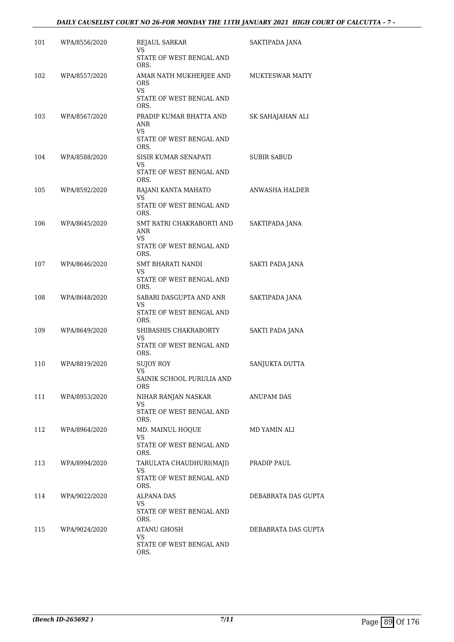| 101 | WPA/8556/2020 | REJAUL SARKAR<br>VS                          | SAKTIPADA JANA         |
|-----|---------------|----------------------------------------------|------------------------|
|     |               | STATE OF WEST BENGAL AND<br>ORS.             |                        |
| 102 | WPA/8557/2020 | AMAR NATH MUKHERJEE AND<br><b>ORS</b><br>VS. | <b>MUKTESWAR MAITY</b> |
|     |               | STATE OF WEST BENGAL AND<br>ORS.             |                        |
| 103 | WPA/8567/2020 | PRADIP KUMAR BHATTA AND<br>ANR<br>VS.        | SK SAHAJAHAN ALI       |
|     |               | STATE OF WEST BENGAL AND<br>ORS.             |                        |
| 104 | WPA/8588/2020 | SISIR KUMAR SENAPATI<br>VS                   | SUBIR SABUD            |
|     |               | STATE OF WEST BENGAL AND<br>ORS.             |                        |
| 105 | WPA/8592/2020 | RAJANI KANTA MAHATO<br>VS                    | ANWASHA HALDER         |
|     |               | STATE OF WEST BENGAL AND<br>ORS.             |                        |
| 106 | WPA/8645/2020 | SMT RATRI CHAKRABORTI AND<br>ANR<br>VS       | SAKTIPADA JANA         |
|     |               | STATE OF WEST BENGAL AND<br>ORS.             |                        |
| 107 | WPA/8646/2020 | SMT BHARATI NANDI<br>VS                      | SAKTI PADA JANA        |
|     |               | STATE OF WEST BENGAL AND<br>ORS.             |                        |
| 108 | WPA/8648/2020 | SABARI DASGUPTA AND ANR<br>VS                | SAKTIPADA JANA         |
|     |               | STATE OF WEST BENGAL AND<br>ORS.             |                        |
| 109 | WPA/8649/2020 | SHIBASHIS CHAKRABORTY<br>VS                  | SAKTI PADA JANA        |
|     |               | STATE OF WEST BENGAL AND<br>ORS.             |                        |
| 110 | WPA/8819/2020 | SUJOY ROY<br>VS                              | SANJUKTA DUTTA         |
|     |               | SAINIK SCHOOL PURULIA AND<br>ORS             |                        |
| 111 | WPA/8953/2020 | NIHAR RANJAN NASKAR<br>VS.                   | ANUPAM DAS             |
|     |               | STATE OF WEST BENGAL AND<br>ORS.             |                        |
| 112 | WPA/8964/2020 | MD. MAINUL HOQUE<br>VS.                      | MD YAMIN ALI           |
|     |               | STATE OF WEST BENGAL AND<br>ORS.             |                        |
| 113 | WPA/8994/2020 | TARULATA CHAUDHURI(MAJI)<br>VS.              | PRADIP PAUL            |
|     |               | STATE OF WEST BENGAL AND<br>ORS.             |                        |
| 114 | WPA/9022/2020 | ALPANA DAS<br>VS                             | DEBABRATA DAS GUPTA    |
|     |               | STATE OF WEST BENGAL AND<br>ORS.             |                        |
| 115 | WPA/9024/2020 | ATANU GHOSH<br>VS.                           | DEBABRATA DAS GUPTA    |
|     |               | STATE OF WEST BENGAL AND<br>ORS.             |                        |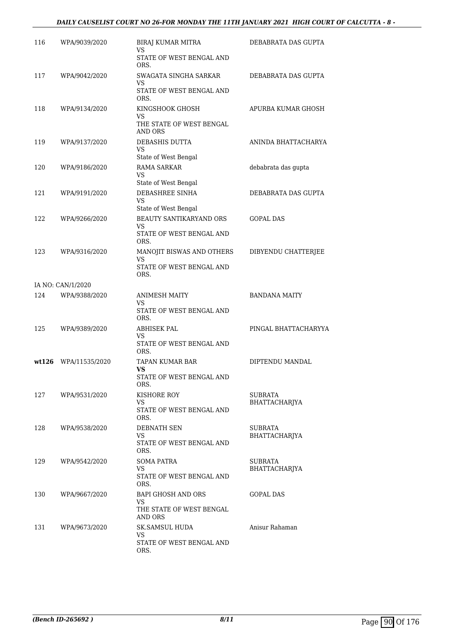### *DAILY CAUSELIST COURT NO 26-FOR MONDAY THE 11TH JANUARY 2021 HIGH COURT OF CALCUTTA - 8 -*

| 116 | WPA/9039/2020        | BIRAJ KUMAR MITRA<br>VS                                 | DEBABRATA DAS GUPTA             |
|-----|----------------------|---------------------------------------------------------|---------------------------------|
|     |                      | STATE OF WEST BENGAL AND<br>ORS.                        |                                 |
| 117 | WPA/9042/2020        | SWAGATA SINGHA SARKAR<br>VS<br>STATE OF WEST BENGAL AND | DEBABRATA DAS GUPTA             |
| 118 | WPA/9134/2020        | ORS.<br>KINGSHOOK GHOSH                                 | APURBA KUMAR GHOSH              |
|     |                      | VS<br>THE STATE OF WEST BENGAL<br>AND ORS               |                                 |
| 119 | WPA/9137/2020        | <b>DEBASHIS DUTTA</b><br>VS.                            | ANINDA BHATTACHARYA             |
| 120 | WPA/9186/2020        | State of West Bengal<br><b>RAMA SARKAR</b>              | debabrata das gupta             |
|     |                      | VS                                                      |                                 |
| 121 | WPA/9191/2020        | State of West Bengal<br>DEBASHREE SINHA<br>VS           | DEBABRATA DAS GUPTA             |
| 122 | WPA/9266/2020        | State of West Bengal<br>BEAUTY SANTIKARYAND ORS         | <b>GOPAL DAS</b>                |
|     |                      | VS<br>STATE OF WEST BENGAL AND<br>ORS.                  |                                 |
| 123 | WPA/9316/2020        | MANOJIT BISWAS AND OTHERS<br>VS                         | DIBYENDU CHATTERJEE             |
|     |                      | STATE OF WEST BENGAL AND<br>ORS.                        |                                 |
|     | IA NO: CAN/1/2020    |                                                         |                                 |
| 124 | WPA/9388/2020        | ANIMESH MAITY<br>VS                                     | <b>BANDANA MAITY</b>            |
|     |                      | STATE OF WEST BENGAL AND<br>ORS.                        |                                 |
| 125 | WPA/9389/2020        | ABHISEK PAL<br>VS                                       | PINGAL BHATTACHARYYA            |
|     |                      | STATE OF WEST BENGAL AND<br>ORS.                        |                                 |
|     | wt126 WPA/11535/2020 | TAPAN KUMAR BAR<br>VS                                   | DIPTENDU MANDAL                 |
|     |                      | STATE OF WEST BENGAL AND<br>ORS.                        |                                 |
| 127 | WPA/9531/2020        | KISHORE ROY<br>VS.                                      | SUBRATA<br>BHATTACHARJYA        |
|     |                      | STATE OF WEST BENGAL AND<br>ORS.                        |                                 |
| 128 | WPA/9538/2020        | DEBNATH SEN<br>VS                                       | SUBRATA<br>BHATTACHARJYA        |
|     |                      | STATE OF WEST BENGAL AND<br>ORS.                        |                                 |
| 129 | WPA/9542/2020        | SOMA PATRA<br>VS.                                       | SUBRATA<br><b>BHATTACHARJYA</b> |
|     |                      | STATE OF WEST BENGAL AND<br>ORS.                        |                                 |
| 130 | WPA/9667/2020        | BAPI GHOSH AND ORS<br>VS                                | <b>GOPAL DAS</b>                |
|     |                      | THE STATE OF WEST BENGAL<br>AND ORS                     |                                 |
| 131 | WPA/9673/2020        | SK.SAMSUL HUDA<br>VS.                                   | Anisur Rahaman                  |
|     |                      | STATE OF WEST BENGAL AND<br>ORS.                        |                                 |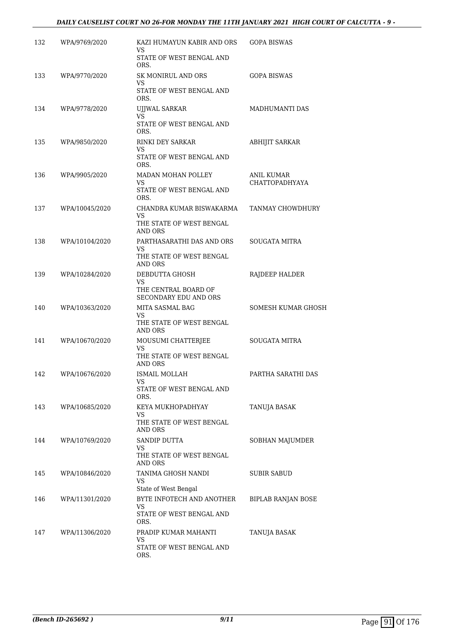#### *DAILY CAUSELIST COURT NO 26-FOR MONDAY THE 11TH JANUARY 2021 HIGH COURT OF CALCUTTA - 9 -*

| 132 | WPA/9769/2020  | KAZI HUMAYUN KABIR AND ORS<br>VS<br>STATE OF WEST BENGAL AND<br>ORS.    | <b>GOPA BISWAS</b>                         |
|-----|----------------|-------------------------------------------------------------------------|--------------------------------------------|
| 133 | WPA/9770/2020  | <b>SK MONIRUL AND ORS</b><br>VS<br>STATE OF WEST BENGAL AND<br>ORS.     | <b>GOPA BISWAS</b>                         |
| 134 | WPA/9778/2020  | <b>UJJWAL SARKAR</b><br>VS<br>STATE OF WEST BENGAL AND<br>ORS.          | MADHUMANTI DAS                             |
| 135 | WPA/9850/2020  | <b>RINKI DEY SARKAR</b><br>VS<br>STATE OF WEST BENGAL AND<br>ORS.       | <b>ABHIJIT SARKAR</b>                      |
| 136 | WPA/9905/2020  | MADAN MOHAN POLLEY<br>VS<br>STATE OF WEST BENGAL AND<br>ORS.            | <b>ANIL KUMAR</b><br><b>CHATTOPADHYAYA</b> |
| 137 | WPA/10045/2020 | CHANDRA KUMAR BISWAKARMA<br>VS<br>THE STATE OF WEST BENGAL<br>AND ORS   | TANMAY CHOWDHURY                           |
| 138 | WPA/10104/2020 | PARTHASARATHI DAS AND ORS<br>VS.<br>THE STATE OF WEST BENGAL<br>AND ORS | <b>SOUGATA MITRA</b>                       |
| 139 | WPA/10284/2020 | DEBDUTTA GHOSH<br>VS<br>THE CENTRAL BOARD OF<br>SECONDARY EDU AND ORS   | RAJDEEP HALDER                             |
| 140 | WPA/10363/2020 | MITA SASMAL BAG<br>VS<br>THE STATE OF WEST BENGAL<br>AND ORS            | <b>SOMESH KUMAR GHOSH</b>                  |
| 141 | WPA/10670/2020 | MOUSUMI CHATTERJEE<br>VS<br>THE STATE OF WEST BENGAL<br>AND ORS         | <b>SOUGATA MITRA</b>                       |
| 142 | WPA/10676/2020 | ISMAIL MOLLAH<br>VS<br>STATE OF WEST BENGAL AND<br>ORS.                 | PARTHA SARATHI DAS                         |
| 143 | WPA/10685/2020 | KEYA MUKHOPADHYAY<br>VS<br>THE STATE OF WEST BENGAL<br>AND ORS          | TANUJA BASAK                               |
| 144 | WPA/10769/2020 | SANDIP DUTTA<br>VS<br>THE STATE OF WEST BENGAL<br><b>AND ORS</b>        | SOBHAN MAJUMDER                            |
| 145 | WPA/10846/2020 | TANIMA GHOSH NANDI<br>VS<br>State of West Bengal                        | SUBIR SABUD                                |
| 146 | WPA/11301/2020 | BYTE INFOTECH AND ANOTHER<br>VS<br>STATE OF WEST BENGAL AND<br>ORS.     | <b>BIPLAB RANJAN BOSE</b>                  |
| 147 | WPA/11306/2020 | PRADIP KUMAR MAHANTI<br>VS<br>STATE OF WEST BENGAL AND<br>ORS.          | TANUJA BASAK                               |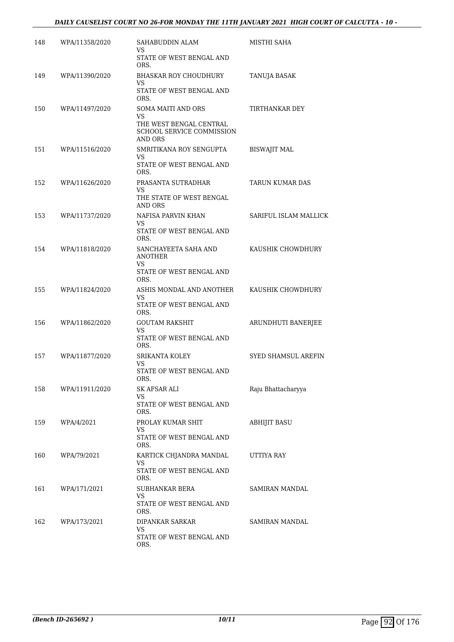### *DAILY CAUSELIST COURT NO 26-FOR MONDAY THE 11TH JANUARY 2021 HIGH COURT OF CALCUTTA - 10 -*

| 148 | WPA/11358/2020 | SAHABUDDIN ALAM<br>VS                                           | MISTHI SAHA                |
|-----|----------------|-----------------------------------------------------------------|----------------------------|
|     |                | STATE OF WEST BENGAL AND<br>ORS.                                |                            |
| 149 | WPA/11390/2020 | <b>BHASKAR ROY CHOUDHURY</b><br>VS.                             | TANUJA BASAK               |
|     |                | STATE OF WEST BENGAL AND<br>ORS.                                |                            |
| 150 | WPA/11497/2020 | SOMA MAITI AND ORS<br>VS                                        | TIRTHANKAR DEY             |
|     |                | THE WEST BENGAL CENTRAL<br>SCHOOL SERVICE COMMISSION<br>AND ORS |                            |
| 151 | WPA/11516/2020 | SMRITIKANA ROY SENGUPTA<br>VS                                   | BISWAJIT MAL               |
|     |                | STATE OF WEST BENGAL AND<br>ORS.                                |                            |
| 152 | WPA/11626/2020 | PRASANTA SUTRADHAR<br>VS.                                       | TARUN KUMAR DAS            |
|     |                | THE STATE OF WEST BENGAL<br><b>AND ORS</b>                      |                            |
| 153 | WPA/11737/2020 | NAFISA PARVIN KHAN<br>VS                                        | SARIFUL ISLAM MALLICK      |
|     |                | STATE OF WEST BENGAL AND<br>ORS.                                |                            |
| 154 | WPA/11818/2020 | SANCHAYEETA SAHA AND<br><b>ANOTHER</b>                          | KAUSHIK CHOWDHURY          |
|     |                | VS<br>STATE OF WEST BENGAL AND<br>ORS.                          |                            |
| 155 | WPA/11824/2020 | ASHIS MONDAL AND ANOTHER<br>VS                                  | KAUSHIK CHOWDHURY          |
|     |                | STATE OF WEST BENGAL AND<br>ORS.                                |                            |
| 156 | WPA/11862/2020 | <b>GOUTAM RAKSHIT</b><br>VS                                     | ARUNDHUTI BANERJEE         |
|     |                | STATE OF WEST BENGAL AND<br>ORS.                                |                            |
| 157 | WPA/11877/2020 | SRIKANTA KOLEY<br>VS                                            | <b>SYED SHAMSUL AREFIN</b> |
|     |                | STATE OF WEST BENGAL AND<br>ORS.                                |                            |
| 158 | WPA/11911/2020 | SK AFSAR ALI<br>VS                                              | Raju Bhattacharyya         |
|     |                | STATE OF WEST BENGAL AND<br>ORS.                                |                            |
| 159 | WPA/4/2021     | PROLAY KUMAR SHIT<br>VS.                                        | ABHIJIT BASU               |
|     |                | STATE OF WEST BENGAL AND<br>ORS.                                |                            |
| 160 | WPA/79/2021    | KARTICK CHJANDRA MANDAL<br>VS.                                  | UTTIYA RAY                 |
|     |                | STATE OF WEST BENGAL AND<br>ORS.                                |                            |
| 161 | WPA/171/2021   | SUBHANKAR BERA<br>VS                                            | SAMIRAN MANDAL             |
|     |                | STATE OF WEST BENGAL AND<br>ORS.                                |                            |
| 162 | WPA/173/2021   | DIPANKAR SARKAR<br>VS                                           | SAMIRAN MANDAL             |
|     |                | STATE OF WEST BENGAL AND<br>ORS.                                |                            |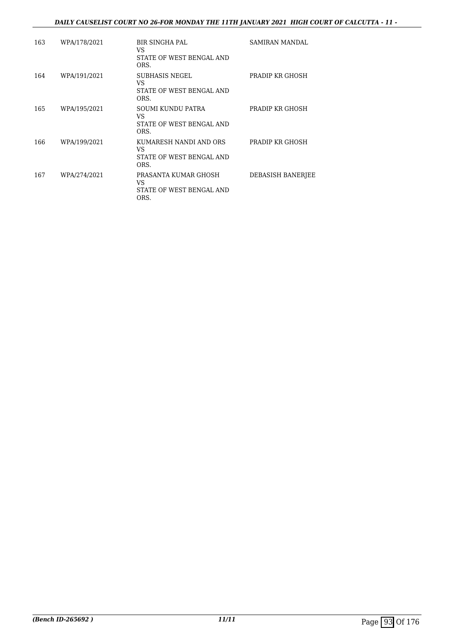### *DAILY CAUSELIST COURT NO 26-FOR MONDAY THE 11TH JANUARY 2021 HIGH COURT OF CALCUTTA - 11 -*

| 163 | WPA/178/2021 | <b>BIR SINGHA PAL</b><br>VS<br>STATE OF WEST BENGAL AND<br>ORS.   | SAMIRAN MANDAL    |
|-----|--------------|-------------------------------------------------------------------|-------------------|
| 164 | WPA/191/2021 | SUBHASIS NEGEL<br>VS.<br>STATE OF WEST BENGAL AND<br>ORS.         | PRADIP KR GHOSH   |
| 165 | WPA/195/2021 | SOUMI KUNDU PATRA<br>VS.<br>STATE OF WEST BENGAL AND<br>ORS.      | PRADIP KR GHOSH   |
| 166 | WPA/199/2021 | KUMARESH NANDI AND ORS<br>VS.<br>STATE OF WEST BENGAL AND<br>ORS. | PRADIP KR GHOSH   |
| 167 | WPA/274/2021 | PRASANTA KUMAR GHOSH<br>VS<br>STATE OF WEST BENGAL AND<br>ORS.    | DEBASISH BANERJEE |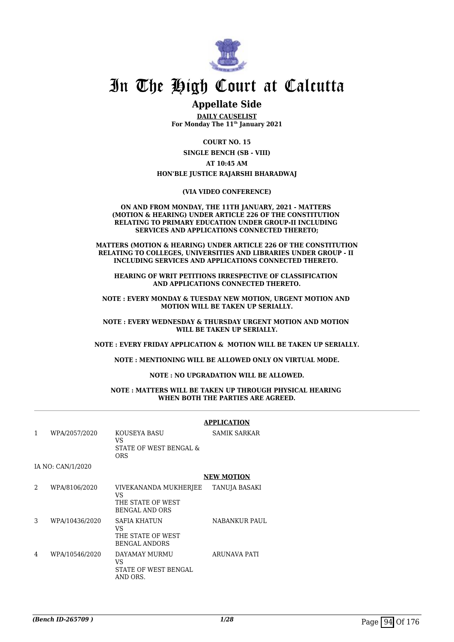

# In The High Court at Calcutta

## **Appellate Side**

**DAILY CAUSELIST For Monday The 11th January 2021**

> **COURT NO. 15 SINGLE BENCH (SB - VIII)**

**AT 10:45 AM HON'BLE JUSTICE RAJARSHI BHARADWAJ**

**(VIA VIDEO CONFERENCE)**

**ON AND FROM MONDAY, THE 11TH JANUARY, 2021 - MATTERS (MOTION & HEARING) UNDER ARTICLE 226 OF THE CONSTITUTION RELATING TO PRIMARY EDUCATION UNDER GROUP-II INCLUDING SERVICES AND APPLICATIONS CONNECTED THERETO;**

**MATTERS (MOTION & HEARING) UNDER ARTICLE 226 OF THE CONSTITUTION RELATING TO COLLEGES, UNIVERSITIES AND LIBRARIES UNDER GROUP - II INCLUDING SERVICES AND APPLICATIONS CONNECTED THERETO.** 

**HEARING OF WRIT PETITIONS IRRESPECTIVE OF CLASSIFICATION AND APPLICATIONS CONNECTED THERETO.**

**NOTE : EVERY MONDAY & TUESDAY NEW MOTION, URGENT MOTION AND MOTION WILL BE TAKEN UP SERIALLY.**

**NOTE : EVERY WEDNESDAY & THURSDAY URGENT MOTION AND MOTION WILL BE TAKEN UP SERIALLY.**

**NOTE : EVERY FRIDAY APPLICATION & MOTION WILL BE TAKEN UP SERIALLY.**

**NOTE : MENTIONING WILL BE ALLOWED ONLY ON VIRTUAL MODE.**

**NOTE : NO UPGRADATION WILL BE ALLOWED.**

#### **NOTE : MATTERS WILL BE TAKEN UP THROUGH PHYSICAL HEARING WHEN BOTH THE PARTIES ARE AGREED.**

|                |                                                                            | <b>APPLICATION</b>   |
|----------------|----------------------------------------------------------------------------|----------------------|
| WPA/2057/2020  | KOUSEYA BASU<br>VS<br>STATE OF WEST BENGAL &<br><b>ORS</b>                 | <b>SAMIK SARKAR</b>  |
|                |                                                                            |                      |
|                |                                                                            | <b>NEW MOTION</b>    |
| WPA/8106/2020  | VIVEKANANDA MUKHERJEE<br>VS.<br>THE STATE OF WEST<br><b>BENGAL AND ORS</b> | TANUJA BASAKI        |
| WPA/10436/2020 | <b>SAFIA KHATUN</b><br>VS<br>THE STATE OF WEST<br><b>BENGAL ANDORS</b>     | <b>NABANKUR PAUL</b> |
| WPA/10546/2020 | DAYAMAY MURMU<br>VS.<br>STATE OF WEST BENGAL<br>AND ORS.                   | <b>ARUNAVA PATI</b>  |
|                | IA NO: CAN/1/2020                                                          |                      |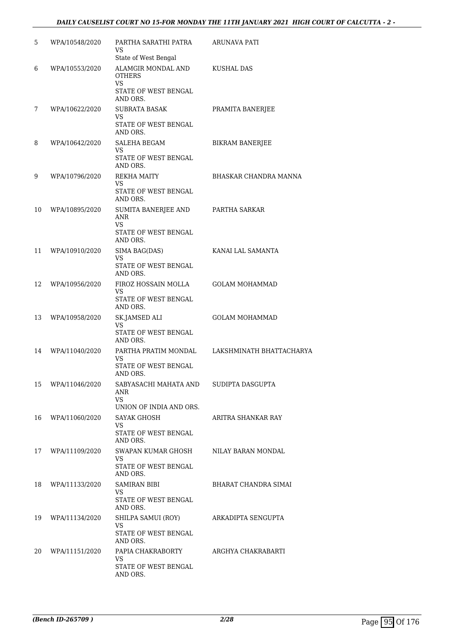### *DAILY CAUSELIST COURT NO 15-FOR MONDAY THE 11TH JANUARY 2021 HIGH COURT OF CALCUTTA - 2 -*

| 5  | WPA/10548/2020 | PARTHA SARATHI PATRA<br>VS<br>State of West Bengal                                     | ARUNAVA PATI             |
|----|----------------|----------------------------------------------------------------------------------------|--------------------------|
| 6  | WPA/10553/2020 | ALAMGIR MONDAL AND<br>OTHERS<br>VS<br>STATE OF WEST BENGAL                             | KUSHAL DAS               |
| 7  | WPA/10622/2020 | AND ORS.<br><b>SUBRATA BASAK</b><br>VS<br>STATE OF WEST BENGAL                         | PRAMITA BANERJEE         |
| 8  | WPA/10642/2020 | AND ORS.<br>SALEHA BEGAM<br>VS<br>STATE OF WEST BENGAL<br>AND ORS.                     | <b>BIKRAM BANERJEE</b>   |
| 9  | WPA/10796/2020 | REKHA MAITY<br>VS<br>STATE OF WEST BENGAL                                              | BHASKAR CHANDRA MANNA    |
| 10 | WPA/10895/2020 | AND ORS.<br>SUMITA BANERJEE AND<br>ANR<br><b>VS</b>                                    | PARTHA SARKAR            |
| 11 | WPA/10910/2020 | STATE OF WEST BENGAL<br>AND ORS.<br>SIMA BAG(DAS)<br><b>VS</b><br>STATE OF WEST BENGAL | KANAI LAL SAMANTA        |
| 12 | WPA/10956/2020 | AND ORS.<br>FIROZ HOSSAIN MOLLA<br>VS<br>STATE OF WEST BENGAL                          | <b>GOLAM MOHAMMAD</b>    |
| 13 | WPA/10958/2020 | AND ORS.<br>SK.JAMSED ALI<br>VS<br>STATE OF WEST BENGAL                                | <b>GOLAM MOHAMMAD</b>    |
| 14 | WPA/11040/2020 | AND ORS.<br>PARTHA PRATIM MONDAL<br>VS.<br>STATE OF WEST BENGAL                        | LAKSHMINATH BHATTACHARYA |
| 15 | WPA/11046/2020 | AND ORS.<br>SABYASACHI MAHATA AND<br>ANR<br><b>VS</b>                                  | SUDIPTA DASGUPTA         |
| 16 | WPA/11060/2020 | UNION OF INDIA AND ORS.<br>SAYAK GHOSH<br>VS<br>STATE OF WEST BENGAL                   | ARITRA SHANKAR RAY       |
| 17 | WPA/11109/2020 | AND ORS.<br>SWAPAN KUMAR GHOSH<br>VS.<br>STATE OF WEST BENGAL                          | NILAY BARAN MONDAL       |
| 18 | WPA/11133/2020 | AND ORS.<br><b>SAMIRAN BIBI</b><br>VS<br>STATE OF WEST BENGAL                          | BHARAT CHANDRA SIMAI     |
| 19 | WPA/11134/2020 | AND ORS.<br>SHILPA SAMUI (ROY)<br>VS<br>STATE OF WEST BENGAL                           | ARKADIPTA SENGUPTA       |
| 20 | WPA/11151/2020 | AND ORS.<br>PAPIA CHAKRABORTY<br>VS.<br>STATE OF WEST BENGAL<br>AND ORS.               | ARGHYA CHAKRABARTI       |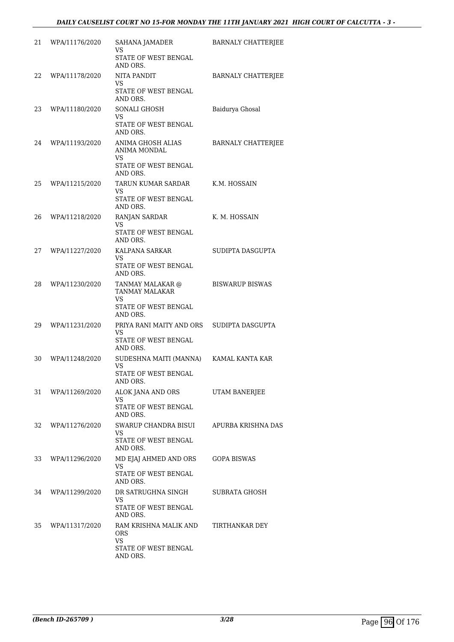| 21 | WPA/11176/2020 | SAHANA JAMADER<br>VS<br>STATE OF WEST BENGAL<br>AND ORS.                      | <b>BARNALY CHATTERJEE</b> |
|----|----------------|-------------------------------------------------------------------------------|---------------------------|
| 22 | WPA/11178/2020 | NITA PANDIT<br>VS<br>STATE OF WEST BENGAL<br>AND ORS.                         | <b>BARNALY CHATTERJEE</b> |
| 23 | WPA/11180/2020 | SONALI GHOSH<br>VS<br>STATE OF WEST BENGAL<br>AND ORS.                        | Baidurya Ghosal           |
| 24 | WPA/11193/2020 | ANIMA GHOSH ALIAS<br>ANIMA MONDAL<br>VS<br>STATE OF WEST BENGAL<br>AND ORS.   | <b>BARNALY CHATTERJEE</b> |
| 25 | WPA/11215/2020 | TARUN KUMAR SARDAR<br>VS.<br>STATE OF WEST BENGAL<br>AND ORS.                 | K.M. HOSSAIN              |
| 26 | WPA/11218/2020 | RANJAN SARDAR<br>VS.<br>STATE OF WEST BENGAL<br>AND ORS.                      | K. M. HOSSAIN             |
| 27 | WPA/11227/2020 | KALPANA SARKAR<br><b>VS</b><br>STATE OF WEST BENGAL<br>AND ORS.               | SUDIPTA DASGUPTA          |
| 28 | WPA/11230/2020 | TANMAY MALAKAR @<br>TANMAY MALAKAR<br>VS.<br>STATE OF WEST BENGAL<br>AND ORS. | <b>BISWARUP BISWAS</b>    |
| 29 | WPA/11231/2020 | PRIYA RANI MAITY AND ORS<br>VS<br>STATE OF WEST BENGAL<br>AND ORS.            | SUDIPTA DASGUPTA          |
| 30 | WPA/11248/2020 | SUDESHNA MAITI (MANNA)<br>VS<br>STATE OF WEST BENGAL<br>AND ORS.              | KAMAL KANTA KAR           |
| 31 | WPA/11269/2020 | ALOK JANA AND ORS<br>VS<br>STATE OF WEST BENGAL<br>AND ORS.                   | UTAM BANERJEE             |
| 32 | WPA/11276/2020 | SWARUP CHANDRA BISUI<br>VS<br>STATE OF WEST BENGAL<br>AND ORS.                | APURBA KRISHNA DAS        |
| 33 | WPA/11296/2020 | MD EJAJ AHMED AND ORS<br>VS<br>STATE OF WEST BENGAL<br>AND ORS.               | GOPA BISWAS               |
| 34 | WPA/11299/2020 | DR SATRUGHNA SINGH<br>VS<br>STATE OF WEST BENGAL<br>AND ORS.                  | SUBRATA GHOSH             |
| 35 | WPA/11317/2020 | RAM KRISHNA MALIK AND<br>ORS<br>VS<br>STATE OF WEST BENGAL<br>AND ORS.        | TIRTHANKAR DEY            |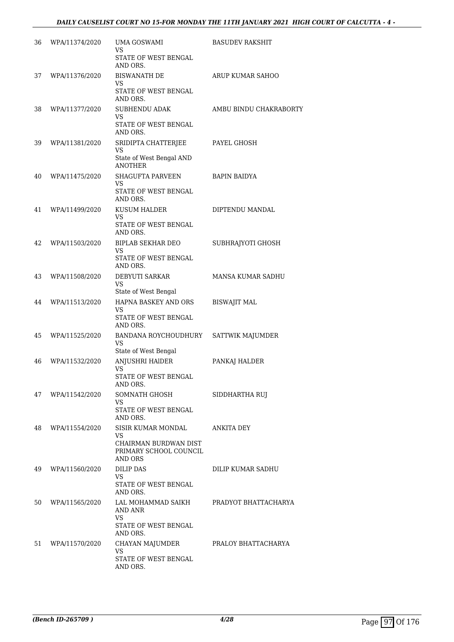| 36 | WPA/11374/2020 | UMA GOSWAMI<br>VS                                          | <b>BASUDEV RAKSHIT</b> |
|----|----------------|------------------------------------------------------------|------------------------|
|    |                | STATE OF WEST BENGAL<br>AND ORS.                           |                        |
| 37 | WPA/11376/2020 | <b>BISWANATH DE</b><br>VS                                  | ARUP KUMAR SAHOO       |
|    |                | STATE OF WEST BENGAL<br>AND ORS.                           |                        |
| 38 | WPA/11377/2020 | <b>SUBHENDU ADAK</b><br>VS.                                | AMBU BINDU CHAKRABORTY |
|    |                | STATE OF WEST BENGAL<br>AND ORS.                           |                        |
| 39 | WPA/11381/2020 | SRIDIPTA CHATTERJEE<br>VS                                  | PAYEL GHOSH            |
|    |                | State of West Bengal AND<br><b>ANOTHER</b>                 |                        |
| 40 | WPA/11475/2020 | <b>SHAGUFTA PARVEEN</b><br>VS                              | <b>BAPIN BAIDYA</b>    |
|    |                | STATE OF WEST BENGAL<br>AND ORS.                           |                        |
| 41 | WPA/11499/2020 | <b>KUSUM HALDER</b><br>VS.                                 | DIPTENDU MANDAL        |
|    |                | STATE OF WEST BENGAL<br>AND ORS.                           |                        |
| 42 | WPA/11503/2020 | <b>BIPLAB SEKHAR DEO</b><br>VS                             | SUBHRAJYOTI GHOSH      |
|    |                | STATE OF WEST BENGAL<br>AND ORS.                           |                        |
| 43 | WPA/11508/2020 | DEBYUTI SARKAR<br>VS                                       | MANSA KUMAR SADHU      |
|    |                | State of West Bengal                                       |                        |
| 44 | WPA/11513/2020 | HAPNA BASKEY AND ORS<br>VS                                 | <b>BISWAJIT MAL</b>    |
|    |                | STATE OF WEST BENGAL<br>AND ORS.                           |                        |
| 45 | WPA/11525/2020 | BANDANA ROYCHOUDHURY<br>VS                                 | SATTWIK MAJUMDER       |
| 46 | WPA/11532/2020 | State of West Bengal<br>ANJUSHRI HAIDER                    | PANKAJ HALDER          |
|    |                | <b>VS</b><br>STATE OF WEST BENGAL                          |                        |
|    |                | AND ORS.                                                   |                        |
| 47 | WPA/11542/2020 | SOMNATH GHOSH<br>VS.                                       | SIDDHARTHA RUJ         |
|    |                | STATE OF WEST BENGAL<br>AND ORS.                           |                        |
| 48 | WPA/11554/2020 | SISIR KUMAR MONDAL<br>VS                                   | ANKITA DEY             |
|    |                | CHAIRMAN BURDWAN DIST<br>PRIMARY SCHOOL COUNCIL<br>AND ORS |                        |
| 49 | WPA/11560/2020 | <b>DILIP DAS</b>                                           | DILIP KUMAR SADHU      |
|    |                | VS<br>STATE OF WEST BENGAL<br>AND ORS.                     |                        |
| 50 | WPA/11565/2020 | LAL MOHAMMAD SAIKH<br>AND ANR                              | PRADYOT BHATTACHARYA   |
|    |                | VS<br>STATE OF WEST BENGAL<br>AND ORS.                     |                        |
| 51 | WPA/11570/2020 | CHAYAN MAJUMDER                                            | PRALOY BHATTACHARYA    |
|    |                | VS<br>STATE OF WEST BENGAL<br>AND ORS.                     |                        |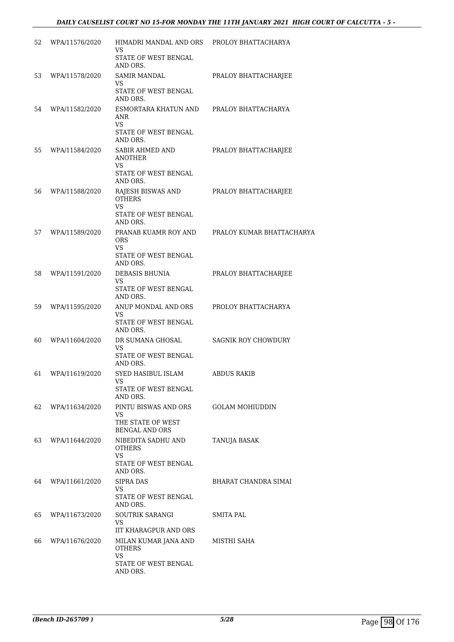| 52 | WPA/11576/2020 | HIMADRI MANDAL AND ORS<br>VS                             | PROLOY BHATTACHARYA       |
|----|----------------|----------------------------------------------------------|---------------------------|
|    |                | STATE OF WEST BENGAL<br>AND ORS.                         |                           |
| 53 | WPA/11578/2020 | <b>SAMIR MANDAL</b><br>VS                                | PRALOY BHATTACHARJEE      |
|    |                | STATE OF WEST BENGAL<br>AND ORS.                         |                           |
| 54 | WPA/11582/2020 | ESMORTARA KHATUN AND<br>ANR<br>VS                        | PRALOY BHATTACHARYA       |
|    |                | STATE OF WEST BENGAL<br>AND ORS.                         |                           |
| 55 | WPA/11584/2020 | SABIR AHMED AND<br><b>ANOTHER</b><br>VS                  | PRALOY BHATTACHARJEE      |
|    |                | STATE OF WEST BENGAL<br>AND ORS.                         |                           |
| 56 | WPA/11588/2020 | RAJESH BISWAS AND<br><b>OTHERS</b><br><b>VS</b>          | PRALOY BHATTACHARJEE      |
|    |                | STATE OF WEST BENGAL<br>AND ORS.                         |                           |
| 57 | WPA/11589/2020 | PRANAB KUAMR ROY AND<br>ORS<br>VS                        | PRALOY KUMAR BHATTACHARYA |
|    |                | STATE OF WEST BENGAL<br>AND ORS.                         |                           |
| 58 | WPA/11591/2020 | DEBASIS BHUNIA<br>VS                                     | PRALOY BHATTACHARJEE      |
|    |                | STATE OF WEST BENGAL<br>AND ORS.                         |                           |
| 59 | WPA/11595/2020 | ANUP MONDAL AND ORS<br>VS                                | PROLOY BHATTACHARYA       |
|    |                | STATE OF WEST BENGAL<br>AND ORS.                         |                           |
| 60 | WPA/11604/2020 | DR SUMANA GHOSAL<br>VS                                   | SAGNIK ROY CHOWDURY       |
|    |                | STATE OF WEST BENGAL<br>AND ORS.                         |                           |
| 61 | WPA/11619/2020 | SYED HASIBUL ISLAM<br>VS                                 | ABDUS RAKIB               |
|    |                | STATE OF WEST BENGAL<br>AND ORS.                         |                           |
| 62 | WPA/11634/2020 | PINTU BISWAS AND ORS<br>VS.                              | GOLAM MOHIUDDIN           |
|    |                | THE STATE OF WEST<br><b>BENGAL AND ORS</b>               |                           |
| 63 | WPA/11644/2020 | NIBEDITA SADHU AND<br><b>OTHERS</b><br><b>VS</b>         | TANUJA BASAK              |
|    |                | STATE OF WEST BENGAL<br>AND ORS.                         |                           |
| 64 | WPA/11661/2020 | <b>SIPRA DAS</b><br>VS<br>STATE OF WEST BENGAL           | BHARAT CHANDRA SIMAI      |
|    |                | AND ORS.                                                 |                           |
| 65 | WPA/11673/2020 | SOUTRIK SARANGI<br>VS.                                   | SMITA PAL                 |
| 66 | WPA/11676/2020 | IIT KHARAGPUR AND ORS<br>MILAN KUMAR JANA AND            | MISTHI SAHA               |
|    |                | <b>OTHERS</b><br>VS.<br>STATE OF WEST BENGAL<br>AND ORS. |                           |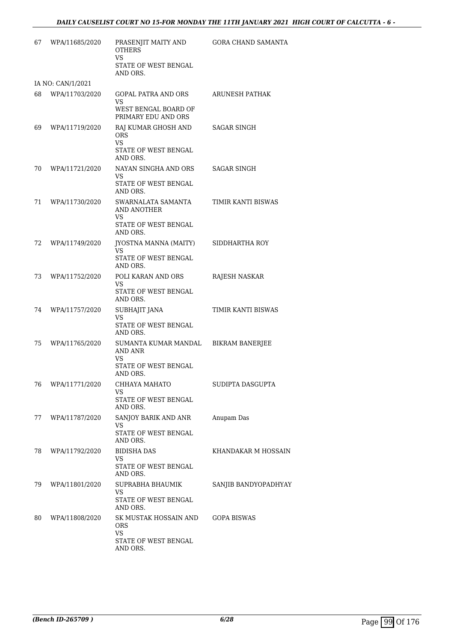| 67 | WPA/11685/2020    | PRASENJIT MAITY AND<br><b>OTHERS</b><br><b>VS</b>            | GORA CHAND SAMANTA     |
|----|-------------------|--------------------------------------------------------------|------------------------|
|    |                   | STATE OF WEST BENGAL<br>AND ORS.                             |                        |
|    | IA NO: CAN/1/2021 |                                                              |                        |
| 68 | WPA/11703/2020    | GOPAL PATRA AND ORS<br>VS                                    | ARUNESH PATHAK         |
|    |                   | WEST BENGAL BOARD OF<br>PRIMARY EDU AND ORS                  |                        |
| 69 | WPA/11719/2020    | RAJ KUMAR GHOSH AND<br><b>ORS</b><br>VS.                     | SAGAR SINGH            |
|    |                   | STATE OF WEST BENGAL<br>AND ORS.                             |                        |
| 70 | WPA/11721/2020    | NAYAN SINGHA AND ORS<br>VS                                   | <b>SAGAR SINGH</b>     |
|    |                   | STATE OF WEST BENGAL<br>AND ORS.                             |                        |
| 71 | WPA/11730/2020    | SWARNALATA SAMANTA<br>AND ANOTHER<br>VS.                     | TIMIR KANTI BISWAS     |
|    |                   | STATE OF WEST BENGAL<br>AND ORS.                             |                        |
| 72 | WPA/11749/2020    | JYOSTNA MANNA (MAITY)<br><b>VS</b>                           | SIDDHARTHA ROY         |
|    |                   | STATE OF WEST BENGAL<br>AND ORS.                             |                        |
| 73 | WPA/11752/2020    | POLI KARAN AND ORS<br>VS.                                    | RAJESH NASKAR          |
|    |                   | STATE OF WEST BENGAL<br>AND ORS.                             |                        |
| 74 | WPA/11757/2020    | SUBHAJIT JANA<br>VS                                          | TIMIR KANTI BISWAS     |
|    |                   | STATE OF WEST BENGAL<br>AND ORS.                             |                        |
| 75 | WPA/11765/2020    | SUMANTA KUMAR MANDAL<br>AND ANR<br>VS                        | <b>BIKRAM BANERJEE</b> |
|    |                   | STATE OF WEST BENGAL<br>AND ORS.                             |                        |
| 76 | WPA/11771/2020    | CHHAYA MAHATO<br>VS                                          | SUDIPTA DASGUPTA       |
|    |                   | STATE OF WEST BENGAL<br>AND ORS.                             |                        |
| 77 | WPA/11787/2020    | SANJOY BARIK AND ANR<br>VS.<br>STATE OF WEST BENGAL          | Anupam Das             |
|    |                   | AND ORS.                                                     |                        |
| 78 | WPA/11792/2020    | <b>BIDISHA DAS</b><br>VS<br>STATE OF WEST BENGAL<br>AND ORS. | KHANDAKAR M HOSSAIN    |
| 79 | WPA/11801/2020    | SUPRABHA BHAUMIK<br>VS                                       | SANJIB BANDYOPADHYAY   |
|    |                   | STATE OF WEST BENGAL<br>AND ORS.                             |                        |
| 80 | WPA/11808/2020    | SK MUSTAK HOSSAIN AND<br>ORS                                 | GOPA BISWAS            |
|    |                   | VS.<br>STATE OF WEST BENGAL<br>AND ORS.                      |                        |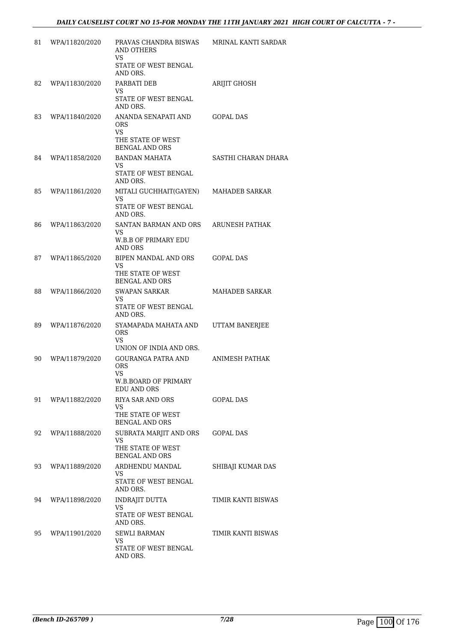| 81 | WPA/11820/2020 | PRAVAS CHANDRA BISWAS<br><b>AND OTHERS</b><br>VS                                      | MRINAL KANTI SARDAR   |
|----|----------------|---------------------------------------------------------------------------------------|-----------------------|
|    |                | STATE OF WEST BENGAL<br>AND ORS.                                                      |                       |
| 82 | WPA/11830/2020 | PARBATI DEB<br>VS                                                                     | <b>ARIJIT GHOSH</b>   |
|    |                | STATE OF WEST BENGAL<br>AND ORS.                                                      |                       |
| 83 | WPA/11840/2020 | ANANDA SENAPATI AND<br>ORS<br><b>VS</b><br>THE STATE OF WEST<br><b>BENGAL AND ORS</b> | <b>GOPAL DAS</b>      |
| 84 | WPA/11858/2020 | <b>BANDAN MAHATA</b><br>VS.<br>STATE OF WEST BENGAL<br>AND ORS.                       | SASTHI CHARAN DHARA   |
| 85 | WPA/11861/2020 | MITALI GUCHHAIT(GAYEN)<br>VS<br><b>STATE OF WEST BENGAL</b><br>AND ORS.               | <b>MAHADEB SARKAR</b> |
| 86 | WPA/11863/2020 | SANTAN BARMAN AND ORS<br><b>VS</b>                                                    | ARUNESH PATHAK        |
|    |                | W.B.B OF PRIMARY EDU<br><b>AND ORS</b>                                                |                       |
| 87 | WPA/11865/2020 | BIPEN MANDAL AND ORS<br>VS                                                            | <b>GOPAL DAS</b>      |
|    |                | THE STATE OF WEST<br><b>BENGAL AND ORS</b>                                            |                       |
| 88 | WPA/11866/2020 | <b>SWAPAN SARKAR</b><br>VS                                                            | MAHADEB SARKAR        |
|    |                | STATE OF WEST BENGAL<br>AND ORS.                                                      |                       |
| 89 | WPA/11876/2020 | SYAMAPADA MAHATA AND<br><b>ORS</b><br>VS                                              | UTTAM BANERJEE        |
| 90 | WPA/11879/2020 | UNION OF INDIA AND ORS.<br>GOURANGA PATRA AND<br><b>ORS</b><br>VS                     | ANIMESH PATHAK        |
|    |                | W.B.BOARD OF PRIMARY<br>EDU AND ORS                                                   |                       |
| 91 | WPA/11882/2020 | RIYA SAR AND ORS<br>VS<br>THE STATE OF WEST                                           | <b>GOPAL DAS</b>      |
|    |                | <b>BENGAL AND ORS</b>                                                                 |                       |
| 92 | WPA/11888/2020 | SUBRATA MARJIT AND ORS<br>VS<br>THE STATE OF WEST<br><b>BENGAL AND ORS</b>            | GOPAL DAS             |
| 93 | WPA/11889/2020 | ARDHENDU MANDAL                                                                       | SHIBAJI KUMAR DAS     |
|    |                | VS<br>STATE OF WEST BENGAL<br>AND ORS.                                                |                       |
| 94 | WPA/11898/2020 | <b>INDRAJIT DUTTA</b><br>VS.                                                          | TIMIR KANTI BISWAS    |
|    |                | STATE OF WEST BENGAL<br>AND ORS.                                                      |                       |
| 95 | WPA/11901/2020 | <b>SEWLI BARMAN</b><br>VS.                                                            | TIMIR KANTI BISWAS    |
|    |                | STATE OF WEST BENGAL<br>AND ORS.                                                      |                       |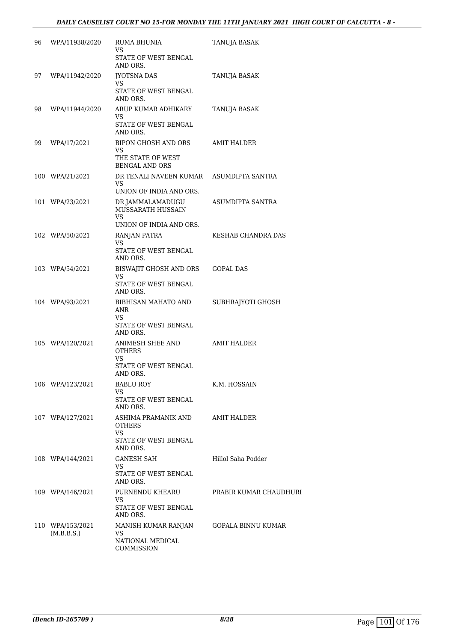| 96 | WPA/11938/2020                 | RUMA BHUNIA<br>VS                                                       | TANUJA BASAK           |
|----|--------------------------------|-------------------------------------------------------------------------|------------------------|
|    |                                | STATE OF WEST BENGAL<br>AND ORS.                                        |                        |
| 97 | WPA/11942/2020                 | <b>JYOTSNA DAS</b><br>VS.<br>STATE OF WEST BENGAL<br>AND ORS.           | TANUJA BASAK           |
| 98 | WPA/11944/2020                 | ARUP KUMAR ADHIKARY<br>VS<br>STATE OF WEST BENGAL<br>AND ORS.           | TANUJA BASAK           |
| 99 | WPA/17/2021                    | <b>BIPON GHOSH AND ORS</b><br>VS<br>THE STATE OF WEST<br>BENGAL AND ORS | <b>AMIT HALDER</b>     |
|    | 100 WPA/21/2021                | DR TENALI NAVEEN KUMAR<br>VS.<br>UNION OF INDIA AND ORS.                | ASUMDIPTA SANTRA       |
|    | 101 WPA/23/2021                | DR JAMMALAMADUGU<br>MUSSARATH HUSSAIN<br>VS                             | ASUMDIPTA SANTRA       |
|    |                                | UNION OF INDIA AND ORS.                                                 |                        |
|    | 102 WPA/50/2021                | RANJAN PATRA<br>VS<br>STATE OF WEST BENGAL<br>AND ORS.                  | KESHAB CHANDRA DAS     |
|    | 103 WPA/54/2021                | BISWAJIT GHOSH AND ORS<br>VS<br>STATE OF WEST BENGAL<br>AND ORS.        | <b>GOPAL DAS</b>       |
|    | 104 WPA/93/2021                | BIBHISAN MAHATO AND<br>ANR<br>VS<br>STATE OF WEST BENGAL                | SUBHRAJYOTI GHOSH      |
|    | 105 WPA/120/2021               | AND ORS.<br>ANIMESH SHEE AND<br><b>OTHERS</b><br>VS                     | AMIT HALDER            |
|    |                                | STATE OF WEST BENGAL<br>AND ORS.                                        |                        |
|    | 106 WPA/123/2021               | BABLU ROY<br>VS<br>STATE OF WEST BENGAL                                 | K.M. HOSSAIN           |
|    | 107 WPA/127/2021               | AND ORS.<br>ASHIMA PRAMANIK AND<br>OTHERS<br>VS                         | AMIT HALDER            |
|    |                                | STATE OF WEST BENGAL<br>AND ORS.                                        |                        |
|    | 108 WPA/144/2021               | <b>GANESH SAH</b><br>VS                                                 | Hillol Saha Podder     |
|    |                                | STATE OF WEST BENGAL<br>AND ORS.                                        |                        |
|    | 109 WPA/146/2021               | PURNENDU KHEARU<br>VS<br>STATE OF WEST BENGAL                           | PRABIR KUMAR CHAUDHURI |
|    | 110 WPA/153/2021<br>(M.B.B.S.) | AND ORS.<br>MANISH KUMAR RANJAN<br>VS<br>NATIONAL MEDICAL<br>COMMISSION | GOPALA BINNU KUMAR     |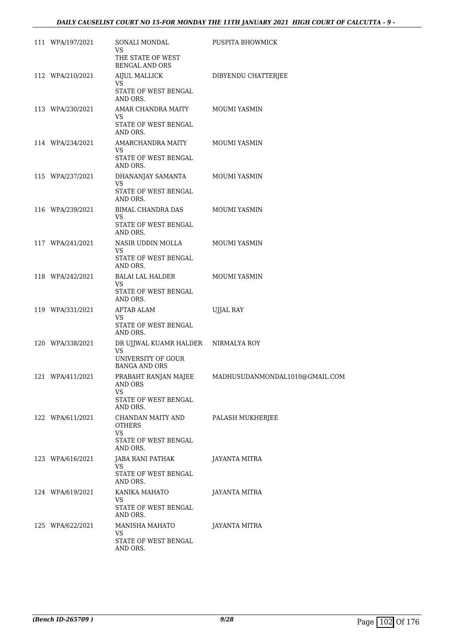| 111 WPA/197/2021 | SONALI MONDAL<br>VS<br>THE STATE OF WEST                                                | PUSPITA BHOWMICK                                    |
|------------------|-----------------------------------------------------------------------------------------|-----------------------------------------------------|
| 112 WPA/210/2021 | <b>BENGAL AND ORS</b><br>AIJUL MALLICK                                                  | DIBYENDU CHATTERJEE                                 |
|                  | VS.<br>STATE OF WEST BENGAL<br>AND ORS.                                                 |                                                     |
| 113 WPA/230/2021 | AMAR CHANDRA MAITY MOUMI YASMIN<br>VS.<br>STATE OF WEST BENGAL<br>AND ORS.              |                                                     |
| 114 WPA/234/2021 | AMARCHANDRA MAITY<br>VS<br>STATE OF WEST BENGAL<br>AND ORS.                             | MOUMI YASMIN                                        |
| 115 WPA/237/2021 | DHANANJAY SAMANTA<br>VS<br>STATE OF WEST BENGAL                                         | MOUMI YASMIN                                        |
| 116 WPA/239/2021 | AND ORS.<br>BIMAL CHANDRA DAS<br>VS.                                                    | MOUMI YASMIN                                        |
| 117 WPA/241/2021 | STATE OF WEST BENGAL<br>AND ORS.<br>NASIR UDDIN MOLLA                                   | MOUMI YASMIN                                        |
|                  | VS<br>STATE OF WEST BENGAL<br>AND ORS.                                                  |                                                     |
| 118 WPA/242/2021 | BALAI LAL HALDER<br>VS<br>STATE OF WEST BENGAL<br>AND ORS.                              | MOUMI YASMIN                                        |
| 119 WPA/331/2021 | <b>AFTAB ALAM</b><br>VS<br>STATE OF WEST BENGAL<br>AND ORS.                             | <b>UJJAL RAY</b>                                    |
| 120 WPA/338/2021 | DR UJJWAL KUAMR HALDER NIRMALYA ROY<br>VS<br>UNIVERSITY OF GOUR<br><b>BANGA AND ORS</b> |                                                     |
| 121 WPA/411/2021 | AND ORS<br>VS<br>STATE OF WEST BENGAL                                                   | PRABAHT RANJAN MAJEE MADHUSUDANMONDAL1010@GMAIL.COM |
| 122 WPA/611/2021 | AND ORS.<br>CHANDAN MAITY AND<br><b>OTHERS</b><br>VS<br>STATE OF WEST BENGAL            | PALASH MUKHERJEE                                    |
| 123 WPA/616/2021 | AND ORS.<br>JABA RANI PATHAK<br>VS<br>STATE OF WEST BENGAL                              | <b>JAYANTA MITRA</b>                                |
| 124 WPA/619/2021 | AND ORS.<br>KANIKA MAHATO<br>VS<br>STATE OF WEST BENGAL                                 | JAYANTA MITRA                                       |
| 125 WPA/622/2021 | AND ORS.<br>MANISHA MAHATO<br>VS<br>STATE OF WEST BENGAL<br>AND ORS.                    | JAYANTA MITRA                                       |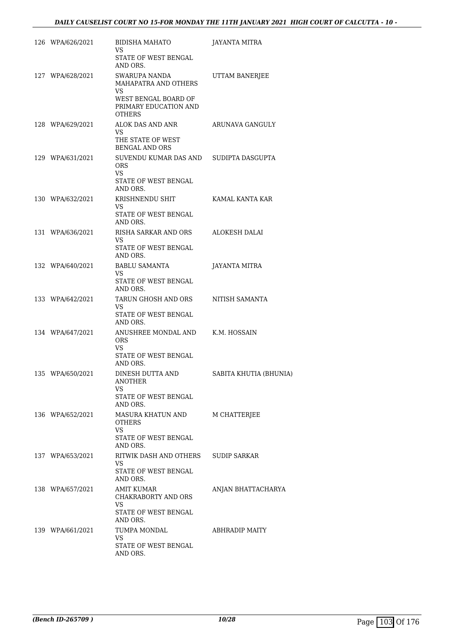| 126 WPA/626/2021 | BIDISHA MAHATO<br>VS<br>STATE OF WEST BENGAL                                                                      | JAYANTA MITRA          |
|------------------|-------------------------------------------------------------------------------------------------------------------|------------------------|
| 127 WPA/628/2021 | AND ORS.<br>SWARUPA NANDA<br>MAHAPATRA AND OTHERS                                                                 | UTTAM BANERJEE         |
|                  | VS<br>WEST BENGAL BOARD OF<br>PRIMARY EDUCATION AND<br><b>OTHERS</b>                                              |                        |
| 128 WPA/629/2021 | ALOK DAS AND ANR<br>VS.<br>THE STATE OF WEST                                                                      | ARUNAVA GANGULY        |
| 129 WPA/631/2021 | <b>BENGAL AND ORS</b><br>SUVENDU KUMAR DAS AND SUDIPTA DASGUPTA<br>ORS.<br>VS<br>STATE OF WEST BENGAL<br>AND ORS. |                        |
| 130 WPA/632/2021 | KRISHNENDU SHIT<br>VS<br>STATE OF WEST BENGAL<br>AND ORS.                                                         | KAMAL KANTA KAR        |
| 131 WPA/636/2021 | RISHA SARKAR AND ORS<br>VS.<br>STATE OF WEST BENGAL<br>AND ORS.                                                   | ALOKESH DALAI          |
| 132 WPA/640/2021 | <b>BABLU SAMANTA</b><br>VS<br>STATE OF WEST BENGAL<br>AND ORS.                                                    | JAYANTA MITRA          |
| 133 WPA/642/2021 | TARUN GHOSH AND ORS<br>VS.<br>STATE OF WEST BENGAL<br>AND ORS.                                                    | NITISH SAMANTA         |
| 134 WPA/647/2021 | ANUSHREE MONDAL AND<br><b>ORS</b><br>VS<br>STATE OF WEST BENGAL<br>AND ORS.                                       | K.M. HOSSAIN           |
| 135 WPA/650/2021 | DINESH DUTTA AND<br>ANOTHER<br>VS<br>STATE OF WEST BENGAL<br>AND ORS.                                             | SABITA KHUTIA (BHUNIA) |
| 136 WPA/652/2021 | MASURA KHATUN AND<br>OTHERS<br>VS.<br>STATE OF WEST BENGAL<br>AND ORS.                                            | M CHATTERIEE           |
| 137 WPA/653/2021 | RITWIK DASH AND OTHERS<br>VS<br>STATE OF WEST BENGAL<br>AND ORS.                                                  | SUDIP SARKAR           |
| 138 WPA/657/2021 | AMIT KUMAR<br>CHAKRABORTY AND ORS<br>VS<br>STATE OF WEST BENGAL                                                   | ANJAN BHATTACHARYA     |
| 139 WPA/661/2021 | AND ORS.<br>TUMPA MONDAL<br>VS.<br>STATE OF WEST BENGAL<br>AND ORS.                                               | ABHRADIP MAITY         |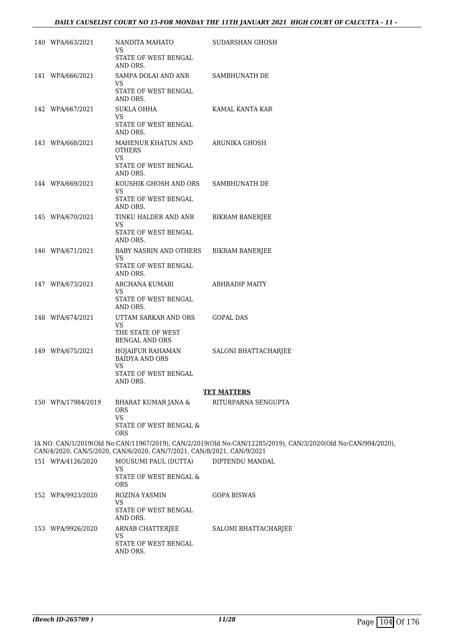| 140 WPA/663/2021   | NANDITA MAHATO<br>VS                                                   | SUDARSHAN GHOSH                                                                                               |
|--------------------|------------------------------------------------------------------------|---------------------------------------------------------------------------------------------------------------|
|                    | STATE OF WEST BENGAL<br>AND ORS.                                       |                                                                                                               |
| 141 WPA/666/2021   | SAMPA DOLAI AND ANR<br>VS.                                             | SAMBHUNATH DE                                                                                                 |
|                    | STATE OF WEST BENGAL<br>AND ORS.                                       |                                                                                                               |
| 142 WPA/667/2021   | <b>SUKLA OHHA</b><br>VS.                                               | KAMAL KANTA KAR                                                                                               |
|                    | STATE OF WEST BENGAL<br>AND ORS.                                       |                                                                                                               |
| 143 WPA/668/2021   | MAHENUR KHATUN AND<br><b>OTHERS</b><br><b>VS</b>                       | ARUNIKA GHOSH                                                                                                 |
|                    | STATE OF WEST BENGAL<br>AND ORS.                                       |                                                                                                               |
| 144 WPA/669/2021   | KOUSHIK GHOSH AND ORS<br>VS                                            | SAMBHUNATH DE                                                                                                 |
|                    | STATE OF WEST BENGAL<br>AND ORS.                                       |                                                                                                               |
| 145 WPA/670/2021   | TINKU HALDER AND ANR<br>VS.                                            | <b>BIKRAM BANERJEE</b>                                                                                        |
|                    | STATE OF WEST BENGAL<br>AND ORS.                                       |                                                                                                               |
| 146 WPA/671/2021   | <b>BABY NASRIN AND OTHERS</b><br>VS.                                   | <b>BIKRAM BANERJEE</b>                                                                                        |
|                    | STATE OF WEST BENGAL<br>AND ORS.                                       |                                                                                                               |
| 147 WPA/673/2021   | ARCHANA KUMARI<br>VS.<br>STATE OF WEST BENGAL<br>AND ORS.              | <b>ABHRADIP MAITY</b>                                                                                         |
| 148 WPA/674/2021   | UTTAM SARKAR AND ORS<br>VS                                             | <b>GOPAL DAS</b>                                                                                              |
|                    | THE STATE OF WEST<br><b>BENGAL AND ORS</b>                             |                                                                                                               |
| 149 WPA/675/2021   | HOJAIFUR RAHAMAN<br><b>BAIDYA AND ORS</b><br><b>VS</b>                 | SALONI BHATTACHARJEE                                                                                          |
|                    | STATE OF WEST BENGAL<br>AND ORS.                                       |                                                                                                               |
|                    |                                                                        | <b>TET MATTERS</b>                                                                                            |
| 150 WPA/17984/2019 | BHARAT KUMAR JANA &<br><b>ORS</b><br><b>VS</b>                         | RITURPARNA SENGUPTA                                                                                           |
|                    | STATE OF WEST BENGAL &<br><b>ORS</b>                                   |                                                                                                               |
|                    | CAN/4/2020, CAN/5/2020, CAN/6/2020, CAN/7/2021, CAN/8/2021, CAN/9/2021 | IA NO: CAN/1/2019(Old No:CAN/11967/2019), CAN/2/2019(Old No:CAN/12285/2019), CAN/3/2020(Old No:CAN/994/2020), |
| 151 WPA/4126/2020  | MOUSUMI PAUL (DUTTA)<br>VS                                             | DIPTENDU MANDAL                                                                                               |
|                    | STATE OF WEST BENGAL &<br><b>ORS</b>                                   |                                                                                                               |
| 152 WPA/9923/2020  | ROZINA YASMIN<br>VS                                                    | <b>GOPA BISWAS</b>                                                                                            |
|                    | STATE OF WEST BENGAL<br>AND ORS.                                       |                                                                                                               |
| 153 WPA/9926/2020  | ARNAB CHATTERJEE<br>VS                                                 | SALOMI BHATTACHARJEE                                                                                          |
|                    | STATE OF WEST BENGAL<br>AND ORS.                                       |                                                                                                               |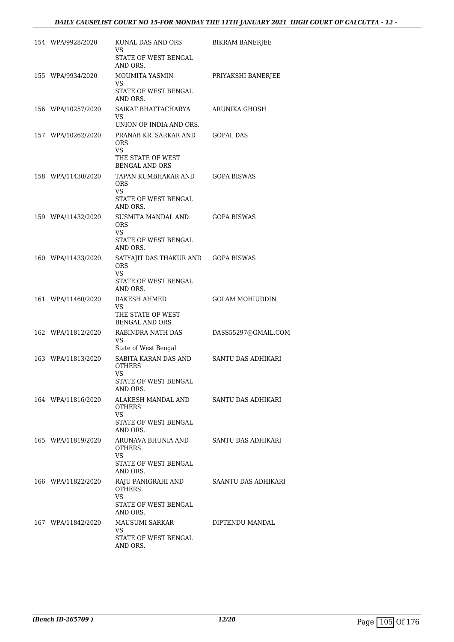| 154 WPA/9928/2020  | KUNAL DAS AND ORS<br>VS                                                          | <b>BIKRAM BANERJEE</b> |
|--------------------|----------------------------------------------------------------------------------|------------------------|
|                    | STATE OF WEST BENGAL<br>AND ORS.                                                 |                        |
| 155 WPA/9934/2020  | MOUMITA YASMIN<br>VS<br>STATE OF WEST BENGAL<br>AND ORS.                         | PRIYAKSHI BANERJEE     |
| 156 WPA/10257/2020 | SAIKAT BHATTACHARYA<br>VS.<br>UNION OF INDIA AND ORS.                            | ARUNIKA GHOSH          |
| 157 WPA/10262/2020 | PRANAB KR. SARKAR AND<br>ORS<br>VS.                                              | GOPAL DAS              |
|                    | THE STATE OF WEST<br><b>BENGAL AND ORS</b>                                       |                        |
| 158 WPA/11430/2020 | TAPAN KUMBHAKAR AND<br><b>ORS</b><br>VS.<br>STATE OF WEST BENGAL                 | <b>GOPA BISWAS</b>     |
| 159 WPA/11432/2020 | AND ORS.<br>SUSMITA MANDAL AND                                                   | <b>GOPA BISWAS</b>     |
|                    | <b>ORS</b><br>VS.<br>STATE OF WEST BENGAL<br>AND ORS.                            |                        |
| 160 WPA/11433/2020 | SATYAJIT DAS THAKUR AND<br><b>ORS</b><br>VS.<br>STATE OF WEST BENGAL<br>AND ORS. | <b>GOPA BISWAS</b>     |
| 161 WPA/11460/2020 | RAKESH AHMED<br>VS<br>THE STATE OF WEST<br><b>BENGAL AND ORS</b>                 | GOLAM MOHIUDDIN        |
| 162 WPA/11812/2020 | RABINDRA NATH DAS<br>VS<br>State of West Bengal                                  | DASS55297@GMAIL.COM    |
| 163 WPA/11813/2020 | SABITA KARAN DAS AND<br>OTHERS<br>VS<br>STATE OF WEST BENGAL<br>AND ORS.         | SANTU DAS ADHIKARI     |
| 164 WPA/11816/2020 | ALAKESH MANDAL AND<br>OTHERS<br>VS.<br>STATE OF WEST BENGAL<br>AND ORS.          | SANTU DAS ADHIKARI     |
| 165 WPA/11819/2020 | ARUNAVA BHUNIA AND<br>OTHERS<br>VS.<br>STATE OF WEST BENGAL<br>AND ORS.          | SANTU DAS ADHIKARI     |
| 166 WPA/11822/2020 | RAJU PANIGRAHI AND<br><b>OTHERS</b><br>VS                                        | SAANTU DAS ADHIKARI    |
|                    | STATE OF WEST BENGAL<br>AND ORS.                                                 |                        |
| 167 WPA/11842/2020 | MAUSUMI SARKAR<br>VS                                                             | DIPTENDU MANDAL        |
|                    | STATE OF WEST BENGAL<br>AND ORS.                                                 |                        |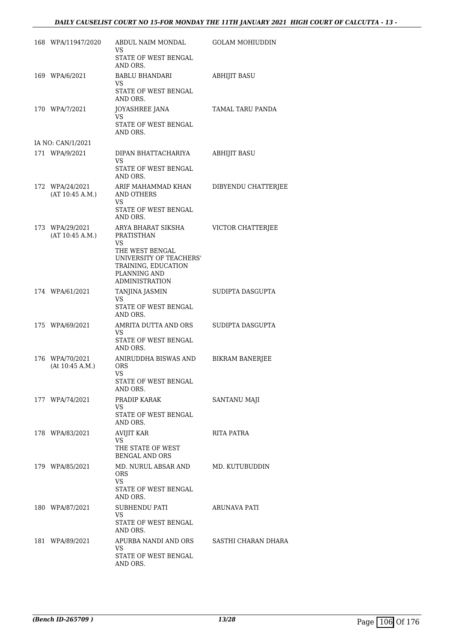### *DAILY CAUSELIST COURT NO 15-FOR MONDAY THE 11TH JANUARY 2021 HIGH COURT OF CALCUTTA - 13 -*

| 168 WPA/11947/2020                 | ABDUL NAIM MONDAL<br>VS                                                                                    | <b>GOLAM MOHIUDDIN</b> |
|------------------------------------|------------------------------------------------------------------------------------------------------------|------------------------|
|                                    | STATE OF WEST BENGAL<br>AND ORS.                                                                           |                        |
| 169 WPA/6/2021                     | BABLU BHANDARI<br>VS.                                                                                      | <b>ABHIJIT BASU</b>    |
|                                    | STATE OF WEST BENGAL<br>AND ORS.                                                                           |                        |
| 170 WPA/7/2021                     | JOYASHREE JANA<br>VS.                                                                                      | TAMAL TARU PANDA       |
|                                    | STATE OF WEST BENGAL<br>AND ORS.                                                                           |                        |
| IA NO: CAN/1/2021                  |                                                                                                            |                        |
| 171 WPA/9/2021                     | DIPAN BHATTACHARIYA<br>VS.                                                                                 | <b>ABHIJIT BASU</b>    |
|                                    | STATE OF WEST BENGAL<br>AND ORS.                                                                           |                        |
| 172 WPA/24/2021<br>(AT 10:45 A.M.) | ARIF MAHAMMAD KHAN<br><b>AND OTHERS</b><br><b>VS</b>                                                       | DIBYENDU CHATTERJEE    |
|                                    | STATE OF WEST BENGAL<br>AND ORS.                                                                           |                        |
| 173 WPA/29/2021<br>(AT 10:45 A.M.) | ARYA BHARAT SIKSHA<br>PRATISTHAN<br>VS                                                                     | VICTOR CHATTERJEE      |
|                                    | THE WEST BENGAL<br>UNIVERSITY OF TEACHERS'<br>TRAINING, EDUCATION<br>PLANNING AND<br><b>ADMINISTRATION</b> |                        |
| 174 WPA/61/2021                    | TANJINA JASMIN                                                                                             | SUDIPTA DASGUPTA       |
|                                    | VS<br>STATE OF WEST BENGAL<br>AND ORS.                                                                     |                        |
| 175 WPA/69/2021                    | AMRITA DUTTA AND ORS<br>VS                                                                                 | SUDIPTA DASGUPTA       |
|                                    | STATE OF WEST BENGAL<br>AND ORS.                                                                           |                        |
| 176 WPA/70/2021<br>(At 10:45 A.M.) | ANIRUDDHA BISWAS AND<br><b>ORS</b><br><b>VS</b><br>STATE OF WEST BENGAL<br>AND ORS.                        | <b>BIKRAM BANERJEE</b> |
| 177 WPA/74/2021                    | PRADIP KARAK                                                                                               | SANTANU MAJI           |
|                                    | VS<br>STATE OF WEST BENGAL<br>AND ORS.                                                                     |                        |
| 178 WPA/83/2021                    | <b>AVIJIT KAR</b><br>VS.                                                                                   | RITA PATRA             |
|                                    | THE STATE OF WEST<br><b>BENGAL AND ORS</b>                                                                 |                        |
| 179 WPA/85/2021                    | MD. NURUL ABSAR AND<br><b>ORS</b>                                                                          | MD. KUTUBUDDIN         |
|                                    | VS.<br>STATE OF WEST BENGAL<br>AND ORS.                                                                    |                        |
| 180 WPA/87/2021                    | SUBHENDU PATI                                                                                              | ARUNAVA PATI           |
|                                    | VS<br>STATE OF WEST BENGAL<br>AND ORS.                                                                     |                        |
| 181 WPA/89/2021                    | APURBA NANDI AND ORS<br>VS                                                                                 | SASTHI CHARAN DHARA    |
|                                    | STATE OF WEST BENGAL<br>AND ORS.                                                                           |                        |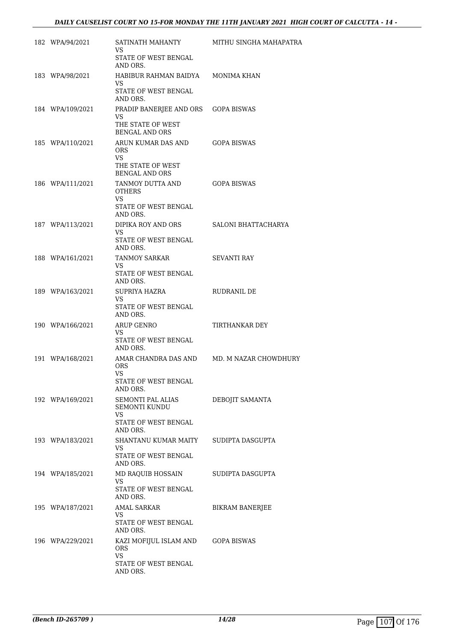| 182 WPA/94/2021  | SATINATH MAHANTY<br>VS.                                                               | MITHU SINGHA MAHAPATRA |
|------------------|---------------------------------------------------------------------------------------|------------------------|
|                  | STATE OF WEST BENGAL<br>AND ORS.                                                      |                        |
| 183 WPA/98/2021  | HABIBUR RAHMAN BAIDYA<br>VS.<br>STATE OF WEST BENGAL                                  | MONIMA KHAN            |
| 184 WPA/109/2021 | AND ORS.<br>PRADIP BANERJEE AND ORS                                                   | <b>GOPA BISWAS</b>     |
|                  | VS.<br>THE STATE OF WEST<br>BENGAL AND ORS                                            |                        |
| 185 WPA/110/2021 | ARUN KUMAR DAS AND<br>ORS.<br>VS.                                                     | <b>GOPA BISWAS</b>     |
|                  | THE STATE OF WEST<br><b>BENGAL AND ORS</b>                                            |                        |
| 186 WPA/111/2021 | TANMOY DUTTA AND<br><b>OTHERS</b><br><b>VS</b><br>STATE OF WEST BENGAL                | <b>GOPA BISWAS</b>     |
|                  | AND ORS.                                                                              |                        |
| 187 WPA/113/2021 | DIPIKA ROY AND ORS<br><b>VS</b><br>STATE OF WEST BENGAL<br>AND ORS.                   | SALONI BHATTACHARYA    |
| 188 WPA/161/2021 | TANMOY SARKAR<br>VS.<br>STATE OF WEST BENGAL<br>AND ORS.                              | SEVANTI RAY            |
| 189 WPA/163/2021 | SUPRIYA HAZRA<br>VS.<br>STATE OF WEST BENGAL<br>AND ORS.                              | RUDRANIL DE            |
| 190 WPA/166/2021 | <b>ARUP GENRO</b><br>VS.<br>STATE OF WEST BENGAL<br>AND ORS.                          | TIRTHANKAR DEY         |
| 191 WPA/168/2021 | AMAR CHANDRA DAS AND<br><b>ORS</b><br>VS                                              | MD. M NAZAR CHOWDHURY  |
|                  | STATE OF WEST BENGAL<br>AND ORS.                                                      |                        |
| 192 WPA/169/2021 | SEMONTI PAL ALIAS<br><b>SEMONTI KUNDU</b><br>VS                                       | DEBOJIT SAMANTA        |
|                  | STATE OF WEST BENGAL<br>AND ORS.                                                      |                        |
| 193 WPA/183/2021 | SHANTANU KUMAR MAITY<br>VS<br>STATE OF WEST BENGAL                                    | SUDIPTA DASGUPTA       |
| 194 WPA/185/2021 | AND ORS.<br>MD RAQUIB HOSSAIN                                                         | SUDIPTA DASGUPTA       |
|                  | VS.<br>STATE OF WEST BENGAL<br>AND ORS.                                               |                        |
| 195 WPA/187/2021 | AMAL SARKAR<br>VS.<br>STATE OF WEST BENGAL                                            | <b>BIKRAM BANERJEE</b> |
|                  | AND ORS.                                                                              |                        |
| 196 WPA/229/2021 | KAZI MOFIJUL ISLAM AND<br><b>ORS</b><br><b>VS</b><br>STATE OF WEST BENGAL<br>AND ORS. | <b>GOPA BISWAS</b>     |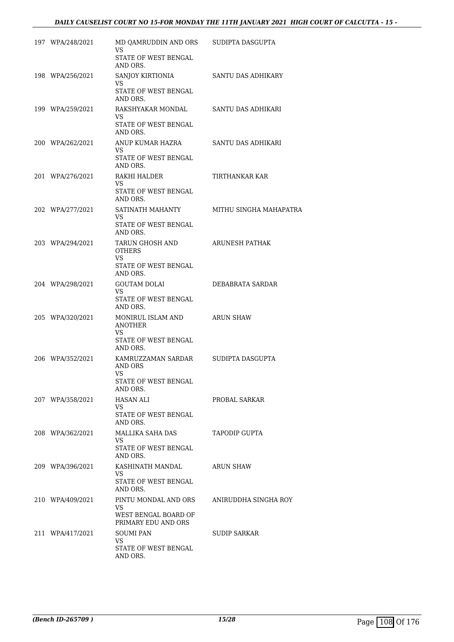## *DAILY CAUSELIST COURT NO 15-FOR MONDAY THE 11TH JANUARY 2021 HIGH COURT OF CALCUTTA - 15 -*

| 197 WPA/248/2021 | MD OAMRUDDIN AND ORS<br>VS                                                        | SUDIPTA DASGUPTA       |
|------------------|-----------------------------------------------------------------------------------|------------------------|
|                  | STATE OF WEST BENGAL<br>AND ORS.                                                  |                        |
| 198 WPA/256/2021 | SANJOY KIRTIONIA<br>VS.<br>STATE OF WEST BENGAL                                   | SANTU DAS ADHIKARY     |
| 199 WPA/259/2021 | AND ORS.<br>RAKSHYAKAR MONDAL<br>VS.<br>STATE OF WEST BENGAL                      | SANTU DAS ADHIKARI     |
| 200 WPA/262/2021 | AND ORS.<br>ANUP KUMAR HAZRA<br>VS<br>STATE OF WEST BENGAL<br>AND ORS.            | SANTU DAS ADHIKARI     |
| 201 WPA/276/2021 | RAKHI HALDER<br>VS.<br>STATE OF WEST BENGAL<br>AND ORS.                           | TIRTHANKAR KAR         |
| 202 WPA/277/2021 | SATINATH MAHANTY<br>VS.<br>STATE OF WEST BENGAL<br>AND ORS.                       | MITHU SINGHA MAHAPATRA |
| 203 WPA/294/2021 | TARUN GHOSH AND<br><b>OTHERS</b><br><b>VS</b><br>STATE OF WEST BENGAL<br>AND ORS. | ARUNESH PATHAK         |
| 204 WPA/298/2021 | <b>GOUTAM DOLAI</b><br>VS.<br>STATE OF WEST BENGAL<br>AND ORS.                    | DEBABRATA SARDAR       |
| 205 WPA/320/2021 | MONIRUL ISLAM AND<br><b>ANOTHER</b><br>VS<br>STATE OF WEST BENGAL<br>AND ORS.     | ARUN SHAW              |
| 206 WPA/352/2021 | KAMRUZZAMAN SARDAR<br>AND ORS<br><b>VS</b><br>STATE OF WEST BENGAL                | SUDIPTA DASGUPTA       |
| 207 WPA/358/2021 | AND ORS.<br>HASAN ALI<br>VS.<br>STATE OF WEST BENGAL                              | PROBAL SARKAR          |
| 208 WPA/362/2021 | AND ORS.<br>MALLIKA SAHA DAS<br>VS.<br>STATE OF WEST BENGAL<br>AND ORS.           | TAPODIP GUPTA          |
| 209 WPA/396/2021 | KASHINATH MANDAL<br>VS.<br>STATE OF WEST BENGAL<br>AND ORS.                       | ARUN SHAW              |
| 210 WPA/409/2021 | PINTU MONDAL AND ORS<br>VS.<br>WEST BENGAL BOARD OF                               | ANIRUDDHA SINGHA ROY   |
| 211 WPA/417/2021 | PRIMARY EDU AND ORS<br>SOUMI PAN<br>VS<br>STATE OF WEST BENGAL<br>AND ORS.        | SUDIP SARKAR           |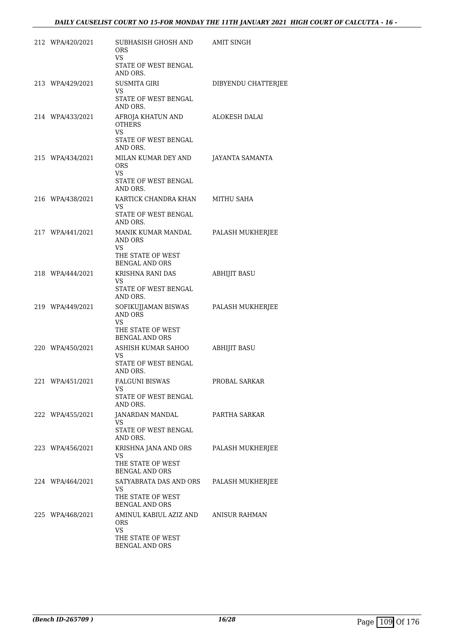| 212 WPA/420/2021 | SUBHASISH GHOSH AND<br><b>ORS</b><br>VS<br>STATE OF WEST BENGAL           | AMIT SINGH          |
|------------------|---------------------------------------------------------------------------|---------------------|
|                  | AND ORS.                                                                  |                     |
| 213 WPA/429/2021 | <b>SUSMITA GIRI</b><br>VS.<br>STATE OF WEST BENGAL<br>AND ORS.            | DIBYENDU CHATTERJEE |
| 214 WPA/433/2021 | AFROJA KHATUN AND<br><b>OTHERS</b><br>VS.                                 | ALOKESH DALAI       |
|                  | STATE OF WEST BENGAL<br>AND ORS.                                          |                     |
| 215 WPA/434/2021 | MILAN KUMAR DEY AND<br><b>ORS</b><br>VS.                                  | JAYANTA SAMANTA     |
|                  | STATE OF WEST BENGAL<br>AND ORS.                                          |                     |
| 216 WPA/438/2021 | KARTICK CHANDRA KHAN<br>VS.                                               | MITHU SAHA          |
|                  | STATE OF WEST BENGAL<br>AND ORS.                                          |                     |
| 217 WPA/441/2021 | MANIK KUMAR MANDAL<br>AND ORS<br>VS.                                      | PALASH MUKHERJEE    |
|                  | THE STATE OF WEST<br><b>BENGAL AND ORS</b>                                |                     |
| 218 WPA/444/2021 | KRISHNA RANI DAS<br>VS.                                                   | <b>ABHIJIT BASU</b> |
|                  | STATE OF WEST BENGAL<br>AND ORS.                                          |                     |
| 219 WPA/449/2021 | SOFIKUJJAMAN BISWAS<br>AND ORS<br><b>VS</b>                               | PALASH MUKHERJEE    |
|                  | THE STATE OF WEST<br><b>BENGAL AND ORS</b>                                |                     |
| 220 WPA/450/2021 | ASHISH KUMAR SAHOO<br>VS                                                  | <b>ABHIJIT BASU</b> |
|                  | STATE OF WEST BENGAL<br>AND ORS.                                          |                     |
| 221 WPA/451/2021 | <b>FALGUNI BISWAS</b><br>VS.                                              | PROBAL SARKAR       |
|                  | STATE OF WEST BENGAL<br>AND ORS.                                          |                     |
| 222 WPA/455/2021 | JANARDAN MANDAL<br>VS.                                                    | PARTHA SARKAR       |
|                  | STATE OF WEST BENGAL<br>AND ORS.                                          |                     |
| 223 WPA/456/2021 | KRISHNA JANA AND ORS<br>VS.<br>THE STATE OF WEST<br><b>BENGAL AND ORS</b> | PALASH MUKHERJEE    |
| 224 WPA/464/2021 | SATYABRATA DAS AND ORS<br>VS<br>THE STATE OF WEST                         | PALASH MUKHERJEE    |
| 225 WPA/468/2021 | <b>BENGAL AND ORS</b><br>AMINUL KABIUL AZIZ AND                           | ANISUR RAHMAN       |
|                  | <b>ORS</b><br><b>VS</b><br>THE STATE OF WEST<br>BENGAL AND ORS            |                     |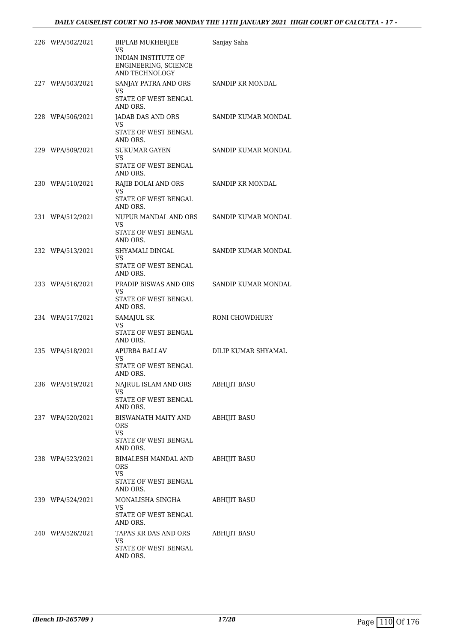| 226 WPA/502/2021 | BIPLAB MUKHERJEE<br>VS<br>INDIAN INSTITUTE OF<br>ENGINEERING, SCIENCE<br>AND TECHNOLOGY | Sanjay Saha             |
|------------------|-----------------------------------------------------------------------------------------|-------------------------|
| 227 WPA/503/2021 | SANJAY PATRA AND ORS<br>VS.<br>STATE OF WEST BENGAL<br>AND ORS.                         | <b>SANDIP KR MONDAL</b> |
| 228 WPA/506/2021 | JADAB DAS AND ORS<br>VS<br>STATE OF WEST BENGAL<br>AND ORS.                             | SANDIP KUMAR MONDAL     |
| 229 WPA/509/2021 | <b>SUKUMAR GAYEN</b><br>VS.<br>STATE OF WEST BENGAL<br>AND ORS.                         | SANDIP KUMAR MONDAL     |
| 230 WPA/510/2021 | RAJIB DOLAI AND ORS<br>VS.<br>STATE OF WEST BENGAL<br>AND ORS.                          | SANDIP KR MONDAL        |
| 231 WPA/512/2021 | NUPUR MANDAL AND ORS<br>VS<br>STATE OF WEST BENGAL<br>AND ORS.                          | SANDIP KUMAR MONDAL     |
| 232 WPA/513/2021 | SHYAMALI DINGAL<br>VS.<br>STATE OF WEST BENGAL<br>AND ORS.                              | SANDIP KUMAR MONDAL     |
| 233 WPA/516/2021 | PRADIP BISWAS AND ORS<br>VS.<br>STATE OF WEST BENGAL<br>AND ORS.                        | SANDIP KUMAR MONDAL     |
| 234 WPA/517/2021 | SAMAJUL SK<br>VS<br>STATE OF WEST BENGAL<br>AND ORS.                                    | RONI CHOWDHURY          |
| 235 WPA/518/2021 | APURBA BALLAV<br>VS.<br>STATE OF WEST BENGAL<br>AND ORS.                                | DILIP KUMAR SHYAMAL     |
| 236 WPA/519/2021 | NAJRUL ISLAM AND ORS<br>VS.<br>STATE OF WEST BENGAL<br>AND ORS.                         | <b>ABHIJIT BASU</b>     |
| 237 WPA/520/2021 | <b>BISWANATH MAITY AND</b><br>ORS<br><b>VS</b><br>STATE OF WEST BENGAL<br>AND ORS.      | <b>ABHIJIT BASU</b>     |
| 238 WPA/523/2021 | BIMALESH MANDAL AND<br>ORS<br><b>VS</b><br>STATE OF WEST BENGAL<br>AND ORS.             | <b>ABHIJIT BASU</b>     |
| 239 WPA/524/2021 | MONALISHA SINGHA<br>VS.<br>STATE OF WEST BENGAL<br>AND ORS.                             | <b>ABHIJIT BASU</b>     |
| 240 WPA/526/2021 | TAPAS KR DAS AND ORS<br>VS.<br>STATE OF WEST BENGAL<br>AND ORS.                         | <b>ABHIJIT BASU</b>     |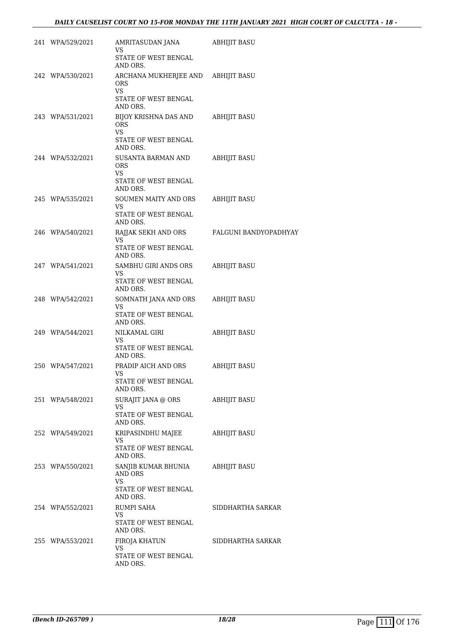| 241 WPA/529/2021 | AMRITASUDAN JANA<br>VS<br>STATE OF WEST BENGAL<br>AND ORS.                    | ABHIJIT BASU          |
|------------------|-------------------------------------------------------------------------------|-----------------------|
| 242 WPA/530/2021 | ARCHANA MUKHERJEE AND ABHIJIT BASU<br><b>ORS</b><br>VS.                       |                       |
|                  | STATE OF WEST BENGAL<br>AND ORS.                                              |                       |
| 243 WPA/531/2021 | BIJOY KRISHNA DAS AND<br><b>ORS</b><br>VS<br>STATE OF WEST BENGAL<br>AND ORS. | ABHIJIT BASU          |
| 244 WPA/532/2021 | SUSANTA BARMAN AND<br><b>ORS</b><br>VS.<br>STATE OF WEST BENGAL<br>AND ORS.   | ABHIJIT BASU          |
| 245 WPA/535/2021 | SOUMEN MAITY AND ORS<br>VS<br>STATE OF WEST BENGAL<br>AND ORS.                | ABHIJIT BASU          |
| 246 WPA/540/2021 | RAJJAK SEKH AND ORS<br>VS.<br>STATE OF WEST BENGAL<br>AND ORS.                | FALGUNI BANDYOPADHYAY |
| 247 WPA/541/2021 | SAMBHU GIRI ANDS ORS<br>VS.<br>STATE OF WEST BENGAL<br>AND ORS.               | <b>ABHIJIT BASU</b>   |
| 248 WPA/542/2021 | SOMNATH JANA AND ORS<br><b>VS</b><br>STATE OF WEST BENGAL<br>AND ORS.         | ABHIJIT BASU          |
| 249 WPA/544/2021 | NILKAMAL GIRI<br>VS<br>STATE OF WEST BENGAL<br>AND ORS.                       | ABHIJIT BASU          |
| 250 WPA/547/2021 | PRADIP AICH AND ORS<br>VS<br>STATE OF WEST BENGAL<br>AND ORS.                 | ABHIJIT BASU          |
| 251 WPA/548/2021 | SURAJIT JANA @ ORS<br><b>VS</b><br>STATE OF WEST BENGAL<br>AND ORS.           | <b>ABHIJIT BASU</b>   |
| 252 WPA/549/2021 | KRIPASINDHU MAJEE<br>VS<br>STATE OF WEST BENGAL<br>AND ORS.                   | <b>ABHIJIT BASU</b>   |
| 253 WPA/550/2021 | SANJIB KUMAR BHUNIA<br>AND ORS<br>VS<br>STATE OF WEST BENGAL                  | ABHIJIT BASU          |
| 254 WPA/552/2021 | AND ORS.<br>RUMPI SAHA<br>VS<br>STATE OF WEST BENGAL                          | SIDDHARTHA SARKAR     |
| 255 WPA/553/2021 | AND ORS.<br>FIROJA KHATUN<br>VS.<br>STATE OF WEST BENGAL<br>AND ORS.          | SIDDHARTHA SARKAR     |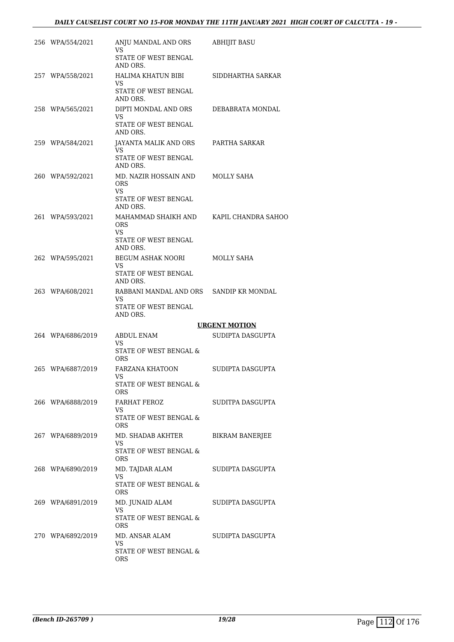## *DAILY CAUSELIST COURT NO 15-FOR MONDAY THE 11TH JANUARY 2021 HIGH COURT OF CALCUTTA - 19 -*

| 256 WPA/554/2021  | ANJU MANDAL AND ORS<br>VS.<br>STATE OF WEST BENGAL                                       | <b>ABHIJIT BASU</b>  |
|-------------------|------------------------------------------------------------------------------------------|----------------------|
| 257 WPA/558/2021  | AND ORS.<br>HALIMA KHATUN BIBI<br><b>VS</b><br>STATE OF WEST BENGAL                      | SIDDHARTHA SARKAR    |
| 258 WPA/565/2021  | AND ORS.<br>DIPTI MONDAL AND ORS<br>VS<br>STATE OF WEST BENGAL                           | DEBABRATA MONDAL     |
| 259 WPA/584/2021  | AND ORS.<br>JAYANTA MALIK AND ORS<br>VS<br>STATE OF WEST BENGAL                          | PARTHA SARKAR        |
| 260 WPA/592/2021  | AND ORS.<br>MD. NAZIR HOSSAIN AND<br><b>ORS</b><br>VS                                    | MOLLY SAHA           |
| 261 WPA/593/2021  | STATE OF WEST BENGAL<br>AND ORS.<br>MAHAMMAD SHAIKH AND<br><b>ORS</b>                    | KAPIL CHANDRA SAHOO  |
|                   | VS<br>STATE OF WEST BENGAL<br>AND ORS.<br>BEGUM ASHAK NOORI                              | MOLLY SAHA           |
| 262 WPA/595/2021  | VS.<br>STATE OF WEST BENGAL<br>AND ORS.                                                  |                      |
| 263 WPA/608/2021  | RABBANI MANDAL AND ORS SANDIP KR MONDAL<br><b>VS</b><br>STATE OF WEST BENGAL<br>AND ORS. |                      |
|                   |                                                                                          | <b>URGENT MOTION</b> |
|                   |                                                                                          |                      |
| 264 WPA/6886/2019 | ABDUL ENAM<br>VS<br>STATE OF WEST BENGAL &                                               | SUDIPTA DASGUPTA     |
| 265 WPA/6887/2019 | ORS<br><b>FARZANA KHATOON</b><br>VS —<br>STATE OF WEST BENGAL &                          | SUDIPTA DASGUPTA     |
| 266 WPA/6888/2019 | ORS<br>FARHAT FEROZ<br>VS.                                                               | SUDITPA DASGUPTA     |
| 267 WPA/6889/2019 | STATE OF WEST BENGAL &<br><b>ORS</b><br>MD. SHADAB AKHTER                                | BIKRAM BANERJEE      |
|                   | VS<br>STATE OF WEST BENGAL &<br><b>ORS</b>                                               |                      |
| 268 WPA/6890/2019 | MD. TAJDAR ALAM<br>VS.<br>STATE OF WEST BENGAL &                                         | SUDIPTA DASGUPTA     |
| 269 WPA/6891/2019 | ORS<br>MD. JUNAID ALAM<br>VS<br>STATE OF WEST BENGAL &                                   | SUDIPTA DASGUPTA     |
| 270 WPA/6892/2019 | ORS<br>MD. ANSAR ALAM<br>VS                                                              | SUDIPTA DASGUPTA     |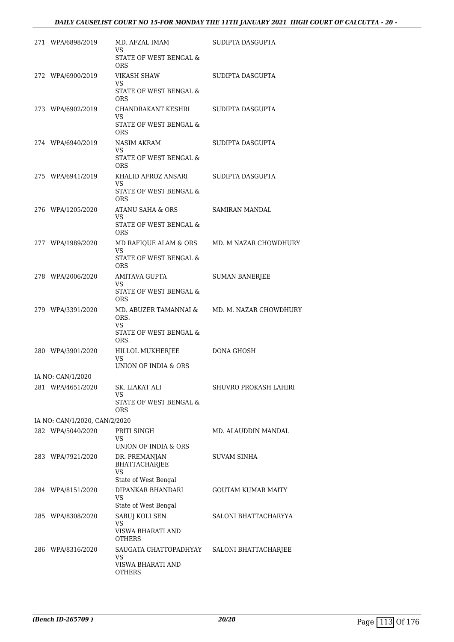| 271 WPA/6898/2019             | MD. AFZAL IMAM<br>VS.                                 | SUDIPTA DASGUPTA       |
|-------------------------------|-------------------------------------------------------|------------------------|
|                               | STATE OF WEST BENGAL &<br><b>ORS</b>                  |                        |
| 272 WPA/6900/2019             | VIKASH SHAW                                           | SUDIPTA DASGUPTA       |
|                               | VS.<br>STATE OF WEST BENGAL &<br>ORS                  |                        |
| 273 WPA/6902/2019             | CHANDRAKANT KESHRI<br>VS.                             | SUDIPTA DASGUPTA       |
|                               | STATE OF WEST BENGAL &<br>ORS                         |                        |
| 274 WPA/6940/2019             | NASIM AKRAM<br>VS.                                    | SUDIPTA DASGUPTA       |
|                               | STATE OF WEST BENGAL &<br>ORS                         |                        |
| 275 WPA/6941/2019             | KHALID AFROZ ANSARI<br>VS.                            | SUDIPTA DASGUPTA       |
|                               | STATE OF WEST BENGAL &<br><b>ORS</b>                  |                        |
| 276 WPA/1205/2020             | ATANU SAHA & ORS<br>VS.                               | SAMIRAN MANDAL         |
|                               | STATE OF WEST BENGAL &<br><b>ORS</b>                  |                        |
| 277 WPA/1989/2020             | MD RAFIQUE ALAM & ORS<br>VS.                          | MD. M NAZAR CHOWDHURY  |
|                               | STATE OF WEST BENGAL &<br><b>ORS</b>                  |                        |
| 278 WPA/2006/2020             | AMITAVA GUPTA<br>VS.                                  | <b>SUMAN BANERJEE</b>  |
|                               | STATE OF WEST BENGAL &<br><b>ORS</b>                  |                        |
| 279 WPA/3391/2020             | MD. ABUZER TAMANNAI &<br>ORS.<br><b>VS</b>            | MD. M. NAZAR CHOWDHURY |
|                               | STATE OF WEST BENGAL &<br>ORS.                        |                        |
| 280 WPA/3901/2020             | HILLOL MUKHERJEE<br><b>VS</b><br>UNION OF INDIA & ORS | DONA GHOSH             |
| IA NO: CAN/1/2020             |                                                       |                        |
| 281 WPA/4651/2020             | SK. LIAKAT ALI<br>VS                                  | SHUVRO PROKASH LAHIRI  |
|                               | STATE OF WEST BENGAL &<br>ORS                         |                        |
| IA NO: CAN/1/2020, CAN/2/2020 |                                                       |                        |
| 282 WPA/5040/2020             | PRITI SINGH<br>VS<br>UNION OF INDIA & ORS             | MD. ALAUDDIN MANDAL    |
| 283 WPA/7921/2020             | DR. PREMANJAN<br>BHATTACHARJEE<br>VS                  | <b>SUVAM SINHA</b>     |
| 284 WPA/8151/2020             | State of West Bengal<br>DIPANKAR BHANDARI             | GOUTAM KUMAR MAITY     |
|                               | VS                                                    |                        |
| 285 WPA/8308/2020             | State of West Bengal<br>SABUJ KOLI SEN                | SALONI BHATTACHARYYA   |
|                               | VS<br>VISWA BHARATI AND<br>OTHERS                     |                        |
| 286 WPA/8316/2020             | SAUGATA CHATTOPADHYAY                                 | SALONI BHATTACHARJEE   |
|                               | VS<br>VISWA BHARATI AND<br>OTHERS                     |                        |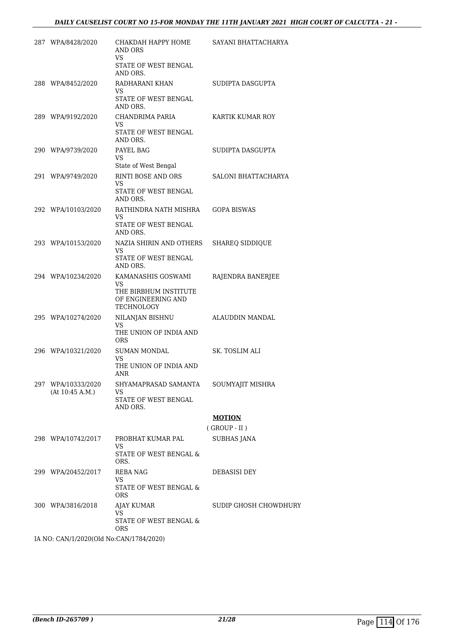| 287 WPA/8428/2020                       | СНАКДАН НАРРҮ НОМЕ<br>AND ORS<br>VS                       | SAYANI BHATTACHARYA   |
|-----------------------------------------|-----------------------------------------------------------|-----------------------|
|                                         | STATE OF WEST BENGAL<br>AND ORS.                          |                       |
| 288 WPA/8452/2020                       | RADHARANI KHAN                                            | SUDIPTA DASGUPTA      |
|                                         | VS<br>STATE OF WEST BENGAL<br>AND ORS.                    |                       |
| 289 WPA/9192/2020                       | CHANDRIMA PARIA                                           | KARTIK KUMAR ROY      |
|                                         | VS.<br>STATE OF WEST BENGAL<br>AND ORS.                   |                       |
| 290 WPA/9739/2020                       | PAYEL BAG                                                 | SUDIPTA DASGUPTA      |
|                                         | VS.<br>State of West Bengal                               |                       |
| 291 WPA/9749/2020                       | RINTI BOSE AND ORS<br>VS                                  | SALONI BHATTACHARYA   |
|                                         | STATE OF WEST BENGAL<br>AND ORS.                          |                       |
| 292 WPA/10103/2020                      | RATHINDRA NATH MISHRA<br>VS                               | <b>GOPA BISWAS</b>    |
|                                         | STATE OF WEST BENGAL<br>AND ORS.                          |                       |
| 293 WPA/10153/2020                      | NAZIA SHIRIN AND OTHERS<br><b>VS</b>                      | SHAREQ SIDDIQUE       |
|                                         | STATE OF WEST BENGAL<br>AND ORS.                          |                       |
| 294 WPA/10234/2020                      | KAMANASHIS GOSWAMI<br>VS                                  | RAJENDRA BANERJEE     |
|                                         | THE BIRBHUM INSTITUTE<br>OF ENGINEERING AND<br>TECHNOLOGY |                       |
| 295 WPA/10274/2020                      | NILANJAN BISHNU                                           | ALAUDDIN MANDAL       |
|                                         | VS<br>THE UNION OF INDIA AND<br><b>ORS</b>                |                       |
| 296 WPA/10321/2020                      | <b>SUMAN MONDAL</b>                                       | <b>SK. TOSLIM ALI</b> |
|                                         | VS<br>THE UNION OF INDIA AND<br><b>ANR</b>                |                       |
| 297 WPA/10333/2020<br>(At 10:45 A.M.)   | SHYAMAPRASAD SAMANTA<br>VS                                | SOUMYAJIT MISHRA      |
|                                         | STATE OF WEST BENGAL<br>AND ORS.                          |                       |
|                                         |                                                           | <b>MOTION</b>         |
|                                         |                                                           | $($ GROUP - II $)$    |
| 298 WPA/10742/2017                      | PROBHAT KUMAR PAL<br>VS                                   | <b>SUBHAS JANA</b>    |
|                                         | STATE OF WEST BENGAL &<br>ORS.                            |                       |
| 299 WPA/20452/2017                      | REBA NAG<br>VS                                            | DEBASISI DEY          |
|                                         | STATE OF WEST BENGAL &<br>ORS.                            |                       |
| 300 WPA/3816/2018                       | AJAY KUMAR<br>VS                                          | SUDIP GHOSH CHOWDHURY |
|                                         | STATE OF WEST BENGAL &<br><b>ORS</b>                      |                       |
| IA NO: CAN/1/2020(Old No:CAN/1784/2020) |                                                           |                       |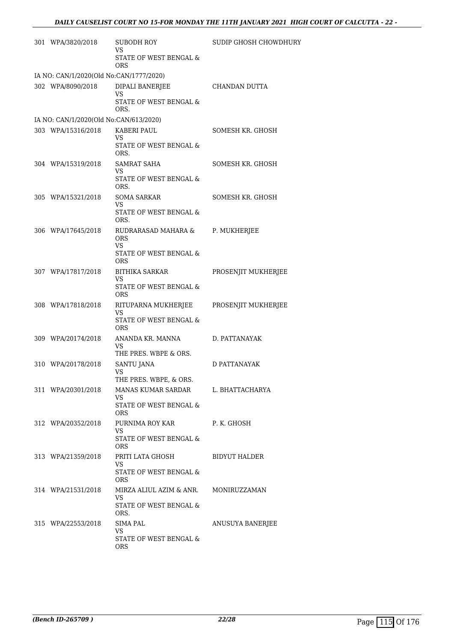| 301 WPA/3820/2018                       | SUBODH ROY<br>VS.                                                         | SUDIP GHOSH CHOWDHURY |  |  |  |
|-----------------------------------------|---------------------------------------------------------------------------|-----------------------|--|--|--|
|                                         | STATE OF WEST BENGAL &<br><b>ORS</b>                                      |                       |  |  |  |
| IA NO: CAN/1/2020(Old No:CAN/1777/2020) |                                                                           |                       |  |  |  |
| 302 WPA/8090/2018                       | DIPALI BANERJEE<br>VS                                                     | CHANDAN DUTTA         |  |  |  |
|                                         | STATE OF WEST BENGAL &<br>ORS.                                            |                       |  |  |  |
| IA NO: CAN/1/2020(Old No:CAN/613/2020)  |                                                                           |                       |  |  |  |
| 303 WPA/15316/2018                      | KABERI PAUL<br>VS<br>STATE OF WEST BENGAL &<br>ORS.                       | SOMESH KR. GHOSH      |  |  |  |
| 304 WPA/15319/2018                      | SAMRAT SAHA<br>VS<br>STATE OF WEST BENGAL &<br>ORS.                       | SOMESH KR. GHOSH      |  |  |  |
| 305 WPA/15321/2018                      | <b>SOMA SARKAR</b><br>VS<br>STATE OF WEST BENGAL &<br>ORS.                | SOMESH KR. GHOSH      |  |  |  |
| 306 WPA/17645/2018                      | RUDRARASAD MAHARA &<br><b>ORS</b><br>VS.<br>STATE OF WEST BENGAL &<br>ORS | P. MUKHERJEE          |  |  |  |
| 307 WPA/17817/2018                      | <b>BITHIKA SARKAR</b><br>VS<br>STATE OF WEST BENGAL &<br><b>ORS</b>       | PROSENJIT MUKHERJEE   |  |  |  |
| 308 WPA/17818/2018                      | RITUPARNA MUKHERJEE<br>VS<br>STATE OF WEST BENGAL &<br>ORS                | PROSENJIT MUKHERJEE   |  |  |  |
| 309 WPA/20174/2018                      | ANANDA KR. MANNA<br>VS<br>THE PRES. WBPE & ORS.                           | D. PATTANAYAK         |  |  |  |
| 310 WPA/20178/2018                      | SANTU JANA<br>VS<br>THE PRES. WBPE, & ORS.                                | D PATTANAYAK          |  |  |  |
| 311 WPA/20301/2018                      | MANAS KUMAR SARDAR<br>VS.<br>STATE OF WEST BENGAL &<br><b>ORS</b>         | L. BHATTACHARYA       |  |  |  |
| 312 WPA/20352/2018                      | PURNIMA ROY KAR<br>VS<br>STATE OF WEST BENGAL &<br>ORS.                   | P. K. GHOSH           |  |  |  |
| 313 WPA/21359/2018                      | PRITI LATA GHOSH<br>VS<br>STATE OF WEST BENGAL &<br>ORS                   | <b>BIDYUT HALDER</b>  |  |  |  |
| 314 WPA/21531/2018                      | MIRZA ALIUL AZIM & ANR.<br><b>VS</b><br>STATE OF WEST BENGAL &<br>ORS.    | MONIRUZZAMAN          |  |  |  |
| 315 WPA/22553/2018                      | SIMA PAL<br>VS.<br>STATE OF WEST BENGAL &<br><b>ORS</b>                   | ANUSUYA BANERJEE      |  |  |  |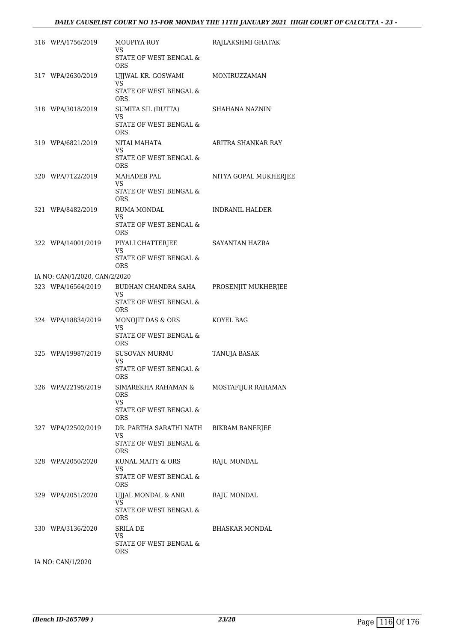| 316 WPA/1756/2019             | <b>MOUPIYA ROY</b><br>VS<br>STATE OF WEST BENGAL &                              | RAJLAKSHMI GHATAK      |
|-------------------------------|---------------------------------------------------------------------------------|------------------------|
| 317 WPA/2630/2019             | <b>ORS</b><br>UJJWAL KR. GOSWAMI<br>VS<br>STATE OF WEST BENGAL &                | MONIRUZZAMAN           |
| 318 WPA/3018/2019             | ORS.<br>SUMITA SIL (DUTTA)<br>VS                                                | SHAHANA NAZNIN         |
|                               | STATE OF WEST BENGAL &<br>ORS.                                                  |                        |
| 319 WPA/6821/2019             | NITAI MAHATA<br>VS<br>STATE OF WEST BENGAL &<br><b>ORS</b>                      | ARITRA SHANKAR RAY     |
| 320 WPA/7122/2019             | <b>MAHADEB PAL</b><br>VS<br>STATE OF WEST BENGAL &<br><b>ORS</b>                | NITYA GOPAL MUKHERJEE  |
| 321 WPA/8482/2019             | <b>RUMA MONDAL</b><br>VS<br>STATE OF WEST BENGAL &<br><b>ORS</b>                | <b>INDRANIL HALDER</b> |
| 322 WPA/14001/2019            | PIYALI CHATTERJEE<br>VS<br>STATE OF WEST BENGAL &<br><b>ORS</b>                 | SAYANTAN HAZRA         |
| IA NO: CAN/1/2020, CAN/2/2020 |                                                                                 |                        |
| 323 WPA/16564/2019            | BUDHAN CHANDRA SAHA<br><b>VS</b><br>STATE OF WEST BENGAL &<br><b>ORS</b>        | PROSENJIT MUKHERJEE    |
| 324 WPA/18834/2019            | MONOJIT DAS & ORS<br>VS<br>STATE OF WEST BENGAL &                               | KOYEL BAG              |
| 325 WPA/19987/2019            | <b>ORS</b><br><b>SUSOVAN MURMU</b><br>VS<br>STATE OF WEST BENGAL &<br>ORS       | TANUJA BASAK           |
| 326 WPA/22195/2019            | SIMAREKHA RAHAMAN &<br><b>ORS</b><br>VS<br>STATE OF WEST BENGAL &<br><b>ORS</b> | MOSTAFIJUR RAHAMAN     |
| 327 WPA/22502/2019            | DR. PARTHA SARATHI NATH<br>VS<br>STATE OF WEST BENGAL &<br>ORS                  | BIKRAM BANERJEE        |
| 328 WPA/2050/2020             | KUNAL MAITY & ORS<br>VS<br>STATE OF WEST BENGAL &<br>ORS                        | RAJU MONDAL            |
| 329 WPA/2051/2020             | UJJAL MONDAL & ANR<br>VS<br>STATE OF WEST BENGAL &<br><b>ORS</b>                | RAJU MONDAL            |
| 330 WPA/3136/2020             | SRILA DE<br>VS<br>STATE OF WEST BENGAL &<br>ORS                                 | <b>BHASKAR MONDAL</b>  |
| IA NO: CAN/1/2020             |                                                                                 |                        |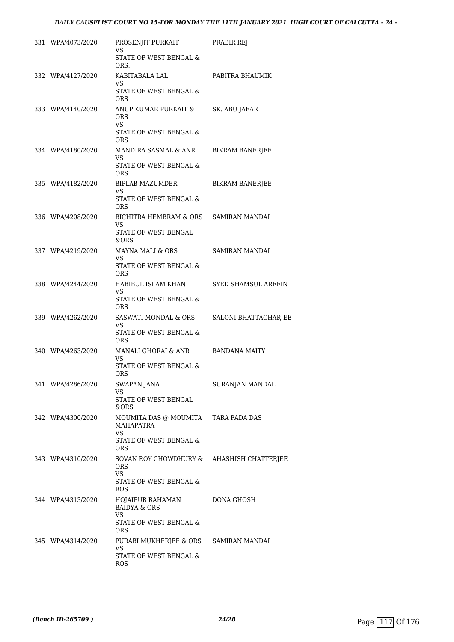| 331 WPA/4073/2020 | PROSENJIT PURKAIT<br>VS                                 | PRABIR REJ                  |
|-------------------|---------------------------------------------------------|-----------------------------|
|                   | STATE OF WEST BENGAL &<br>ORS.                          |                             |
| 332 WPA/4127/2020 | KABITABALA LAL<br>VS.                                   | PABITRA BHAUMIK             |
|                   | STATE OF WEST BENGAL &<br><b>ORS</b>                    |                             |
| 333 WPA/4140/2020 | ANUP KUMAR PURKAIT &<br><b>ORS</b><br><b>VS</b>         | SK. ABU JAFAR               |
|                   | STATE OF WEST BENGAL &<br><b>ORS</b>                    |                             |
| 334 WPA/4180/2020 | MANDIRA SASMAL & ANR<br>VS.                             | BIKRAM BANERJEE             |
|                   | STATE OF WEST BENGAL &<br><b>ORS</b>                    |                             |
| 335 WPA/4182/2020 | BIPLAB MAZUMDER<br>VS.                                  | <b>BIKRAM BANERJEE</b>      |
|                   | STATE OF WEST BENGAL &<br><b>ORS</b>                    |                             |
| 336 WPA/4208/2020 | BICHITRA HEMBRAM & ORS SAMIRAN MANDAL<br>VS.            |                             |
|                   | STATE OF WEST BENGAL<br>&ORS                            |                             |
| 337 WPA/4219/2020 | MAYNA MALI & ORS<br>VS.                                 | SAMIRAN MANDAL              |
|                   | STATE OF WEST BENGAL &<br><b>ORS</b>                    |                             |
| 338 WPA/4244/2020 | HABIBUL ISLAM KHAN<br>VS.                               | SYED SHAMSUL AREFIN         |
|                   | STATE OF WEST BENGAL &<br><b>ORS</b>                    |                             |
| 339 WPA/4262/2020 | SASWATI MONDAL & ORS<br>VS                              | <b>SALONI BHATTACHARJEE</b> |
|                   | STATE OF WEST BENGAL &<br><b>ORS</b>                    |                             |
| 340 WPA/4263/2020 | MANALI GHORAI & ANR<br>VS.                              | BANDANA MAITY               |
|                   | STATE OF WEST BENGAL &<br><b>ORS</b>                    |                             |
| 341 WPA/4286/2020 | SWAPAN JANA<br>VS                                       | SURANJAN MANDAL             |
|                   | STATE OF WEST BENGAL<br>&ORS                            |                             |
| 342 WPA/4300/2020 | MOUMITA DAS @ MOUMITA TARA PADA DAS<br>MAHAPATRA        |                             |
|                   | VS<br>STATE OF WEST BENGAL &<br>ORS                     |                             |
| 343 WPA/4310/2020 | SOVAN ROY CHOWDHURY & AHASHISH CHATTERJEE<br><b>ORS</b> |                             |
|                   | <b>VS</b><br>STATE OF WEST BENGAL &<br>ROS              |                             |
| 344 WPA/4313/2020 | HOJAIFUR RAHAMAN<br><b>BAIDYA &amp; ORS</b>             | DONA GHOSH                  |
|                   | VS.<br>STATE OF WEST BENGAL &<br>ORS                    |                             |
| 345 WPA/4314/2020 | PURABI MUKHERJEE & ORS<br>VS                            | SAMIRAN MANDAL              |
|                   | STATE OF WEST BENGAL &<br>ROS                           |                             |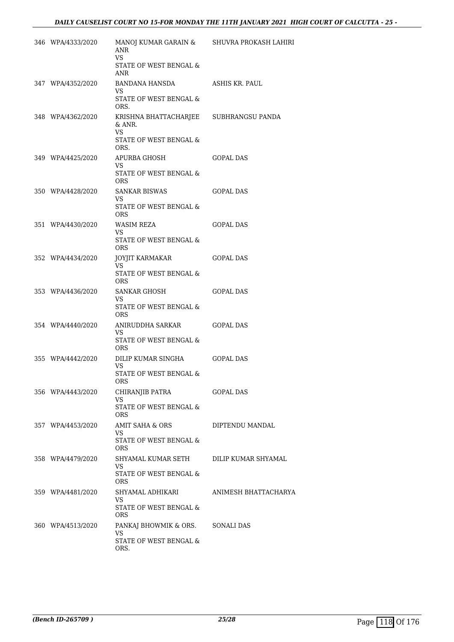| 346 WPA/4333/2020 | MANOJ KUMAR GARAIN & SHUVRA PROKASH LAHIRI<br>ANR<br>VS. |                      |
|-------------------|----------------------------------------------------------|----------------------|
|                   | STATE OF WEST BENGAL &<br>ANR                            |                      |
| 347 WPA/4352/2020 | BANDANA HANSDA<br>VS.                                    | ASHIS KR. PAUL       |
|                   | STATE OF WEST BENGAL &<br>ORS.                           |                      |
| 348 WPA/4362/2020 | KRISHNA BHATTACHARJEE SUBHRANGSU PANDA<br>& ANR.<br>VS.  |                      |
|                   | STATE OF WEST BENGAL &<br>ORS.                           |                      |
| 349 WPA/4425/2020 | APURBA GHOSH<br>VS                                       | GOPAL DAS            |
|                   | STATE OF WEST BENGAL &<br><b>ORS</b>                     |                      |
| 350 WPA/4428/2020 | SANKAR BISWAS<br>VS.                                     | GOPAL DAS            |
|                   | STATE OF WEST BENGAL &<br>ORS                            |                      |
| 351 WPA/4430/2020 | WASIM REZA<br>VS.                                        | <b>GOPAL DAS</b>     |
|                   | STATE OF WEST BENGAL &<br><b>ORS</b>                     |                      |
| 352 WPA/4434/2020 | JOYJIT KARMAKAR<br>VS.                                   | <b>GOPAL DAS</b>     |
|                   | STATE OF WEST BENGAL &<br>ORS                            |                      |
| 353 WPA/4436/2020 | SANKAR GHOSH<br>VS                                       | GOPAL DAS            |
|                   | STATE OF WEST BENGAL &<br>ORS                            |                      |
| 354 WPA/4440/2020 | ANIRUDDHA SARKAR<br>VS.                                  | GOPAL DAS            |
|                   | STATE OF WEST BENGAL &<br>ORS                            |                      |
| 355 WPA/4442/2020 | DILIP KUMAR SINGHA<br>VS.                                | <b>GOPAL DAS</b>     |
|                   | STATE OF WEST BENGAL &<br><b>ORS</b>                     |                      |
| 356 WPA/4443/2020 | CHIRANJIB PATRA<br>VS                                    | <b>GOPAL DAS</b>     |
|                   | STATE OF WEST BENGAL &<br>ORS                            |                      |
| 357 WPA/4453/2020 | AMIT SAHA & ORS<br>VS                                    | DIPTENDU MANDAL      |
|                   | STATE OF WEST BENGAL &<br>ORS                            |                      |
| 358 WPA/4479/2020 | SHYAMAL KUMAR SETH<br>VS                                 | DILIP KUMAR SHYAMAL  |
|                   | STATE OF WEST BENGAL &<br>ORS                            |                      |
| 359 WPA/4481/2020 | SHYAMAL ADHIKARI<br>VS                                   | ANIMESH BHATTACHARYA |
|                   | STATE OF WEST BENGAL &<br>ORS                            |                      |
| 360 WPA/4513/2020 | PANKAJ BHOWMIK & ORS.<br>VS.                             | SONALI DAS           |
|                   | STATE OF WEST BENGAL &<br>ORS.                           |                      |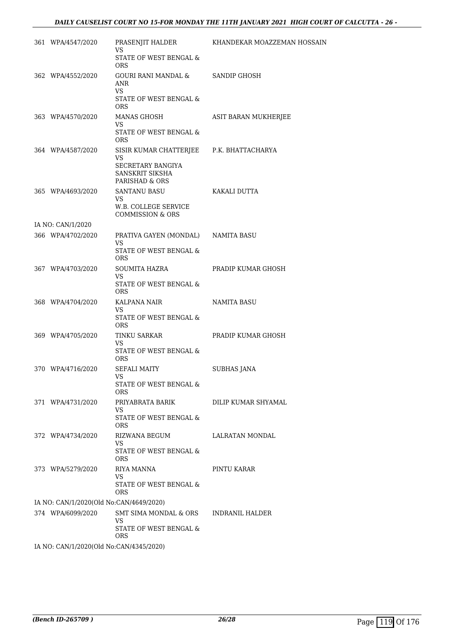| 361 WPA/4547/2020                       | PRASENJIT HALDER<br>VS<br>STATE OF WEST BENGAL &              | KHANDEKAR MOAZZEMAN HOSSAIN |
|-----------------------------------------|---------------------------------------------------------------|-----------------------------|
|                                         | <b>ORS</b>                                                    |                             |
| 362 WPA/4552/2020                       | GOURI RANI MANDAL &<br>ANR<br><b>VS</b>                       | <b>SANDIP GHOSH</b>         |
|                                         | STATE OF WEST BENGAL &<br><b>ORS</b>                          |                             |
| 363 WPA/4570/2020                       | MANAS GHOSH<br>VS<br>STATE OF WEST BENGAL &                   | ASIT BARAN MUKHERJEE        |
| 364 WPA/4587/2020                       | <b>ORS</b><br>SISIR KUMAR CHATTERJEE P.K. BHATTACHARYA        |                             |
|                                         | VS.<br>SECRETARY BANGIYA<br>SANSKRIT SIKSHA<br>PARISHAD & ORS |                             |
| 365 WPA/4693/2020                       | SANTANU BASU<br>VS.<br>W.B. COLLEGE SERVICE                   | KAKALI DUTTA                |
|                                         | <b>COMMISSION &amp; ORS</b>                                   |                             |
| IA NO: CAN/1/2020<br>366 WPA/4702/2020  | PRATIVA GAYEN (MONDAL) NAMITA BASU                            |                             |
|                                         | VS<br>STATE OF WEST BENGAL &<br><b>ORS</b>                    |                             |
| 367 WPA/4703/2020                       | SOUMITA HAZRA<br><b>VS</b>                                    | PRADIP KUMAR GHOSH          |
|                                         | STATE OF WEST BENGAL &<br><b>ORS</b>                          |                             |
| 368 WPA/4704/2020                       | KALPANA NAIR<br>VS.                                           | NAMITA BASU                 |
|                                         | STATE OF WEST BENGAL $\&$<br>ORS                              |                             |
| 369 WPA/4705/2020                       | <b>TINKU SARKAR</b><br>VS.<br>STATE OF WEST BENGAL &          | PRADIP KUMAR GHOSH          |
|                                         | <b>ORS</b>                                                    |                             |
| 370 WPA/4716/2020                       | <b>SEFALI MAITY</b><br>VS                                     | <b>SUBHAS JANA</b>          |
|                                         | STATE OF WEST BENGAL &<br>ORS.                                |                             |
| 371 WPA/4731/2020                       | PRIYABRATA BARIK<br>VS.                                       | DILIP KUMAR SHYAMAL         |
|                                         | STATE OF WEST BENGAL &<br>ORS                                 |                             |
| 372 WPA/4734/2020                       | RIZWANA BEGUM<br>VS.                                          | <b>LALRATAN MONDAL</b>      |
|                                         | STATE OF WEST BENGAL &<br><b>ORS</b>                          |                             |
| 373 WPA/5279/2020                       | RIYA MANNA<br>VS.                                             | PINTU KARAR                 |
|                                         | STATE OF WEST BENGAL &<br><b>ORS</b>                          |                             |
| IA NO: CAN/1/2020(Old No:CAN/4649/2020) |                                                               |                             |
| 374 WPA/6099/2020                       | SMT SIMA MONDAL & ORS<br>VS.<br>STATE OF WEST BENGAL &        | INDRANIL HALDER             |
| IA NO: CAN/1/2020(Old No:CAN/4345/2020) | ORS                                                           |                             |
|                                         |                                                               |                             |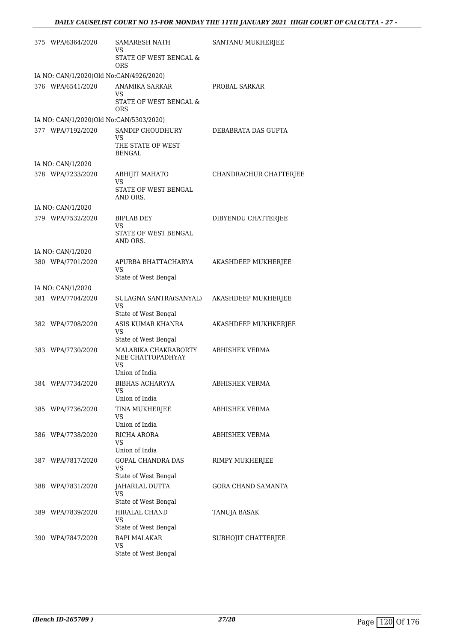| 375 WPA/6364/2020                       | SAMARESH NATH<br>VS                                         | SANTANU MUKHERJEE      |
|-----------------------------------------|-------------------------------------------------------------|------------------------|
|                                         | STATE OF WEST BENGAL &<br><b>ORS</b>                        |                        |
| IA NO: CAN/1/2020(Old No:CAN/4926/2020) |                                                             |                        |
| 376 WPA/6541/2020                       | <b>ANAMIKA SARKAR</b><br>VS                                 | PROBAL SARKAR          |
|                                         | STATE OF WEST BENGAL &<br>ORS                               |                        |
| IA NO: CAN/1/2020(Old No:CAN/5303/2020) |                                                             |                        |
| 377 WPA/7192/2020                       | SANDIP CHOUDHURY<br>VS<br>THE STATE OF WEST                 | DEBABRATA DAS GUPTA    |
|                                         | <b>BENGAL</b>                                               |                        |
| IA NO: CAN/1/2020                       |                                                             |                        |
| 378 WPA/7233/2020                       | <b>ABHIJIT MAHATO</b><br>VS<br>STATE OF WEST BENGAL         | CHANDRACHUR CHATTERJEE |
|                                         | AND ORS.                                                    |                        |
| IA NO: CAN/1/2020                       |                                                             |                        |
| 379 WPA/7532/2020                       | <b>BIPLAB DEY</b><br>VS<br>STATE OF WEST BENGAL<br>AND ORS. | DIBYENDU CHATTERJEE    |
| IA NO: CAN/1/2020                       |                                                             |                        |
| 380 WPA/7701/2020                       | APURBA BHATTACHARYA                                         | AKASHDEEP MUKHERJEE    |
|                                         | VS<br>State of West Bengal                                  |                        |
| IA NO: CAN/1/2020                       |                                                             |                        |
| 381 WPA/7704/2020                       | SULAGNA SANTRA(SANYAL)<br>VS                                | AKASHDEEP MUKHERJEE    |
|                                         | State of West Bengal                                        |                        |
| 382 WPA/7708/2020                       | ASIS KUMAR KHANRA<br>VS<br>State of West Bengal             | AKASHDEEP MUKHKERJEE   |
| 383 WPA/7730/2020                       | MALABIKA CHAKRABORTY<br>NEE CHATTOPADHYAY                   | <b>ABHISHEK VERMA</b>  |
|                                         | VS<br>Union of India                                        |                        |
| 384 WPA/7734/2020                       | BIBHAS ACHARYYA<br>VS                                       | <b>ABHISHEK VERMA</b>  |
|                                         | Union of India                                              |                        |
| 385 WPA/7736/2020                       | TINA MUKHERJEE<br>VS<br>Union of India                      | ABHISHEK VERMA         |
| 386 WPA/7738/2020                       | RICHA ARORA                                                 | ABHISHEK VERMA         |
|                                         | VS.<br>Union of India                                       |                        |
| 387 WPA/7817/2020                       | GOPAL CHANDRA DAS                                           | RIMPY MUKHERJEE        |
|                                         | VS.<br>State of West Bengal                                 |                        |
| 388 WPA/7831/2020                       | JAHARLAL DUTTA<br>VS                                        | GORA CHAND SAMANTA     |
|                                         | State of West Bengal                                        |                        |
| 389 WPA/7839/2020                       | HIRALAL CHAND<br>VS                                         | TANUJA BASAK           |
|                                         | State of West Bengal                                        |                        |
| 390 WPA/7847/2020                       | <b>BAPI MALAKAR</b><br>VS<br>State of West Bengal           | SUBHOJIT CHATTERJEE    |
|                                         |                                                             |                        |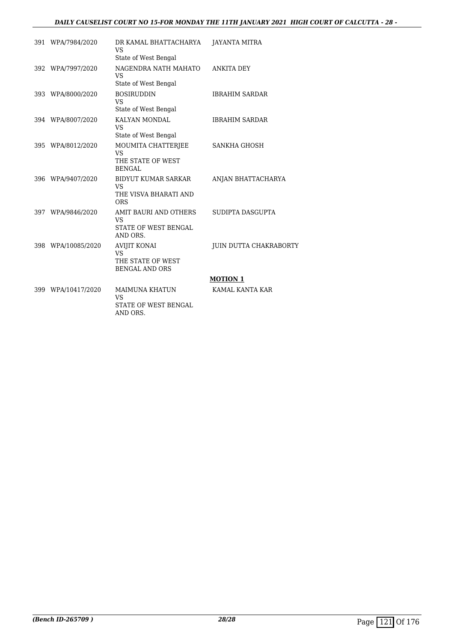### *DAILY CAUSELIST COURT NO 15-FOR MONDAY THE 11TH JANUARY 2021 HIGH COURT OF CALCUTTA - 28 -*

| 391 WPA/7984/2020  | DR KAMAL BHATTACHARYA<br><b>VS</b>                                             | JAYANTA MITRA          |
|--------------------|--------------------------------------------------------------------------------|------------------------|
|                    | State of West Bengal                                                           |                        |
| 392 WPA/7997/2020  | NAGENDRA NATH MAHATO<br><b>VS</b>                                              | ANKITA DEY             |
|                    | State of West Bengal                                                           |                        |
| 393 WPA/8000/2020  | <b>BOSIRUDDIN</b><br><b>VS</b>                                                 | <b>IBRAHIM SARDAR</b>  |
|                    | State of West Bengal                                                           |                        |
| 394 WPA/8007/2020  | KALYAN MONDAL<br><b>VS</b><br>State of West Bengal                             | <b>IBRAHIM SARDAR</b>  |
| 395 WPA/8012/2020  | MOUMITA CHATTERIEE<br><b>VS</b><br>THE STATE OF WEST<br><b>BENGAL</b>          | SANKHA GHOSH           |
| 396 WPA/9407/2020  | <b>BIDYUT KUMAR SARKAR</b><br>VS.<br>THE VISVA BHARATI AND<br><b>ORS</b>       | ANJAN BHATTACHARYA     |
| 397 WPA/9846/2020  | AMIT BAURI AND OTHERS<br><b>VS</b><br>STATE OF WEST BENGAL<br>AND ORS.         | SUDIPTA DASGUPTA       |
| 398 WPA/10085/2020 | <b>AVIJIT KONAI</b><br><b>VS</b><br>THE STATE OF WEST<br><b>BENGAL AND ORS</b> | JUIN DUTTA CHAKRABORTY |
|                    |                                                                                | <b>MOTION 1</b>        |
| 399 WPA/10417/2020 | <b>MAIMUNA KHATUN</b><br>VS<br>STATE OF WEST BENGAL<br>AND ORS.                | KAMAL KANTA KAR        |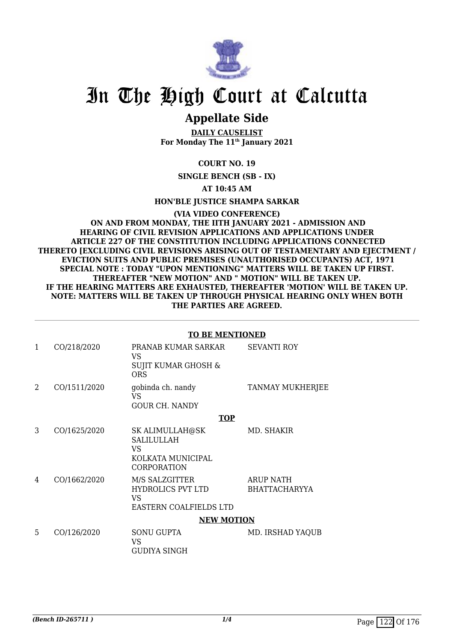

## **Appellate Side**

**DAILY CAUSELIST For Monday The 11th January 2021**

**COURT NO. 19**

**SINGLE BENCH (SB - IX)**

**AT 10:45 AM**

**HON'BLE JUSTICE SHAMPA SARKAR**

**(VIA VIDEO CONFERENCE) ON AND FROM MONDAY, THE IITH JANUARY 2021 - ADMISSION AND HEARING OF CIVIL REVISION APPLICATIONS AND APPLICATIONS UNDER ARTICLE 227 OF THE CONSTITUTION INCLUDING APPLICATIONS CONNECTED THERETO [EXCLUDING CIVIL REVISIONS ARISING OUT OF TESTAMENTARY AND EJECTMENT / EVICTION SUITS AND PUBLIC PREMISES (UNAUTHORISED OCCUPANTS) ACT, 1971 SPECIAL NOTE : TODAY "UPON MENTIONING" MATTERS WILL BE TAKEN UP FIRST. THEREAFTER "NEW MOTION" AND " MOTION" WILL BE TAKEN UP. IF THE HEARING MATTERS ARE EXHAUSTED, THEREAFTER 'MOTION' WILL BE TAKEN UP. NOTE: MATTERS WILL BE TAKEN UP THROUGH PHYSICAL HEARING ONLY WHEN BOTH THE PARTIES ARE AGREED.**

### **TO BE MENTIONED**

| $\mathbf{1}$ | CO/218/2020  | PRANAB KUMAR SARKAR<br>VS.<br>SUJIT KUMAR GHOSH &<br><b>ORS</b>                 | <b>SEVANTI ROY</b>                       |
|--------------|--------------|---------------------------------------------------------------------------------|------------------------------------------|
| 2            | CO/1511/2020 | gobinda ch. nandy<br>VS<br><b>GOUR CH. NANDY</b>                                | TANMAY MUKHERJEE                         |
|              |              | <b>TOP</b>                                                                      |                                          |
| 3            | CO/1625/2020 | SK ALIMULLAH@SK<br><b>SALILULLAH</b><br>VS.<br>KOLKATA MUNICIPAL<br>CORPORATION | MD. SHAKIR                               |
| 4            | CO/1662/2020 | M/S SALZGITTER<br><b>HYDROLICS PVT LTD</b><br>VS.<br>EASTERN COALFIELDS LTD     | <b>ARUP NATH</b><br><b>BHATTACHARYYA</b> |
|              |              | <b>NEW MOTION</b>                                                               |                                          |
| 5            | CO/126/2020  | <b>SONU GUPTA</b><br>VS<br>GUDIYA SINGH                                         | MD. IRSHAD YAQUB                         |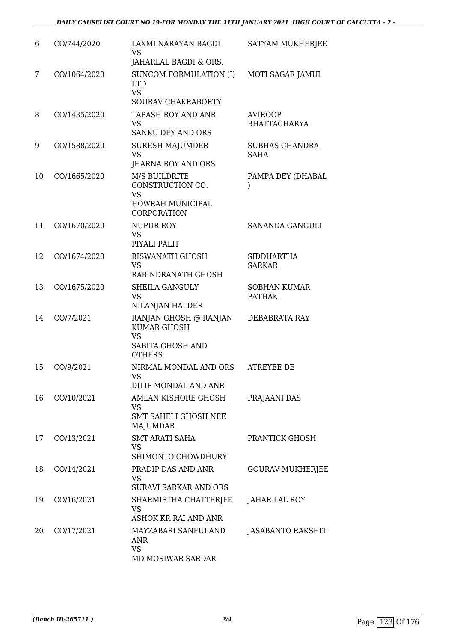| 6  | CO/744/2020  | LAXMI NARAYAN BAGDI<br>VS<br>JAHARLAL BAGDI & ORS.                                              | SATYAM MUKHERJEE                      |
|----|--------------|-------------------------------------------------------------------------------------------------|---------------------------------------|
| 7  | CO/1064/2020 | <b>SUNCOM FORMULATION (I)</b><br><b>LTD</b><br><b>VS</b><br>SOURAV CHAKRABORTY                  | MOTI SAGAR JAMUI                      |
| 8  | CO/1435/2020 | <b>TAPASH ROY AND ANR</b><br><b>VS</b><br><b>SANKU DEY AND ORS</b>                              | <b>AVIROOP</b><br><b>BHATTACHARYA</b> |
| 9  | CO/1588/2020 | <b>SURESH MAJUMDER</b><br><b>VS</b><br>JHARNA ROY AND ORS                                       | SUBHAS CHANDRA<br><b>SAHA</b>         |
| 10 | CO/1665/2020 | <b>M/S BUILDRITE</b><br>CONSTRUCTION CO.<br><b>VS</b><br>HOWRAH MUNICIPAL<br><b>CORPORATION</b> | PAMPA DEY (DHABAL<br>$\mathcal{E}$    |
| 11 | CO/1670/2020 | <b>NUPUR ROY</b><br><b>VS</b><br>PIYALI PALIT                                                   | SANANDA GANGULI                       |
| 12 | CO/1674/2020 | <b>BISWANATH GHOSH</b><br><b>VS</b><br>RABINDRANATH GHOSH                                       | <b>SIDDHARTHA</b><br><b>SARKAR</b>    |
| 13 | CO/1675/2020 | <b>SHEILA GANGULY</b><br><b>VS</b><br>NILANJAN HALDER                                           | <b>SOBHAN KUMAR</b><br><b>PATHAK</b>  |
| 14 | CO/7/2021    | RANJAN GHOSH @ RANJAN<br><b>KUMAR GHOSH</b><br><b>VS</b><br>SABITA GHOSH AND<br><b>OTHERS</b>   | DEBABRATA RAY                         |
| 15 | CO/9/2021    | NIRMAL MONDAL AND ORS<br>VS.<br>DILIP MONDAL AND ANR                                            | ATREYEE DE                            |
| 16 | CO/10/2021   | AMLAN KISHORE GHOSH<br>VS<br><b>SMT SAHELI GHOSH NEE</b><br>MAJUMDAR                            | PRAJAANI DAS                          |
| 17 | CO/13/2021   | <b>SMT ARATI SAHA</b><br><b>VS</b><br>SHIMONTO CHOWDHURY                                        | PRANTICK GHOSH                        |
| 18 | CO/14/2021   | PRADIP DAS AND ANR<br>VS<br><b>SURAVI SARKAR AND ORS</b>                                        | <b>GOURAV MUKHERJEE</b>               |
| 19 | CO/16/2021   | SHARMISTHA CHATTERJEE<br><b>VS</b><br>ASHOK KR RAI AND ANR                                      | JAHAR LAL ROY                         |
| 20 | CO/17/2021   | MAYZABARI SANFUI AND<br>ANR<br>VS.<br>MD MOSIWAR SARDAR                                         | JASABANTO RAKSHIT                     |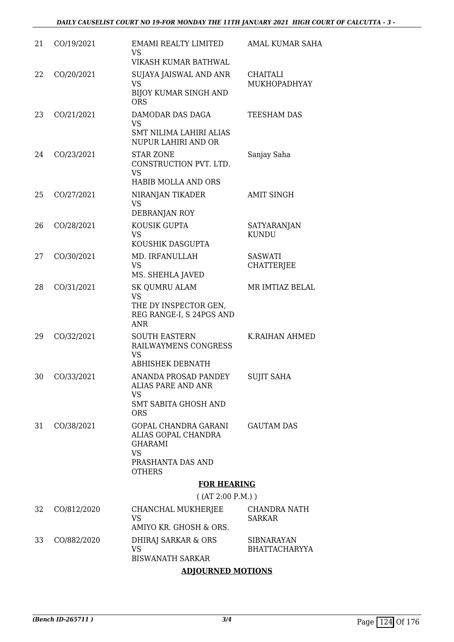| 21 | CO/19/2021    | <b>EMAMI REALTY LIMITED</b><br>VS                                                                        | <b>AMAL KUMAR SAHA</b>                    |
|----|---------------|----------------------------------------------------------------------------------------------------------|-------------------------------------------|
|    |               | <b>VIKASH KUMAR BATHWAL</b>                                                                              |                                           |
| 22 | CO/20/2021    | SUJAYA JAISWAL AND ANR<br><b>VS</b><br><b>BIJOY KUMAR SINGH AND</b>                                      | <b>CHAITALI</b><br>MUKHOPADHYAY           |
|    |               | <b>ORS</b>                                                                                               |                                           |
| 23 | CO/21/2021    | DAMODAR DAS DAGA<br>VS<br><b>SMT NILIMA LAHIRI ALIAS</b>                                                 | <b>TEESHAM DAS</b>                        |
|    |               | NUPUR LAHIRI AND OR                                                                                      |                                           |
| 24 | CO/23/2021    | <b>STAR ZONE</b><br>CONSTRUCTION PVT. LTD.<br><b>VS</b>                                                  | Sanjay Saha                               |
|    |               | HABIB MOLLA AND ORS                                                                                      |                                           |
| 25 | CO/27/2021    | NIRANJAN TIKADER<br><b>VS</b>                                                                            | <b>AMIT SINGH</b>                         |
|    |               | DEBRANJAN ROY                                                                                            |                                           |
| 26 | CO/28/2021    | KOUSIK GUPTA<br><b>VS</b><br>KOUSHIK DASGUPTA                                                            | SATYARANJAN<br><b>KUNDU</b>               |
| 27 | CO/30/2021    | MD. IRFANULLAH                                                                                           | <b>SASWATI</b>                            |
|    |               | <b>VS</b><br>MS. SHEHLA JAVED                                                                            | <b>CHATTERJEE</b>                         |
| 28 | CO/31/2021    | <b>SK QUMRU ALAM</b><br><b>VS</b><br>THE DY INSPECTOR GEN,<br>REG RANGE-I, S 24PGS AND<br><b>ANR</b>     | MR IMTIAZ BELAL                           |
| 29 | CO/32/2021    | <b>SOUTH EASTERN</b><br>RAILWAYMENS CONGRESS<br><b>VS</b><br><b>ABHISHEK DEBNATH</b>                     | K.RAIHAN AHMED                            |
|    | 30 CO/33/2021 | ANANDA PROSAD PANDEY SUJIT SAHA<br>ALIAS PARE AND ANR<br>VS<br><b>SMT SABITA GHOSH AND</b><br><b>ORS</b> |                                           |
| 31 | CO/38/2021    | GOPAL CHANDRA GARANI<br>ALIAS GOPAL CHANDRA<br><b>GHARAMI</b><br><b>VS</b>                               | <b>GAUTAM DAS</b>                         |
|    |               | PRASHANTA DAS AND<br><b>OTHERS</b>                                                                       |                                           |
|    |               | <b>FOR HEARING</b>                                                                                       |                                           |
|    |               | ( (AT 2:00 P.M.) )                                                                                       |                                           |
| 32 | CO/812/2020   | CHANCHAL MUKHERJEE<br><b>VS</b><br>AMIYO KR. GHOSH & ORS.                                                | CHANDRA NATH<br><b>SARKAR</b>             |
|    |               |                                                                                                          |                                           |
| 33 | CO/882/2020   | DHIRAJ SARKAR & ORS<br><b>VS</b>                                                                         | <b>SIBNARAYAN</b><br><b>BHATTACHARYYA</b> |

BISWANATH SARKAR

## **ADJOURNED MOTIONS**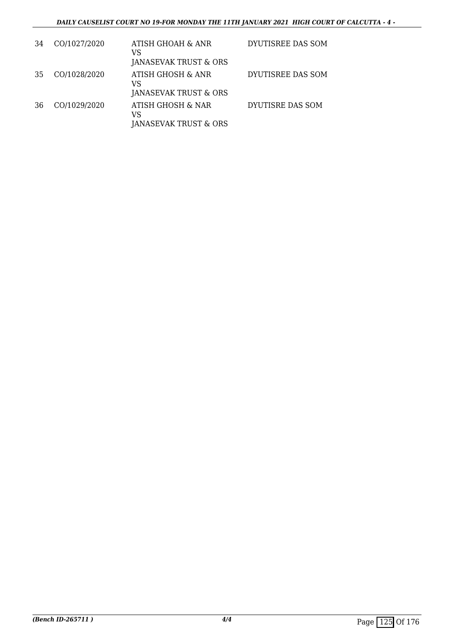## *DAILY CAUSELIST COURT NO 19-FOR MONDAY THE 11TH JANUARY 2021 HIGH COURT OF CALCUTTA - 4 -*

| 34  | CO/1027/2020 | ATISH GHOAH & ANR<br>VS<br>JANASEVAK TRUST & ORS | DYUTISREE DAS SOM |
|-----|--------------|--------------------------------------------------|-------------------|
| -35 | CO/1028/2020 | ATISH GHOSH & ANR<br>VS<br>JANASEVAK TRUST & ORS | DYUTISREE DAS SOM |
| 36  | CO/1029/2020 | ATISH GHOSH & NAR<br>VS<br>JANASEVAK TRUST & ORS | DYUTISRE DAS SOM  |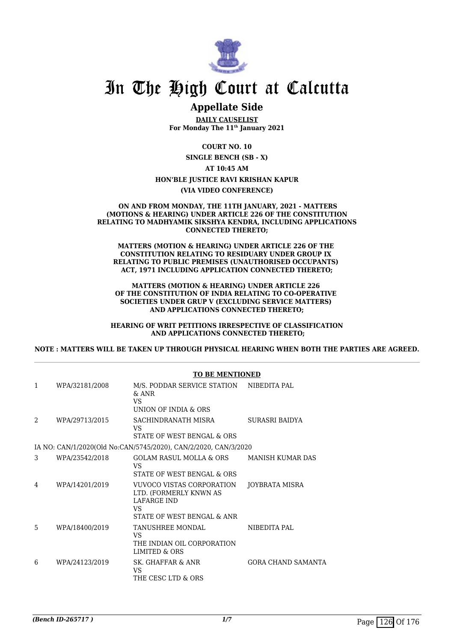

## **Appellate Side**

**DAILY CAUSELIST For Monday The 11th January 2021**

**COURT NO. 10**

**SINGLE BENCH (SB - X) AT 10:45 AM HON'BLE JUSTICE RAVI KRISHAN KAPUR**

#### **(VIA VIDEO CONFERENCE)**

#### **ON AND FROM MONDAY, THE 11TH JANUARY, 2021 - MATTERS (MOTIONS & HEARING) UNDER ARTICLE 226 OF THE CONSTITUTION RELATING TO MADHYAMIK SIKSHYA KENDRA, INCLUDING APPLICATIONS CONNECTED THERETO;**

**MATTERS (MOTION & HEARING) UNDER ARTICLE 226 OF THE CONSTITUTION RELATING TO RESIDUARY UNDER GROUP IX RELATING TO PUBLIC PREMISES (UNAUTHORISED OCCUPANTS) ACT, 1971 INCLUDING APPLICATION CONNECTED THERETO;**

**MATTERS (MOTION & HEARING) UNDER ARTICLE 226 OF THE CONSTITUTION OF INDIA RELATING TO CO-OPERATIVE SOCIETIES UNDER GRUP V (EXCLUDING SERVICE MATTERS) AND APPLICATIONS CONNECTED THERETO;**

**HEARING OF WRIT PETITIONS IRRESPECTIVE OF CLASSIFICATION AND APPLICATIONS CONNECTED THERETO;**

**NOTE : MATTERS WILL BE TAKEN UP THROUGH PHYSICAL HEARING WHEN BOTH THE PARTIES ARE AGREED.**

|               |                | <b>TO BE MENTIONED</b>                                                                                 |                         |
|---------------|----------------|--------------------------------------------------------------------------------------------------------|-------------------------|
| 1             | WPA/32181/2008 | M/S. PODDAR SERVICE STATION<br>$&$ ANR<br>VS.<br><b>UNION OF INDIA &amp; ORS</b>                       | NIBEDITA PAL            |
| $\mathcal{D}$ | WPA/29713/2015 | SACHINDRANATH MISRA<br>VS.<br>STATE OF WEST BENGAL & ORS                                               | SURASRI BAIDYA          |
|               |                | IA NO: CAN/1/2020(Old No:CAN/5745/2020), CAN/2/2020, CAN/3/2020                                        |                         |
| 3             | WPA/23542/2018 | GOLAM RASUL MOLLA & ORS<br>VS<br>STATE OF WEST BENGAL & ORS                                            | <b>MANISH KUMAR DAS</b> |
| 4             | WPA/14201/2019 | VUVOCO VISTAS CORPORATION<br>LTD. (FORMERLY KNWN AS<br>LAFARGE IND<br>VS<br>STATE OF WEST BENGAL & ANR | JOYBRATA MISRA          |
| 5             | WPA/18400/2019 | TANUSHREE MONDAL<br>VS<br>THE INDIAN OIL CORPORATION<br><b>LIMITED &amp; ORS</b>                       | NIBEDITA PAL            |
| 6             | WPA/24123/2019 | SK. GHAFFAR & ANR<br>VS<br>THE CESC LTD & ORS                                                          | GORA CHAND SAMANTA      |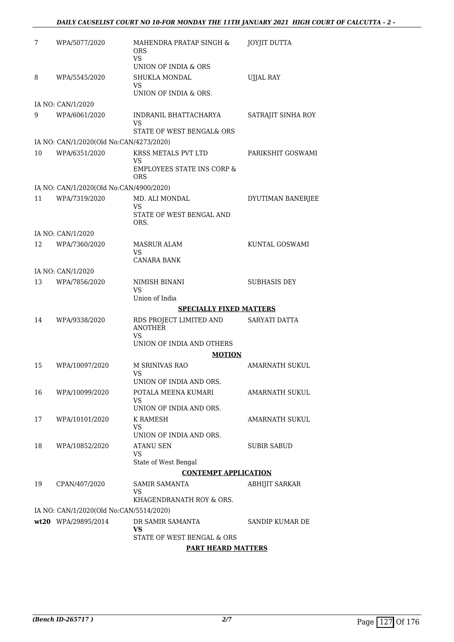| 7  | WPA/5077/2020                           | MAHENDRA PRATAP SINGH &<br><b>ORS</b><br>VS.<br>UNION OF INDIA & ORS | <b>JOYJIT DUTTA</b> |
|----|-----------------------------------------|----------------------------------------------------------------------|---------------------|
| 8  | WPA/5545/2020                           | <b>SHUKLA MONDAL</b>                                                 | <b>UJJAL RAY</b>    |
|    |                                         | <b>VS</b>                                                            |                     |
|    |                                         | UNION OF INDIA & ORS.                                                |                     |
|    | IA NO: CAN/1/2020                       |                                                                      |                     |
| 9  | WPA/6061/2020                           | INDRANIL BHATTACHARYA<br>VS                                          | SATRAJIT SINHA ROY  |
|    |                                         | STATE OF WEST BENGAL& ORS                                            |                     |
|    | IA NO: CAN/1/2020(Old No:CAN/4273/2020) |                                                                      |                     |
| 10 | WPA/6351/2020                           | KRSS METALS PVT LTD                                                  | PARIKSHIT GOSWAMI   |
|    |                                         | VS<br><b>EMPLOYEES STATE INS CORP &amp;</b><br>ORS                   |                     |
|    | IA NO: CAN/1/2020(Old No:CAN/4900/2020) |                                                                      |                     |
| 11 | WPA/7319/2020                           | MD. ALI MONDAL<br><b>VS</b>                                          | DYUTIMAN BANERJEE   |
|    |                                         | STATE OF WEST BENGAL AND<br>ORS.                                     |                     |
|    | IA NO: CAN/1/2020                       |                                                                      |                     |
| 12 | WPA/7360/2020                           | <b>MASRUR ALAM</b><br>VS.                                            | KUNTAL GOSWAMI      |
|    |                                         | <b>CANARA BANK</b>                                                   |                     |
|    | IA NO: CAN/1/2020                       |                                                                      |                     |
| 13 | WPA/7856/2020                           | NIMISH BINANI<br>VS                                                  | <b>SUBHASIS DEY</b> |
|    |                                         | Union of India                                                       |                     |
|    |                                         | <b>SPECIALLY FIXED MATTERS</b>                                       |                     |
| 14 | WPA/9338/2020                           | RDS PROJECT LIMITED AND<br><b>ANOTHER</b>                            | SARYATI DATTA       |
|    |                                         | VS.<br>UNION OF INDIA AND OTHERS                                     |                     |
|    |                                         | <b>MOTION</b>                                                        |                     |
| 15 | WPA/10097/2020                          | M SRINIVAS RAO<br><b>VS</b>                                          | AMARNATH SUKUL      |
|    |                                         | UNION OF INDIA AND ORS.                                              |                     |
| 16 | WPA/10099/2020                          | POTALA MEENA KUMARI                                                  | AMARNATH SUKUL      |
|    |                                         | VS.<br>UNION OF INDIA AND ORS.                                       |                     |
| 17 | WPA/10101/2020                          | K RAMESH                                                             | AMARNATH SUKUL      |
|    |                                         | <b>VS</b>                                                            |                     |
|    |                                         | UNION OF INDIA AND ORS.                                              |                     |
| 18 | WPA/10852/2020                          | ATANU SEN<br>VS.                                                     | <b>SUBIR SABUD</b>  |
|    |                                         | State of West Bengal                                                 |                     |
|    |                                         | <b>CONTEMPT APPLICATION</b>                                          |                     |
| 19 | CPAN/407/2020                           | <b>SAMIR SAMANTA</b><br>VS.                                          | ABHIJIT SARKAR      |
|    |                                         | KHAGENDRANATH ROY & ORS.                                             |                     |
|    | IA NO: CAN/1/2020(Old No:CAN/5514/2020) |                                                                      |                     |
|    | wt20 WPA/29895/2014                     | DR SAMIR SAMANTA<br>VS                                               | SANDIP KUMAR DE     |
|    |                                         | STATE OF WEST BENGAL & ORS                                           |                     |
|    |                                         | <b>PART HEARD MATTERS</b>                                            |                     |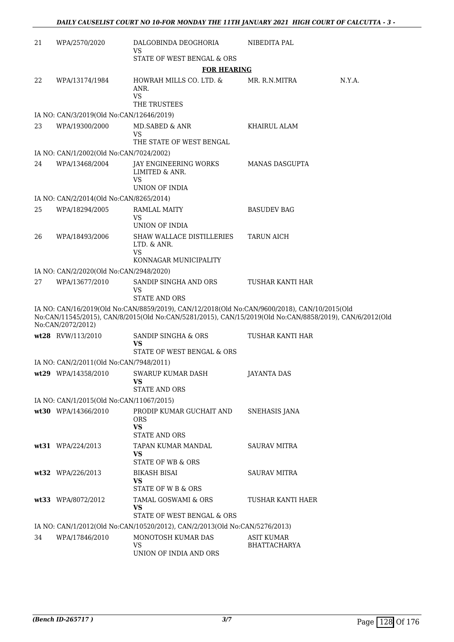| 21 | WPA/2570/2020                            | DALGOBINDA DEOGHORIA<br><b>VS</b>                                                                                                                                                                       | NIBEDITA PAL          |        |
|----|------------------------------------------|---------------------------------------------------------------------------------------------------------------------------------------------------------------------------------------------------------|-----------------------|--------|
|    |                                          | STATE OF WEST BENGAL & ORS                                                                                                                                                                              |                       |        |
|    |                                          | <b>FOR HEARING</b>                                                                                                                                                                                      |                       |        |
| 22 | WPA/13174/1984                           | HOWRAH MILLS CO. LTD. &<br>ANR.<br><b>VS</b><br>THE TRUSTEES                                                                                                                                            | MR. R.N.MITRA         | N.Y.A. |
|    | IA NO: CAN/3/2019(Old No:CAN/12646/2019) |                                                                                                                                                                                                         |                       |        |
| 23 | WPA/19300/2000                           | <b>MD.SABED &amp; ANR</b><br>VS                                                                                                                                                                         | KHAIRUL ALAM          |        |
|    |                                          | THE STATE OF WEST BENGAL                                                                                                                                                                                |                       |        |
|    | IA NO: CAN/1/2002(Old No:CAN/7024/2002)  |                                                                                                                                                                                                         |                       |        |
| 24 | WPA/13468/2004                           | JAY ENGINEERING WORKS<br>LIMITED & ANR.<br>VS<br>UNION OF INDIA                                                                                                                                         | <b>MANAS DASGUPTA</b> |        |
|    | IA NO: CAN/2/2014(Old No:CAN/8265/2014)  |                                                                                                                                                                                                         |                       |        |
| 25 | WPA/18294/2005                           | RAMLAL MAITY<br><b>VS</b>                                                                                                                                                                               | <b>BASUDEV BAG</b>    |        |
|    |                                          | UNION OF INDIA                                                                                                                                                                                          |                       |        |
| 26 | WPA/18493/2006                           | SHAW WALLACE DISTILLERIES<br>LTD. & ANR.<br>VS                                                                                                                                                          | <b>TARUN AICH</b>     |        |
|    |                                          | KONNAGAR MUNICIPALITY                                                                                                                                                                                   |                       |        |
|    | IA NO: CAN/2/2020(Old No:CAN/2948/2020)  |                                                                                                                                                                                                         |                       |        |
| 27 | WPA/13677/2010                           | SANDIP SINGHA AND ORS<br>VS<br><b>STATE AND ORS</b>                                                                                                                                                     | TUSHAR KANTI HAR      |        |
|    | No:CAN/2072/2012)                        | IA NO: CAN/16/2019(Old No:CAN/8859/2019), CAN/12/2018(Old No:CAN/9600/2018), CAN/10/2015(Old<br>No:CAN/11545/2015), CAN/8/2015(Old No:CAN/5281/2015), CAN/15/2019(Old No:CAN/8858/2019), CAN/6/2012(Old |                       |        |
|    | wt28 RVW/113/2010                        | SANDIP SINGHA & ORS<br>VS<br>STATE OF WEST BENGAL & ORS                                                                                                                                                 | TUSHAR KANTI HAR      |        |
|    | IA NO: CAN/2/2011(Old No:CAN/7948/2011)  |                                                                                                                                                                                                         |                       |        |
|    | wt29 WPA/14358/2010                      | <b>SWARUP KUMAR DASH</b><br>VS                                                                                                                                                                          | JAYANTA DAS           |        |
|    |                                          | <b>STATE AND ORS</b>                                                                                                                                                                                    |                       |        |
|    | IA NO: CAN/1/2015(Old No:CAN/11067/2015) |                                                                                                                                                                                                         |                       |        |
|    | wt30 WPA/14366/2010                      | PRODIP KUMAR GUCHAIT AND<br><b>ORS</b><br><b>VS</b><br>STATE AND ORS                                                                                                                                    | SNEHASIS JANA         |        |
|    | wt31 WPA/224/2013                        | TAPAN KUMAR MANDAL<br>VS<br><b>STATE OF WB &amp; ORS</b>                                                                                                                                                | <b>SAURAV MITRA</b>   |        |
|    | wt32 WPA/226/2013                        | BIKASH BISAI<br>VS                                                                                                                                                                                      | <b>SAURAV MITRA</b>   |        |
|    |                                          | STATE OF W B & ORS                                                                                                                                                                                      |                       |        |
|    | wt33 WPA/8072/2012                       | TAMAL GOSWAMI & ORS<br>VS                                                                                                                                                                               | TUSHAR KANTI HAER     |        |
|    |                                          | STATE OF WEST BENGAL & ORS                                                                                                                                                                              |                       |        |
| 34 | WPA/17846/2010                           | IA NO: CAN/1/2012(Old No:CAN/10520/2012), CAN/2/2013(Old No:CAN/5276/2013)<br>MONOTOSH KUMAR DAS                                                                                                        | <b>ASIT KUMAR</b>     |        |
|    |                                          | <b>VS</b><br>UNION OF INDIA AND ORS                                                                                                                                                                     | BHATTACHARYA          |        |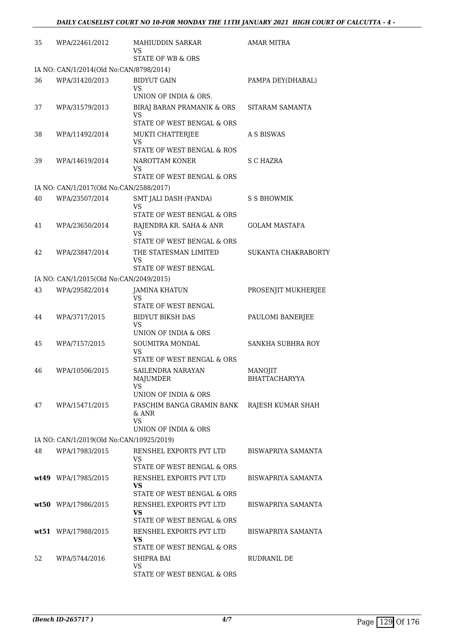| 35 | WPA/22461/2012                           | MAHIUDDIN SARKAR<br>VS<br>STATE OF WB & ORS                                   | <b>AMAR MITRA</b>          |
|----|------------------------------------------|-------------------------------------------------------------------------------|----------------------------|
|    | IA NO: CAN/1/2014(Old No:CAN/8798/2014)  |                                                                               |                            |
| 36 | WPA/31420/2013                           | <b>BIDYUT GAIN</b><br>VS<br>UNION OF INDIA & ORS.                             | PAMPA DEY(DHABAL)          |
| 37 | WPA/31579/2013                           | BIRAJ BARAN PRAMANIK & ORS<br>VS<br>STATE OF WEST BENGAL & ORS                | SITARAM SAMANTA            |
| 38 | WPA/11492/2014                           | MUKTI CHATTERJEE<br>VS<br>STATE OF WEST BENGAL & ROS                          | A S BISWAS                 |
| 39 | WPA/14619/2014                           | NAROTTAM KONER<br>VS<br>STATE OF WEST BENGAL & ORS                            | S C HAZRA                  |
|    | IA NO: CAN/1/2017(Old No:CAN/2588/2017)  |                                                                               |                            |
| 40 | WPA/23507/2014                           | SMT JALI DASH (PANDA)<br>VS<br>STATE OF WEST BENGAL & ORS                     | S S BHOWMIK                |
| 41 | WPA/23650/2014                           | RAJENDRA KR. SAHA & ANR<br>VS<br>STATE OF WEST BENGAL & ORS                   | <b>GOLAM MASTAFA</b>       |
| 42 | WPA/23847/2014                           | THE STATESMAN LIMITED<br>VS<br>STATE OF WEST BENGAL                           | <b>SUKANTA CHAKRABORTY</b> |
|    | IA NO: CAN/1/2015(Old No:CAN/2049/2015)  |                                                                               |                            |
| 43 | WPA/29582/2014                           | <b>JAMINA KHATUN</b><br>VS                                                    | PROSENJIT MUKHERJEE        |
| 44 | WPA/3717/2015                            | STATE OF WEST BENGAL<br><b>BIDYUT BIKSH DAS</b><br>VS<br>UNION OF INDIA & ORS | PAULOMI BANERJEE           |
| 45 | WPA/7157/2015                            | <b>SOUMITRA MONDAL</b><br>VS<br>STATE OF WEST BENGAL & ORS                    | SANKHA SUBHRA ROY          |
| 46 | WPA/10506/2015                           | <b>SAILENDRA NARAYAN</b><br>MAJUMDER<br>VS                                    | MANOJIT<br>BHATTACHARYYA   |
| 47 | WPA/15471/2015                           | UNION OF INDIA & ORS<br>PASCHIM BANGA GRAMIN BANK<br>& ANR<br><b>VS</b>       | RAJESH KUMAR SHAH          |
|    |                                          | UNION OF INDIA & ORS                                                          |                            |
|    | IA NO: CAN/1/2019(Old No:CAN/10925/2019) |                                                                               |                            |
| 48 | WPA/17983/2015                           | RENSHEL EXPORTS PVT LTD<br>VS<br>STATE OF WEST BENGAL & ORS                   | BISWAPRIYA SAMANTA         |
|    | wt49 WPA/17985/2015                      | RENSHEL EXPORTS PVT LTD<br>VS<br>STATE OF WEST BENGAL & ORS                   | BISWAPRIYA SAMANTA         |
|    | wt50 WPA/17986/2015                      | RENSHEL EXPORTS PVT LTD<br>VS.<br>STATE OF WEST BENGAL & ORS                  | BISWAPRIYA SAMANTA         |
|    | wt51 WPA/17988/2015                      | RENSHEL EXPORTS PVT LTD<br>VS<br>STATE OF WEST BENGAL & ORS                   | BISWAPRIYA SAMANTA         |
| 52 | WPA/5744/2016                            | SHIPRA BAI<br>VS<br>STATE OF WEST BENGAL & ORS                                | RUDRANIL DE                |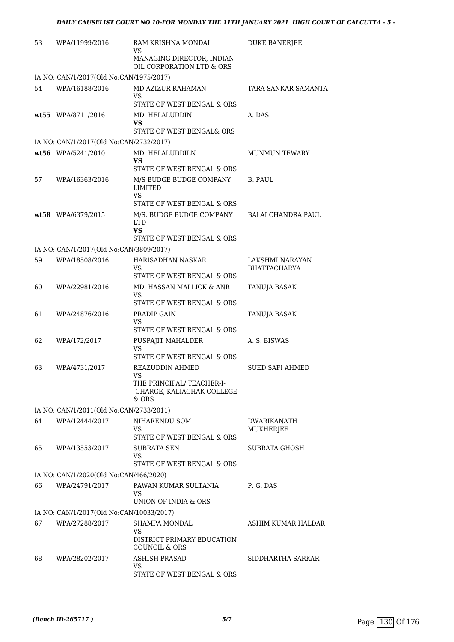| 53 | WPA/11999/2016                           | RAM KRISHNA MONDAL<br>VS                                                                  | <b>DUKE BANERJEE</b>                   |
|----|------------------------------------------|-------------------------------------------------------------------------------------------|----------------------------------------|
|    |                                          | MANAGING DIRECTOR, INDIAN<br>OIL CORPORATION LTD & ORS                                    |                                        |
|    | IA NO: CAN/1/2017(Old No:CAN/1975/2017)  |                                                                                           |                                        |
| 54 | WPA/16188/2016                           | MD AZIZUR RAHAMAN<br>VS<br>STATE OF WEST BENGAL & ORS                                     | TARA SANKAR SAMANTA                    |
|    | wt55 WPA/8711/2016                       | MD. HELALUDDIN<br>VS<br><b>STATE OF WEST BENGAL&amp; ORS</b>                              | A. DAS                                 |
|    | IA NO: CAN/1/2017(Old No:CAN/2732/2017)  |                                                                                           |                                        |
|    | wt56 WPA/5241/2010                       | MD. HELALUDDILN<br>VS                                                                     | <b>MUNMUN TEWARY</b>                   |
| 57 | WPA/16363/2016                           | STATE OF WEST BENGAL & ORS<br>M/S BUDGE BUDGE COMPANY<br><b>LIMITED</b><br>VS             | B. PAUL                                |
|    | wt58 WPA/6379/2015                       | STATE OF WEST BENGAL & ORS<br>M/S. BUDGE BUDGE COMPANY<br><b>LTD</b><br><b>VS</b>         | <b>BALAI CHANDRA PAUL</b>              |
|    |                                          | STATE OF WEST BENGAL & ORS                                                                |                                        |
|    | IA NO: CAN/1/2017(Old No:CAN/3809/2017)  |                                                                                           |                                        |
| 59 | WPA/18508/2016                           | HARISADHAN NASKAR<br>VS<br>STATE OF WEST BENGAL & ORS                                     | LAKSHMI NARAYAN<br><b>BHATTACHARYA</b> |
| 60 | WPA/22981/2016                           | MD. HASSAN MALLICK & ANR<br>VS<br>STATE OF WEST BENGAL & ORS                              | TANUJA BASAK                           |
| 61 | WPA/24876/2016                           | PRADIP GAIN<br>VS<br>STATE OF WEST BENGAL & ORS                                           | TANUJA BASAK                           |
| 62 | WPA/172/2017                             | PUSPAJIT MAHALDER<br><b>VS</b><br>STATE OF WEST BENGAL & ORS                              | A. S. BISWAS                           |
| 63 | WPA/4731/2017                            | REAZUDDIN AHMED<br>VS<br>THE PRINCIPAL/ TEACHER-I-<br>-CHARGE, KALIACHAK COLLEGE<br>& ORS | <b>SUED SAFI AHMED</b>                 |
|    | IA NO: CAN/1/2011(Old No:CAN/2733/2011)  |                                                                                           |                                        |
| 64 | WPA/12444/2017                           | NIHARENDU SOM<br>VS<br>STATE OF WEST BENGAL & ORS                                         | <b>DWARIKANATH</b><br>MUKHERJEE        |
| 65 | WPA/13553/2017                           | SUBRATA SEN<br>VS<br>STATE OF WEST BENGAL & ORS                                           | SUBRATA GHOSH                          |
|    | IA NO: CAN/1/2020(Old No:CAN/466/2020)   |                                                                                           |                                        |
| 66 | WPA/24791/2017                           | PAWAN KUMAR SULTANIA                                                                      | P. G. DAS                              |
|    |                                          | VS<br>UNION OF INDIA & ORS                                                                |                                        |
|    | IA NO: CAN/1/2017(Old No:CAN/10033/2017) |                                                                                           |                                        |
| 67 | WPA/27288/2017                           | SHAMPA MONDAL<br>VS<br>DISTRICT PRIMARY EDUCATION<br><b>COUNCIL &amp; ORS</b>             | ASHIM KUMAR HALDAR                     |
| 68 | WPA/28202/2017                           | ASHISH PRASAD<br>VS<br>STATE OF WEST BENGAL & ORS                                         | SIDDHARTHA SARKAR                      |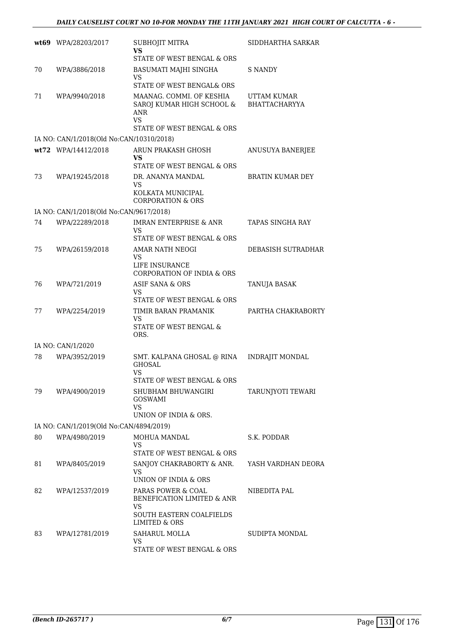|    | wt69 WPA/28203/2017                      | SUBHOJIT MITRA<br>VS<br>STATE OF WEST BENGAL & ORS                                     | SIDDHARTHA SARKAR                   |
|----|------------------------------------------|----------------------------------------------------------------------------------------|-------------------------------------|
| 70 | WPA/3886/2018                            | BASUMATI MAJHI SINGHA<br>VS                                                            | <b>S NANDY</b>                      |
|    |                                          | STATE OF WEST BENGAL& ORS                                                              |                                     |
| 71 | WPA/9940/2018                            | MAANAG. COMMI. OF KESHIA<br>SAROJ KUMAR HIGH SCHOOL &<br><b>ANR</b><br><b>VS</b>       | UTTAM KUMAR<br><b>BHATTACHARYYA</b> |
|    |                                          | STATE OF WEST BENGAL & ORS                                                             |                                     |
|    | IA NO: CAN/1/2018(Old No:CAN/10310/2018) |                                                                                        |                                     |
|    | wt72 WPA/14412/2018                      | ARUN PRAKASH GHOSH<br>VS<br>STATE OF WEST BENGAL & ORS                                 | ANUSUYA BANERJEE                    |
| 73 | WPA/19245/2018                           | DR. ANANYA MANDAL<br>VS.                                                               | <b>BRATIN KUMAR DEY</b>             |
|    |                                          | KOLKATA MUNICIPAL<br>CORPORATION & ORS                                                 |                                     |
|    | IA NO: CAN/1/2018(Old No:CAN/9617/2018)  |                                                                                        |                                     |
| 74 | WPA/22289/2018                           | <b>IMRAN ENTERPRISE &amp; ANR</b><br>VS.                                               | TAPAS SINGHA RAY                    |
|    |                                          | STATE OF WEST BENGAL & ORS                                                             |                                     |
| 75 | WPA/26159/2018                           | AMAR NATH NEOGI<br>VS<br>LIFE INSURANCE<br>CORPORATION OF INDIA & ORS                  | DEBASISH SUTRADHAR                  |
| 76 | WPA/721/2019                             | ASIF SANA & ORS                                                                        | TANUJA BASAK                        |
|    |                                          | VS<br>STATE OF WEST BENGAL & ORS                                                       |                                     |
| 77 | WPA/2254/2019                            | TIMIR BARAN PRAMANIK<br>VS<br>STATE OF WEST BENGAL &                                   | PARTHA CHAKRABORTY                  |
|    |                                          | ORS.                                                                                   |                                     |
|    | IA NO: CAN/1/2020                        |                                                                                        |                                     |
| 78 | WPA/3952/2019                            | SMT. KALPANA GHOSAL @ RINA<br><b>GHOSAL</b><br><b>VS</b><br>STATE OF WEST BENGAL & ORS | <b>INDRAJIT MONDAL</b>              |
| 79 | WPA/4900/2019                            | SHUBHAM BHUWANGIRI<br>GOSWAMI<br><b>VS</b><br>UNION OF INDIA & ORS.                    | TARUNJYOTI TEWARI                   |
|    | IA NO: CAN/1/2019(Old No:CAN/4894/2019)  |                                                                                        |                                     |
| 80 | WPA/4980/2019                            | MOHUA MANDAL                                                                           | S.K. PODDAR                         |
|    |                                          | <b>VS</b><br>STATE OF WEST BENGAL & ORS                                                |                                     |
| 81 | WPA/8405/2019                            | SANJOY CHAKRABORTY & ANR.<br>VS.<br>UNION OF INDIA & ORS                               | YASH VARDHAN DEORA                  |
| 82 | WPA/12537/2019                           | PARAS POWER & COAL<br>BENEFICATION LIMITED & ANR<br>VS<br>SOUTH EASTERN COALFIELDS     | NIBEDITA PAL                        |
|    |                                          | LIMITED & ORS                                                                          |                                     |
| 83 | WPA/12781/2019                           | SAHARUL MOLLA<br>VS<br>STATE OF WEST BENGAL & ORS                                      | SUDIPTA MONDAL                      |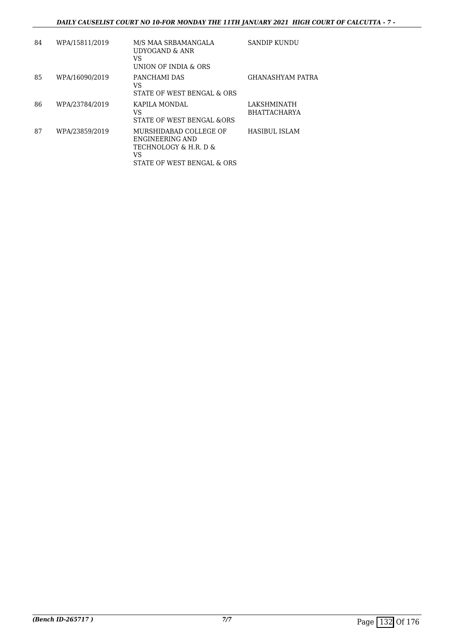| 84 | WPA/15811/2019 | M/S MAA SRBAMANGALA<br>UDYOGAND & ANR<br>VS<br>UNION OF INDIA & ORS                                    | SANDIP KUNDU                       |
|----|----------------|--------------------------------------------------------------------------------------------------------|------------------------------------|
| 85 | WPA/16090/2019 | PANCHAMI DAS<br>VS<br>STATE OF WEST BENGAL & ORS                                                       | <b>GHANASHYAM PATRA</b>            |
| 86 | WPA/23784/2019 | KAPILA MONDAL<br>VS<br>STATE OF WEST BENGAL & ORS                                                      | LAKSHMINATH<br><b>BHATTACHARYA</b> |
| 87 | WPA/23859/2019 | MURSHIDARAD COLLEGE OF<br>ENGINEERING AND<br>TECHNOLOGY & H.R. D &<br>VS<br>STATE OF WEST BENGAL & ORS | HASIBUL ISLAM                      |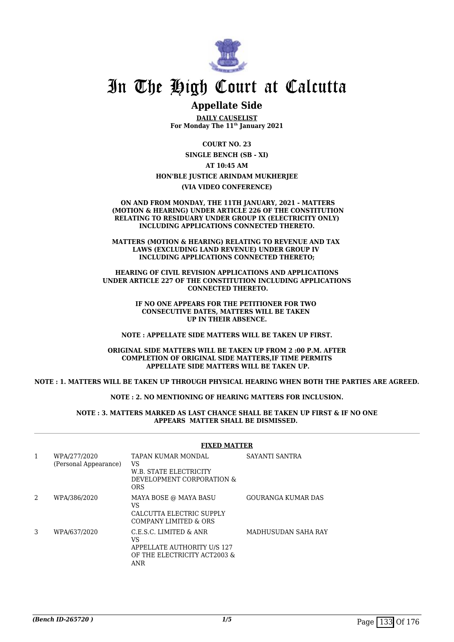

## **Appellate Side**

**DAILY CAUSELIST For Monday The 11th January 2021**

> **COURT NO. 23 SINGLE BENCH (SB - XI)**

> > **AT 10:45 AM**

### **HON'BLE JUSTICE ARINDAM MUKHERJEE**

**(VIA VIDEO CONFERENCE)**

 **ON AND FROM MONDAY, THE 11TH JANUARY, 2021 - MATTERS (MOTION & HEARING) UNDER ARTICLE 226 OF THE CONSTITUTION RELATING TO RESIDUARY UNDER GROUP IX (ELECTRICITY ONLY) INCLUDING APPLICATIONS CONNECTED THERETO.**

**MATTERS (MOTION & HEARING) RELATING TO REVENUE AND TAX LAWS (EXCLUDING LAND REVENUE) UNDER GROUP IV INCLUDING APPLICATIONS CONNECTED THERETO;**

**HEARING OF CIVIL REVISION APPLICATIONS AND APPLICATIONS UNDER ARTICLE 227 OF THE CONSTITUTION INCLUDING APPLICATIONS CONNECTED THERETO.**

> **IF NO ONE APPEARS FOR THE PETITIONER FOR TWO CONSECUTIVE DATES, MATTERS WILL BE TAKEN UP IN THEIR ABSENCE.**

**NOTE : APPELLATE SIDE MATTERS WILL BE TAKEN UP FIRST.**

**ORIGINAL SIDE MATTERS WILL BE TAKEN UP FROM 2 :00 P.M. AFTER COMPLETION OF ORIGINAL SIDE MATTERS,IF TIME PERMITS APPELLATE SIDE MATTERS WILL BE TAKEN UP.**

### **NOTE : 1. MATTERS WILL BE TAKEN UP THROUGH PHYSICAL HEARING WHEN BOTH THE PARTIES ARE AGREED.**

**NOTE : 2. NO MENTIONING OF HEARING MATTERS FOR INCLUSION.**

**NOTE : 3. MATTERS MARKED AS LAST CHANCE SHALL BE TAKEN UP FIRST & IF NO ONE APPEARS MATTER SHALL BE DISMISSED.** 

#### **FIXED MATTER**

| $\mathbf{1}$ | WPA/277/2020<br>(Personal Appearance) | TAPAN KUMAR MONDAL<br>VS<br>W.B. STATE ELECTRICITY<br>DEVELOPMENT CORPORATION &<br><b>ORS</b>                    | SAYANTI SANTRA      |
|--------------|---------------------------------------|------------------------------------------------------------------------------------------------------------------|---------------------|
| 2            | WPA/386/2020                          | MAYA BOSE @ MAYA BASU<br>VS<br>CALCUTTA ELECTRIC SUPPLY<br>COMPANY LIMITED & ORS                                 | GOURANGA KUMAR DAS  |
| 3            | WPA/637/2020                          | C.E.S.C. LIMITED & ANR<br>VS<br><b>APPELLATE AUTHORITY U/S 127</b><br>OF THE ELECTRICITY ACT2003 &<br><b>ANR</b> | MADHUSUDAN SAHA RAY |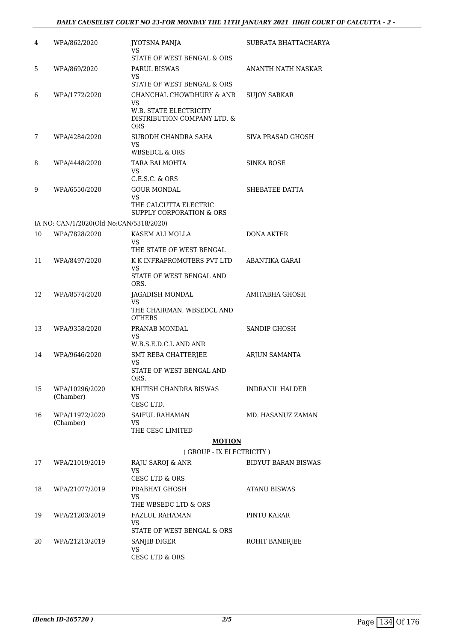| 4  | WPA/862/2020                            | JYOTSNA PANJA<br>VS.                                                                            | SUBRATA BHATTACHARYA       |
|----|-----------------------------------------|-------------------------------------------------------------------------------------------------|----------------------------|
|    |                                         | STATE OF WEST BENGAL & ORS                                                                      |                            |
| 5  | WPA/869/2020                            | PARUL BISWAS<br>VS.                                                                             | ANANTH NATH NASKAR         |
|    |                                         | STATE OF WEST BENGAL & ORS                                                                      |                            |
| 6  | WPA/1772/2020                           | CHANCHAL CHOWDHURY & ANR<br>VS.<br><b>W.B. STATE ELECTRICITY</b><br>DISTRIBUTION COMPANY LTD. & | <b>SUJOY SARKAR</b>        |
| 7  | WPA/4284/2020                           | ORS<br>SUBODH CHANDRA SAHA                                                                      | SIVA PRASAD GHOSH          |
|    |                                         | VS.<br><b>WBSEDCL &amp; ORS</b>                                                                 |                            |
| 8  | WPA/4448/2020                           | TARA BAI MOHTA<br>VS.<br>$C.E.S.C.$ & $ORS$                                                     | <b>SINKA BOSE</b>          |
| 9  | WPA/6550/2020                           | <b>GOUR MONDAL</b>                                                                              | SHEBATEE DATTA             |
|    |                                         | VS<br>THE CALCUTTA ELECTRIC<br>SUPPLY CORPORATION & ORS                                         |                            |
|    | IA NO: CAN/1/2020(Old No:CAN/5318/2020) |                                                                                                 |                            |
| 10 | WPA/7828/2020                           | KASEM ALI MOLLA                                                                                 | <b>DONA AKTER</b>          |
|    |                                         | VS.<br>THE STATE OF WEST BENGAL                                                                 |                            |
| 11 | WPA/8497/2020                           | K K INFRAPROMOTERS PVT LTD                                                                      | ABANTIKA GARAI             |
|    |                                         | VS.<br>STATE OF WEST BENGAL AND<br>ORS.                                                         |                            |
| 12 | WPA/8574/2020                           | JAGADISH MONDAL                                                                                 | AMITABHA GHOSH             |
|    |                                         | VS.<br>THE CHAIRMAN, WBSEDCL AND<br><b>OTHERS</b>                                               |                            |
| 13 | WPA/9358/2020                           | PRANAB MONDAL<br>VS.<br>W.B.S.E.D.C.L AND ANR                                                   | SANDIP GHOSH               |
| 14 | WPA/9646/2020                           | <b>SMT REBA CHATTERJEE</b>                                                                      | <b>ARJUN SAMANTA</b>       |
|    |                                         | <b>VS</b><br>STATE OF WEST BENGAL AND<br>ORS.                                                   |                            |
| 15 | WPA/10296/2020<br>(Chamber)             | KHITISH CHANDRA BISWAS<br>VS                                                                    | <b>INDRANIL HALDER</b>     |
|    |                                         | CESC LTD.<br><b>SAIFUL RAHAMAN</b>                                                              |                            |
| 16 | WPA/11972/2020<br>(Chamber)             | VS<br>THE CESC LIMITED                                                                          | MD. HASANUZ ZAMAN          |
|    |                                         | <b>MOTION</b>                                                                                   |                            |
|    |                                         | (GROUP - IX ELECTRICITY)                                                                        |                            |
| 17 | WPA/21019/2019                          | RAJU SAROJ & ANR<br>VS.<br>CESC LTD & ORS                                                       | <b>BIDYUT BARAN BISWAS</b> |
| 18 | WPA/21077/2019                          | PRABHAT GHOSH                                                                                   | ATANU BISWAS               |
|    |                                         | VS<br>THE WBSEDC LTD & ORS                                                                      |                            |
| 19 | WPA/21203/2019                          | <b>FAZLUL RAHAMAN</b>                                                                           | PINTU KARAR                |
|    |                                         | VS<br>STATE OF WEST BENGAL & ORS                                                                |                            |
| 20 | WPA/21213/2019                          | SANJIB DIGER<br>VS                                                                              | ROHIT BANERJEE             |
|    |                                         | CESC LTD & ORS                                                                                  |                            |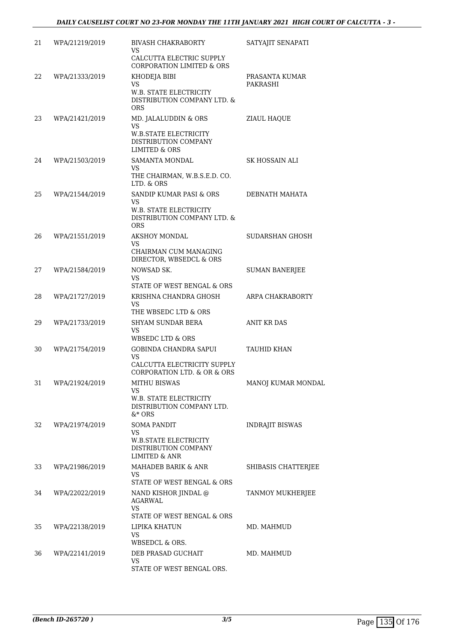| 21 | WPA/21219/2019 | <b>BIVASH CHAKRABORTY</b><br>VS.<br>CALCUTTA ELECTRIC SUPPLY<br>CORPORATION LIMITED & ORS                        | SATYAJIT SENAPATI          |
|----|----------------|------------------------------------------------------------------------------------------------------------------|----------------------------|
| 22 | WPA/21333/2019 | KHODEJA BIBI<br>VS<br><b>W.B. STATE ELECTRICITY</b><br>DISTRIBUTION COMPANY LTD. &<br><b>ORS</b>                 | PRASANTA KUMAR<br>PAKRASHI |
| 23 | WPA/21421/2019 | MD. JALALUDDIN & ORS<br>VS.<br><b>W.B.STATE ELECTRICITY</b><br>DISTRIBUTION COMPANY<br><b>LIMITED &amp; ORS</b>  | ZIAUL HAQUE                |
| 24 | WPA/21503/2019 | <b>SAMANTA MONDAL</b><br>VS<br>THE CHAIRMAN, W.B.S.E.D. CO.<br>LTD. & ORS                                        | SK HOSSAIN ALI             |
| 25 | WPA/21544/2019 | <b>SANDIP KUMAR PASI &amp; ORS</b><br>VS.<br>W.B. STATE ELECTRICITY<br>DISTRIBUTION COMPANY LTD. &<br><b>ORS</b> | DEBNATH MAHATA             |
| 26 | WPA/21551/2019 | AKSHOY MONDAL<br>VS.<br>CHAIRMAN CUM MANAGING<br>DIRECTOR, WBSEDCL & ORS                                         | SUDARSHAN GHOSH            |
| 27 | WPA/21584/2019 | NOWSAD SK.<br>VS.<br>STATE OF WEST BENGAL & ORS                                                                  | <b>SUMAN BANERJEE</b>      |
| 28 | WPA/21727/2019 | KRISHNA CHANDRA GHOSH<br>VS<br>THE WBSEDC LTD & ORS                                                              | ARPA CHAKRABORTY           |
| 29 | WPA/21733/2019 | <b>SHYAM SUNDAR BERA</b><br>VS<br>WBSEDC LTD & ORS                                                               | ANIT KR DAS                |
| 30 | WPA/21754/2019 | GOBINDA CHANDRA SAPUI<br>VS.<br>CALCUTTA ELECTRICITY SUPPLY<br>CORPORATION LTD. & OR & ORS                       | <b>TAUHID KHAN</b>         |
| 31 | WPA/21924/2019 | <b>MITHU BISWAS</b><br>VS<br>W.B. STATE ELECTRICITY<br>DISTRIBUTION COMPANY LTD.<br>$&*$ ORS                     | MANOJ KUMAR MONDAL         |
| 32 | WPA/21974/2019 | <b>SOMA PANDIT</b><br>VS<br><b>W.B.STATE ELECTRICITY</b><br>DISTRIBUTION COMPANY<br><b>LIMITED &amp; ANR</b>     | <b>INDRAJIT BISWAS</b>     |
| 33 | WPA/21986/2019 | <b>MAHADEB BARIK &amp; ANR</b><br>VS.<br>STATE OF WEST BENGAL & ORS                                              | SHIBASIS CHATTERJEE        |
| 34 | WPA/22022/2019 | NAND KISHOR JINDAL @<br>AGARWAL<br>VS<br>STATE OF WEST BENGAL & ORS                                              | TANMOY MUKHERJEE           |
| 35 | WPA/22138/2019 | LIPIKA KHATUN<br>VS<br>WBSEDCL & ORS.                                                                            | MD. MAHMUD                 |
| 36 | WPA/22141/2019 | DEB PRASAD GUCHAIT<br>VS<br>STATE OF WEST BENGAL ORS.                                                            | MD. MAHMUD                 |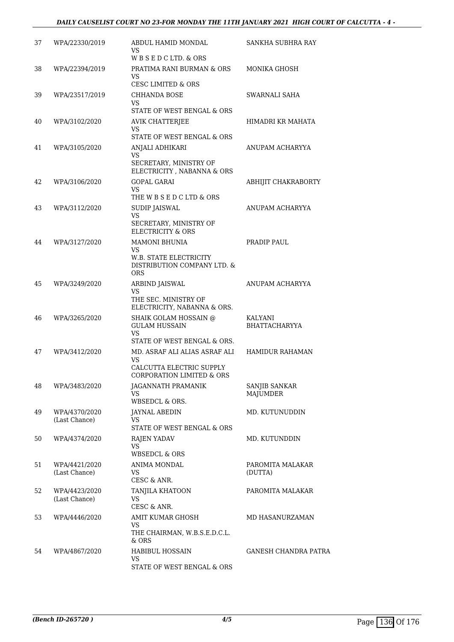| 37 | WPA/22330/2019                 | ABDUL HAMID MONDAL<br>VS.<br>WBSEDCLTD, & ORS                                                             | SANKHA SUBHRA RAY                |
|----|--------------------------------|-----------------------------------------------------------------------------------------------------------|----------------------------------|
| 38 | WPA/22394/2019                 | PRATIMA RANI BURMAN & ORS<br>VS<br><b>CESC LIMITED &amp; ORS</b>                                          | MONIKA GHOSH                     |
| 39 | WPA/23517/2019                 | <b>CHHANDA BOSE</b><br><b>VS</b><br>STATE OF WEST BENGAL & ORS                                            | SWARNALI SAHA                    |
| 40 | WPA/3102/2020                  | <b>AVIK CHATTERJEE</b><br><b>VS</b><br>STATE OF WEST BENGAL & ORS                                         | HIMADRI KR MAHATA                |
| 41 | WPA/3105/2020                  | ANJALI ADHIKARI<br><b>VS</b><br>SECRETARY, MINISTRY OF<br>ELECTRICITY , NABANNA & ORS                     | ANUPAM ACHARYYA                  |
| 42 | WPA/3106/2020                  | GOPAL GARAI<br>VS.<br>THE W B S E D C LTD & ORS                                                           | ABHIJIT CHAKRABORTY              |
| 43 | WPA/3112/2020                  | <b>SUDIP JAISWAL</b><br><b>VS</b><br>SECRETARY, MINISTRY OF<br><b>ELECTRICITY &amp; ORS</b>               | ANUPAM ACHARYYA                  |
| 44 | WPA/3127/2020                  | <b>MAMONI BHUNIA</b><br>VS.<br><b>W.B. STATE ELECTRICITY</b><br>DISTRIBUTION COMPANY LTD. &<br><b>ORS</b> | PRADIP PAUL                      |
| 45 | WPA/3249/2020                  | ARBIND JAISWAL<br><b>VS</b><br>THE SEC. MINISTRY OF<br>ELECTRICITY, NABANNA & ORS.                        | ANUPAM ACHARYYA                  |
| 46 | WPA/3265/2020                  | SHAIK GOLAM HOSSAIN @<br><b>GULAM HUSSAIN</b><br>VS.<br>STATE OF WEST BENGAL & ORS.                       | KALYANI<br><b>BHATTACHARYYA</b>  |
| 47 | WPA/3412/2020                  | MD. ASRAF ALI ALIAS ASRAF ALI<br>VS.<br>CALCUTTA ELECTRIC SUPPLY<br><b>CORPORATION LIMITED &amp; ORS</b>  | HAMIDUR RAHAMAN                  |
| 48 | WPA/3483/2020                  | JAGANNATH PRAMANIK<br>VS.<br>WBSEDCL & ORS.                                                               | SANJIB SANKAR<br><b>MAJUMDER</b> |
| 49 | WPA/4370/2020<br>(Last Chance) | <b>JAYNAL ABEDIN</b><br>VS<br>STATE OF WEST BENGAL & ORS                                                  | MD. KUTUNUDDIN                   |
| 50 | WPA/4374/2020                  | RAJEN YADAV<br>VS.<br>WBSEDCL & ORS                                                                       | MD. KUTUNDDIN                    |
| 51 | WPA/4421/2020<br>(Last Chance) | ANIMA MONDAL<br>VS<br>CESC & ANR.                                                                         | PAROMITA MALAKAR<br>(DUTTA)      |
| 52 | WPA/4423/2020<br>(Last Chance) | TANJILA KHATOON<br>VS<br>CESC & ANR.                                                                      | PAROMITA MALAKAR                 |
| 53 | WPA/4446/2020                  | AMIT KUMAR GHOSH<br><b>VS</b><br>THE CHAIRMAN, W.B.S.E.D.C.L.<br>& ORS                                    | MD HASANURZAMAN                  |
| 54 | WPA/4867/2020                  | HABIBUL HOSSAIN<br>VS<br>STATE OF WEST BENGAL & ORS                                                       | <b>GANESH CHANDRA PATRA</b>      |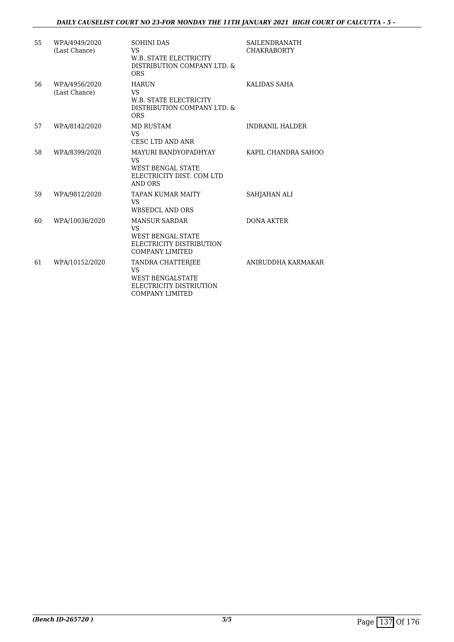## *DAILY CAUSELIST COURT NO 23-FOR MONDAY THE 11TH JANUARY 2021 HIGH COURT OF CALCUTTA - 5 -*

| 55 | WPA/4949/2020<br>(Last Chance) | <b>SOHINI DAS</b><br><b>VS</b><br><b>W.B. STATE ELECTRICITY</b><br>DISTRIBUTION COMPANY LTD. &<br><b>ORS</b>        | <b>SAILENDRANATH</b><br><b>CHAKRABORTY</b> |
|----|--------------------------------|---------------------------------------------------------------------------------------------------------------------|--------------------------------------------|
| 56 | WPA/4956/2020<br>(Last Chance) | <b>HARUN</b><br><b>VS</b><br>W.B. STATE ELECTRICITY<br>DISTRIBUTION COMPANY LTD. &<br><b>ORS</b>                    | KALIDAS SAHA                               |
| 57 | WPA/8142/2020                  | <b>MD RUSTAM</b><br><b>VS</b><br><b>CESC LTD AND ANR</b>                                                            | <b>INDRANIL HALDER</b>                     |
| 58 | WPA/8399/2020                  | MAYURI BANDYOPADHYAY<br><b>VS</b><br><b>WEST BENGAL STATE</b><br>ELECTRICITY DIST. COM LTD<br>AND ORS               | KAPIL CHANDRA SAHOO                        |
| 59 | WPA/9812/2020                  | <b>TAPAN KUMAR MAITY</b><br><b>VS</b><br><b>WBSEDCL AND ORS</b>                                                     | SAHJAHAN ALI                               |
| 60 | WPA/10036/2020                 | <b>MANSUR SARDAR</b><br><b>VS</b><br><b>WEST BENGAL STATE</b><br>ELECTRICITY DISTRIBUTION<br><b>COMPANY LIMITED</b> | <b>DONA AKTER</b>                          |
| 61 | WPA/10152/2020                 | TANDRA CHATTERJEE<br><b>VS</b><br><b>WEST BENGALSTATE</b><br>ELECTRICITY DISTRIUTION<br><b>COMPANY LIMITED</b>      | ANIRUDDHA KARMAKAR                         |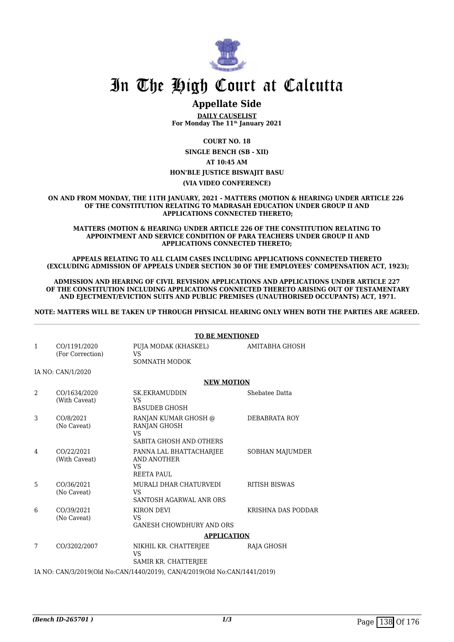

## **Appellate Side**

**DAILY CAUSELIST For Monday The 11th January 2021**

**COURT NO. 18**

**SINGLE BENCH (SB - XII)**

**AT 10:45 AM**

## **HON'BLE JUSTICE BISWAJIT BASU**

**(VIA VIDEO CONFERENCE)**

**ON AND FROM MONDAY, THE 11TH JANUARY, 2021 - MATTERS (MOTION & HEARING) UNDER ARTICLE 226 OF THE CONSTITUTION RELATING TO MADRASAH EDUCATION UNDER GROUP II AND APPLICATIONS CONNECTED THERETO;**

**MATTERS (MOTION & HEARING) UNDER ARTICLE 226 OF THE CONSTITUTION RELATING TO APPOINTMENT AND SERVICE CONDITION OF PARA TEACHERS UNDER GROUP II AND APPLICATIONS CONNECTED THERETO;**

**APPEALS RELATING TO ALL CLAIM CASES INCLUDING APPLICATIONS CONNECTED THERETO (EXCLUDING ADMISSION OF APPEALS UNDER SECTION 30 OF THE EMPLOYEES' COMPENSATION ACT, 1923);**

**ADMISSION AND HEARING OF CIVIL REVISION APPLICATIONS AND APPLICATIONS UNDER ARTICLE 227 OF THE CONSTITUTION INCLUDING APPLICATIONS CONNECTED THERETO ARISING OUT OF TESTAMENTARY AND EJECTMENT/EVICTION SUITS AND PUBLIC PREMISES (UNAUTHORISED OCCUPANTS) ACT, 1971.**

**NOTE: MATTERS WILL BE TAKEN UP THROUGH PHYSICAL HEARING ONLY WHEN BOTH THE PARTIES ARE AGREED.**

#### **TO BE MENTIONED**

| CO/1191/2020<br>(For Correction) | PUJA MODAK (KHASKEL)<br><b>VS</b><br>SOMNATH MODOK                | AMITABHA GHOSH                                                                                       |
|----------------------------------|-------------------------------------------------------------------|------------------------------------------------------------------------------------------------------|
| IA NO: CAN/1/2020                |                                                                   |                                                                                                      |
|                                  | <b>NEW MOTION</b>                                                 |                                                                                                      |
| CO/1634/2020<br>(With Caveat)    | <b>SK.EKRAMUDDIN</b><br>VS<br><b>BASUDEB GHOSH</b>                | Shebatee Datta                                                                                       |
| CO/8/2021<br>(No Caveat)         | RANJAN KUMAR GHOSH @<br>RANJAN GHOSH<br>VS.                       | DEBABRATA ROY                                                                                        |
| CO/22/2021<br>(With Caveat)      | PANNA LAL BHATTACHARJEE<br>AND ANOTHER<br>VS<br><b>REETA PAUL</b> | <b>SOBHAN MAJUMDER</b>                                                                               |
| CO/36/2021<br>(No Caveat)        | MURALI DHAR CHATURVEDI<br>VS.<br>SANTOSH AGARWAL ANR ORS          | <b>RITISH BISWAS</b>                                                                                 |
| CO/39/2021<br>(No Caveat)        | KIRON DEVI<br><b>VS</b><br><b>GANESH CHOWDHURY AND ORS</b>        | KRISHNA DAS PODDAR                                                                                   |
|                                  | <b>APPLICATION</b>                                                |                                                                                                      |
| CO/3202/2007                     | NIKHIL KR. CHATTERJEE<br><b>VS</b><br>SAMIR KR. CHATTERJEE        | RAJA GHOSH                                                                                           |
|                                  |                                                                   |                                                                                                      |
|                                  |                                                                   | SABITA GHOSH AND OTHERS<br>IA NO: CAN/3/2019(Old No:CAN/1440/2019), CAN/4/2019(Old No:CAN/1441/2019) |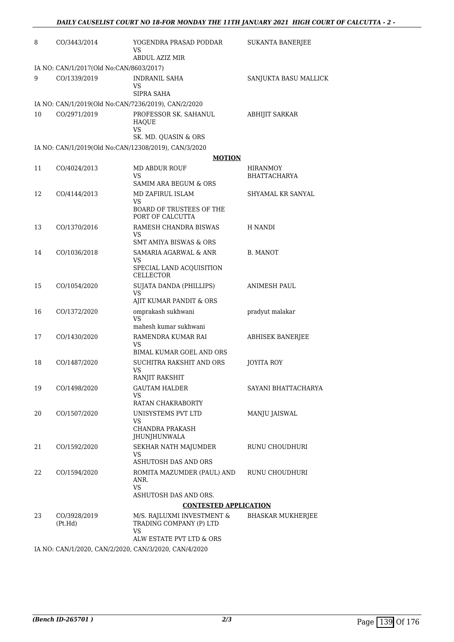| 8                     | CO/3443/2014                                         | YOGENDRA PRASAD PODDAR<br>VS.<br>ABDUL AZIZ MIR                                         | <b>SUKANTA BANERJEE</b>         |  |
|-----------------------|------------------------------------------------------|-----------------------------------------------------------------------------------------|---------------------------------|--|
|                       | IA NO: CAN/1/2017(Old No:CAN/8603/2017)              |                                                                                         |                                 |  |
| 9                     | CO/1339/2019                                         | <b>INDRANIL SAHA</b><br>VS.<br>SIPRA SAHA                                               | SANJUKTA BASU MALLICK           |  |
|                       | IA NO: CAN/1/2019(Old No:CAN/7236/2019), CAN/2/2020  |                                                                                         |                                 |  |
| 10                    | CO/2971/2019                                         | PROFESSOR SK. SAHANUL<br>HAQUE<br>VS                                                    | ABHIJIT SARKAR                  |  |
|                       |                                                      | SK. MD. QUASIN & ORS                                                                    |                                 |  |
|                       | IA NO: CAN/1/2019(Old No:CAN/12308/2019), CAN/3/2020 |                                                                                         |                                 |  |
|                       |                                                      | <b>MOTION</b>                                                                           |                                 |  |
| 11                    | CO/4024/2013                                         | <b>MD ABDUR ROUF</b><br><b>VS</b>                                                       | <b>HIRANMOY</b><br>BHATTACHARYA |  |
|                       |                                                      | SAMIM ARA BEGUM & ORS                                                                   |                                 |  |
| 12                    | CO/4144/2013                                         | MD ZAFIRUL ISLAM<br>VS                                                                  | SHYAMAL KR SANYAL               |  |
|                       |                                                      | <b>BOARD OF TRUSTEES OF THE</b><br>PORT OF CALCUTTA                                     |                                 |  |
| 13                    | CO/1370/2016                                         | RAMESH CHANDRA BISWAS<br>VS                                                             | H NANDI                         |  |
|                       |                                                      | <b>SMT AMIYA BISWAS &amp; ORS</b>                                                       |                                 |  |
| 14                    | CO/1036/2018                                         | SAMARIA AGARWAL & ANR<br>VS<br>SPECIAL LAND ACQUISITION<br><b>CELLECTOR</b>             | B. MANOT                        |  |
| 15                    | CO/1054/2020                                         | SUJATA DANDA (PHILLIPS)<br>VS.                                                          | ANIMESH PAUL                    |  |
|                       |                                                      | AJIT KUMAR PANDIT & ORS                                                                 |                                 |  |
| 16                    | CO/1372/2020                                         | omprakash sukhwani<br>VS.<br>mahesh kumar sukhwani                                      | pradyut malakar                 |  |
| 17                    | CO/1430/2020                                         | RAMENDRA KUMAR RAI<br>VS                                                                | <b>ABHISEK BANERIEE</b>         |  |
|                       |                                                      | BIMAL KUMAR GOEL AND ORS                                                                |                                 |  |
| 18                    | CO/1487/2020                                         | SUCHITRA RAKSHIT AND ORS<br>VS.<br>RANJIT RAKSHIT                                       | JOYITA ROY                      |  |
| 19                    | CO/1498/2020                                         | <b>GAUTAM HALDER</b>                                                                    | SAYANI BHATTACHARYA             |  |
|                       |                                                      | VS.<br>RATAN CHAKRABORTY                                                                |                                 |  |
| 20                    | CO/1507/2020                                         | UNISYSTEMS PVT LTD                                                                      | MANJU JAISWAL                   |  |
|                       |                                                      | VS.<br><b>CHANDRA PRAKASH</b><br>JHUNJHUNWALA                                           |                                 |  |
| 21                    | CO/1592/2020                                         | SEKHAR NATH MAJUMDER<br>VS.                                                             | RUNU CHOUDHURI                  |  |
|                       |                                                      | ASHUTOSH DAS AND ORS                                                                    |                                 |  |
| 22                    | CO/1594/2020                                         | ROMITA MAZUMDER (PAUL) AND RUNU CHOUDHURI<br>ANR.<br><b>VS</b>                          |                                 |  |
| ASHUTOSH DAS AND ORS. |                                                      |                                                                                         |                                 |  |
|                       |                                                      | <b>CONTESTED APPLICATION</b>                                                            |                                 |  |
| 23                    | CO/3928/2019<br>(Pt.Hd)                              | M/S. RAJLUXMI INVESTMENT &<br>TRADING COMPANY (P) LTD<br>VS<br>ALW ESTATE PVT LTD & ORS | <b>BHASKAR MUKHERJEE</b>        |  |
|                       |                                                      | LA NO. CANTA (2020), CANTO (2020), CANTO (2020), CANTA (2020)                           |                                 |  |

IA NO: CAN/1/2020, CAN/2/2020, CAN/3/2020, CAN/4/2020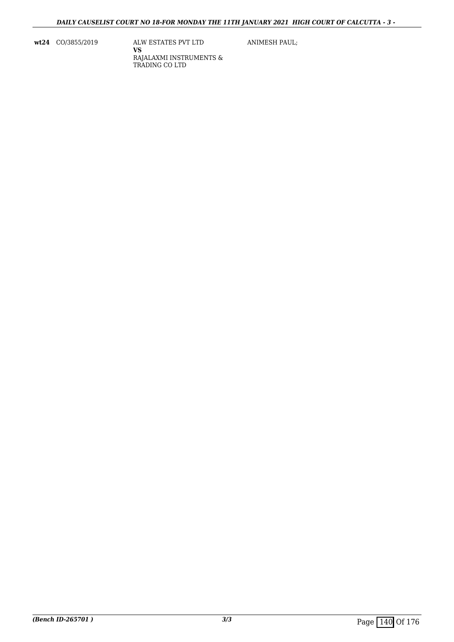**wt24** CO/3855/2019 ALW ESTATES PVT LTD **VS** RAJALAXMI INSTRUMENTS & TRADING CO LTD

ANIMESH PAUL;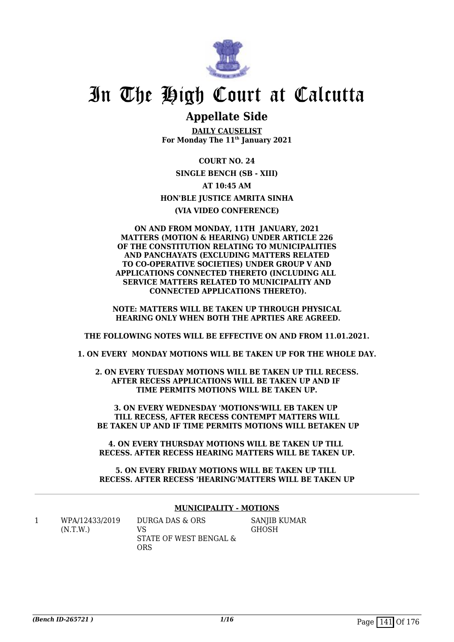

## **Appellate Side**

**DAILY CAUSELIST For Monday The 11th January 2021**

**COURT NO. 24 SINGLE BENCH (SB - XIII) AT 10:45 AM HON'BLE JUSTICE AMRITA SINHA (VIA VIDEO CONFERENCE)**

**ON AND FROM MONDAY, 11TH JANUARY, 2021 MATTERS (MOTION & HEARING) UNDER ARTICLE 226 OF THE CONSTITUTION RELATING TO MUNICIPALITIES AND PANCHAYATS (EXCLUDING MATTERS RELATED TO CO-OPERATIVE SOCIETIES) UNDER GROUP V AND APPLICATIONS CONNECTED THERETO (INCLUDING ALL SERVICE MATTERS RELATED TO MUNICIPALITY AND CONNECTED APPLICATIONS THERETO).**

**NOTE: MATTERS WILL BE TAKEN UP THROUGH PHYSICAL HEARING ONLY WHEN BOTH THE APRTIES ARE AGREED.**

**THE FOLLOWING NOTES WILL BE EFFECTIVE ON AND FROM 11.01.2021.**

**1. ON EVERY MONDAY MOTIONS WILL BE TAKEN UP FOR THE WHOLE DAY.**

**2. ON EVERY TUESDAY MOTIONS WILL BE TAKEN UP TILL RECESS. AFTER RECESS APPLICATIONS WILL BE TAKEN UP AND IF TIME PERMITS MOTIONS WILL BE TAKEN UP.**

**3. ON EVERY WEDNESDAY 'MOTIONS'WILL EB TAKEN UP TILL RECESS, AFTER RECESS CONTEMPT MATTERS WILL BE TAKEN UP AND IF TIME PERMITS MOTIONS WILL BETAKEN UP**

**4. ON EVERY THURSDAY MOTIONS WILL BE TAKEN UP TILL RECESS. AFTER RECESS HEARING MATTERS WILL BE TAKEN UP.**

**5. ON EVERY FRIDAY MOTIONS WILL BE TAKEN UP TILL RECESS. AFTER RECESS 'HEARING'MATTERS WILL BE TAKEN UP**

## **MUNICIPALITY - MOTIONS**

1 WPA/12433/2019 (N.T.W.)

DURGA DAS & ORS VS STATE OF WEST BENGAL & ORS

SANJIB KUMAR **GHOSH**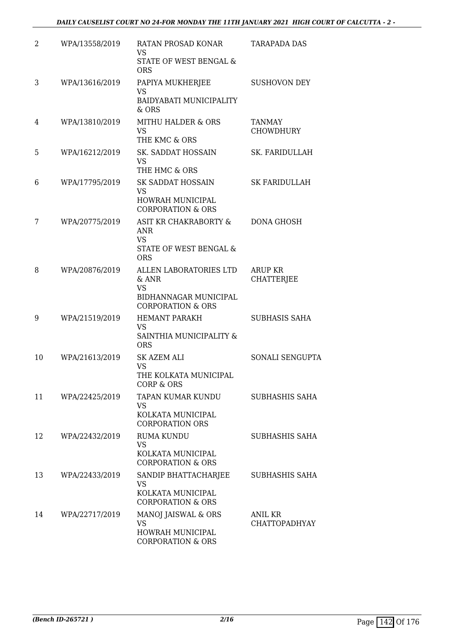| 2  | WPA/13558/2019 | RATAN PROSAD KONAR<br>VS<br>STATE OF WEST BENGAL &          | <b>TARAPADA DAS</b>             |
|----|----------------|-------------------------------------------------------------|---------------------------------|
|    |                | <b>ORS</b>                                                  |                                 |
| 3  | WPA/13616/2019 | PAPIYA MUKHERJEE<br><b>VS</b>                               | <b>SUSHOVON DEY</b>             |
|    |                | BAIDYABATI MUNICIPALITY<br>& ORS                            |                                 |
| 4  | WPA/13810/2019 | <b>MITHU HALDER &amp; ORS</b><br><b>VS</b><br>THE KMC & ORS | TANMAY<br><b>CHOWDHURY</b>      |
| 5  | WPA/16212/2019 | SK. SADDAT HOSSAIN<br>VS                                    | SK. FARIDULLAH                  |
|    |                | THE HMC & ORS                                               |                                 |
| 6  | WPA/17795/2019 | <b>SK SADDAT HOSSAIN</b><br><b>VS</b>                       | <b>SK FARIDULLAH</b>            |
|    |                | HOWRAH MUNICIPAL<br><b>CORPORATION &amp; ORS</b>            |                                 |
| 7  | WPA/20775/2019 | ASIT KR CHAKRABORTY &<br><b>ANR</b><br><b>VS</b>            | DONA GHOSH                      |
|    |                | STATE OF WEST BENGAL &<br><b>ORS</b>                        |                                 |
| 8  | WPA/20876/2019 | ALLEN LABORATORIES LTD<br>& ANR<br><b>VS</b>                | ARUP KR<br><b>CHATTERJEE</b>    |
|    |                | BIDHANNAGAR MUNICIPAL<br><b>CORPORATION &amp; ORS</b>       |                                 |
| 9  | WPA/21519/2019 | <b>HEMANT PARAKH</b><br><b>VS</b>                           | <b>SUBHASIS SAHA</b>            |
|    |                | SAINTHIA MUNICIPALITY &<br><b>ORS</b>                       |                                 |
| 10 | WPA/21613/2019 | <b>SK AZEM ALI</b><br><b>VS</b>                             | SONALI SENGUPTA                 |
|    |                | THE KOLKATA MUNICIPAL<br><b>CORP &amp; ORS</b>              |                                 |
| 11 | WPA/22425/2019 | TAPAN KUMAR KUNDU<br><b>VS</b>                              | SUBHASHIS SAHA                  |
|    |                | KOLKATA MUNICIPAL<br><b>CORPORATION ORS</b>                 |                                 |
| 12 | WPA/22432/2019 | <b>RUMA KUNDU</b><br><b>VS</b>                              | SUBHASHIS SAHA                  |
|    |                | KOLKATA MUNICIPAL<br><b>CORPORATION &amp; ORS</b>           |                                 |
| 13 | WPA/22433/2019 | SANDIP BHATTACHARJEE<br>VS                                  | SUBHASHIS SAHA                  |
|    |                | KOLKATA MUNICIPAL<br><b>CORPORATION &amp; ORS</b>           |                                 |
| 14 | WPA/22717/2019 | MANOJ JAISWAL & ORS<br>VS                                   | ANIL KR<br><b>CHATTOPADHYAY</b> |
|    |                | HOWRAH MUNICIPAL<br><b>CORPORATION &amp; ORS</b>            |                                 |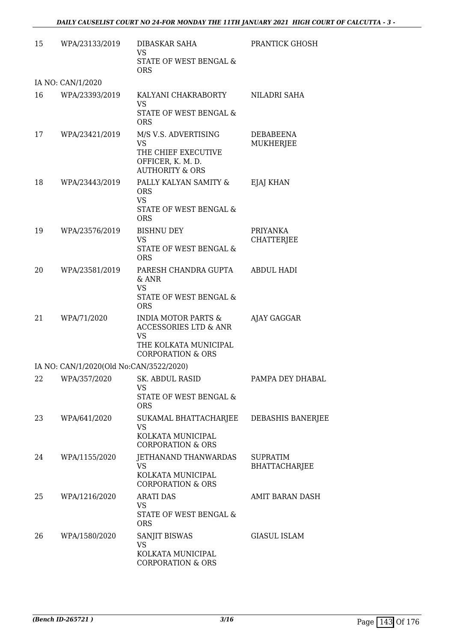| 15 | WPA/23133/2019                          | DIBASKAR SAHA<br>VS<br>STATE OF WEST BENGAL &<br><b>ORS</b>                                                                              | PRANTICK GHOSH                       |
|----|-----------------------------------------|------------------------------------------------------------------------------------------------------------------------------------------|--------------------------------------|
|    | IA NO: CAN/1/2020                       |                                                                                                                                          |                                      |
| 16 | WPA/23393/2019                          | KALYANI CHAKRABORTY<br><b>VS</b><br>STATE OF WEST BENGAL &<br><b>ORS</b>                                                                 | NILADRI SAHA                         |
| 17 | WPA/23421/2019                          | M/S V.S. ADVERTISING<br><b>VS</b><br>THE CHIEF EXECUTIVE<br>OFFICER, K. M. D.<br><b>AUTHORITY &amp; ORS</b>                              | DEBABEENA<br>MUKHERJEE               |
| 18 | WPA/23443/2019                          | PALLY KALYAN SAMITY &<br><b>ORS</b><br><b>VS</b><br>STATE OF WEST BENGAL &<br><b>ORS</b>                                                 | EJAJ KHAN                            |
| 19 | WPA/23576/2019                          | <b>BISHNU DEY</b><br><b>VS</b><br>STATE OF WEST BENGAL &<br><b>ORS</b>                                                                   | <b>PRIYANKA</b><br><b>CHATTERJEE</b> |
| 20 | WPA/23581/2019                          | PARESH CHANDRA GUPTA<br>$&$ ANR<br><b>VS</b><br>STATE OF WEST BENGAL &<br><b>ORS</b>                                                     | <b>ABDUL HADI</b>                    |
| 21 | WPA/71/2020                             | <b>INDIA MOTOR PARTS &amp;</b><br><b>ACCESSORIES LTD &amp; ANR</b><br><b>VS</b><br>THE KOLKATA MUNICIPAL<br><b>CORPORATION &amp; ORS</b> | AJAY GAGGAR                          |
|    | IA NO: CAN/1/2020(Old No:CAN/3522/2020) |                                                                                                                                          |                                      |
|    | 22 WPA/357/2020 SK. ABDUL RASID         | VS<br>STATE OF WEST BENGAL &<br><b>ORS</b>                                                                                               | PAMPA DEY DHABAL                     |
| 23 | WPA/641/2020                            | SUKAMAL BHATTACHARJEE<br><b>VS</b><br>KOLKATA MUNICIPAL<br><b>CORPORATION &amp; ORS</b>                                                  | DEBASHIS BANERJEE                    |
| 24 | WPA/1155/2020                           | JETHANAND THANWARDAS<br><b>VS</b><br>KOLKATA MUNICIPAL<br><b>CORPORATION &amp; ORS</b>                                                   | SUPRATIM<br><b>BHATTACHARJEE</b>     |
| 25 | WPA/1216/2020                           | <b>ARATI DAS</b><br>VS<br>STATE OF WEST BENGAL &<br><b>ORS</b>                                                                           | AMIT BARAN DASH                      |
| 26 | WPA/1580/2020                           | SANJIT BISWAS<br>VS<br>KOLKATA MUNICIPAL<br><b>CORPORATION &amp; ORS</b>                                                                 | <b>GIASUL ISLAM</b>                  |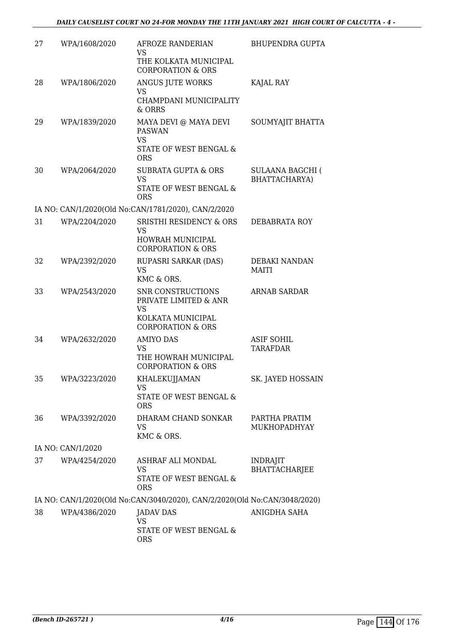| 27 | WPA/1608/2020     | AFROZE RANDERIAN<br>VS<br>THE KOLKATA MUNICIPAL                           | BHUPENDRA GUPTA                          |
|----|-------------------|---------------------------------------------------------------------------|------------------------------------------|
|    |                   | <b>CORPORATION &amp; ORS</b>                                              |                                          |
| 28 | WPA/1806/2020     | ANGUS JUTE WORKS<br>VS                                                    | KAJAL RAY                                |
|    |                   | CHAMPDANI MUNICIPALITY<br>& ORRS                                          |                                          |
| 29 | WPA/1839/2020     | MAYA DEVI @ MAYA DEVI<br><b>PASWAN</b><br><b>VS</b>                       | SOUMYAJIT BHATTA                         |
|    |                   | STATE OF WEST BENGAL &<br><b>ORS</b>                                      |                                          |
| 30 | WPA/2064/2020     | <b>SUBRATA GUPTA &amp; ORS</b><br><b>VS</b>                               | <b>SULAANA BAGCHI (</b><br>BHATTACHARYA) |
|    |                   | STATE OF WEST BENGAL &<br><b>ORS</b>                                      |                                          |
|    |                   | IA NO: CAN/1/2020(Old No:CAN/1781/2020), CAN/2/2020                       |                                          |
| 31 | WPA/2204/2020     | SRISTHI RESIDENCY & ORS<br>VS                                             | DEBABRATA ROY                            |
|    |                   | HOWRAH MUNICIPAL<br><b>CORPORATION &amp; ORS</b>                          |                                          |
| 32 | WPA/2392/2020     | RUPASRI SARKAR (DAS)                                                      | DEBAKI NANDAN                            |
|    |                   | <b>VS</b><br>KMC & ORS.                                                   | MAITI                                    |
| 33 | WPA/2543/2020     | SNR CONSTRUCTIONS<br>PRIVATE LIMITED & ANR<br><b>VS</b>                   | <b>ARNAB SARDAR</b>                      |
|    |                   | KOLKATA MUNICIPAL<br><b>CORPORATION &amp; ORS</b>                         |                                          |
| 34 | WPA/2632/2020     | <b>AMIYO DAS</b>                                                          | <b>ASIF SOHIL</b>                        |
|    |                   | VS<br>THE HOWRAH MUNICIPAL<br><b>CORPORATION &amp; ORS</b>                | <b>TARAFDAR</b>                          |
| 35 | WPA/3223/2020     | KHALEKUJJAMAN                                                             | SK. JAYED HOSSAIN                        |
|    |                   | VS<br><b>STATE OF WEST BENGAL &amp;</b><br><b>ORS</b>                     |                                          |
| 36 | WPA/3392/2020     | DHARAM CHAND SONKAR<br><b>VS</b>                                          | PARTHA PRATIM<br>MUKHOPADHYAY            |
|    |                   | KMC & ORS.                                                                |                                          |
|    | IA NO: CAN/1/2020 |                                                                           |                                          |
| 37 | WPA/4254/2020     | ASHRAF ALI MONDAL<br>VS                                                   | <b>INDRAJIT</b><br><b>BHATTACHARJEE</b>  |
|    |                   | STATE OF WEST BENGAL &<br><b>ORS</b>                                      |                                          |
|    |                   | IA NO: CAN/1/2020(Old No:CAN/3040/2020), CAN/2/2020(Old No:CAN/3048/2020) |                                          |
| 38 | WPA/4386/2020     | <b>JADAV DAS</b>                                                          | ANIGDHA SAHA                             |
|    |                   | VS<br>STATE OF WEST BENGAL &<br><b>ORS</b>                                |                                          |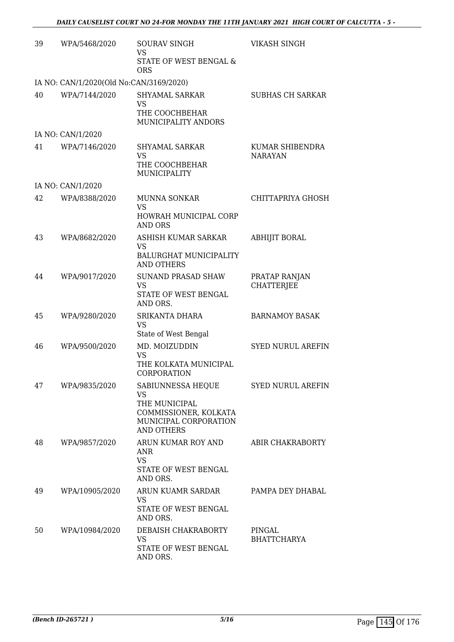| 39 | WPA/5468/2020                           | <b>SOURAV SINGH</b><br><b>VS</b><br>STATE OF WEST BENGAL &<br><b>ORS</b>                                               | VIKASH SINGH                       |
|----|-----------------------------------------|------------------------------------------------------------------------------------------------------------------------|------------------------------------|
|    | IA NO: CAN/1/2020(Old No:CAN/3169/2020) |                                                                                                                        |                                    |
| 40 | WPA/7144/2020                           | SHYAMAL SARKAR<br>VS<br>THE COOCHBEHAR<br>MUNICIPALITY ANDORS                                                          | <b>SUBHAS CH SARKAR</b>            |
|    | IA NO: CAN/1/2020                       |                                                                                                                        |                                    |
| 41 | WPA/7146/2020                           | <b>SHYAMAL SARKAR</b><br>VS<br>THE COOCHBEHAR<br>MUNICIPALITY                                                          | KUMAR SHIBENDRA<br><b>NARAYAN</b>  |
|    | IA NO: CAN/1/2020                       |                                                                                                                        |                                    |
| 42 | WPA/8388/2020                           | MUNNA SONKAR<br><b>VS</b><br>HOWRAH MUNICIPAL CORP<br>AND ORS                                                          | CHITTAPRIYA GHOSH                  |
| 43 | WPA/8682/2020                           | ASHISH KUMAR SARKAR<br><b>VS</b><br>BALURGHAT MUNICIPALITY<br><b>AND OTHERS</b>                                        | <b>ABHIJIT BORAL</b>               |
| 44 | WPA/9017/2020                           | <b>SUNAND PRASAD SHAW</b><br><b>VS</b><br>STATE OF WEST BENGAL<br>AND ORS.                                             | PRATAP RANJAN<br><b>CHATTERJEE</b> |
| 45 | WPA/9280/2020                           | SRIKANTA DHARA<br><b>VS</b><br>State of West Bengal                                                                    | <b>BARNAMOY BASAK</b>              |
| 46 | WPA/9500/2020                           | MD. MOIZUDDIN<br><b>VS</b><br>THE KOLKATA MUNICIPAL<br>CORPORATION                                                     | <b>SYED NURUL AREFIN</b>           |
| 47 | WPA/9835/2020                           | SABIUNNESSA HEQUE<br><b>VS</b><br>THE MUNICIPAL<br>COMMISSIONER, KOLKATA<br>MUNICIPAL CORPORATION<br><b>AND OTHERS</b> | <b>SYED NURUL AREFIN</b>           |
| 48 | WPA/9857/2020                           | ARUN KUMAR ROY AND<br>ANR<br><b>VS</b><br>STATE OF WEST BENGAL<br>AND ORS.                                             | ABIR CHAKRABORTY                   |
| 49 | WPA/10905/2020                          | ARUN KUAMR SARDAR<br>VS.<br>STATE OF WEST BENGAL<br>AND ORS.                                                           | PAMPA DEY DHABAL                   |
| 50 | WPA/10984/2020                          | DEBAISH CHAKRABORTY<br><b>VS</b><br>STATE OF WEST BENGAL<br>AND ORS.                                                   | PINGAL<br><b>BHATTCHARYA</b>       |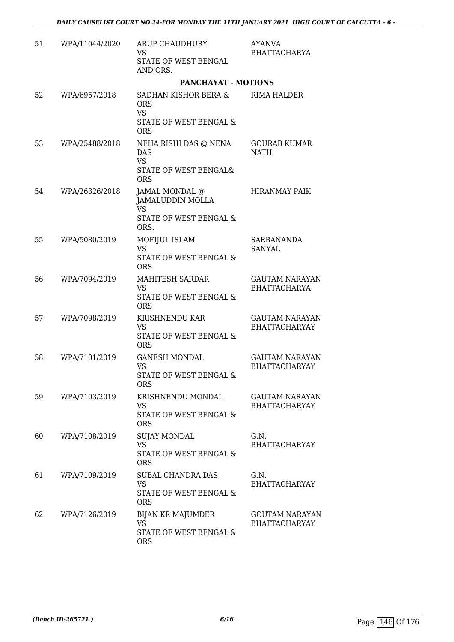| 51 | WPA/11044/2020 | <b>ARUP CHAUDHURY</b><br>VS.<br>STATE OF WEST BENGAL<br>AND ORS.                        | <b>AYANVA</b><br><b>BHATTACHARYA</b>         |
|----|----------------|-----------------------------------------------------------------------------------------|----------------------------------------------|
|    |                | <b>PANCHAYAT - MOTIONS</b>                                                              |                                              |
| 52 | WPA/6957/2018  | SADHAN KISHOR BERA &<br><b>ORS</b><br><b>VS</b><br>STATE OF WEST BENGAL &<br><b>ORS</b> | RIMA HALDER                                  |
| 53 | WPA/25488/2018 | NEHA RISHI DAS @ NENA<br><b>DAS</b><br><b>VS</b><br>STATE OF WEST BENGAL&<br><b>ORS</b> | <b>GOURAB KUMAR</b><br><b>NATH</b>           |
| 54 | WPA/26326/2018 | JAMAL MONDAL @<br><b>JAMALUDDIN MOLLA</b><br>VS.<br>STATE OF WEST BENGAL &<br>ORS.      | <b>HIRANMAY PAIK</b>                         |
| 55 | WPA/5080/2019  | MOFIJUL ISLAM<br><b>VS</b><br>STATE OF WEST BENGAL &<br><b>ORS</b>                      | <b>SARBANANDA</b><br>SANYAL                  |
| 56 | WPA/7094/2019  | <b>MAHITESH SARDAR</b><br><b>VS</b><br>STATE OF WEST BENGAL &<br><b>ORS</b>             | <b>GAUTAM NARAYAN</b><br><b>BHATTACHARYA</b> |
| 57 | WPA/7098/2019  | KRISHNENDU KAR<br><b>VS</b><br><b>STATE OF WEST BENGAL &amp;</b><br><b>ORS</b>          | <b>GAUTAM NARAYAN</b><br>BHATTACHARYAY       |
| 58 | WPA/7101/2019  | <b>GANESH MONDAL</b><br><b>VS</b><br>STATE OF WEST BENGAL &<br><b>ORS</b>               | <b>GAUTAM NARAYAN</b><br>BHATTACHARYAY       |
| 59 | WPA/7103/2019  | KRISHNENDU MONDAL<br>VS<br>STATE OF WEST BENGAL &<br><b>ORS</b>                         | <b>GAUTAM NARAYAN</b><br>BHATTACHARYAY       |
| 60 | WPA/7108/2019  | <b>SUJAY MONDAL</b><br><b>VS</b><br>STATE OF WEST BENGAL &<br><b>ORS</b>                | G.N.<br><b>BHATTACHARYAY</b>                 |
| 61 | WPA/7109/2019  | SUBAL CHANDRA DAS<br><b>VS</b><br>STATE OF WEST BENGAL &<br><b>ORS</b>                  | G.N.<br>BHATTACHARYAY                        |
| 62 | WPA/7126/2019  | BIJAN KR MAJUMDER<br><b>VS</b><br>STATE OF WEST BENGAL &<br><b>ORS</b>                  | <b>GOUTAM NARAYAN</b><br>BHATTACHARYAY       |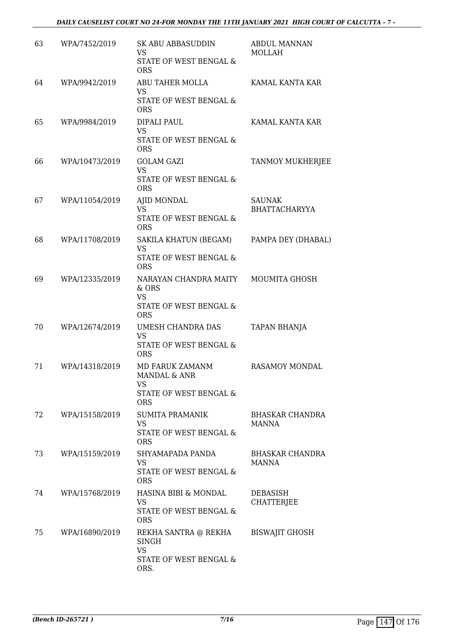| 63 | WPA/7452/2019  | SK ABU ABBASUDDIN<br><b>VS</b><br>STATE OF WEST BENGAL &<br><b>ORS</b>              | <b>ABDUL MANNAN</b><br><b>MOLLAH</b>  |
|----|----------------|-------------------------------------------------------------------------------------|---------------------------------------|
| 64 | WPA/9942/2019  | ABU TAHER MOLLA<br>VS<br>STATE OF WEST BENGAL &<br><b>ORS</b>                       | KAMAL KANTA KAR                       |
| 65 | WPA/9984/2019  | DIPALI PAUL<br><b>VS</b><br>STATE OF WEST BENGAL &<br><b>ORS</b>                    | KAMAL KANTA KAR                       |
| 66 | WPA/10473/2019 | <b>GOLAM GAZI</b><br><b>VS</b><br>STATE OF WEST BENGAL &<br><b>ORS</b>              | TANMOY MUKHERJEE                      |
| 67 | WPA/11054/2019 | AJID MONDAL<br>VS.<br><b>STATE OF WEST BENGAL &amp;</b><br><b>ORS</b>               | <b>SAUNAK</b><br><b>BHATTACHARYYA</b> |
| 68 | WPA/11708/2019 | SAKILA KHATUN (BEGAM)<br><b>VS</b><br>STATE OF WEST BENGAL &<br><b>ORS</b>          | PAMPA DEY (DHABAL)                    |
| 69 | WPA/12335/2019 | NARAYAN CHANDRA MAITY<br>& ORS<br><b>VS</b><br>STATE OF WEST BENGAL &<br><b>ORS</b> | <b>MOUMITA GHOSH</b>                  |
| 70 | WPA/12674/2019 | UMESH CHANDRA DAS<br><b>VS</b><br>STATE OF WEST BENGAL &<br><b>ORS</b>              | <b>TAPAN BHANJA</b>                   |
| 71 | WPA/14318/2019 | MD FARUK ZAMANM<br>MANDAL & ANR<br>VS<br>STATE OF WEST BENGAL &<br><b>ORS</b>       | <b>RASAMOY MONDAL</b>                 |
| 72 | WPA/15158/2019 | <b>SUMITA PRAMANIK</b><br>VS<br>STATE OF WEST BENGAL &<br><b>ORS</b>                | <b>BHASKAR CHANDRA</b><br>MANNA       |
| 73 | WPA/15159/2019 | SHYAMAPADA PANDA<br>VS<br>STATE OF WEST BENGAL &<br><b>ORS</b>                      | BHASKAR CHANDRA<br>MANNA              |
| 74 | WPA/15768/2019 | HASINA BIBI & MONDAL<br><b>VS</b><br>STATE OF WEST BENGAL &<br><b>ORS</b>           | DEBASISH<br><b>CHATTERJEE</b>         |
| 75 | WPA/16890/2019 | REKHA SANTRA @ REKHA<br>SINGH<br><b>VS</b><br>STATE OF WEST BENGAL &<br>ORS.        | <b>BISWAJIT GHOSH</b>                 |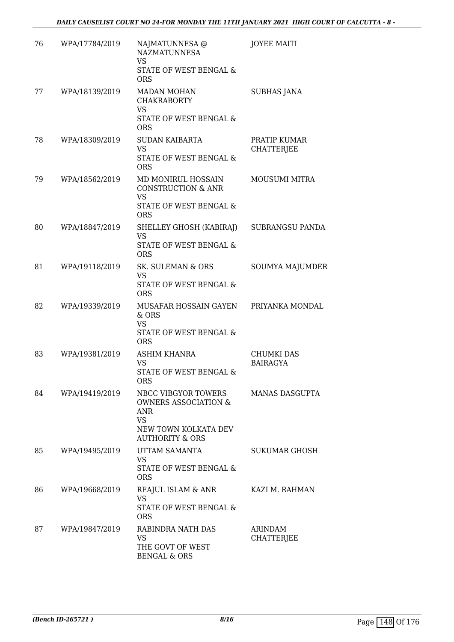| 76 | WPA/17784/2019 | NAJMATUNNESA @<br><b>NAZMATUNNESA</b><br>VS<br>STATE OF WEST BENGAL &<br><b>ORS</b>                                              | <b>JOYEE MAITI</b>                   |
|----|----------------|----------------------------------------------------------------------------------------------------------------------------------|--------------------------------------|
| 77 | WPA/18139/2019 | <b>MADAN MOHAN</b><br><b>CHAKRABORTY</b><br>VS<br>STATE OF WEST BENGAL &<br><b>ORS</b>                                           | <b>SUBHAS JANA</b>                   |
| 78 | WPA/18309/2019 | <b>SUDAN KAIBARTA</b><br><b>VS</b><br>STATE OF WEST BENGAL &<br><b>ORS</b>                                                       | PRATIP KUMAR<br><b>CHATTERJEE</b>    |
| 79 | WPA/18562/2019 | MD MONIRUL HOSSAIN<br><b>CONSTRUCTION &amp; ANR</b><br><b>VS</b><br>STATE OF WEST BENGAL &<br><b>ORS</b>                         | <b>MOUSUMI MITRA</b>                 |
| 80 | WPA/18847/2019 | SHELLEY GHOSH (KABIRAJ)<br>VS<br>STATE OF WEST BENGAL &<br><b>ORS</b>                                                            | SUBRANGSU PANDA                      |
| 81 | WPA/19118/2019 | SK. SULEMAN & ORS<br><b>VS</b><br>STATE OF WEST BENGAL &<br><b>ORS</b>                                                           | SOUMYA MAJUMDER                      |
| 82 | WPA/19339/2019 | MUSAFAR HOSSAIN GAYEN<br>& ORS<br><b>VS</b><br>STATE OF WEST BENGAL &<br><b>ORS</b>                                              | PRIYANKA MONDAL                      |
| 83 | WPA/19381/2019 | <b>ASHIM KHANRA</b><br>VS<br>STATE OF WEST BENGAL &<br>ORS                                                                       | <b>CHUMKI DAS</b><br><b>BAIRAGYA</b> |
| 84 | WPA/19419/2019 | NBCC VIBGYOR TOWERS<br><b>OWNERS ASSOCIATION &amp;</b><br>ANR<br><b>VS</b><br>NEW TOWN KOLKATA DEV<br><b>AUTHORITY &amp; ORS</b> | MANAS DASGUPTA                       |
| 85 | WPA/19495/2019 | UTTAM SAMANTA<br>VS<br>STATE OF WEST BENGAL &<br><b>ORS</b>                                                                      | SUKUMAR GHOSH                        |
| 86 | WPA/19668/2019 | REAJUL ISLAM & ANR<br>VS<br>STATE OF WEST BENGAL &<br><b>ORS</b>                                                                 | KAZI M. RAHMAN                       |
| 87 | WPA/19847/2019 | RABINDRA NATH DAS<br>VS<br>THE GOVT OF WEST<br><b>BENGAL &amp; ORS</b>                                                           | <b>ARINDAM</b><br><b>CHATTERJEE</b>  |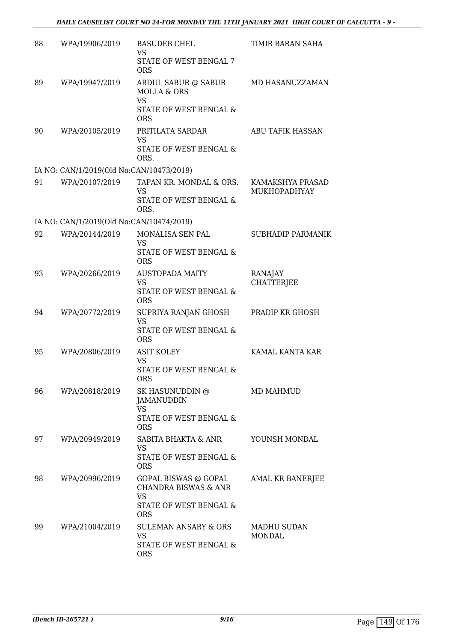| 88 | WPA/19906/2019                           | <b>BASUDEB CHEL</b><br><b>VS</b><br>STATE OF WEST BENGAL 7<br><b>ORS</b>                                     | TIMIR BARAN SAHA                        |
|----|------------------------------------------|--------------------------------------------------------------------------------------------------------------|-----------------------------------------|
| 89 | WPA/19947/2019                           | ABDUL SABUR @ SABUR<br><b>MOLLA &amp; ORS</b><br><b>VS</b><br>STATE OF WEST BENGAL &<br><b>ORS</b>           | MD HASANUZZAMAN                         |
| 90 | WPA/20105/2019                           | PRITILATA SARDAR<br><b>VS</b><br>STATE OF WEST BENGAL &<br>ORS.                                              | ABU TAFIK HASSAN                        |
|    | IA NO: CAN/1/2019(Old No:CAN/10473/2019) |                                                                                                              |                                         |
| 91 | WPA/20107/2019                           | TAPAN KR. MONDAL & ORS.<br><b>VS</b><br>STATE OF WEST BENGAL &<br>ORS.                                       | KAMAKSHYA PRASAD<br><b>MUKHOPADHYAY</b> |
|    | IA NO: CAN/1/2019(Old No:CAN/10474/2019) |                                                                                                              |                                         |
| 92 | WPA/20144/2019                           | MONALISA SEN PAL<br><b>VS</b><br>STATE OF WEST BENGAL &<br><b>ORS</b>                                        | SUBHADIP PARMANIK                       |
| 93 | WPA/20266/2019                           | <b>AUSTOPADA MAITY</b><br><b>VS</b><br>STATE OF WEST BENGAL &<br><b>ORS</b>                                  | RANAJAY<br>CHATTERJEE                   |
| 94 | WPA/20772/2019                           | SUPRIYA RANJAN GHOSH<br><b>VS</b><br>STATE OF WEST BENGAL &<br><b>ORS</b>                                    | PRADIP KR GHOSH                         |
| 95 | WPA/20806/2019                           | <b>ASIT KOLEY</b><br><b>VS</b><br>STATE OF WEST BENGAL &<br><b>ORS</b>                                       | KAMAL KANTA KAR                         |
| 96 | WPA/20818/2019                           | SK HASUNUDDIN @<br>JAMANUDDIN<br><b>VS</b><br>STATE OF WEST BENGAL &<br><b>ORS</b>                           | MD MAHMUD                               |
| 97 | WPA/20949/2019                           | SABITA BHAKTA & ANR<br>VS<br>STATE OF WEST BENGAL &<br><b>ORS</b>                                            | YOUNSH MONDAL                           |
| 98 | WPA/20996/2019                           | GOPAL BISWAS @ GOPAL<br><b>CHANDRA BISWAS &amp; ANR</b><br><b>VS</b><br>STATE OF WEST BENGAL &<br><b>ORS</b> | AMAL KR BANERJEE                        |
| 99 | WPA/21004/2019                           | <b>SULEMAN ANSARY &amp; ORS</b><br>VS.<br>STATE OF WEST BENGAL &<br><b>ORS</b>                               | <b>MADHU SUDAN</b><br>MONDAL            |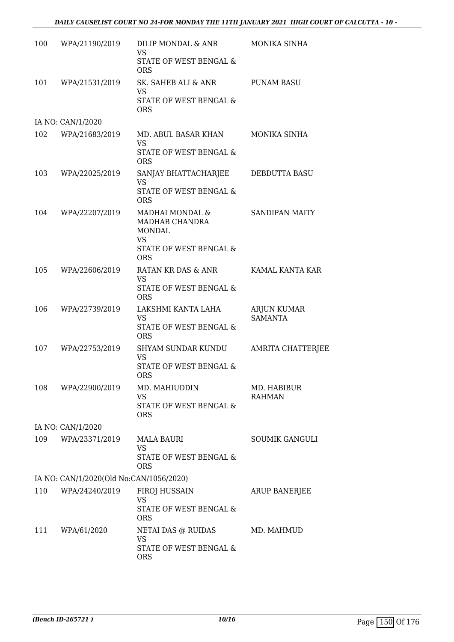| 100 | WPA/21190/2019                          | DILIP MONDAL & ANR<br>VS<br>STATE OF WEST BENGAL &<br><b>ORS</b>                                        | MONIKA SINHA                         |
|-----|-----------------------------------------|---------------------------------------------------------------------------------------------------------|--------------------------------------|
| 101 | WPA/21531/2019                          | SK. SAHEB ALI & ANR<br>VS<br>STATE OF WEST BENGAL &<br><b>ORS</b>                                       | <b>PUNAM BASU</b>                    |
|     | IA NO: CAN/1/2020                       |                                                                                                         |                                      |
| 102 | WPA/21683/2019                          | MD. ABUL BASAR KHAN<br><b>VS</b><br>STATE OF WEST BENGAL &                                              | MONIKA SINHA                         |
| 103 | WPA/22025/2019                          | <b>ORS</b><br>SANJAY BHATTACHARJEE<br>VS<br><b>STATE OF WEST BENGAL &amp;</b><br><b>ORS</b>             | DEBDUTTA BASU                        |
| 104 | WPA/22207/2019                          | MADHAI MONDAL &<br>MADHAB CHANDRA<br><b>MONDAL</b><br><b>VS</b><br>STATE OF WEST BENGAL &<br><b>ORS</b> | SANDIPAN MAITY                       |
| 105 | WPA/22606/2019                          | RATAN KR DAS & ANR<br><b>VS</b><br>STATE OF WEST BENGAL &<br><b>ORS</b>                                 | KAMAL KANTA KAR                      |
| 106 | WPA/22739/2019                          | LAKSHMI KANTA LAHA<br><b>VS</b><br>STATE OF WEST BENGAL &<br><b>ORS</b>                                 | <b>ARJUN KUMAR</b><br><b>SAMANTA</b> |
| 107 | WPA/22753/2019                          | SHYAM SUNDAR KUNDU<br><b>VS</b><br>STATE OF WEST BENGAL &<br><b>ORS</b>                                 | AMRITA CHATTERJEE                    |
| 108 | WPA/22900/2019                          | MD. MAHIUDDIN<br>VS<br>STATE OF WEST BENGAL &<br><b>ORS</b>                                             | MD. HABIBUR<br><b>RAHMAN</b>         |
|     | IA NO: CAN/1/2020                       |                                                                                                         |                                      |
| 109 | WPA/23371/2019                          | <b>MALA BAURI</b><br><b>VS</b><br>STATE OF WEST BENGAL &<br><b>ORS</b>                                  | <b>SOUMIK GANGULI</b>                |
|     | IA NO: CAN/1/2020(Old No:CAN/1056/2020) |                                                                                                         |                                      |
| 110 | WPA/24240/2019                          | FIROJ HUSSAIN<br><b>VS</b><br>STATE OF WEST BENGAL &<br><b>ORS</b>                                      | <b>ARUP BANERJEE</b>                 |
| 111 | WPA/61/2020                             | NETAI DAS @ RUIDAS<br><b>VS</b><br>STATE OF WEST BENGAL &<br><b>ORS</b>                                 | MD. MAHMUD                           |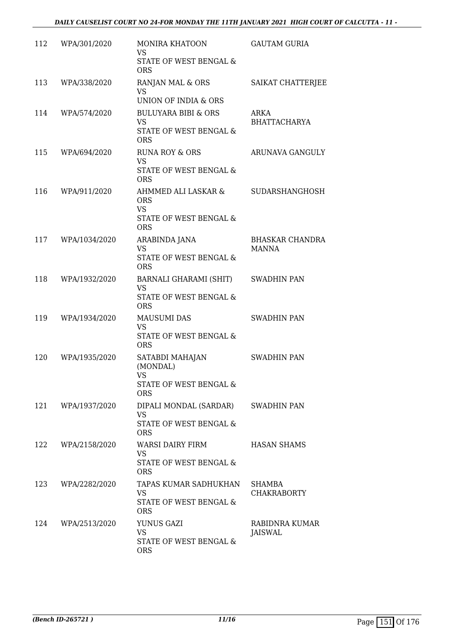| 112 | WPA/301/2020  | MONIRA KHATOON<br><b>VS</b><br>STATE OF WEST BENGAL &<br><b>ORS</b>                    | <b>GAUTAM GURIA</b>                    |
|-----|---------------|----------------------------------------------------------------------------------------|----------------------------------------|
| 113 | WPA/338/2020  | RANJAN MAL & ORS<br>VS<br>UNION OF INDIA & ORS                                         | SAIKAT CHATTERJEE                      |
| 114 | WPA/574/2020  | <b>BULUYARA BIBI &amp; ORS</b><br><b>VS</b><br>STATE OF WEST BENGAL &<br><b>ORS</b>    | ARKA<br><b>BHATTACHARYA</b>            |
| 115 | WPA/694/2020  | <b>RUNA ROY &amp; ORS</b><br><b>VS</b><br>STATE OF WEST BENGAL &<br><b>ORS</b>         | ARUNAVA GANGULY                        |
| 116 | WPA/911/2020  | AHMMED ALI LASKAR &<br><b>ORS</b><br><b>VS</b><br>STATE OF WEST BENGAL &<br><b>ORS</b> | SUDARSHANGHOSH                         |
| 117 | WPA/1034/2020 | ARABINDA JANA<br><b>VS</b><br><b>STATE OF WEST BENGAL &amp;</b><br><b>ORS</b>          | <b>BHASKAR CHANDRA</b><br><b>MANNA</b> |
| 118 | WPA/1932/2020 | BARNALI GHARAMI (SHIT)<br><b>VS</b><br>STATE OF WEST BENGAL &<br><b>ORS</b>            | <b>SWADHIN PAN</b>                     |
| 119 | WPA/1934/2020 | <b>MAUSUMI DAS</b><br><b>VS</b><br>STATE OF WEST BENGAL &<br><b>ORS</b>                | <b>SWADHIN PAN</b>                     |
| 120 | WPA/1935/2020 | SATABDI MAHAJAN<br>(MONDAL)<br>VS<br>STATE OF WEST BENGAL &<br><b>ORS</b>              | <b>SWADHIN PAN</b>                     |
| 121 | WPA/1937/2020 | DIPALI MONDAL (SARDAR)<br>VS<br>STATE OF WEST BENGAL &<br><b>ORS</b>                   | <b>SWADHIN PAN</b>                     |
| 122 | WPA/2158/2020 | WARSI DAIRY FIRM<br><b>VS</b><br>STATE OF WEST BENGAL &<br><b>ORS</b>                  | <b>HASAN SHAMS</b>                     |
| 123 | WPA/2282/2020 | TAPAS KUMAR SADHUKHAN<br>VS.<br>STATE OF WEST BENGAL &<br><b>ORS</b>                   | SHAMBA<br><b>CHAKRABORTY</b>           |
| 124 | WPA/2513/2020 | YUNUS GAZI<br><b>VS</b><br>STATE OF WEST BENGAL &<br><b>ORS</b>                        | RABIDNRA KUMAR<br>JAISWAL              |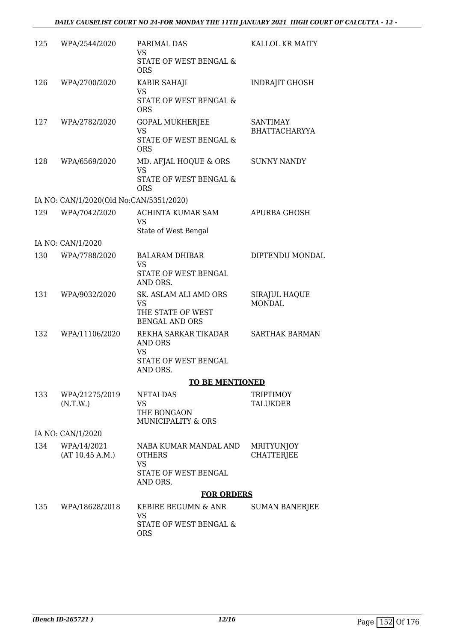| 125 | WPA/2544/2020                           | PARIMAL DAS<br><b>VS</b>                     | KALLOL KR MAITY                         |
|-----|-----------------------------------------|----------------------------------------------|-----------------------------------------|
|     |                                         | STATE OF WEST BENGAL &<br><b>ORS</b>         |                                         |
| 126 | WPA/2700/2020                           | KABIR SAHAJI<br><b>VS</b>                    | <b>INDRAJIT GHOSH</b>                   |
|     |                                         | STATE OF WEST BENGAL &<br><b>ORS</b>         |                                         |
| 127 | WPA/2782/2020                           | <b>GOPAL MUKHERJEE</b><br><b>VS</b>          | <b>SANTIMAY</b><br><b>BHATTACHARYYA</b> |
|     |                                         | STATE OF WEST BENGAL &<br><b>ORS</b>         |                                         |
| 128 | WPA/6569/2020                           | MD. AFJAL HOQUE & ORS<br><b>VS</b>           | <b>SUNNY NANDY</b>                      |
|     |                                         | STATE OF WEST BENGAL &<br><b>ORS</b>         |                                         |
|     | IA NO: CAN/1/2020(Old No:CAN/5351/2020) |                                              |                                         |
| 129 | WPA/7042/2020                           | <b>ACHINTA KUMAR SAM</b><br><b>VS</b>        | <b>APURBA GHOSH</b>                     |
|     |                                         | State of West Bengal                         |                                         |
|     | IA NO: CAN/1/2020                       |                                              |                                         |
| 130 | WPA/7788/2020                           | <b>BALARAM DHIBAR</b><br><b>VS</b>           | DIPTENDU MONDAL                         |
|     |                                         | STATE OF WEST BENGAL<br>AND ORS.             |                                         |
| 131 | WPA/9032/2020                           | SK. ASLAM ALI AMD ORS<br>VS                  | SIRAJUL HAQUE<br><b>MONDAL</b>          |
|     |                                         | THE STATE OF WEST<br><b>BENGAL AND ORS</b>   |                                         |
| 132 | WPA/11106/2020                          | REKHA SARKAR TIKADAR<br>AND ORS              | <b>SARTHAK BARMAN</b>                   |
|     |                                         | VS<br>STATE OF WEST BENGAL                   |                                         |
|     |                                         | AND ORS.                                     |                                         |
|     |                                         | <b>TO BE MENTIONED</b>                       |                                         |
| 133 | WPA/21275/2019<br>(N.T.W.)              | <b>NETAI DAS</b><br>VS                       | <b>TRIPTIMOY</b><br>TALUKDER            |
|     |                                         | THE BONGAON<br><b>MUNICIPALITY &amp; ORS</b> |                                         |
|     | IA NO: CAN/1/2020                       |                                              |                                         |
| 134 | WPA/14/2021                             | NABA KUMAR MANDAL AND                        | <b>MRITYUNJOY</b>                       |
|     | (AT 10.45 A.M.)                         | <b>OTHERS</b><br><b>VS</b>                   | <b>CHATTERJEE</b>                       |
|     |                                         | STATE OF WEST BENGAL<br>AND ORS.             |                                         |
|     |                                         | <b>FOR ORDERS</b>                            |                                         |
| 135 | WPA/18628/2018                          | KEBIRE BEGUMN & ANR<br><b>VS</b>             | <b>SUMAN BANERJEE</b>                   |
|     |                                         | STATE OF WEST BENGAL &<br><b>ORS</b>         |                                         |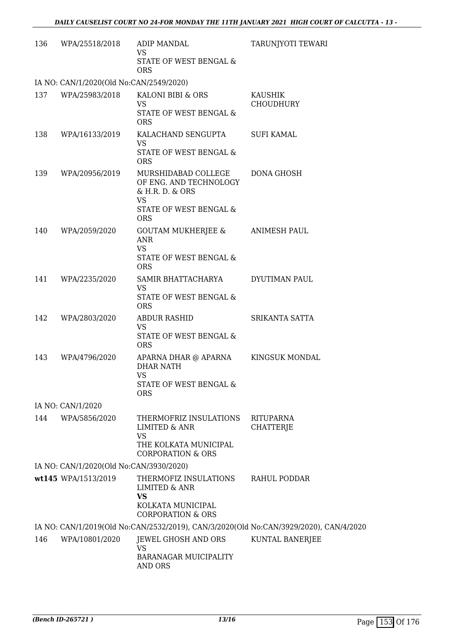| 136 | WPA/25518/2018                          | ADIP MANDAL<br>VS<br>STATE OF WEST BENGAL &<br><b>ORS</b>                                                             | TARUNJYOTI TEWARI                                                                     |
|-----|-----------------------------------------|-----------------------------------------------------------------------------------------------------------------------|---------------------------------------------------------------------------------------|
|     | IA NO: CAN/1/2020(Old No:CAN/2549/2020) |                                                                                                                       |                                                                                       |
| 137 | WPA/25983/2018                          | KALONI BIBI & ORS<br><b>VS</b><br>STATE OF WEST BENGAL &                                                              | KAUSHIK<br><b>CHOUDHURY</b>                                                           |
| 138 | WPA/16133/2019                          | <b>ORS</b><br>KALACHAND SENGUPTA<br><b>VS</b><br>STATE OF WEST BENGAL &<br><b>ORS</b>                                 | <b>SUFI KAMAL</b>                                                                     |
| 139 | WPA/20956/2019                          | MURSHIDABAD COLLEGE<br>OF ENG. AND TECHNOLOGY<br>& H.R. D. & ORS<br><b>VS</b><br>STATE OF WEST BENGAL &<br><b>ORS</b> | DONA GHOSH                                                                            |
| 140 | WPA/2059/2020                           | GOUTAM MUKHERJEE &<br><b>ANR</b><br><b>VS</b><br>STATE OF WEST BENGAL &<br><b>ORS</b>                                 | ANIMESH PAUL                                                                          |
| 141 | WPA/2235/2020                           | SAMIR BHATTACHARYA<br><b>VS</b><br>STATE OF WEST BENGAL &<br><b>ORS</b>                                               | DYUTIMAN PAUL                                                                         |
| 142 | WPA/2803/2020                           | <b>ABDUR RASHID</b><br>VS<br>STATE OF WEST BENGAL &<br><b>ORS</b>                                                     | SRIKANTA SATTA                                                                        |
| 143 | WPA/4796/2020                           | APARNA DHAR @ APARNA<br><b>DHAR NATH</b><br><b>VS</b><br>STATE OF WEST BENGAL &<br><b>ORS</b>                         | KINGSUK MONDAL                                                                        |
|     | IA NO: CAN/1/2020                       |                                                                                                                       |                                                                                       |
| 144 | WPA/5856/2020                           | THERMOFRIZ INSULATIONS<br>LIMITED & ANR<br><b>VS</b><br>THE KOLKATA MUNICIPAL<br><b>CORPORATION &amp; ORS</b>         | <b>RITUPARNA</b><br>CHATTERJE                                                         |
|     | IA NO: CAN/1/2020(Old No:CAN/3930/2020) |                                                                                                                       |                                                                                       |
|     | wt145 WPA/1513/2019                     | THERMOFIZ INSULATIONS<br>LIMITED & ANR<br><b>VS</b><br>KOLKATA MUNICIPAL<br><b>CORPORATION &amp; ORS</b>              | RAHUL PODDAR                                                                          |
|     |                                         |                                                                                                                       | IA NO: CAN/1/2019(Old No:CAN/2532/2019), CAN/3/2020(Old No:CAN/3929/2020), CAN/4/2020 |
| 146 | WPA/10801/2020                          | JEWEL GHOSH AND ORS<br><b>VS</b><br><b>BARANAGAR MUICIPALITY</b><br>AND ORS                                           | KUNTAL BANERJEE                                                                       |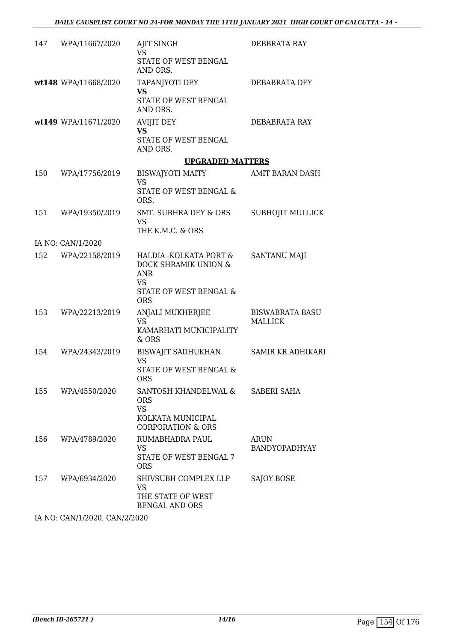| 147 | WPA/11667/2020       | AJIT SINGH<br><b>VS</b>                                      | DEBBRATA RAY             |
|-----|----------------------|--------------------------------------------------------------|--------------------------|
|     |                      | STATE OF WEST BENGAL<br>AND ORS.                             |                          |
|     | wt148 WPA/11668/2020 | TAPANJYOTI DEY<br>VS.                                        | DEBABRATA DEY            |
|     |                      | STATE OF WEST BENGAL<br>AND ORS.                             |                          |
|     | wt149 WPA/11671/2020 | <b>AVIJIT DEY</b><br><b>VS</b>                               | DEBABRATA RAY            |
|     |                      | STATE OF WEST BENGAL<br>AND ORS.                             |                          |
|     |                      | <b>UPGRADED MATTERS</b>                                      |                          |
| 150 | WPA/17756/2019       | <b>BISWAJYOTI MAITY</b><br><b>VS</b>                         | AMIT BARAN DASH          |
|     |                      | STATE OF WEST BENGAL &<br>ORS.                               |                          |
| 151 | WPA/19350/2019       | SMT. SUBHRA DEY & ORS<br><b>VS</b>                           | <b>SUBHOJIT MULLICK</b>  |
|     |                      | THE K.M.C. & ORS                                             |                          |
|     | IA NO: CAN/1/2020    |                                                              |                          |
| 152 | WPA/22158/2019       | HALDIA - KOLKATA PORT &<br>DOCK SHRAMIK UNION &<br>ANR<br>VS | <b>SANTANU MAJI</b>      |
|     |                      | STATE OF WEST BENGAL &<br><b>ORS</b>                         |                          |
| 153 | WPA/22213/2019       | ANJALI MUKHERJEE                                             | <b>BISWABRATA BASU</b>   |
|     |                      | <b>VS</b><br>KAMARHATI MUNICIPALITY<br>& ORS                 | MALLICK                  |
| 154 | WPA/24343/2019       | BISWAJIT SADHUKHAN<br>VS                                     | <b>SAMIR KR ADHIKARI</b> |
|     |                      | STATE OF WEST BENGAL &<br><b>ORS</b>                         |                          |
| 155 | WPA/4550/2020        | SANTOSH KHANDELWAL &<br><b>ORS</b><br><b>VS</b>              | SABERI SAHA              |
|     |                      | KOLKATA MUNICIPAL<br><b>CORPORATION &amp; ORS</b>            |                          |
| 156 | WPA/4789/2020        | RUMABHADRA PAUL                                              | ARUN                     |
|     |                      | VS<br><b>STATE OF WEST BENGAL 7</b><br><b>ORS</b>            | BANDYOPADHYAY            |
| 157 | WPA/6934/2020        | SHIVSUBH COMPLEX LLP<br>VS                                   | SAJOY BOSE               |
|     |                      | THE STATE OF WEST<br><b>BENGAL AND ORS</b>                   |                          |

IA NO: CAN/1/2020, CAN/2/2020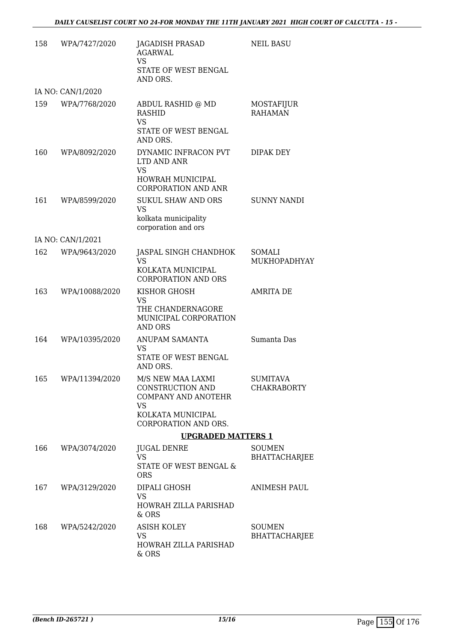| 158 | WPA/7427/2020      | <b>JAGADISH PRASAD</b><br>AGARWAL<br><b>VS</b><br>STATE OF WEST BENGAL                             | <b>NEIL BASU</b>                      |
|-----|--------------------|----------------------------------------------------------------------------------------------------|---------------------------------------|
|     | IA NO: CAN/1/2020  | AND ORS.                                                                                           |                                       |
| 159 | WPA/7768/2020      | ABDUL RASHID @ MD<br><b>RASHID</b><br><b>VS</b>                                                    | MOSTAFIJUR<br><b>RAHAMAN</b>          |
|     |                    | STATE OF WEST BENGAL<br>AND ORS.                                                                   |                                       |
| 160 | WPA/8092/2020      | DYNAMIC INFRACON PVT<br>LTD AND ANR<br><b>VS</b><br>HOWRAH MUNICIPAL<br><b>CORPORATION AND ANR</b> | DIPAK DEY                             |
| 161 | WPA/8599/2020      | <b>SUKUL SHAW AND ORS</b><br><b>VS</b>                                                             | <b>SUNNY NANDI</b>                    |
|     |                    | kolkata municipality<br>corporation and ors                                                        |                                       |
|     | IA NO: CAN/1/2021  |                                                                                                    |                                       |
| 162 | WPA/9643/2020      | JASPAL SINGH CHANDHOK<br>VS                                                                        | SOMALI<br>MUKHOPADHYAY                |
|     |                    | KOLKATA MUNICIPAL<br><b>CORPORATION AND ORS</b>                                                    |                                       |
| 163 | WPA/10088/2020     | KISHOR GHOSH<br><b>VS</b>                                                                          | <b>AMRITA DE</b>                      |
|     |                    | THE CHANDERNAGORE<br>MUNICIPAL CORPORATION<br>AND ORS                                              |                                       |
| 164 | WPA/10395/2020     | ANUPAM SAMANTA<br>VS<br>STATE OF WEST BENGAL<br>AND ORS.                                           | Sumanta Das                           |
|     | 165 WPA/11394/2020 | M/S NEW MAA LAXMI<br>CONSTRUCTION AND<br><b>COMPANY AND ANOTEHR</b><br>VS                          | <b>SUMITAVA</b><br><b>CHAKRABORTY</b> |
|     |                    | KOLKATA MUNICIPAL<br>CORPORATION AND ORS.                                                          |                                       |
|     |                    | <b>UPGRADED MATTERS 1</b>                                                                          |                                       |
| 166 | WPA/3074/2020      | <b>JUGAL DENRE</b><br><b>VS</b><br>STATE OF WEST BENGAL &<br><b>ORS</b>                            | <b>SOUMEN</b><br>BHATTACHARJEE        |
| 167 | WPA/3129/2020      | DIPALI GHOSH<br><b>VS</b><br>HOWRAH ZILLA PARISHAD<br>& ORS                                        | ANIMESH PAUL                          |
| 168 | WPA/5242/2020      | <b>ASISH KOLEY</b><br>VS<br>HOWRAH ZILLA PARISHAD<br>& ORS                                         | <b>SOUMEN</b><br>BHATTACHARJEE        |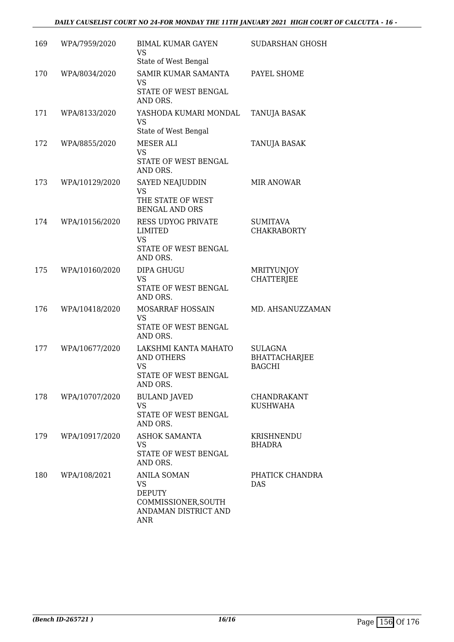| 169 | WPA/7959/2020  | <b>BIMAL KUMAR GAYEN</b><br>VS<br>State of West Bengal                                          | SUDARSHAN GHOSH                                         |
|-----|----------------|-------------------------------------------------------------------------------------------------|---------------------------------------------------------|
| 170 | WPA/8034/2020  | SAMIR KUMAR SAMANTA<br>VS<br>STATE OF WEST BENGAL<br>AND ORS.                                   | PAYEL SHOME                                             |
| 171 | WPA/8133/2020  | YASHODA KUMARI MONDAL<br><b>VS</b><br>State of West Bengal                                      | TANUJA BASAK                                            |
| 172 | WPA/8855/2020  | MESER ALI<br><b>VS</b><br>STATE OF WEST BENGAL<br>AND ORS.                                      | TANUJA BASAK                                            |
| 173 | WPA/10129/2020 | SAYED NEAJUDDIN<br><b>VS</b><br>THE STATE OF WEST<br><b>BENGAL AND ORS</b>                      | <b>MIR ANOWAR</b>                                       |
| 174 | WPA/10156/2020 | <b>RESS UDYOG PRIVATE</b><br><b>LIMITED</b><br><b>VS</b><br>STATE OF WEST BENGAL<br>AND ORS.    | <b>SUMITAVA</b><br><b>CHAKRABORTY</b>                   |
| 175 | WPA/10160/2020 | <b>DIPA GHUGU</b><br><b>VS</b><br>STATE OF WEST BENGAL<br>AND ORS.                              | <b>MRITYUNJOY</b><br><b>CHATTERJEE</b>                  |
| 176 | WPA/10418/2020 | MOSARRAF HOSSAIN<br>VS<br>STATE OF WEST BENGAL<br>AND ORS.                                      | MD. AHSANUZZAMAN                                        |
| 177 | WPA/10677/2020 | LAKSHMI KANTA MAHATO<br><b>AND OTHERS</b><br><b>VS</b><br>STATE OF WEST BENGAL<br>AND ORS.      | <b>SULAGNA</b><br><b>BHATTACHARJEE</b><br><b>BAGCHI</b> |
| 178 | WPA/10707/2020 | <b>BULAND JAVED</b><br><b>VS</b><br>STATE OF WEST BENGAL<br>AND ORS.                            | CHANDRAKANT<br><b>KUSHWAHA</b>                          |
| 179 | WPA/10917/2020 | <b>ASHOK SAMANTA</b><br>VS<br>STATE OF WEST BENGAL<br>AND ORS.                                  | KRISHNENDU<br><b>BHADRA</b>                             |
| 180 | WPA/108/2021   | ANILA SOMAN<br><b>VS</b><br><b>DEPUTY</b><br>COMMISSIONER, SOUTH<br>ANDAMAN DISTRICT AND<br>ANR | PHATICK CHANDRA<br><b>DAS</b>                           |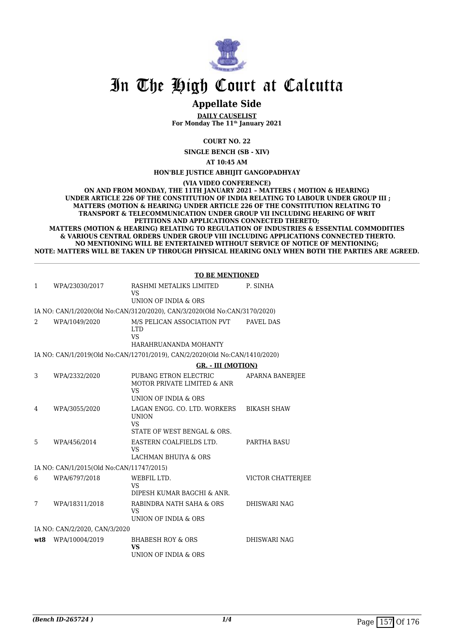

## **Appellate Side**

**DAILY CAUSELIST For Monday The 11th January 2021**

**COURT NO. 22**

**SINGLE BENCH (SB - XIV)**

**AT 10:45 AM**

**HON'BLE JUSTICE ABHIJIT GANGOPADHYAY**

**(VIA VIDEO CONFERENCE)**

**ON AND FROM MONDAY, THE 11TH JANUARY 2021 – MATTERS ( MOTION & HEARING) UNDER ARTICLE 226 OF THE CONSTITUTION OF INDIA RELATING TO LABOUR UNDER GROUP III ; MATTERS (MOTION & HEARING) UNDER ARTICLE 226 OF THE CONSTITUTION RELATING TO TRANSPORT & TELECOMMUNICATION UNDER GROUP VII INCLUDING HEARING OF WRIT PETITIONS AND APPLICATIONS CONNECTED THERETO;**

**MATTERS (MOTION & HEARING) RELATING TO REGULATION OF INDUSTRIES & ESSENTIAL COMMODITIES & VARIOUS CENTRAL ORDERS UNDER GROUP VIII INCLUDING APPLICATIONS CONNECTED THERTO. NO MENTIONING WILL BE ENTERTAINED WITHOUT SERVICE OF NOTICE OF MENTIONING; NOTE: MATTERS WILL BE TAKEN UP THROUGH PHYSICAL HEARING ONLY WHEN BOTH THE PARTIES ARE AGREED.**

|              |                                          | <b>TO BE MENTIONED</b>                                                                   |                          |
|--------------|------------------------------------------|------------------------------------------------------------------------------------------|--------------------------|
| $\mathbf{1}$ | WPA/23030/2017                           | RASHMI METALIKS LIMITED<br><b>VS</b>                                                     | P. SINHA                 |
|              |                                          | UNION OF INDIA & ORS                                                                     |                          |
|              |                                          | IA NO: CAN/1/2020(Old No:CAN/3120/2020), CAN/3/2020(Old No:CAN/3170/2020)                |                          |
| 2            | WPA/1049/2020                            | M/S PELICAN ASSOCIATION PVT<br><b>LTD</b><br><b>VS</b><br>HARAHRUANANDA MOHANTY          | PAVEL DAS                |
|              |                                          | IA NO: CAN/1/2019(Old No:CAN/12701/2019), CAN/2/2020(Old No:CAN/1410/2020)               |                          |
|              |                                          | <b>GR. - III (MOTION)</b>                                                                |                          |
| 3            | WPA/2332/2020                            | PUBANG ETRON ELECTRIC<br>MOTOR PRIVATE LIMITED & ANR<br>VS<br>UNION OF INDIA & ORS       | <b>APARNA BANERJEE</b>   |
| 4            | WPA/3055/2020                            | LAGAN ENGG. CO. LTD. WORKERS<br><b>UNION</b><br><b>VS</b><br>STATE OF WEST BENGAL & ORS. | <b>BIKASH SHAW</b>       |
| 5            | WPA/456/2014                             | EASTERN COALFIELDS LTD.<br><b>VS</b><br>LACHMAN BHUIYA & ORS                             | PARTHA BASU              |
|              | IA NO: CAN/1/2015(Old No:CAN/11747/2015) |                                                                                          |                          |
| 6            | WPA/6797/2018                            | WEBFIL LTD.<br><b>VS</b><br>DIPESH KUMAR BAGCHI & ANR.                                   | <b>VICTOR CHATTERIEE</b> |
| 7            | WPA/18311/2018                           | RABINDRA NATH SAHA & ORS<br>VS<br>UNION OF INDIA & ORS                                   | <b>DHISWARI NAG</b>      |
|              | IA NO: CAN/2/2020, CAN/3/2020            |                                                                                          |                          |
| wt.8         | WPA/10004/2019                           | <b>BHABESH ROY &amp; ORS</b><br>VS<br>UNION OF INDIA & ORS                               | <b>DHISWARI NAG</b>      |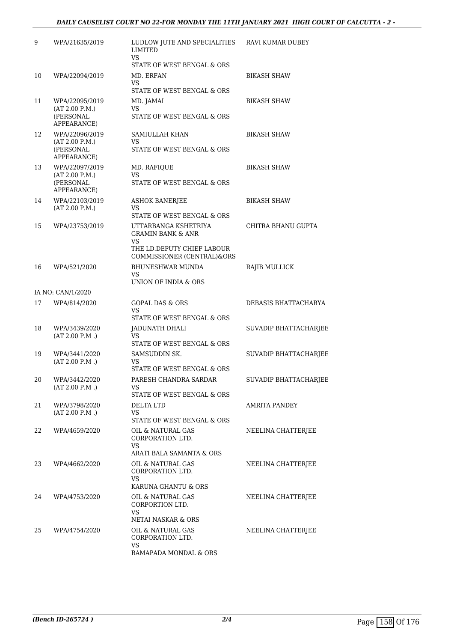| 9  | WPA/21635/2019                                               | LUDLOW JUTE AND SPECIALITIES<br><b>LIMITED</b><br><b>VS</b>                                     | RAVI KUMAR DUBEY      |
|----|--------------------------------------------------------------|-------------------------------------------------------------------------------------------------|-----------------------|
| 10 | WPA/22094/2019                                               | STATE OF WEST BENGAL & ORS<br>MD. ERFAN                                                         | <b>BIKASH SHAW</b>    |
|    |                                                              | VS.<br>STATE OF WEST BENGAL & ORS                                                               |                       |
| 11 | WPA/22095/2019<br>(AT 2.00 P.M.)<br>(PERSONAL<br>APPEARANCE) | MD. JAMAL<br>VS.<br>STATE OF WEST BENGAL & ORS                                                  | <b>BIKASH SHAW</b>    |
| 12 | WPA/22096/2019<br>(AT 2.00 P.M.)<br>(PERSONAL<br>APPEARANCE) | SAMIULLAH KHAN<br>VS.<br>STATE OF WEST BENGAL & ORS                                             | <b>BIKASH SHAW</b>    |
| 13 | WPA/22097/2019<br>(AT 2.00 P.M.)<br>(PERSONAL<br>APPEARANCE) | MD. RAFIQUE<br>VS<br>STATE OF WEST BENGAL & ORS                                                 | <b>BIKASH SHAW</b>    |
| 14 | WPA/22103/2019<br>(AT 2.00 P.M.)                             | <b>ASHOK BANERJEE</b><br>VS<br>STATE OF WEST BENGAL & ORS                                       | <b>BIKASH SHAW</b>    |
| 15 | WPA/23753/2019                                               | UTTARBANGA KSHETRIYA<br><b>GRAMIN BANK &amp; ANR</b><br><b>VS</b><br>THE LD.DEPUTY CHIEF LABOUR | CHITRA BHANU GUPTA    |
|    |                                                              | COMMISSIONER (CENTRAL)&ORS                                                                      |                       |
| 16 | WPA/521/2020                                                 | <b>BHUNESHWAR MUNDA</b><br>VS<br>UNION OF INDIA & ORS                                           | RAJIB MULLICK         |
|    | IA NO: CAN/1/2020                                            |                                                                                                 |                       |
| 17 | WPA/814/2020                                                 | <b>GOPAL DAS &amp; ORS</b><br>VS.<br>STATE OF WEST BENGAL & ORS                                 | DEBASIS BHATTACHARYA  |
| 18 | WPA/3439/2020<br>(AT 2.00 P.M.)                              | JADUNATH DHALI<br>VS<br>STATE OF WEST BENGAL & ORS                                              | SUVADIP BHATTACHARJEE |
| 19 | WPA/3441/2020<br>(AT 2.00 P.M.)                              | SAMSUDDIN SK.<br>VS.<br>STATE OF WEST BENGAL & ORS                                              | SUVADIP BHATTACHARJEE |
| 20 | WPA/3442/2020<br>(AT 2.00 P.M.)                              | PARESH CHANDRA SARDAR<br>VS.<br>STATE OF WEST BENGAL & ORS                                      | SUVADIP BHATTACHARJEE |
| 21 | WPA/3798/2020<br>(AT 2.00 P.M.)                              | <b>DELTA LTD</b><br>VS<br>STATE OF WEST BENGAL & ORS                                            | AMRITA PANDEY         |
| 22 | WPA/4659/2020                                                | OIL & NATURAL GAS<br>CORPORATION LTD.<br><b>VS</b><br>ARATI BALA SAMANTA & ORS                  | NEELINA CHATTERJEE    |
| 23 | WPA/4662/2020                                                | OIL & NATURAL GAS<br>CORPORATION LTD.<br><b>VS</b><br>KARUNA GHANTU & ORS                       | NEELINA CHATTERJEE    |
| 24 | WPA/4753/2020                                                | OIL & NATURAL GAS<br>CORPORTION LTD.<br><b>VS</b><br>NETAI NASKAR & ORS                         | NEELINA CHATTERJEE    |
| 25 | WPA/4754/2020                                                | OIL & NATURAL GAS<br>CORPORATION LTD.<br>VS<br>RAMAPADA MONDAL & ORS                            | NEELINA CHATTERJEE    |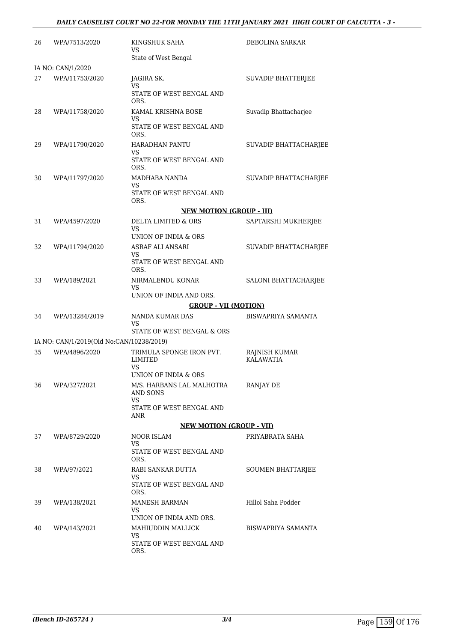| 26 | WPA/7513/2020                            | KINGSHUK SAHA<br>VS<br>State of West Bengal         | DEBOLINA SARKAR                   |
|----|------------------------------------------|-----------------------------------------------------|-----------------------------------|
|    | IA NO: CAN/1/2020                        |                                                     |                                   |
| 27 | WPA/11753/2020                           | JAGIRA SK.<br>VS<br>STATE OF WEST BENGAL AND        | SUVADIP BHATTERJEE                |
| 28 | WPA/11758/2020                           | ORS.<br>KAMAL KRISHNA BOSE                          | Suvadip Bhattacharjee             |
|    |                                          | VS<br>STATE OF WEST BENGAL AND<br>ORS.              |                                   |
| 29 | WPA/11790/2020                           | HARADHAN PANTU<br>VS<br>STATE OF WEST BENGAL AND    | SUVADIP BHATTACHARJEE             |
| 30 | WPA/11797/2020                           | ORS.<br>MADHABA NANDA<br>VS                         | SUVADIP BHATTACHARJEE             |
|    |                                          | STATE OF WEST BENGAL AND<br>ORS.                    |                                   |
|    |                                          | <b>NEW MOTION (GROUP - III)</b>                     |                                   |
| 31 | WPA/4597/2020                            | DELTA LIMITED & ORS<br>VS                           | SAPTARSHI MUKHERJEE               |
|    |                                          | UNION OF INDIA & ORS                                |                                   |
| 32 | WPA/11794/2020                           | ASRAF ALI ANSARI                                    | SUVADIP BHATTACHARJEE             |
|    |                                          | VS<br>STATE OF WEST BENGAL AND<br>ORS.              |                                   |
| 33 | WPA/189/2021                             | NIRMALENDU KONAR<br>VS<br>UNION OF INDIA AND ORS.   | SALONI BHATTACHARJEE              |
|    |                                          | <b>GROUP - VII (MOTION)</b>                         |                                   |
| 34 | WPA/13284/2019                           | NANDA KUMAR DAS<br>VS                               | BISWAPRIYA SAMANTA                |
|    |                                          | STATE OF WEST BENGAL & ORS                          |                                   |
|    | IA NO: CAN/1/2019(Old No:CAN/10238/2019) |                                                     |                                   |
| 35 | WPA/4896/2020                            | TRIMULA SPONGE IRON PVT.<br><b>LIMITED</b><br>VS    | RAJNISH KUMAR<br><b>KALAWATIA</b> |
|    |                                          | UNION OF INDIA & ORS                                |                                   |
| 36 | WPA/327/2021                             | M/S. HARBANS LAL MALHOTRA<br>AND SONS<br>VS         | RANJAY DE                         |
|    |                                          | STATE OF WEST BENGAL AND<br>ANR                     |                                   |
|    |                                          | <b>NEW MOTION (GROUP - VII)</b>                     |                                   |
| 37 | WPA/8729/2020                            | NOOR ISLAM<br>VS                                    | PRIYABRATA SAHA                   |
|    |                                          | STATE OF WEST BENGAL AND<br>ORS.                    |                                   |
| 38 | WPA/97/2021                              | RABI SANKAR DUTTA<br>VS                             | <b>SOUMEN BHATTARJEE</b>          |
|    |                                          | STATE OF WEST BENGAL AND<br>ORS.                    |                                   |
| 39 | WPA/138/2021                             | MANESH BARMAN<br>VS                                 | Hillol Saha Podder                |
|    |                                          | UNION OF INDIA AND ORS.                             |                                   |
| 40 | WPA/143/2021                             | MAHIUDDIN MALLICK<br>VS<br>STATE OF WEST BENGAL AND | BISWAPRIYA SAMANTA                |
|    |                                          | ORS.                                                |                                   |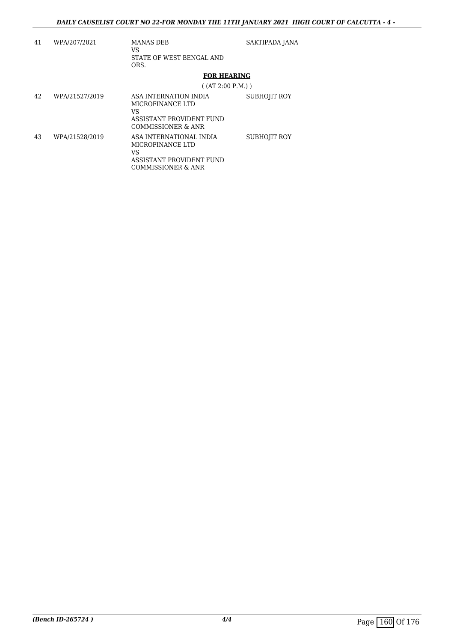| 41 | WPA/207/2021   | MANAS DEB<br>VS<br>STATE OF WEST BENGAL AND<br>ORS.                                                 | SAKTIPADA JANA      |
|----|----------------|-----------------------------------------------------------------------------------------------------|---------------------|
|    |                | <b>FOR HEARING</b>                                                                                  |                     |
|    |                | $($ (AT 2:00 P.M.))                                                                                 |                     |
| 42 | WPA/21527/2019 | ASA INTERNATION INDIA<br>MICROFINANCE LTD<br>VS<br>ASSISTANT PROVIDENT FUND<br>COMMISSIONER & ANR   | <b>SUBHOJIT ROY</b> |
| 43 | WPA/21528/2019 | ASA INTERNATIONAL INDIA<br>MICROFINANCE LTD<br>VS<br>ASSISTANT PROVIDENT FUND<br>COMMISSIONER & ANR | <b>SUBHOJIT ROY</b> |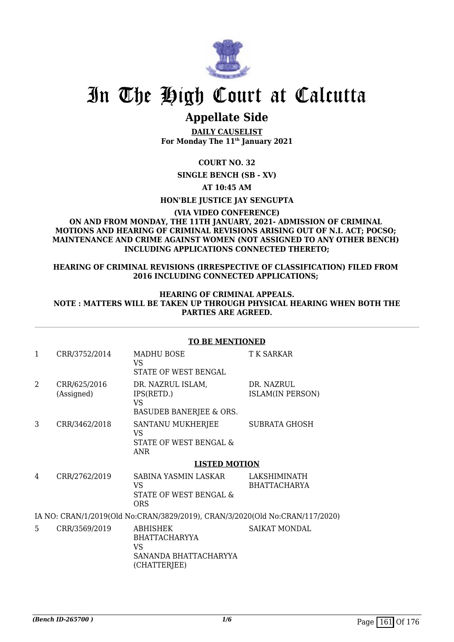

## **Appellate Side**

**DAILY CAUSELIST For Monday The 11th January 2021**

**COURT NO. 32**

**SINGLE BENCH (SB - XV)**

**AT 10:45 AM**

**HON'BLE JUSTICE JAY SENGUPTA**

**(VIA VIDEO CONFERENCE)**

### **ON AND FROM MONDAY, THE 11TH JANUARY, 2021- ADMISSION OF CRIMINAL MOTIONS AND HEARING OF CRIMINAL REVISIONS ARISING OUT OF N.I. ACT; POCSO; MAINTENANCE AND CRIME AGAINST WOMEN (NOT ASSIGNED TO ANY OTHER BENCH) INCLUDING APPLICATIONS CONNECTED THERETO;**

### **HEARING OF CRIMINAL REVISIONS (IRRESPECTIVE OF CLASSIFICATION) FILED FROM 2016 INCLUDING CONNECTED APPLICATIONS;**

### **HEARING OF CRIMINAL APPEALS. NOTE : MATTERS WILL BE TAKEN UP THROUGH PHYSICAL HEARING WHEN BOTH THE PARTIES ARE AGREED.**

|                |                            | TO BE MENTIONED                                                              |                                     |
|----------------|----------------------------|------------------------------------------------------------------------------|-------------------------------------|
| $\mathbf{1}$   | CRR/3752/2014              | MADHU BOSE<br>VS.<br>STATE OF WEST BENGAL                                    | T K SARKAR                          |
| $\overline{2}$ | CRR/625/2016<br>(Assigned) | DR. NAZRUL ISLAM,<br>IPS(RETD.)<br>VS<br>BASUDEB BANERJEE & ORS.             | DR. NAZRUL<br>ISLAM(IN PERSON)      |
| 3              | CRR/3462/2018              | SANTANU MUKHERJEE<br>VS.<br>STATE OF WEST BENGAL &<br>ANR                    | <b>SUBRATA GHOSH</b>                |
|                |                            | <b>LISTED MOTION</b>                                                         |                                     |
| 4              | CRR/2762/2019              | SABINA YASMIN LASKAR<br>VS.<br>STATE OF WEST BENGAL &<br><b>ORS</b>          | LAKSHIMINATH<br><b>BHATTACHARYA</b> |
|                |                            | IA NO: CRAN/1/2019(Old No:CRAN/3829/2019), CRAN/3/2020(Old No:CRAN/117/2020) |                                     |
| 5              | CRR/3569/2019              | <b>ABHISHEK</b><br><b>BHATTACHARYYA</b>                                      | SAIKAT MONDAL                       |

SANANDA BHATTACHARYYA

VS

(CHATTERJEE)

### **TO BE MENTIONED**

*(Bench ID-265700)* 1/6 Page 161 Of 176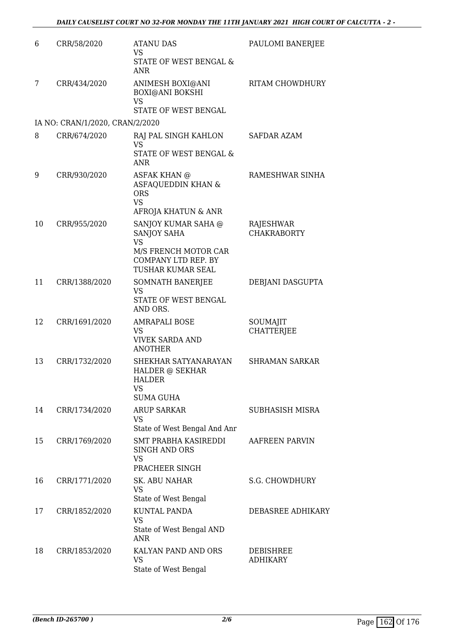| 6  | CRR/58/2020                     | <b>ATANU DAS</b><br><b>VS</b>                                                                       | PAULOMI BANERJEE                    |
|----|---------------------------------|-----------------------------------------------------------------------------------------------------|-------------------------------------|
|    |                                 | STATE OF WEST BENGAL &<br><b>ANR</b>                                                                |                                     |
| 7  | CRR/434/2020                    | ANIMESH BOXI@ANI<br><b>BOXI@ANI BOKSHI</b><br><b>VS</b>                                             | RITAM CHOWDHURY                     |
|    |                                 | STATE OF WEST BENGAL                                                                                |                                     |
|    | IA NO: CRAN/1/2020, CRAN/2/2020 |                                                                                                     |                                     |
| 8  | CRR/674/2020                    | RAJ PAL SINGH KAHLON<br>VS.<br>STATE OF WEST BENGAL &<br><b>ANR</b>                                 | SAFDAR AZAM                         |
| 9  | CRR/930/2020                    | <b>ASFAK KHAN @</b><br>ASFAQUEDDIN KHAN &<br><b>ORS</b><br><b>VS</b><br>AFROJA KHATUN & ANR         | RAMESHWAR SINHA                     |
| 10 | CRR/955/2020                    | SANJOY KUMAR SAHA @                                                                                 | RAJESHWAR                           |
|    |                                 | <b>SANJOY SAHA</b><br><b>VS</b><br>M/S FRENCH MOTOR CAR<br>COMPANY LTD REP. BY<br>TUSHAR KUMAR SEAL | <b>CHAKRABORTY</b>                  |
| 11 | CRR/1388/2020                   | SOMNATH BANERJEE                                                                                    | DEBJANI DASGUPTA                    |
|    |                                 | <b>VS</b><br>STATE OF WEST BENGAL<br>AND ORS.                                                       |                                     |
| 12 | CRR/1691/2020                   | <b>AMRAPALI BOSE</b><br><b>VS</b><br><b>VIVEK SARDA AND</b><br><b>ANOTHER</b>                       | SOUMAJIT<br><b>CHATTERJEE</b>       |
| 13 | CRR/1732/2020                   | SHEKHAR SATYANARAYAN<br><b>HALDER @ SEKHAR</b><br><b>HALDER</b><br><b>VS</b><br><b>SUMA GUHA</b>    | <b>SHRAMAN SARKAR</b>               |
| 14 | CRR/1734/2020                   | <b>ARUP SARKAR</b><br><b>VS</b><br>State of West Bengal And Anr                                     | <b>SUBHASISH MISRA</b>              |
| 15 | CRR/1769/2020                   | <b>SMT PRABHA KASIREDDI</b><br><b>SINGH AND ORS</b><br><b>VS</b><br>PRACHEER SINGH                  | AAFREEN PARVIN                      |
| 16 | CRR/1771/2020                   | SK. ABU NAHAR<br><b>VS</b><br>State of West Bengal                                                  | <b>S.G. CHOWDHURY</b>               |
| 17 | CRR/1852/2020                   | KUNTAL PANDA<br><b>VS</b><br>State of West Bengal AND<br><b>ANR</b>                                 | DEBASREE ADHIKARY                   |
| 18 | CRR/1853/2020                   | KALYAN PAND AND ORS<br><b>VS</b><br>State of West Bengal                                            | <b>DEBISHREE</b><br><b>ADHIKARY</b> |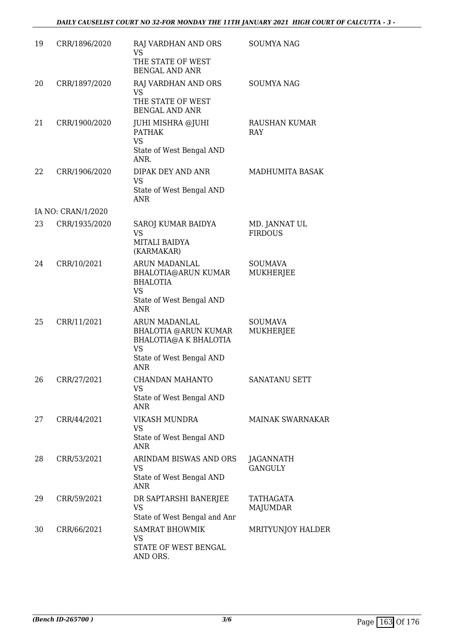| 19 | CRR/1896/2020      | RAJ VARDHAN AND ORS<br><b>VS</b><br>THE STATE OF WEST<br><b>BENGAL AND ANR</b>                                               | <b>SOUMYA NAG</b>               |
|----|--------------------|------------------------------------------------------------------------------------------------------------------------------|---------------------------------|
| 20 | CRR/1897/2020      | RAJ VARDHAN AND ORS<br><b>VS</b><br>THE STATE OF WEST<br><b>BENGAL AND ANR</b>                                               | <b>SOUMYA NAG</b>               |
| 21 | CRR/1900/2020      | JUHI MISHRA @JUHI<br><b>PATHAK</b><br><b>VS</b><br>State of West Bengal AND<br>ANR.                                          | RAUSHAN KUMAR<br><b>RAY</b>     |
| 22 | CRR/1906/2020      | DIPAK DEY AND ANR<br>VS<br>State of West Bengal AND<br><b>ANR</b>                                                            | <b>MADHUMITA BASAK</b>          |
|    | IA NO: CRAN/1/2020 |                                                                                                                              |                                 |
| 23 | CRR/1935/2020      | SAROJ KUMAR BAIDYA<br><b>VS</b><br>MITALI BAIDYA<br>(KARMAKAR)                                                               | MD. JANNAT UL<br><b>FIRDOUS</b> |
| 24 | CRR/10/2021        | ARUN MADANLAL<br>BHALOTIA@ARUN KUMAR<br><b>BHALOTIA</b><br><b>VS</b><br>State of West Bengal AND<br><b>ANR</b>               | <b>SOUMAVA</b><br>MUKHERJEE     |
| 25 | CRR/11/2021        | ARUN MADANLAL<br>BHALOTIA @ARUN KUMAR<br><b>BHALOTIA@A K BHALOTIA</b><br><b>VS</b><br>State of West Bengal AND<br><b>ANR</b> | <b>SOUMAVA</b><br>MUKHERJEE     |
| 26 | CRR/27/2021        | <b>CHANDAN MAHANTO</b><br><b>VS</b><br>State of West Bengal AND<br><b>ANR</b>                                                | <b>SANATANU SETT</b>            |
| 27 | CRR/44/2021        | <b>VIKASH MUNDRA</b><br><b>VS</b><br>State of West Bengal AND<br><b>ANR</b>                                                  | MAINAK SWARNAKAR                |
| 28 | CRR/53/2021        | ARINDAM BISWAS AND ORS<br><b>VS</b><br>State of West Bengal AND<br>ANR                                                       | JAGANNATH<br><b>GANGULY</b>     |
| 29 | CRR/59/2021        | DR SAPTARSHI BANERJEE<br><b>VS</b><br>State of West Bengal and Anr                                                           | TATHAGATA<br>MAJUMDAR           |
| 30 | CRR/66/2021        | <b>SAMRAT BHOWMIK</b><br><b>VS</b><br>STATE OF WEST BENGAL<br>AND ORS.                                                       | MRITYUNJOY HALDER               |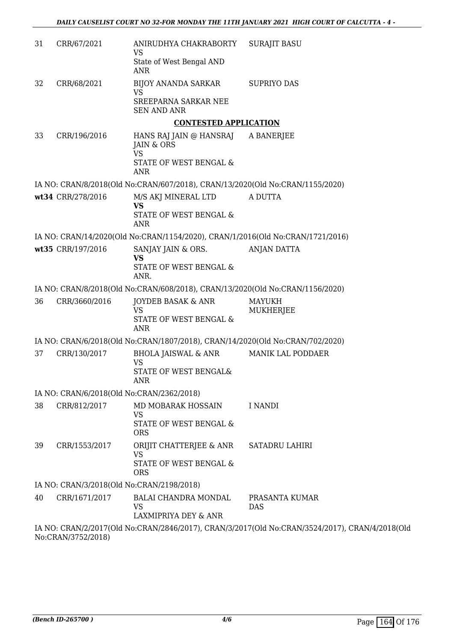| 31 | CRR/67/2021       | ANIRUDHYA CHAKRABORTY<br>VS                                                                   | <b>SURAJIT BASU</b>                                                                            |
|----|-------------------|-----------------------------------------------------------------------------------------------|------------------------------------------------------------------------------------------------|
|    |                   | State of West Bengal AND<br><b>ANR</b>                                                        |                                                                                                |
| 32 | CRR/68/2021       | BIJOY ANANDA SARKAR<br><b>VS</b>                                                              | <b>SUPRIYO DAS</b>                                                                             |
|    |                   | SREEPARNA SARKAR NEE<br><b>SEN AND ANR</b>                                                    |                                                                                                |
|    |                   | <b>CONTESTED APPLICATION</b>                                                                  |                                                                                                |
| 33 | CRR/196/2016      | HANS RAJ JAIN @ HANSRAJ<br>JAIN & ORS<br><b>VS</b>                                            | A BANERJEE                                                                                     |
|    |                   | STATE OF WEST BENGAL &<br><b>ANR</b>                                                          |                                                                                                |
|    |                   | IA NO: CRAN/8/2018(Old No:CRAN/607/2018), CRAN/13/2020(Old No:CRAN/1155/2020)                 |                                                                                                |
|    | wt34 CRR/278/2016 | M/S AKJ MINERAL LTD                                                                           | A DUTTA                                                                                        |
|    |                   | <b>VS</b><br>STATE OF WEST BENGAL &<br><b>ANR</b>                                             |                                                                                                |
|    |                   | IA NO: CRAN/14/2020(Old No:CRAN/1154/2020), CRAN/1/2016(Old No:CRAN/1721/2016)                |                                                                                                |
|    | wt35 CRR/197/2016 | SANJAY JAIN & ORS.                                                                            | <b>ANJAN DATTA</b>                                                                             |
|    |                   | <b>VS</b><br>STATE OF WEST BENGAL &<br>ANR.                                                   |                                                                                                |
|    |                   | IA NO: CRAN/8/2018(Old No:CRAN/608/2018), CRAN/13/2020(Old No:CRAN/1156/2020)                 |                                                                                                |
| 36 | CRR/3660/2016     | <b>JOYDEB BASAK &amp; ANR</b><br><b>VS</b><br>STATE OF WEST BENGAL &                          | MAYUKH<br>MUKHERJEE                                                                            |
|    |                   | <b>ANR</b>                                                                                    |                                                                                                |
|    |                   | IA NO: CRAN/6/2018(Old No:CRAN/1807/2018), CRAN/14/2020(Old No:CRAN/702/2020)                 |                                                                                                |
| 37 | CRR/130/2017      | <b>BHOLA JAISWAL &amp; ANR</b><br><b>VS</b><br><b>STATE OF WEST BENGAL&amp;</b><br><b>ANR</b> | MANIK LAL PODDAER                                                                              |
|    |                   | IA NO: CRAN/6/2018(Old No:CRAN/2362/2018)                                                     |                                                                                                |
| 38 | CRR/812/2017      | MD MOBARAK HOSSAIN<br><b>VS</b><br>STATE OF WEST BENGAL &<br><b>ORS</b>                       | <b>I NANDI</b>                                                                                 |
| 39 | CRR/1553/2017     | ORIJIT CHATTERJEE & ANR<br><b>VS</b><br>STATE OF WEST BENGAL &<br><b>ORS</b>                  | <b>SATADRU LAHIRI</b>                                                                          |
|    |                   | IA NO: CRAN/3/2018(Old No:CRAN/2198/2018)                                                     |                                                                                                |
| 40 | CRR/1671/2017     | BALAI CHANDRA MONDAL                                                                          | PRASANTA KUMAR                                                                                 |
|    |                   | <b>VS</b><br>LAXMIPRIYA DEY & ANR                                                             | DAS                                                                                            |
|    |                   |                                                                                               | IA NO: CRAN/2/2017(Old No:CRAN/2846/2017), CRAN/3/2017(Old No:CRAN/3524/2017), CRAN/4/2018(Old |

No:CRAN/3752/2018)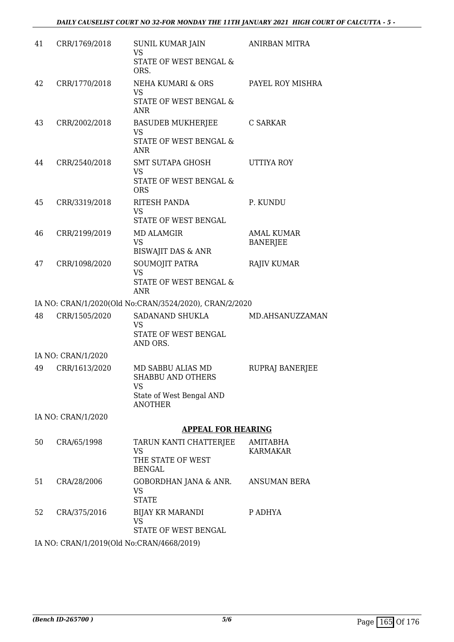| 41 | CRR/1769/2018      | SUNIL KUMAR JAIN<br><b>VS</b><br>STATE OF WEST BENGAL &<br>ORS.                                          | <b>ANIRBAN MITRA</b>                 |
|----|--------------------|----------------------------------------------------------------------------------------------------------|--------------------------------------|
| 42 | CRR/1770/2018      | NEHA KUMARI & ORS<br><b>VS</b><br>STATE OF WEST BENGAL &<br><b>ANR</b>                                   | PAYEL ROY MISHRA                     |
| 43 | CRR/2002/2018      | <b>BASUDEB MUKHERJEE</b><br><b>VS</b><br>STATE OF WEST BENGAL &<br><b>ANR</b>                            | C SARKAR                             |
| 44 | CRR/2540/2018      | SMT SUTAPA GHOSH<br>VS<br>STATE OF WEST BENGAL &<br><b>ORS</b>                                           | UTTIYA ROY                           |
| 45 | CRR/3319/2018      | RITESH PANDA<br><b>VS</b><br>STATE OF WEST BENGAL                                                        | P. KUNDU                             |
| 46 | CRR/2199/2019      | <b>MD ALAMGIR</b><br><b>VS</b><br><b>BISWAJIT DAS &amp; ANR</b>                                          | <b>AMAL KUMAR</b><br><b>BANERJEE</b> |
| 47 | CRR/1098/2020      | SOUMOJIT PATRA<br><b>VS</b><br>STATE OF WEST BENGAL &<br>ANR                                             | <b>RAJIV KUMAR</b>                   |
|    |                    | IA NO: CRAN/1/2020(Old No:CRAN/3524/2020), CRAN/2/2020                                                   |                                      |
| 48 | CRR/1505/2020      | SADANAND SHUKLA<br>VS<br>STATE OF WEST BENGAL<br>AND ORS.                                                | MD.AHSANUZZAMAN                      |
|    | IA NO: CRAN/1/2020 |                                                                                                          |                                      |
| 49 | CRR/1613/2020      | MD SABBU ALIAS MD<br><b>SHABBU AND OTHERS</b><br><b>VS</b><br>State of West Bengal AND<br><b>ANOTHER</b> | RUPRAJ BANERJEE                      |
|    | IA NO: CRAN/1/2020 |                                                                                                          |                                      |
|    |                    | <b>APPEAL FOR HEARING</b>                                                                                |                                      |
| 50 | CRA/65/1998        | TARUN KANTI CHATTERJEE<br>VS<br>THE STATE OF WEST<br><b>BENGAL</b>                                       | AMITABHA<br>KARMAKAR                 |
| 51 | CRA/28/2006        | GOBORDHAN JANA & ANR.<br><b>VS</b><br><b>STATE</b>                                                       | <b>ANSUMAN BERA</b>                  |
| 52 | CRA/375/2016       | <b>BIJAY KR MARANDI</b><br><b>VS</b><br>STATE OF WEST BENGAL                                             | P ADHYA                              |
|    |                    |                                                                                                          |                                      |

IA NO: CRAN/1/2019(Old No:CRAN/4668/2019)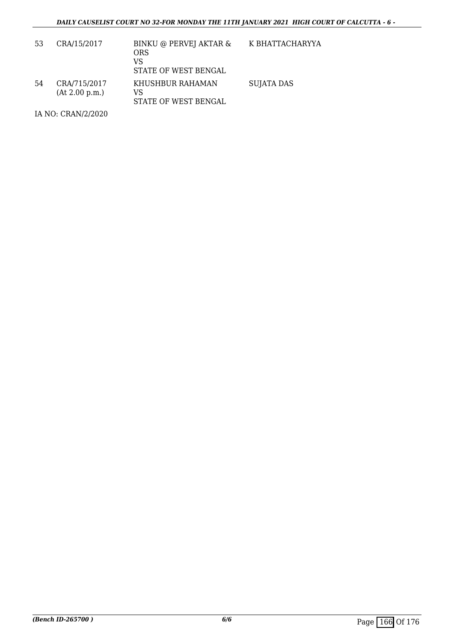| 53 | CRA/15/2017                    | BINKU @ PERVEJ AKTAR &<br><b>ORS</b><br>VS<br>STATE OF WEST BENGAL | K BHATTACHARYYA   |
|----|--------------------------------|--------------------------------------------------------------------|-------------------|
| 54 | CRA/715/2017<br>(At 2.00 p.m.) | KHUSHBUR RAHAMAN<br>VS<br>STATE OF WEST BENGAL                     | <b>SUJATA DAS</b> |

IA NO: CRAN/2/2020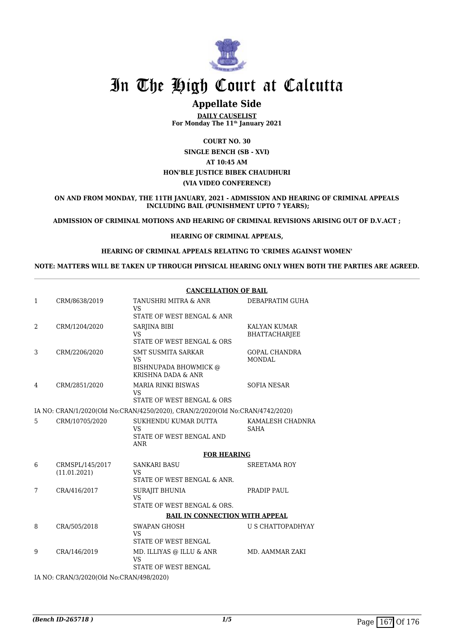

## **Appellate Side**

**DAILY CAUSELIST For Monday The 11th January 2021**

**COURT NO. 30**

### **SINGLE BENCH (SB - XVI) AT 10:45 AM HON'BLE JUSTICE BIBEK CHAUDHURI (VIA VIDEO CONFERENCE)**

**ON AND FROM MONDAY, THE 11TH JANUARY, 2021 - ADMISSION AND HEARING OF CRIMINAL APPEALS INCLUDING BAIL (PUNISHMENT UPTO 7 YEARS);**

**ADMISSION OF CRIMINAL MOTIONS AND HEARING OF CRIMINAL REVISIONS ARISING OUT OF D.V.ACT ;**

### **HEARING OF CRIMINAL APPEALS,**

### **HEARING OF CRIMINAL APPEALS RELATING TO 'CRIMES AGAINST WOMEN'**

**NOTE: MATTERS WILL BE TAKEN UP THROUGH PHYSICAL HEARING ONLY WHEN BOTH THE PARTIES ARE AGREED.**

|                |                                          | <b>CANCELLATION OF BAIL</b>                                                           |                                       |  |
|----------------|------------------------------------------|---------------------------------------------------------------------------------------|---------------------------------------|--|
| $\mathbf{1}$   | CRM/8638/2019                            | TANUSHRI MITRA & ANR<br><b>VS</b>                                                     | DEBAPRATIM GUHA                       |  |
|                |                                          | STATE OF WEST BENGAL & ANR                                                            |                                       |  |
| $\overline{2}$ | CRM/1204/2020                            | SARJINA BIBI<br><b>VS</b><br>STATE OF WEST BENGAL & ORS                               | KALYAN KUMAR<br>BHATTACHARJEE         |  |
| 3              | CRM/2206/2020                            | <b>SMT SUSMITA SARKAR</b><br><b>VS</b><br>BISHNUPADA BHOWMICK @<br>KRISHNA DADA & ANR | <b>GOPAL CHANDRA</b><br><b>MONDAL</b> |  |
| 4              | CRM/2851/2020                            | <b>MARIA RINKI BISWAS</b><br><b>VS</b><br>STATE OF WEST BENGAL & ORS                  | <b>SOFIA NESAR</b>                    |  |
|                |                                          | IA NO: CRAN/1/2020(Old No:CRAN/4250/2020), CRAN/2/2020(Old No:CRAN/4742/2020)         |                                       |  |
| 5              | CRM/10705/2020                           | SUKHENDU KUMAR DUTTA<br><b>VS</b><br>STATE OF WEST BENGAL AND<br>ANR                  | KAMALESH CHADNRA<br><b>SAHA</b>       |  |
|                |                                          | <b>FOR HEARING</b>                                                                    |                                       |  |
| 6              | CRMSPL/145/2017<br>(11.01.2021)          | <b>SANKARI BASU</b><br><b>VS</b><br>STATE OF WEST BENGAL & ANR.                       | <b>SREETAMA ROY</b>                   |  |
| 7              | CRA/416/2017                             | <b>SURAJIT BHUNIA</b><br><b>VS</b><br>STATE OF WEST BENGAL & ORS.                     | PRADIP PAUL                           |  |
|                |                                          | <b>BAIL IN CONNECTION WITH APPEAL</b>                                                 |                                       |  |
| 8              | CRA/505/2018                             | <b>SWAPAN GHOSH</b><br><b>VS</b><br>STATE OF WEST BENGAL                              | U S CHATTOPADHYAY                     |  |
| 9              | CRA/146/2019                             | MD. ILLIYAS @ ILLU & ANR<br><b>VS</b><br>STATE OF WEST BENGAL                         | MD. AAMMAR ZAKI                       |  |
|                | IA NO: CRAN/3/2020(Old No:CRAN/498/2020) |                                                                                       |                                       |  |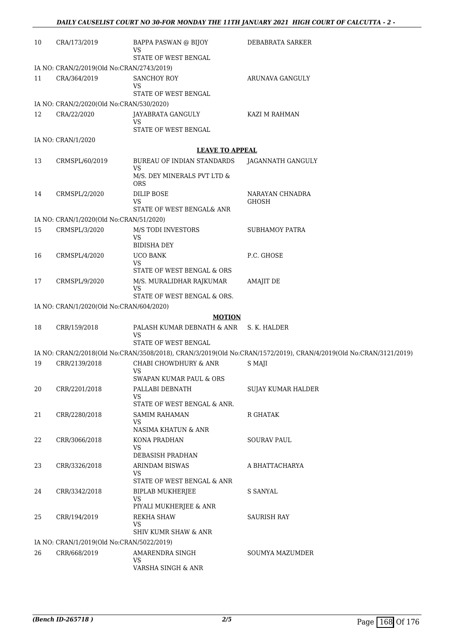| 10 | CRA/173/2019                              | <b>BAPPA PASWAN @ BIJOY</b><br>VS                      | DEBABRATA SARKER                                                                                                  |
|----|-------------------------------------------|--------------------------------------------------------|-------------------------------------------------------------------------------------------------------------------|
|    |                                           | STATE OF WEST BENGAL                                   |                                                                                                                   |
|    | IA NO: CRAN/2/2019(Old No:CRAN/2743/2019) | <b>SANCHOY ROY</b>                                     |                                                                                                                   |
| 11 | CRA/364/2019                              | VS<br>STATE OF WEST BENGAL                             | ARUNAVA GANGULY                                                                                                   |
|    | IA NO: CRAN/2/2020(Old No:CRAN/530/2020)  |                                                        |                                                                                                                   |
| 12 | CRA/22/2020                               | JAYABRATA GANGULY<br>VS<br>STATE OF WEST BENGAL        | KAZI M RAHMAN                                                                                                     |
|    | IA NO: CRAN/1/2020                        |                                                        |                                                                                                                   |
|    |                                           | <b>LEAVE TO APPEAL</b>                                 |                                                                                                                   |
| 13 | CRMSPL/60/2019                            | BUREAU OF INDIAN STANDARDS                             | JAGANNATH GANGULY                                                                                                 |
|    |                                           | <b>VS</b><br>M/S. DEY MINERALS PVT LTD &<br><b>ORS</b> |                                                                                                                   |
| 14 | CRMSPL/2/2020                             | <b>DILIP BOSE</b>                                      | NARAYAN CHNADRA                                                                                                   |
|    |                                           | VS                                                     | <b>GHOSH</b>                                                                                                      |
|    |                                           | STATE OF WEST BENGAL& ANR                              |                                                                                                                   |
|    | IA NO: CRAN/1/2020(Old No:CRAN/51/2020)   |                                                        |                                                                                                                   |
| 15 | CRMSPL/3/2020                             | M/S TODI INVESTORS<br>VS                               | <b>SUBHAMOY PATRA</b>                                                                                             |
|    |                                           | <b>BIDISHA DEY</b>                                     |                                                                                                                   |
| 16 | CRMSPL/4/2020                             | <b>UCO BANK</b><br>VS<br>STATE OF WEST BENGAL & ORS    | P.C. GHOSE                                                                                                        |
| 17 | CRMSPL/9/2020                             | M/S. MURALIDHAR RAJKUMAR<br>VS                         | <b>AMAJIT DE</b>                                                                                                  |
|    |                                           | STATE OF WEST BENGAL & ORS.                            |                                                                                                                   |
|    | IA NO: CRAN/1/2020(Old No:CRAN/604/2020)  |                                                        |                                                                                                                   |
| 18 | CRR/159/2018                              | <b>MOTION</b><br>PALASH KUMAR DEBNATH & ANR            | S. K. HALDER                                                                                                      |
|    |                                           | VS<br>STATE OF WEST BENGAL                             |                                                                                                                   |
|    |                                           |                                                        | IA NO: CRAN/2/2018(Old No:CRAN/3508/2018), CRAN/3/2019(Old No:CRAN/1572/2019), CRAN/4/2019(Old No:CRAN/3121/2019) |
| 19 | CRR/2139/2018                             | CHABI CHOWDHURY & ANR<br>VS                            | S MAJI                                                                                                            |
| 20 | CRR/2201/2018                             | SWAPAN KUMAR PAUL & ORS                                |                                                                                                                   |
|    |                                           | PALLABI DEBNATH<br>VS<br>STATE OF WEST BENGAL & ANR.   | SUJAY KUMAR HALDER                                                                                                |
| 21 | CRR/2280/2018                             | <b>SAMIM RAHAMAN</b>                                   | R GHATAK                                                                                                          |
|    |                                           | VS<br>NASIMA KHATUN & ANR                              |                                                                                                                   |
| 22 | CRR/3066/2018                             | KONA PRADHAN                                           | <b>SOURAV PAUL</b>                                                                                                |
|    |                                           | VS                                                     |                                                                                                                   |
|    |                                           | DEBASISH PRADHAN                                       |                                                                                                                   |
| 23 | CRR/3326/2018                             | ARINDAM BISWAS<br>VS<br>STATE OF WEST BENGAL & ANR     | A BHATTACHARYA                                                                                                    |
| 24 | CRR/3342/2018                             | BIPLAB MUKHERJEE                                       | S SANYAL                                                                                                          |
|    |                                           | VS<br>PIYALI MUKHERJEE & ANR                           |                                                                                                                   |
| 25 | CRR/194/2019                              | REKHA SHAW<br>VS<br><b>SHIV KUMR SHAW &amp; ANR</b>    | SAURISH RAY                                                                                                       |
|    | IA NO: CRAN/1/2019(Old No:CRAN/5022/2019) |                                                        |                                                                                                                   |
| 26 | CRR/668/2019                              | AMARENDRA SINGH                                        | SOUMYA MAZUMDER                                                                                                   |
|    |                                           | VS<br>VARSHA SINGH & ANR                               |                                                                                                                   |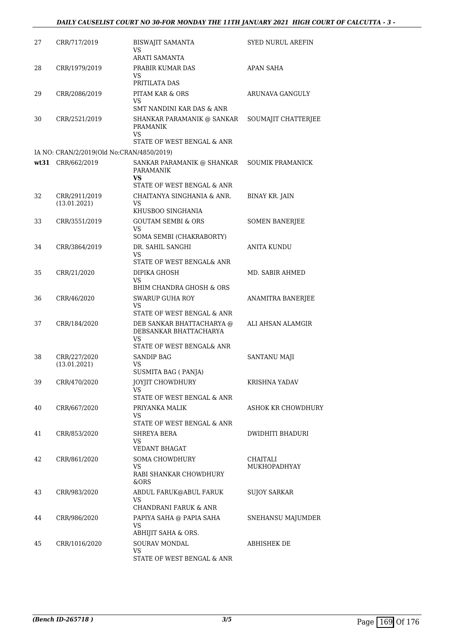| 27<br>BISWAJIT SAMANTA<br>CRR/717/2019<br><b>SYED NURUL AREFIN</b><br>VS<br>ARATI SAMANTA<br><b>APAN SAHA</b><br>28<br>CRR/1979/2019<br>PRABIR KUMAR DAS<br>VS.<br>PRITILATA DAS<br>29<br>CRR/2086/2019<br>PITAM KAR & ORS<br>ARUNAVA GANGULY<br>VS<br>SMT NANDINI KAR DAS & ANR<br>30<br>CRR/2521/2019<br>SHANKAR PARAMANIK @ SANKAR<br>SOUMAJIT CHATTERJEE<br><b>PRAMANIK</b><br>VS<br>STATE OF WEST BENGAL & ANR<br>IA NO: CRAN/2/2019(Old No:CRAN/4850/2019)<br>wt31 CRR/662/2019<br><b>SOUMIK PRAMANICK</b><br>SANKAR PARAMANIK @ SHANKAR<br><b>PARAMANIK</b><br>VS.<br>STATE OF WEST BENGAL & ANR<br>32<br>CRR/2911/2019<br>CHAITANYA SINGHANIA & ANR.<br><b>BINAY KR. JAIN</b><br>(13.01.2021)<br>VS.<br>KHUSBOO SINGHANIA<br>33<br><b>GOUTAM SEMBI &amp; ORS</b><br><b>SOMEN BANERJEE</b><br>CRR/3551/2019<br>VS<br>SOMA SEMBI (CHAKRABORTY)<br>DR. SAHIL SANGHI<br>CRR/3864/2019<br><b>ANITA KUNDU</b><br>34<br>VS.<br>STATE OF WEST BENGAL& ANR<br>35<br>CRR/21/2020<br>DIPIKA GHOSH<br>MD. SABIR AHMED<br>VS<br>BHIM CHANDRA GHOSH & ORS<br><b>SWARUP GUHA ROY</b><br>36<br>CRR/46/2020<br>ANAMITRA BANERJEE<br>VS<br>STATE OF WEST BENGAL & ANR<br>ALI AHSAN ALAMGIR<br>37<br>CRR/184/2020<br>DEB SANKAR BHATTACHARYA @<br>DEBSANKAR BHATTACHARYA<br>VS<br>STATE OF WEST BENGAL& ANR<br>38<br>CRR/227/2020<br><b>SANDIP BAG</b><br>SANTANU MAJI<br>(13.01.2021)<br>VS<br>SUSMITA BAG ( PANJA)<br>39<br><b>JOYJIT CHOWDHURY</b><br>KRISHNA YADAV<br>CRR/470/2020<br>VS<br>STATE OF WEST BENGAL & ANR<br>CRR/667/2020<br>40<br>PRIYANKA MALIK<br>VS<br>STATE OF WEST BENGAL & ANR<br>41<br>CRR/853/2020<br>SHREYA BERA<br>DWIDHITI BHADURI<br>VS<br>VEDANT BHAGAT<br><b>SOMA CHOWDHURY</b><br>42<br>CRR/861/2020<br>CHAITALI<br>VS<br>MUKHOPADHYAY<br>RABI SHANKAR CHOWDHURY<br>&ORS<br>ABDUL FARUK@ABUL FARUK<br><b>SUJOY SARKAR</b><br>43<br>CRR/983/2020<br>VS.<br>CHANDRANI FARUK & ANR<br>44<br>CRR/986/2020<br>PAPIYA SAHA @ PAPIA SAHA<br>VS<br>ABHIJIT SAHA & ORS.<br>CRR/1016/2020<br>SOURAV MONDAL<br>45<br>ABHISHEK DE<br>VS |  |                            |                           |
|---------------------------------------------------------------------------------------------------------------------------------------------------------------------------------------------------------------------------------------------------------------------------------------------------------------------------------------------------------------------------------------------------------------------------------------------------------------------------------------------------------------------------------------------------------------------------------------------------------------------------------------------------------------------------------------------------------------------------------------------------------------------------------------------------------------------------------------------------------------------------------------------------------------------------------------------------------------------------------------------------------------------------------------------------------------------------------------------------------------------------------------------------------------------------------------------------------------------------------------------------------------------------------------------------------------------------------------------------------------------------------------------------------------------------------------------------------------------------------------------------------------------------------------------------------------------------------------------------------------------------------------------------------------------------------------------------------------------------------------------------------------------------------------------------------------------------------------------------------------------------------------------------------------------------------------------------------------------------------------------------------------------------------------------------|--|----------------------------|---------------------------|
|                                                                                                                                                                                                                                                                                                                                                                                                                                                                                                                                                                                                                                                                                                                                                                                                                                                                                                                                                                                                                                                                                                                                                                                                                                                                                                                                                                                                                                                                                                                                                                                                                                                                                                                                                                                                                                                                                                                                                                                                                                                   |  |                            |                           |
|                                                                                                                                                                                                                                                                                                                                                                                                                                                                                                                                                                                                                                                                                                                                                                                                                                                                                                                                                                                                                                                                                                                                                                                                                                                                                                                                                                                                                                                                                                                                                                                                                                                                                                                                                                                                                                                                                                                                                                                                                                                   |  |                            |                           |
|                                                                                                                                                                                                                                                                                                                                                                                                                                                                                                                                                                                                                                                                                                                                                                                                                                                                                                                                                                                                                                                                                                                                                                                                                                                                                                                                                                                                                                                                                                                                                                                                                                                                                                                                                                                                                                                                                                                                                                                                                                                   |  |                            |                           |
|                                                                                                                                                                                                                                                                                                                                                                                                                                                                                                                                                                                                                                                                                                                                                                                                                                                                                                                                                                                                                                                                                                                                                                                                                                                                                                                                                                                                                                                                                                                                                                                                                                                                                                                                                                                                                                                                                                                                                                                                                                                   |  |                            |                           |
|                                                                                                                                                                                                                                                                                                                                                                                                                                                                                                                                                                                                                                                                                                                                                                                                                                                                                                                                                                                                                                                                                                                                                                                                                                                                                                                                                                                                                                                                                                                                                                                                                                                                                                                                                                                                                                                                                                                                                                                                                                                   |  |                            |                           |
|                                                                                                                                                                                                                                                                                                                                                                                                                                                                                                                                                                                                                                                                                                                                                                                                                                                                                                                                                                                                                                                                                                                                                                                                                                                                                                                                                                                                                                                                                                                                                                                                                                                                                                                                                                                                                                                                                                                                                                                                                                                   |  |                            |                           |
|                                                                                                                                                                                                                                                                                                                                                                                                                                                                                                                                                                                                                                                                                                                                                                                                                                                                                                                                                                                                                                                                                                                                                                                                                                                                                                                                                                                                                                                                                                                                                                                                                                                                                                                                                                                                                                                                                                                                                                                                                                                   |  |                            |                           |
|                                                                                                                                                                                                                                                                                                                                                                                                                                                                                                                                                                                                                                                                                                                                                                                                                                                                                                                                                                                                                                                                                                                                                                                                                                                                                                                                                                                                                                                                                                                                                                                                                                                                                                                                                                                                                                                                                                                                                                                                                                                   |  |                            |                           |
|                                                                                                                                                                                                                                                                                                                                                                                                                                                                                                                                                                                                                                                                                                                                                                                                                                                                                                                                                                                                                                                                                                                                                                                                                                                                                                                                                                                                                                                                                                                                                                                                                                                                                                                                                                                                                                                                                                                                                                                                                                                   |  |                            |                           |
|                                                                                                                                                                                                                                                                                                                                                                                                                                                                                                                                                                                                                                                                                                                                                                                                                                                                                                                                                                                                                                                                                                                                                                                                                                                                                                                                                                                                                                                                                                                                                                                                                                                                                                                                                                                                                                                                                                                                                                                                                                                   |  |                            |                           |
|                                                                                                                                                                                                                                                                                                                                                                                                                                                                                                                                                                                                                                                                                                                                                                                                                                                                                                                                                                                                                                                                                                                                                                                                                                                                                                                                                                                                                                                                                                                                                                                                                                                                                                                                                                                                                                                                                                                                                                                                                                                   |  |                            |                           |
|                                                                                                                                                                                                                                                                                                                                                                                                                                                                                                                                                                                                                                                                                                                                                                                                                                                                                                                                                                                                                                                                                                                                                                                                                                                                                                                                                                                                                                                                                                                                                                                                                                                                                                                                                                                                                                                                                                                                                                                                                                                   |  |                            |                           |
|                                                                                                                                                                                                                                                                                                                                                                                                                                                                                                                                                                                                                                                                                                                                                                                                                                                                                                                                                                                                                                                                                                                                                                                                                                                                                                                                                                                                                                                                                                                                                                                                                                                                                                                                                                                                                                                                                                                                                                                                                                                   |  |                            |                           |
|                                                                                                                                                                                                                                                                                                                                                                                                                                                                                                                                                                                                                                                                                                                                                                                                                                                                                                                                                                                                                                                                                                                                                                                                                                                                                                                                                                                                                                                                                                                                                                                                                                                                                                                                                                                                                                                                                                                                                                                                                                                   |  |                            |                           |
|                                                                                                                                                                                                                                                                                                                                                                                                                                                                                                                                                                                                                                                                                                                                                                                                                                                                                                                                                                                                                                                                                                                                                                                                                                                                                                                                                                                                                                                                                                                                                                                                                                                                                                                                                                                                                                                                                                                                                                                                                                                   |  |                            |                           |
|                                                                                                                                                                                                                                                                                                                                                                                                                                                                                                                                                                                                                                                                                                                                                                                                                                                                                                                                                                                                                                                                                                                                                                                                                                                                                                                                                                                                                                                                                                                                                                                                                                                                                                                                                                                                                                                                                                                                                                                                                                                   |  |                            |                           |
|                                                                                                                                                                                                                                                                                                                                                                                                                                                                                                                                                                                                                                                                                                                                                                                                                                                                                                                                                                                                                                                                                                                                                                                                                                                                                                                                                                                                                                                                                                                                                                                                                                                                                                                                                                                                                                                                                                                                                                                                                                                   |  |                            |                           |
|                                                                                                                                                                                                                                                                                                                                                                                                                                                                                                                                                                                                                                                                                                                                                                                                                                                                                                                                                                                                                                                                                                                                                                                                                                                                                                                                                                                                                                                                                                                                                                                                                                                                                                                                                                                                                                                                                                                                                                                                                                                   |  |                            |                           |
|                                                                                                                                                                                                                                                                                                                                                                                                                                                                                                                                                                                                                                                                                                                                                                                                                                                                                                                                                                                                                                                                                                                                                                                                                                                                                                                                                                                                                                                                                                                                                                                                                                                                                                                                                                                                                                                                                                                                                                                                                                                   |  |                            |                           |
|                                                                                                                                                                                                                                                                                                                                                                                                                                                                                                                                                                                                                                                                                                                                                                                                                                                                                                                                                                                                                                                                                                                                                                                                                                                                                                                                                                                                                                                                                                                                                                                                                                                                                                                                                                                                                                                                                                                                                                                                                                                   |  |                            |                           |
|                                                                                                                                                                                                                                                                                                                                                                                                                                                                                                                                                                                                                                                                                                                                                                                                                                                                                                                                                                                                                                                                                                                                                                                                                                                                                                                                                                                                                                                                                                                                                                                                                                                                                                                                                                                                                                                                                                                                                                                                                                                   |  |                            |                           |
|                                                                                                                                                                                                                                                                                                                                                                                                                                                                                                                                                                                                                                                                                                                                                                                                                                                                                                                                                                                                                                                                                                                                                                                                                                                                                                                                                                                                                                                                                                                                                                                                                                                                                                                                                                                                                                                                                                                                                                                                                                                   |  |                            |                           |
|                                                                                                                                                                                                                                                                                                                                                                                                                                                                                                                                                                                                                                                                                                                                                                                                                                                                                                                                                                                                                                                                                                                                                                                                                                                                                                                                                                                                                                                                                                                                                                                                                                                                                                                                                                                                                                                                                                                                                                                                                                                   |  |                            |                           |
|                                                                                                                                                                                                                                                                                                                                                                                                                                                                                                                                                                                                                                                                                                                                                                                                                                                                                                                                                                                                                                                                                                                                                                                                                                                                                                                                                                                                                                                                                                                                                                                                                                                                                                                                                                                                                                                                                                                                                                                                                                                   |  |                            |                           |
|                                                                                                                                                                                                                                                                                                                                                                                                                                                                                                                                                                                                                                                                                                                                                                                                                                                                                                                                                                                                                                                                                                                                                                                                                                                                                                                                                                                                                                                                                                                                                                                                                                                                                                                                                                                                                                                                                                                                                                                                                                                   |  |                            |                           |
|                                                                                                                                                                                                                                                                                                                                                                                                                                                                                                                                                                                                                                                                                                                                                                                                                                                                                                                                                                                                                                                                                                                                                                                                                                                                                                                                                                                                                                                                                                                                                                                                                                                                                                                                                                                                                                                                                                                                                                                                                                                   |  |                            | <b>ASHOK KR CHOWDHURY</b> |
|                                                                                                                                                                                                                                                                                                                                                                                                                                                                                                                                                                                                                                                                                                                                                                                                                                                                                                                                                                                                                                                                                                                                                                                                                                                                                                                                                                                                                                                                                                                                                                                                                                                                                                                                                                                                                                                                                                                                                                                                                                                   |  |                            |                           |
|                                                                                                                                                                                                                                                                                                                                                                                                                                                                                                                                                                                                                                                                                                                                                                                                                                                                                                                                                                                                                                                                                                                                                                                                                                                                                                                                                                                                                                                                                                                                                                                                                                                                                                                                                                                                                                                                                                                                                                                                                                                   |  |                            |                           |
|                                                                                                                                                                                                                                                                                                                                                                                                                                                                                                                                                                                                                                                                                                                                                                                                                                                                                                                                                                                                                                                                                                                                                                                                                                                                                                                                                                                                                                                                                                                                                                                                                                                                                                                                                                                                                                                                                                                                                                                                                                                   |  |                            |                           |
|                                                                                                                                                                                                                                                                                                                                                                                                                                                                                                                                                                                                                                                                                                                                                                                                                                                                                                                                                                                                                                                                                                                                                                                                                                                                                                                                                                                                                                                                                                                                                                                                                                                                                                                                                                                                                                                                                                                                                                                                                                                   |  |                            |                           |
|                                                                                                                                                                                                                                                                                                                                                                                                                                                                                                                                                                                                                                                                                                                                                                                                                                                                                                                                                                                                                                                                                                                                                                                                                                                                                                                                                                                                                                                                                                                                                                                                                                                                                                                                                                                                                                                                                                                                                                                                                                                   |  |                            |                           |
|                                                                                                                                                                                                                                                                                                                                                                                                                                                                                                                                                                                                                                                                                                                                                                                                                                                                                                                                                                                                                                                                                                                                                                                                                                                                                                                                                                                                                                                                                                                                                                                                                                                                                                                                                                                                                                                                                                                                                                                                                                                   |  |                            |                           |
|                                                                                                                                                                                                                                                                                                                                                                                                                                                                                                                                                                                                                                                                                                                                                                                                                                                                                                                                                                                                                                                                                                                                                                                                                                                                                                                                                                                                                                                                                                                                                                                                                                                                                                                                                                                                                                                                                                                                                                                                                                                   |  |                            |                           |
|                                                                                                                                                                                                                                                                                                                                                                                                                                                                                                                                                                                                                                                                                                                                                                                                                                                                                                                                                                                                                                                                                                                                                                                                                                                                                                                                                                                                                                                                                                                                                                                                                                                                                                                                                                                                                                                                                                                                                                                                                                                   |  |                            |                           |
|                                                                                                                                                                                                                                                                                                                                                                                                                                                                                                                                                                                                                                                                                                                                                                                                                                                                                                                                                                                                                                                                                                                                                                                                                                                                                                                                                                                                                                                                                                                                                                                                                                                                                                                                                                                                                                                                                                                                                                                                                                                   |  |                            | SNEHANSU MAJUMDER         |
|                                                                                                                                                                                                                                                                                                                                                                                                                                                                                                                                                                                                                                                                                                                                                                                                                                                                                                                                                                                                                                                                                                                                                                                                                                                                                                                                                                                                                                                                                                                                                                                                                                                                                                                                                                                                                                                                                                                                                                                                                                                   |  |                            |                           |
|                                                                                                                                                                                                                                                                                                                                                                                                                                                                                                                                                                                                                                                                                                                                                                                                                                                                                                                                                                                                                                                                                                                                                                                                                                                                                                                                                                                                                                                                                                                                                                                                                                                                                                                                                                                                                                                                                                                                                                                                                                                   |  | STATE OF WEST BENGAL & ANR |                           |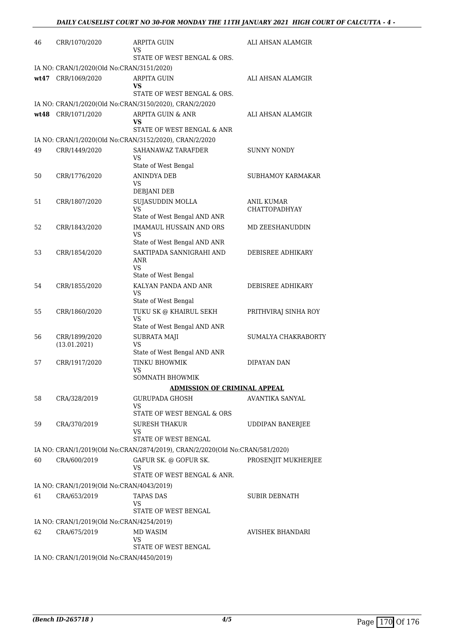| 46 | CRR/1070/2020                             | ARPITA GUIN                                                                                          | ALI AHSAN ALAMGIR       |
|----|-------------------------------------------|------------------------------------------------------------------------------------------------------|-------------------------|
|    |                                           | VS<br>STATE OF WEST BENGAL & ORS.                                                                    |                         |
|    | IA NO: CRAN/1/2020(Old No:CRAN/3151/2020) |                                                                                                      |                         |
|    | wt47 CRR/1069/2020                        | <b>ARPITA GUIN</b><br>VS.                                                                            | ALI AHSAN ALAMGIR       |
|    |                                           | STATE OF WEST BENGAL & ORS.                                                                          |                         |
|    |                                           | IA NO: CRAN/1/2020(Old No:CRAN/3150/2020), CRAN/2/2020                                               |                         |
|    | wt48 CRR/1071/2020                        | ARPITA GUIN & ANR<br>VS<br>STATE OF WEST BENGAL & ANR                                                | ALI AHSAN ALAMGIR       |
|    |                                           | IA NO: CRAN/1/2020(Old No:CRAN/3152/2020), CRAN/2/2020                                               |                         |
| 49 | CRR/1449/2020                             | SAHANAWAZ TARAFDER<br><b>VS</b>                                                                      | <b>SUNNY NONDY</b>      |
| 50 |                                           | State of West Bengal<br><b>ANINDYA DEB</b>                                                           | SUBHAMOY KARMAKAR       |
|    | CRR/1776/2020                             | VS<br>DEBJANI DEB                                                                                    |                         |
| 51 | CRR/1807/2020                             | <b>SUJASUDDIN MOLLA</b>                                                                              | <b>ANIL KUMAR</b>       |
|    |                                           | VS<br>State of West Bengal AND ANR                                                                   | <b>CHATTOPADHYAY</b>    |
| 52 | CRR/1843/2020                             | <b>IMAMAUL HUSSAIN AND ORS</b>                                                                       | MD ZEESHANUDDIN         |
|    |                                           | VS<br>State of West Bengal AND ANR                                                                   |                         |
| 53 | CRR/1854/2020                             | SAKTIPADA SANNIGRAHI AND                                                                             | DEBISREE ADHIKARY       |
|    |                                           | ANR<br><b>VS</b>                                                                                     |                         |
| 54 | CRR/1855/2020                             | State of West Bengal<br>KALYAN PANDA AND ANR                                                         | DEBISREE ADHIKARY       |
|    |                                           | VS<br>State of West Bengal                                                                           |                         |
| 55 | CRR/1860/2020                             | TUKU SK @ KHAIRUL SEKH                                                                               | PRITHVIRAJ SINHA ROY    |
|    |                                           | VS<br>State of West Bengal AND ANR                                                                   |                         |
| 56 | CRR/1899/2020                             | <b>SUBRATA MAJI</b>                                                                                  | SUMALYA CHAKRABORTY     |
|    | (13.01.2021)                              | VS<br>State of West Bengal AND ANR                                                                   |                         |
| 57 | CRR/1917/2020                             | TINKU BHOWMIK<br>VS                                                                                  | DIPAYAN DAN             |
|    |                                           | SOMNATH BHOWMIK                                                                                      |                         |
|    |                                           | <b>ADMISSION OF CRIMINAL APPEAL</b>                                                                  |                         |
| 58 | CRA/328/2019                              | <b>GURUPADA GHOSH</b>                                                                                | AVANTIKA SANYAL         |
|    |                                           | VS<br>STATE OF WEST BENGAL & ORS                                                                     |                         |
| 59 | CRA/370/2019                              | SURESH THAKUR                                                                                        | UDDIPAN BANERJEE        |
|    |                                           | VS                                                                                                   |                         |
|    |                                           | STATE OF WEST BENGAL<br>IA NO: CRAN/1/2019(Old No:CRAN/2874/2019), CRAN/2/2020(Old No:CRAN/581/2020) |                         |
| 60 | CRA/600/2019                              | GAFUR SK. @ GOFUR SK.                                                                                | PROSENJIT MUKHERJEE     |
|    |                                           | VS<br>STATE OF WEST BENGAL & ANR.                                                                    |                         |
|    | IA NO: CRAN/1/2019(Old No:CRAN/4043/2019) |                                                                                                      |                         |
| 61 | CRA/653/2019                              | TAPAS DAS                                                                                            | SUBIR DEBNATH           |
|    |                                           | VS                                                                                                   |                         |
|    | IA NO: CRAN/1/2019(Old No:CRAN/4254/2019) | STATE OF WEST BENGAL                                                                                 |                         |
| 62 | CRA/675/2019                              | MD WASIM                                                                                             | <b>AVISHEK BHANDARI</b> |
|    |                                           | VS                                                                                                   |                         |
|    |                                           | STATE OF WEST BENGAL                                                                                 |                         |
|    | IA NO: CRAN/1/2019(Old No:CRAN/4450/2019) |                                                                                                      |                         |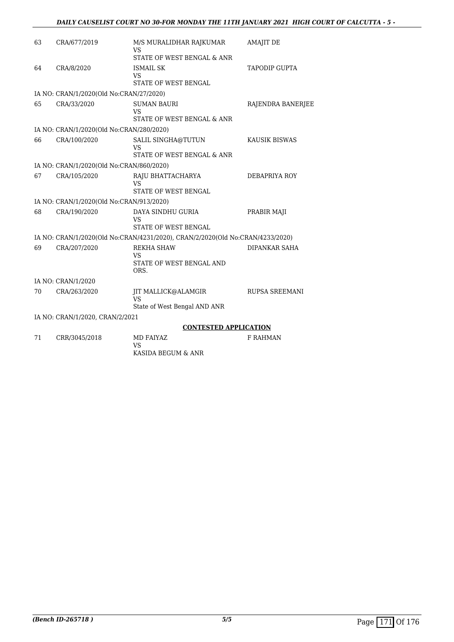### *DAILY CAUSELIST COURT NO 30-FOR MONDAY THE 11TH JANUARY 2021 HIGH COURT OF CALCUTTA - 5 -*

| 63 | CRA/677/2019                             | M/S MURALIDHAR RAJKUMAR<br>VS                                                 | <b>AMAJIT DE</b>      |
|----|------------------------------------------|-------------------------------------------------------------------------------|-----------------------|
|    |                                          | STATE OF WEST BENGAL & ANR                                                    |                       |
| 64 | CRA/8/2020                               | <b>ISMAIL SK</b><br>VS<br>STATE OF WEST BENGAL                                | <b>TAPODIP GUPTA</b>  |
|    | IA NO: CRAN/1/2020(Old No:CRAN/27/2020)  |                                                                               |                       |
| 65 | CRA/33/2020                              | <b>SUMAN BAURI</b><br><b>VS</b><br>STATE OF WEST BENGAL & ANR                 | RAJENDRA BANERJEE     |
|    | IA NO: CRAN/1/2020(Old No:CRAN/280/2020) |                                                                               |                       |
| 66 | CRA/100/2020                             | SALIL SINGHA@TUTUN<br>VS<br>STATE OF WEST BENGAL & ANR                        | KAUSIK BISWAS         |
|    | IA NO: CRAN/1/2020(Old No:CRAN/860/2020) |                                                                               |                       |
| 67 | CRA/105/2020                             | RAJU BHATTACHARYA<br><b>VS</b><br>STATE OF WEST BENGAL                        | DEBAPRIYA ROY         |
|    | IA NO: CRAN/1/2020(Old No:CRAN/913/2020) |                                                                               |                       |
| 68 | CRA/190/2020                             | DAYA SINDHU GURIA<br>VS<br>STATE OF WEST BENGAL                               | PRABIR MAJI           |
|    |                                          | IA NO: CRAN/1/2020(Old No:CRAN/4231/2020), CRAN/2/2020(Old No:CRAN/4233/2020) |                       |
| 69 | CRA/207/2020                             | <b>REKHA SHAW</b><br>VS<br>STATE OF WEST BENGAL AND<br>ORS.                   | DIPANKAR SAHA         |
|    | IA NO: CRAN/1/2020                       |                                                                               |                       |
| 70 | CRA/263/2020                             | JIT MALLICK@ALAMGIR<br><b>VS</b><br>State of West Bengal AND ANR              | <b>RUPSA SREEMANI</b> |
|    | IA NO: CRAN/1/2020, CRAN/2/2021          |                                                                               |                       |
|    |                                          | <b>CONTESTED APPLICATION</b>                                                  |                       |
| 71 | CRR/3045/2018                            | MD FAIYAZ<br><b>VS</b>                                                        | <b>F RAHMAN</b>       |

KASIDA BEGUM & ANR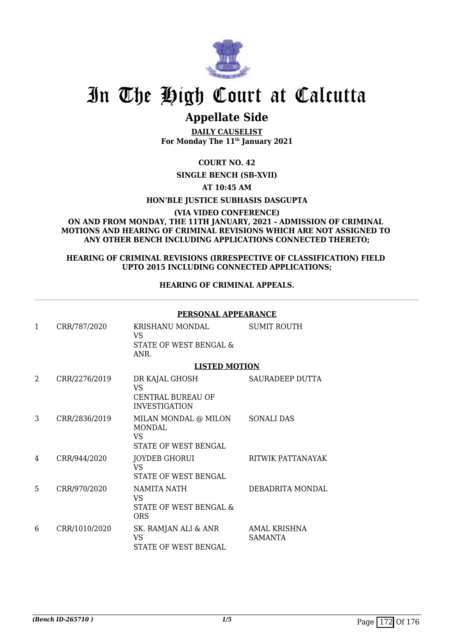

## **Appellate Side**

**DAILY CAUSELIST For Monday The 11th January 2021**

### **COURT NO. 42**

### **SINGLE BENCH (SB-XVII)**

### **AT 10:45 AM**

### **HON'BLE JUSTICE SUBHASIS DASGUPTA**

### **(VIA VIDEO CONFERENCE) ON AND FROM MONDAY, THE 11TH JANUARY, 2021 - ADMISSION OF CRIMINAL MOTIONS AND HEARING OF CRIMINAL REVISIONS WHICH ARE NOT ASSIGNED TO ANY OTHER BENCH INCLUDING APPLICATIONS CONNECTED THERETO;**

### **HEARING OF CRIMINAL REVISIONS (IRRESPECTIVE OF CLASSIFICATION) FIELD UPTO 2015 INCLUDING CONNECTED APPLICATIONS;**

### **HEARING OF CRIMINAL APPEALS.**

### **PERSONAL APPEARANCE**

| 1 | CRR/787/2020  | KRISHANU MONDAL<br>VS.<br>STATE OF WEST BENGAL &<br>ANR.            | <b>SUMIT ROUTH</b>             |
|---|---------------|---------------------------------------------------------------------|--------------------------------|
|   |               | <b>LISTED MOTION</b>                                                |                                |
| 2 | CRR/2276/2019 | DR KAJAL GHOSH<br>VS.<br>CENTRAL BUREAU OF<br><b>INVESTIGATION</b>  | SAURADEEP DUTTA                |
| 3 | CRR/2836/2019 | MILAN MONDAL @ MILON<br><b>MONDAL</b><br>VS<br>STATE OF WEST BENGAL | <b>SONALI DAS</b>              |
| 4 | CRR/944/2020  | JOYDEB GHORUI<br><b>VS</b><br>STATE OF WEST BENGAL                  | RITWIK PATTANAYAK              |
| 5 | CRR/970/2020  | NAMITA NATH<br>VS<br>STATE OF WEST BENGAL &<br>ORS                  | DEBADRITA MONDAL               |
| 6 | CRR/1010/2020 | SK. RAMJAN ALI & ANR<br><b>VS</b><br>STATE OF WEST BENGAL           | AMAL KRISHNA<br><b>SAMANTA</b> |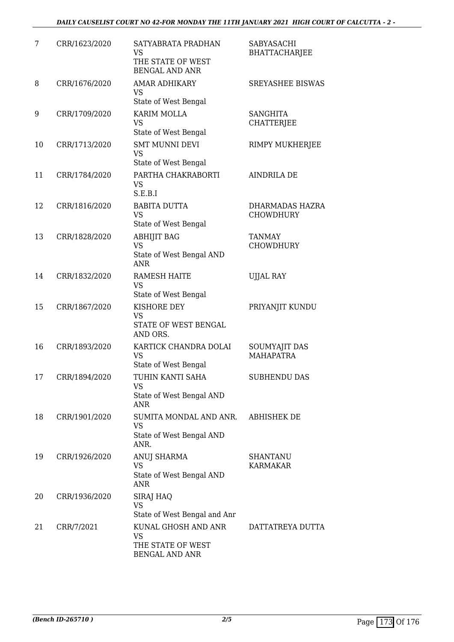| 7  | CRR/1623/2020 | SATYABRATA PRADHAN<br><b>VS</b><br>THE STATE OF WEST<br><b>BENGAL AND ANR</b>  | SABYASACHI<br><b>BHATTACHARJEE</b>  |
|----|---------------|--------------------------------------------------------------------------------|-------------------------------------|
| 8  | CRR/1676/2020 | <b>AMAR ADHIKARY</b><br><b>VS</b><br>State of West Bengal                      | <b>SREYASHEE BISWAS</b>             |
| 9  | CRR/1709/2020 | <b>KARIM MOLLA</b><br><b>VS</b><br>State of West Bengal                        | <b>SANGHITA</b><br>CHATTERJEE       |
| 10 | CRR/1713/2020 | <b>SMT MUNNI DEVI</b><br><b>VS</b><br>State of West Bengal                     | RIMPY MUKHERJEE                     |
| 11 | CRR/1784/2020 | PARTHA CHAKRABORTI<br><b>VS</b><br>S.E.B.I                                     | <b>AINDRILA DE</b>                  |
| 12 | CRR/1816/2020 | <b>BABITA DUTTA</b><br><b>VS</b><br>State of West Bengal                       | DHARMADAS HAZRA<br><b>CHOWDHURY</b> |
| 13 | CRR/1828/2020 | <b>ABHIJIT BAG</b><br><b>VS</b><br>State of West Bengal AND<br><b>ANR</b>      | <b>TANMAY</b><br><b>CHOWDHURY</b>   |
| 14 | CRR/1832/2020 | <b>RAMESH HAITE</b><br><b>VS</b><br>State of West Bengal                       | <b>UJJAL RAY</b>                    |
| 15 | CRR/1867/2020 | KISHORE DEY<br><b>VS</b><br>STATE OF WEST BENGAL<br>AND ORS.                   | PRIYANJIT KUNDU                     |
| 16 | CRR/1893/2020 | KARTICK CHANDRA DOLAI<br><b>VS</b><br>State of West Bengal                     | SOUMYAJIT DAS<br><b>MAHAPATRA</b>   |
| 17 | CRR/1894/2020 | TUHIN KANTI SAHA<br><b>VS</b><br>State of West Bengal AND<br>ANR               | <b>SUBHENDU DAS</b>                 |
| 18 | CRR/1901/2020 | SUMITA MONDAL AND ANR.<br><b>VS</b><br>State of West Bengal AND<br>ANR.        | <b>ABHISHEK DE</b>                  |
| 19 | CRR/1926/2020 | ANUJ SHARMA<br><b>VS</b><br>State of West Bengal AND<br><b>ANR</b>             | SHANTANU<br><b>KARMAKAR</b>         |
| 20 | CRR/1936/2020 | SIRAJ HAQ<br>VS<br>State of West Bengal and Anr                                |                                     |
| 21 | CRR/7/2021    | KUNAL GHOSH AND ANR<br><b>VS</b><br>THE STATE OF WEST<br><b>BENGAL AND ANR</b> | DATTATREYA DUTTA                    |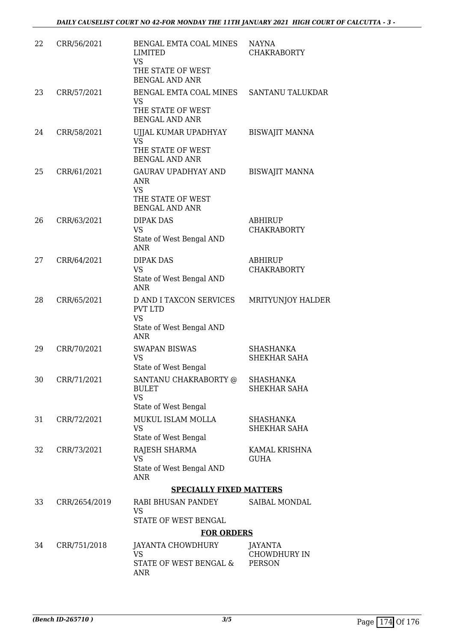| 22 | CRR/56/2021   | BENGAL EMTA COAL MINES<br>LIMITED<br><b>VS</b><br>THE STATE OF WEST<br><b>BENGAL AND ANR</b>            | <b>NAYNA</b><br><b>CHAKRABORTY</b>      |
|----|---------------|---------------------------------------------------------------------------------------------------------|-----------------------------------------|
| 23 | CRR/57/2021   | BENGAL EMTA COAL MINES<br>VS<br>THE STATE OF WEST<br><b>BENGAL AND ANR</b>                              | <b>SANTANU TALUKDAR</b>                 |
| 24 | CRR/58/2021   | UJJAL KUMAR UPADHYAY<br><b>VS</b><br>THE STATE OF WEST<br><b>BENGAL AND ANR</b>                         | <b>BISWAJIT MANNA</b>                   |
| 25 | CRR/61/2021   | <b>GAURAV UPADHYAY AND</b><br><b>ANR</b><br><b>VS</b><br>THE STATE OF WEST<br><b>BENGAL AND ANR</b>     | <b>BISWAJIT MANNA</b>                   |
| 26 | CRR/63/2021   | <b>DIPAK DAS</b><br><b>VS</b><br>State of West Bengal AND<br><b>ANR</b>                                 | <b>ABHIRUP</b><br><b>CHAKRABORTY</b>    |
| 27 | CRR/64/2021   | <b>DIPAK DAS</b><br><b>VS</b><br>State of West Bengal AND<br><b>ANR</b>                                 | ABHIRUP<br><b>CHAKRABORTY</b>           |
| 28 | CRR/65/2021   | <b>D AND I TAXCON SERVICES</b><br><b>PVT LTD</b><br><b>VS</b><br>State of West Bengal AND<br><b>ANR</b> | MRITYUNJOY HALDER                       |
| 29 | CRR/70/2021   | <b>SWAPAN BISWAS</b><br><b>VS</b><br>State of West Bengal                                               | SHASHANKA<br>SHEKHAR SAHA               |
| 30 | CRR/71/2021   | SANTANU CHAKRABORTY @<br><b>BULET</b><br><b>VS</b><br>State of West Bengal                              | <b>SHASHANKA</b><br>SHEKHAR SAHA        |
| 31 | CRR/72/2021   | MUKUL ISLAM MOLLA<br><b>VS</b><br>State of West Bengal                                                  | <b>SHASHANKA</b><br><b>SHEKHAR SAHA</b> |
| 32 | CRR/73/2021   | RAJESH SHARMA<br><b>VS</b><br>State of West Bengal AND<br><b>ANR</b>                                    | KAMAL KRISHNA<br><b>GUHA</b>            |
|    |               | <b>SPECIALLY FIXED MATTERS</b>                                                                          |                                         |
| 33 | CRR/2654/2019 | RABI BHUSAN PANDEY<br><b>VS</b><br>STATE OF WEST BENGAL                                                 | SAIBAL MONDAL                           |
|    |               | <b>FOR ORDERS</b>                                                                                       |                                         |
| 34 | CRR/751/2018  | JAYANTA CHOWDHURY                                                                                       | JAYANTA                                 |
|    |               | VS<br>STATE OF WEST BENGAL &<br><b>ANR</b>                                                              | <b>CHOWDHURY IN</b><br><b>PERSON</b>    |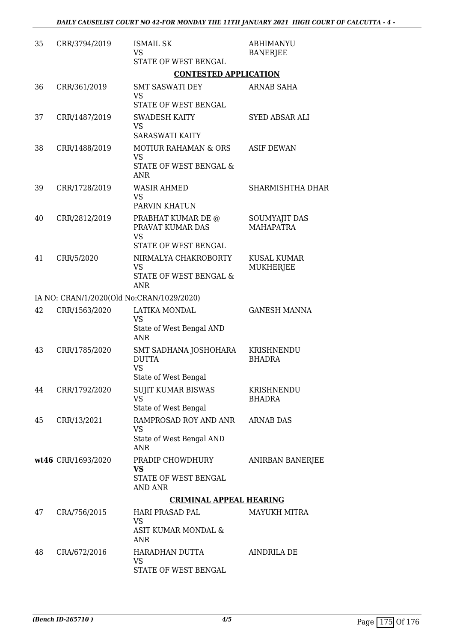| 35 | CRR/3794/2019                             | <b>ISMAIL SK</b><br><b>VS</b><br>STATE OF WEST BENGAL                                  | <b>ABHIMANYU</b><br><b>BANERJEE</b>      |
|----|-------------------------------------------|----------------------------------------------------------------------------------------|------------------------------------------|
|    |                                           | <b>CONTESTED APPLICATION</b>                                                           |                                          |
| 36 | CRR/361/2019                              | <b>SMT SASWATI DEY</b><br>VS<br>STATE OF WEST BENGAL                                   | ARNAB SAHA                               |
| 37 | CRR/1487/2019                             | <b>SWADESH KAITY</b><br><b>VS</b><br><b>SARASWATI KAITY</b>                            | SYED ABSAR ALI                           |
| 38 | CRR/1488/2019                             | <b>MOTIUR RAHAMAN &amp; ORS</b><br><b>VS</b><br>STATE OF WEST BENGAL &<br><b>ANR</b>   | <b>ASIF DEWAN</b>                        |
| 39 | CRR/1728/2019                             | <b>WASIR AHMED</b><br><b>VS</b><br>PARVIN KHATUN                                       | SHARMISHTHA DHAR                         |
| 40 | CRR/2812/2019                             | PRABHAT KUMAR DE @<br>PRAVAT KUMAR DAS<br><b>VS</b><br><b>STATE OF WEST BENGAL</b>     | <b>SOUMYAJIT DAS</b><br><b>MAHAPATRA</b> |
| 41 | CRR/5/2020                                | NIRMALYA CHAKROBORTY<br><b>VS</b><br>STATE OF WEST BENGAL &<br><b>ANR</b>              | <b>KUSAL KUMAR</b><br>MUKHERJEE          |
|    | IA NO: CRAN/1/2020(Old No:CRAN/1029/2020) |                                                                                        |                                          |
| 42 | CRR/1563/2020                             | LATIKA MONDAL<br><b>VS</b><br>State of West Bengal AND<br><b>ANR</b>                   | <b>GANESH MANNA</b>                      |
| 43 | CRR/1785/2020                             | SMT SADHANA JOSHOHARA<br><b>DUTTA</b><br><b>VS</b>                                     | KRISHNENDU<br><b>BHADRA</b>              |
| 44 | CRR/1792/2020                             | State of West Bengal<br><b>SUJIT KUMAR BISWAS</b><br><b>VS</b><br>State of West Bengal | KRISHNENDU<br>BHADRA                     |
| 45 | CRR/13/2021                               | RAMPROSAD ROY AND ANR<br>VS<br>State of West Bengal AND<br><b>ANR</b>                  | <b>ARNAB DAS</b>                         |
|    | wt46 CRR/1693/2020                        | PRADIP CHOWDHURY<br>VS<br>STATE OF WEST BENGAL<br>AND ANR                              | ANIRBAN BANERJEE                         |
|    |                                           | <b>CRIMINAL APPEAL HEARING</b>                                                         |                                          |
| 47 | CRA/756/2015                              | <b>HARI PRASAD PAL</b><br>VS<br>ASIT KUMAR MONDAL &<br>ANR                             | MAYUKH MITRA                             |
| 48 | CRA/672/2016                              | HARADHAN DUTTA<br>VS<br>STATE OF WEST BENGAL                                           | AINDRILA DE                              |